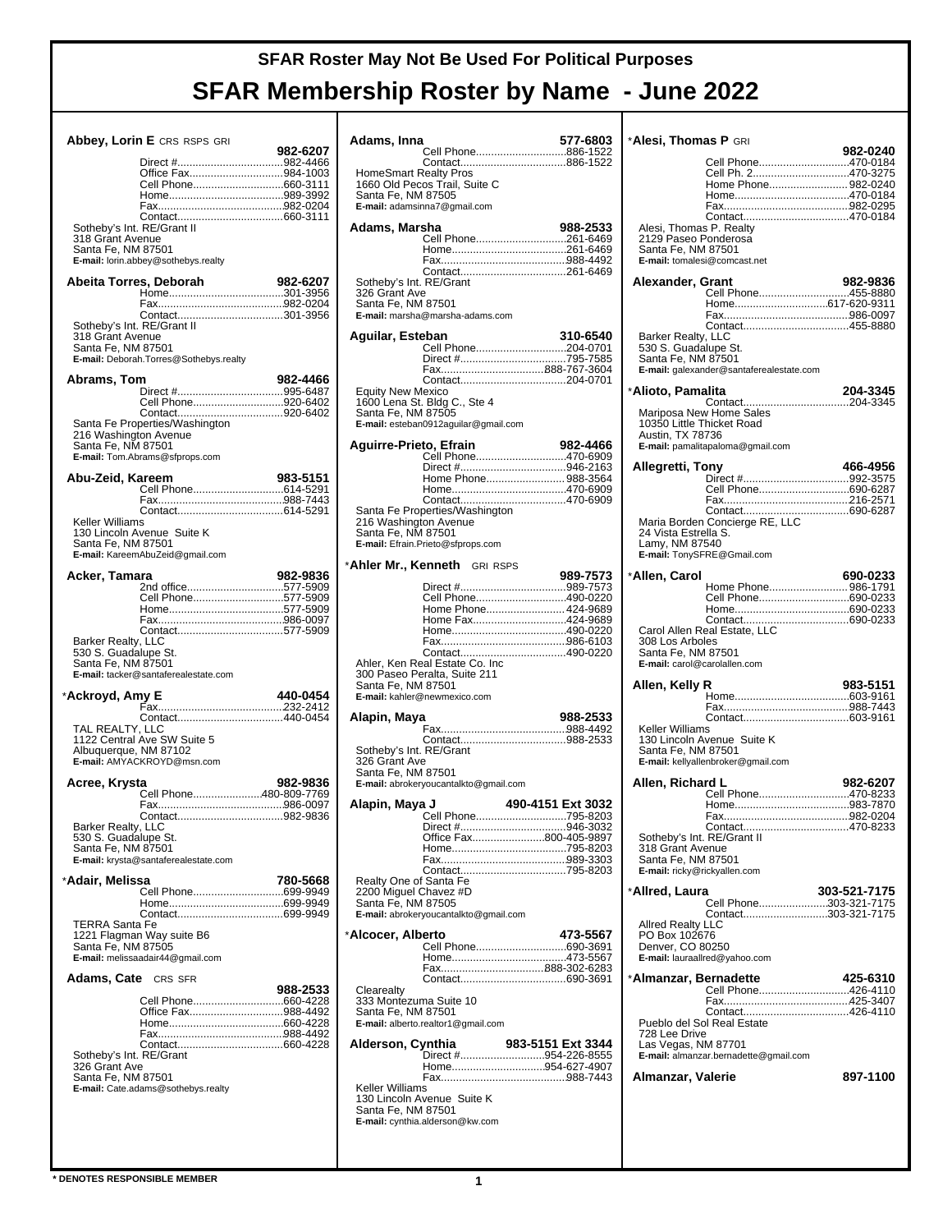|                                                                      | Abbey, Lorin E CRS RSPS GRI                                                                     |          |
|----------------------------------------------------------------------|-------------------------------------------------------------------------------------------------|----------|
|                                                                      | Office Fax984-1003<br>Cell Phone660-3111                                                        | 982-6207 |
| Sotheby's Int. RE/Grant II<br>318 Grant Avenue<br>Santa Fe, NM 87501 | E-mail: lorin.abbey@sothebys.realty                                                             |          |
| Abeita Torres, Deborah                                               |                                                                                                 | 982-6207 |
| 318 Grant Avenue<br>Santa Fe, NM 87501                               | E-mail: Deborah.Torres@Sothebys.realty                                                          |          |
| Abrams, Tom                                                          | Cell Phone920-6402                                                                              | 982-4466 |
| 216 Washington Avenue<br>Santa Fe, NM 87501                          | Santa Fe Properties/Washington<br>E-mail: Tom.Abrams@sfprops.com                                |          |
| Abu-Zeid, Kareem                                                     |                                                                                                 | 983-5151 |
| Keller Williams<br>Santa Fe, NM 87501                                | 130 Lincoln Avenue Suite K<br>E-mail: KareemAbuZeid@gmail.com                                   |          |
| Acker, Tamara                                                        | 2nd office577-5909                                                                              | 982-9836 |
|                                                                      | Cell Phone577-5909                                                                              |          |
|                                                                      |                                                                                                 |          |
| Barker Realty, LLC<br>530 S. Guadalupe St.<br>Santa Fe, NM 87501     | Contact577-5909<br>E-mail: tacker@santaferealestate.com                                         |          |
| *Ackroyd, Amy E                                                      |                                                                                                 | 440-0454 |
| Albuquerque, NM 87102                                                | Contact440-0454<br>TAL REALTY, LLC<br>1122 Central Ave SW Suite 5<br>E-mail: AMYACKROYD@msn.com |          |
| Acree, Krysta                                                        | Cell Phone480-809-7769                                                                          | 982-9836 |
| Barker Realty, LLC<br>530 S. Guadalupe St.<br>Santa Fe, NM 87501     |                                                                                                 |          |
| *Adair, Melissa                                                      | E-mail: krysta@santaferealestate.com                                                            | 780-5668 |
|                                                                      |                                                                                                 |          |
| <b>TERRA Santa Fe</b><br>Santa Fe, NM 87505                          | 1221 Flagman Way suite B6<br>E-mail: melissaadair44@qmail.com                                   |          |
| <b>Adams, Cate</b> CRS SFR                                           |                                                                                                 | 988-2533 |
| Sotheby's Int. RE/Grant                                              | Office Fax988-4492                                                                              |          |
| 326 Grant Ave<br>Santa Fe, NM 87501                                  | E-mail: Cate.adams@sothebys.realty                                                              |          |
|                                                                      |                                                                                                 |          |

|                                          | Adams, Inna                              | 577-6803          |
|------------------------------------------|------------------------------------------|-------------------|
|                                          | Cell Phone886-1522                       |                   |
| HomeSmart Realty Pros                    |                                          |                   |
|                                          | 1660 Old Pecos Trail, Suite C            |                   |
| Santa Fe, NM 87505                       | E-mail: adamsinna7@gmail.com             |                   |
|                                          |                                          |                   |
| Adams, Marsha                            |                                          | 988-2533          |
|                                          | Cell Phone261-6469                       |                   |
|                                          |                                          |                   |
|                                          |                                          |                   |
| Sotheby's Int. RE/Grant<br>326 Grant Ave |                                          |                   |
| Santa Fe, NM 87501                       |                                          |                   |
|                                          | E-mail: marsha@marsha-adams.com          |                   |
| Aquilar, Esteban                         |                                          | 310-6540          |
|                                          | Cell Phone204-0701                       |                   |
|                                          |                                          |                   |
|                                          |                                          |                   |
| <b>Equity New Mexico</b>                 |                                          |                   |
|                                          | 1600 Lena St. Bldg C., Ste 4             |                   |
| Santa Fe, NM 87505                       | E-mail: esteban0912aguilar@gmail.com     |                   |
|                                          |                                          |                   |
| Aguirre-Prieto, Efrain                   |                                          | 982-4466          |
|                                          | Cell Phone470-6909                       |                   |
|                                          | Home Phone 988-3564                      |                   |
|                                          |                                          |                   |
|                                          | Santa Fe Properties/Washington           |                   |
| 216 Washington Avenue                    |                                          |                   |
| Santa Fe, NM 87501                       | E-mail: Efrain.Prieto@sfprops.com        |                   |
|                                          |                                          |                   |
| *Ahler Mr., Kenneth                      | <b>GRI RSPS</b>                          |                   |
|                                          |                                          | 989-7573          |
|                                          | Cell Phone490-0220                       |                   |
|                                          | Home Phone 424-9689                      |                   |
|                                          | Home Fax424-9689                         |                   |
|                                          |                                          |                   |
|                                          |                                          |                   |
|                                          | Ahler, Ken Real Estate Co. Inc           |                   |
|                                          |                                          |                   |
| Santa Fe, NM 87501                       | 300 Paseo Peralta, Suite 211             |                   |
|                                          | E-mail: kahler@newmexico.com             |                   |
| Alapin, Maya                             |                                          | 988-2533          |
|                                          |                                          |                   |
| Sotheby's Int. RE/Grant                  |                                          |                   |
| 326 Grant Ave                            |                                          |                   |
| Santa Fe, NM 87501                       |                                          |                   |
|                                          | E-mail: abrokeryoucantalkto@gmail.com    |                   |
| Alapin, Maya J                           |                                          | 490-4151 Ext 3032 |
|                                          | Cell Phone795-8203                       |                   |
|                                          | Office Fax800-405-9897                   |                   |
|                                          |                                          |                   |
|                                          |                                          |                   |
| Realty One of Santa Fe                   |                                          |                   |
| 2200 Miguel Chavez #D                    |                                          |                   |
| Santa Fe, NM 87505                       | E-mail: abrokeryoucantalkto@gmail.com    |                   |
|                                          |                                          |                   |
| *Alcocer, Alberto                        |                                          | 473-5567          |
|                                          | Cell Phone690-3691                       |                   |
|                                          |                                          |                   |
|                                          |                                          |                   |
| Clearealty<br>333 Montezuma Suite 10     |                                          |                   |
| Santa Fe, NM 87501                       |                                          |                   |
|                                          | E-mail: alberto.realtor1@gmail.com       |                   |
| Alderson, Cynthia                        |                                          | 983-5151 Ext 3344 |
|                                          | Direct #954-226-8555<br>Home954-627-4907 |                   |
|                                          |                                          |                   |
| Keller Williams                          |                                          |                   |
| Santa Fe, NM 87501                       | 130 Lincoln Avenue Suite K               |                   |
|                                          | E-mail: cynthia.alderson@kw.com          |                   |

| *Alesi, Thomas P GRI                            |                                               |              |
|-------------------------------------------------|-----------------------------------------------|--------------|
|                                                 | Cell Phone470-0184                            | 982-0240     |
|                                                 | Cell Ph. 2470-3275                            |              |
|                                                 | Home Phone 982-0240                           |              |
|                                                 |                                               |              |
|                                                 |                                               |              |
| Alesi, Thomas P. Realty<br>2129 Paseo Ponderosa |                                               |              |
| Santa Fe, NM 87501                              |                                               |              |
|                                                 | E-mail: tomalesi@comcast.net                  |              |
| Alexander, Grant                                |                                               | 982-9836     |
|                                                 | Cell Phone455-8880                            |              |
|                                                 |                                               |              |
|                                                 |                                               |              |
| Barker Realty, LLC                              |                                               |              |
| 530 S. Guadalupe St.<br>Santa Fe, NM 87501      |                                               |              |
|                                                 | E-mail: galexander@santaferealestate.com      |              |
| *Alioto, Pamalita                               |                                               | 204-3345     |
|                                                 | Mariposa New Home Sales                       |              |
| 10350 Little Thicket Road                       |                                               |              |
| Austin, TX 78736                                | E-mail: pamalitapaloma@gmail.com              |              |
|                                                 |                                               |              |
| Allegretti, Tony                                | Direct #992-3575                              | 466-4956     |
|                                                 | Cell Phone690-6287                            |              |
|                                                 |                                               |              |
|                                                 |                                               |              |
| 24 Vista Estrella S.                            |                                               |              |
| Lamy, NM 87540                                  | E-mail: TonySFRE@Gmail.com                    |              |
|                                                 |                                               |              |
| *Allen, Carol                                   | Home Phone 986-1791                           | 690-0233     |
|                                                 | Cell Phone690-0233                            |              |
|                                                 |                                               |              |
|                                                 | Carol Allen Real Estate, LLC                  |              |
|                                                 |                                               |              |
| 308 Los Arboles                                 |                                               |              |
| Santa Fe, NM 87501                              |                                               |              |
| E-mail: carol@carolallen.com                    |                                               |              |
| Allen, Kelly R                                  |                                               | 983-5151     |
|                                                 |                                               |              |
|                                                 |                                               |              |
| Keller Williams                                 | 130 Lincoln Avenue Suite K                    |              |
| Santa Fe, NM 87501                              |                                               |              |
|                                                 | E-mail: kellyallenbroker@gmail.com            |              |
| Allen, Richard L                                |                                               | 982-6207     |
|                                                 | Cell Phone470-8233                            |              |
|                                                 |                                               |              |
|                                                 |                                               |              |
| Sotheby's Int. RE/Grant II<br>318 Grant Avenue  |                                               |              |
| Santa Fe, NM 87501                              |                                               |              |
| E-mail: ricky@rickyallen.com                    |                                               |              |
| *Allred, Laura                                  |                                               | 303-521-7175 |
|                                                 | Cell Phone303-321-7175<br>Contact303-321-7175 |              |
| <b>Allred Realty LLC</b>                        |                                               |              |
| PO Box 102676<br>Denver, CO 80250               |                                               |              |
|                                                 | E-mail: lauraallred@yahoo.com                 |              |
| *Almanzar, Bernadette                           |                                               | 425-6310     |
|                                                 | Cell Phone426-4110                            |              |
|                                                 |                                               |              |
|                                                 | Pueblo del Sol Real Estate                    |              |
| 728 Lee Drive<br>Las Vegas, NM 87701            |                                               |              |
|                                                 | E-mail: almanzar.bernadette@gmail.com         |              |
| Almanzar, Valerie                               |                                               | 897-1100     |
|                                                 |                                               |              |
|                                                 |                                               |              |
|                                                 |                                               |              |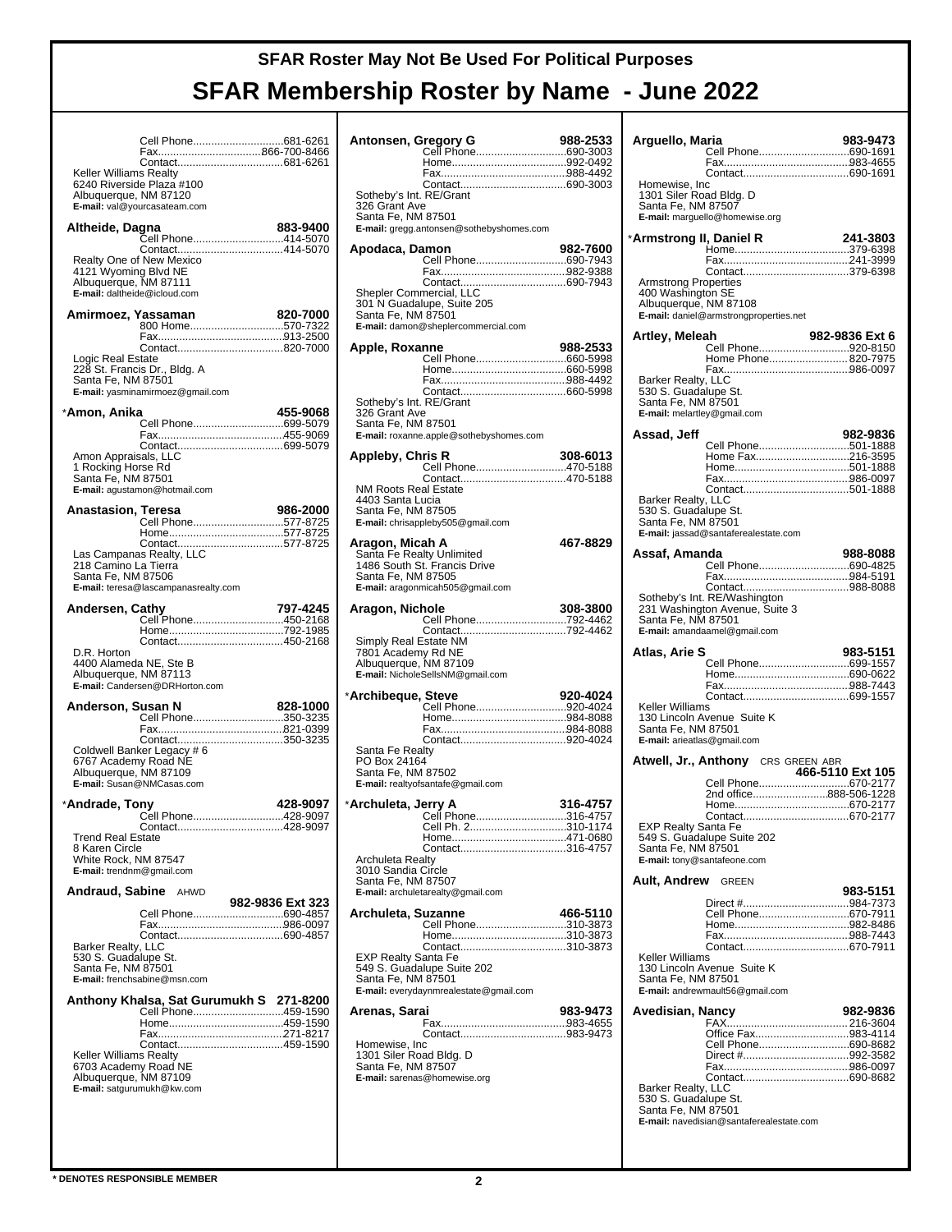|                                                                               | Cell Phone681-6261                                               |                  |
|-------------------------------------------------------------------------------|------------------------------------------------------------------|------------------|
|                                                                               |                                                                  |                  |
| <b>Keller Williams Realty</b><br>Albuquerque, NM 87120                        | 6240 Riverside Plaza #100                                        |                  |
|                                                                               | E-mail: val@yourcasateam.com                                     |                  |
| Altheide, Dagna                                                               | Cell Phone414-5070                                               | 883-9400         |
| 4121 Wyoming Blvd NE<br>Albuquerque, NM 87111<br>E-mail: daltheide@icloud.com | Realty One of New Mexico                                         |                  |
|                                                                               | Amirmoez, Yassaman                                               | 820-7000         |
|                                                                               | Contact820-7000                                                  |                  |
| Logic Real Estate<br>Santa Fe, NM 87501                                       | 228 St. Francis Dr., Bldg. A<br>E-mail: yasminamirmoez@gmail.com |                  |
| *Amon, Anika                                                                  |                                                                  | 455-9068         |
|                                                                               |                                                                  |                  |
|                                                                               |                                                                  |                  |
| Amon Appraisals, LLC<br>1 Rocking Horse Rd<br>Santa Fe, NM 87501              | E-mail: agustamon@hotmail.com                                    |                  |
| <b>Anastasion, Teresa</b>                                                     |                                                                  | 986-2000         |
|                                                                               | Cell Phone577-8725                                               |                  |
|                                                                               |                                                                  |                  |
| 218 Camino La Tierra                                                          |                                                                  |                  |
| Santa Fe, NM 87506                                                            | E-mail: teresa@lascampanasrealty.com                             |                  |
| Andersen, Cathy                                                               |                                                                  | 797-4245         |
|                                                                               | Cell Phone450-2168                                               |                  |
|                                                                               |                                                                  |                  |
| D.R. Horton                                                                   |                                                                  |                  |
| 4400 Alameda NE, Ste B<br>Albuquerque, NM 87113                               | E-mail: Candersen@DRHorton.com                                   |                  |
| Anderson, Susan N                                                             |                                                                  | 828-1000         |
|                                                                               | Cell Phone350-3235                                               |                  |
|                                                                               |                                                                  |                  |
| 6767 Academy Road NE                                                          | Coldwell Banker Legacy # 6                                       |                  |
| Albuquerque, NM 87109                                                         | E-mail: Susan@NMCasas.com                                        |                  |
|                                                                               |                                                                  |                  |
|                                                                               |                                                                  |                  |
| *Andrade, Tony                                                                |                                                                  | 428-9097         |
|                                                                               | .<br>Cell Phone                                                  | 428-9097         |
| <b>Trend Real Estate</b><br>8 Karen Circle                                    |                                                                  |                  |
| White Rock, NM 87547<br>E-mail: trendnm@gmail.com                             |                                                                  |                  |
| Andraud, Sabine                                                               | AHWD                                                             |                  |
|                                                                               |                                                                  | 982-9836 Ext 323 |
|                                                                               | Cell Phone690-4857                                               |                  |
| Barker Realty, LLC                                                            |                                                                  |                  |
| 530 S. Guadalupe St.                                                          |                                                                  |                  |
| Santa Fe, NM 87501                                                            | E-mail: frenchsabine@msn.com                                     |                  |
|                                                                               |                                                                  |                  |
|                                                                               |                                                                  |                  |
|                                                                               |                                                                  |                  |
| Keller Williams Realty                                                        |                                                                  |                  |
| 6703 Academy Road NE<br>Albuquerque, NM 87109                                 |                                                                  |                  |
|                                                                               | E-mail: satgurumukh@kw.com                                       |                  |
|                                                                               |                                                                  |                  |
|                                                                               |                                                                  |                  |

| Antonsen, Gregory G                           |                                                                                                               | 988-2533 |
|-----------------------------------------------|---------------------------------------------------------------------------------------------------------------|----------|
|                                               | Cell Phone690-3003                                                                                            |          |
|                                               |                                                                                                               |          |
| Sotheby's Int. RE/Grant                       |                                                                                                               |          |
| 326 Grant Ave<br>Santa Fe, NM 87501           |                                                                                                               |          |
|                                               | E-mail: gregg.antonsen@sothebyshomes.com                                                                      |          |
| Apodaca, Damon                                |                                                                                                               | 982-7600 |
|                                               | Cell Phone690-7943                                                                                            |          |
|                                               |                                                                                                               |          |
| Shepler Commercial, LLC                       | 301 N Guadalupe, Suite 205                                                                                    |          |
| Santa Fe, NM 87501                            | E-mail: damon@sheplercommercial.com                                                                           |          |
|                                               |                                                                                                               |          |
| Apple, Roxanne                                |                                                                                                               | 988-2533 |
|                                               |                                                                                                               |          |
|                                               |                                                                                                               |          |
| Sotheby's Int. RE/Grant<br>326 Grant Ave      |                                                                                                               |          |
| Santa Fe, NM 87501                            | E-mail: roxanne.apple@sothebyshomes.com                                                                       |          |
|                                               |                                                                                                               |          |
| Appleby, Chris R                              | Cell Phone470-5188                                                                                            | 308-6013 |
| <b>NM Roots Real Estate</b>                   |                                                                                                               |          |
| 4403 Santa Lucia                              |                                                                                                               |          |
| Santa Fe, NM 87505                            | E-mail: chrisappleby505@gmail.com                                                                             |          |
|                                               |                                                                                                               |          |
| Aragon, Micah A<br>Santa Fe Realty Unlimited  |                                                                                                               | 467-8829 |
| Santa Fe, NM 87505                            | 1486 South St. Francis Drive                                                                                  |          |
|                                               | E-mail: aragonmicah505@gmail.com                                                                              |          |
| Aragon, Nichole                               |                                                                                                               | 308-3800 |
|                                               |                                                                                                               |          |
| Simply Real Estate NM                         |                                                                                                               |          |
| 7801 Academy Rd NE<br>Albuquerque, NM 87109   |                                                                                                               |          |
|                                               | E-mail: NicholeSellsNM@gmail.com                                                                              |          |
| *Archibeque, Steve                            |                                                                                                               | 920-4024 |
|                                               | Cell Phone920-4024                                                                                            |          |
|                                               |                                                                                                               |          |
| Santa Fe Realty                               |                                                                                                               |          |
| PO Box 24164<br>Santa Fe, NM 87502            |                                                                                                               |          |
|                                               | E-mail: realtyofsantafe@gmail.com                                                                             |          |
|                                               |                                                                                                               |          |
|                                               | Cell Ph 2 and 2 and 2 and 2 and 2 and 2 and 2 and 2 and 2 and 2 and 2 and 2 and 2 and 2 and 2 and 2 and 2 and | 310-1174 |
|                                               | Contact316-4757                                                                                               |          |
| Archuleta Realty                              |                                                                                                               |          |
| 3010 Sandia Circle<br>Santa Fe, NM 87507      |                                                                                                               |          |
|                                               | E-mail: archuletarealty@gmail.com                                                                             |          |
| Archuleta, Suzanne                            |                                                                                                               | 466-5110 |
|                                               | Cell Phone310-3873                                                                                            |          |
| <b>EXP Realty Santa Fe</b>                    | Contact310-3873                                                                                               |          |
|                                               | 549 S. Guadalupe Suite 202                                                                                    |          |
| Santa Fe, NM 87501                            | E-mail: everydaynmrealestate@gmail.com                                                                        |          |
| Arenas, Sarai                                 |                                                                                                               | 983-9473 |
|                                               |                                                                                                               |          |
| Homewise, Inc                                 |                                                                                                               |          |
| 1301 Siler Road Bldg. D<br>Santa Fe, NM 87507 |                                                                                                               |          |
|                                               | E-mail: sarenas@homewise.org                                                                                  |          |
|                                               |                                                                                                               |          |
|                                               |                                                                                                               |          |
|                                               |                                                                                                               |          |

| Arguello, Maria                            |                                                                | 983-9473         |
|--------------------------------------------|----------------------------------------------------------------|------------------|
|                                            | Cell Phone690-1691                                             |                  |
|                                            |                                                                |                  |
| Homewise, Inc<br>1301 Siler Road Bldg. D   |                                                                |                  |
| Santa Fe, NM 87507                         | E-mail: marguello@homewise.org                                 |                  |
|                                            |                                                                |                  |
| *Armstrong II, Daniel R                    |                                                                | 241-3803         |
|                                            |                                                                |                  |
| <b>Armstrong Properties</b>                |                                                                |                  |
| 400 Washington SE<br>Albuquerque, NM 87108 |                                                                |                  |
|                                            | E-mail: daniel@armstrongproperties.net                         |                  |
| Artley, Meleah                             |                                                                | 982-9836 Ext 6   |
|                                            | Cell Phone920-8150<br>Home Phone 820-7975                      |                  |
|                                            |                                                                |                  |
| Barker Realty, LLC<br>530 S. Guadalupe St. |                                                                |                  |
| Santa Fe, NM 87501                         | E-mail: melartley@gmail.com                                    |                  |
|                                            |                                                                |                  |
| Assad, Jeff                                | Cell Phone501-1888                                             | 982-9836         |
|                                            | Home Fax216-3595                                               |                  |
|                                            |                                                                |                  |
| Barker Realty, LLC                         |                                                                |                  |
| 530 S. Guadalupe St.                       |                                                                |                  |
| Santa Fe, NM 87501                         | E-mail: jassad@santaferealestate.com                           |                  |
| Assaf, Amanda                              |                                                                | 988-8088         |
|                                            | Cell Phone690-4825                                             |                  |
|                                            |                                                                |                  |
|                                            | Sotheby's Int. RE/Washington<br>231 Washington Avenue, Suite 3 |                  |
| Santa Fe, NM 87501                         |                                                                |                  |
|                                            | E-mail: amandaamel@gmail.com                                   |                  |
|                                            |                                                                |                  |
| Atlas, Arie S                              |                                                                | 983-5151         |
|                                            | Cell Phone699-1557                                             |                  |
|                                            |                                                                |                  |
| Keller Williams                            |                                                                |                  |
| Santa Fe, NM 87501                         | 130 Lincoln Avenue Suite K                                     |                  |
| E-mail: arieatlas@gmail.com                |                                                                |                  |
|                                            | <b>Atwell, Jr., Anthony</b> CRS GREEN ABR                      |                  |
|                                            |                                                                | 466-5110 Ext 105 |
|                                            | 2nd office888-506-1228                                         |                  |
|                                            | Contact<br>.                                                   | 670-2177         |
| <b>EXP Realty Santa Fe</b>                 | 549 S. Guadalupe Suite 202                                     |                  |
| Santa Fe, NM 87501                         | E-mail: tony@santafeone.com                                    |                  |
|                                            |                                                                |                  |
| <b>Ault, Andrew</b> GREEN                  |                                                                | 983-5151         |
|                                            | Direct #984-7373<br>Cell Phone670-7911                         |                  |
|                                            |                                                                |                  |
|                                            |                                                                |                  |
| Keller Williams                            |                                                                |                  |
| Santa Fe, NM 87501                         | 130 Lincoln Avenue Suite K                                     |                  |
|                                            | E-mail: andrewmault56@gmail.com                                |                  |
| Avedisian, Nancy                           |                                                                | 982-9836         |
|                                            | Office Fax983-4114                                             |                  |
|                                            | Cell Phone690-8682                                             |                  |
|                                            |                                                                |                  |
| Barker Realty, LLC                         |                                                                |                  |
| 530 S. Guadalupe St.<br>Santa Fe, NM 87501 |                                                                |                  |
|                                            | E-mail: navedisian@santaferealestate.com                       |                  |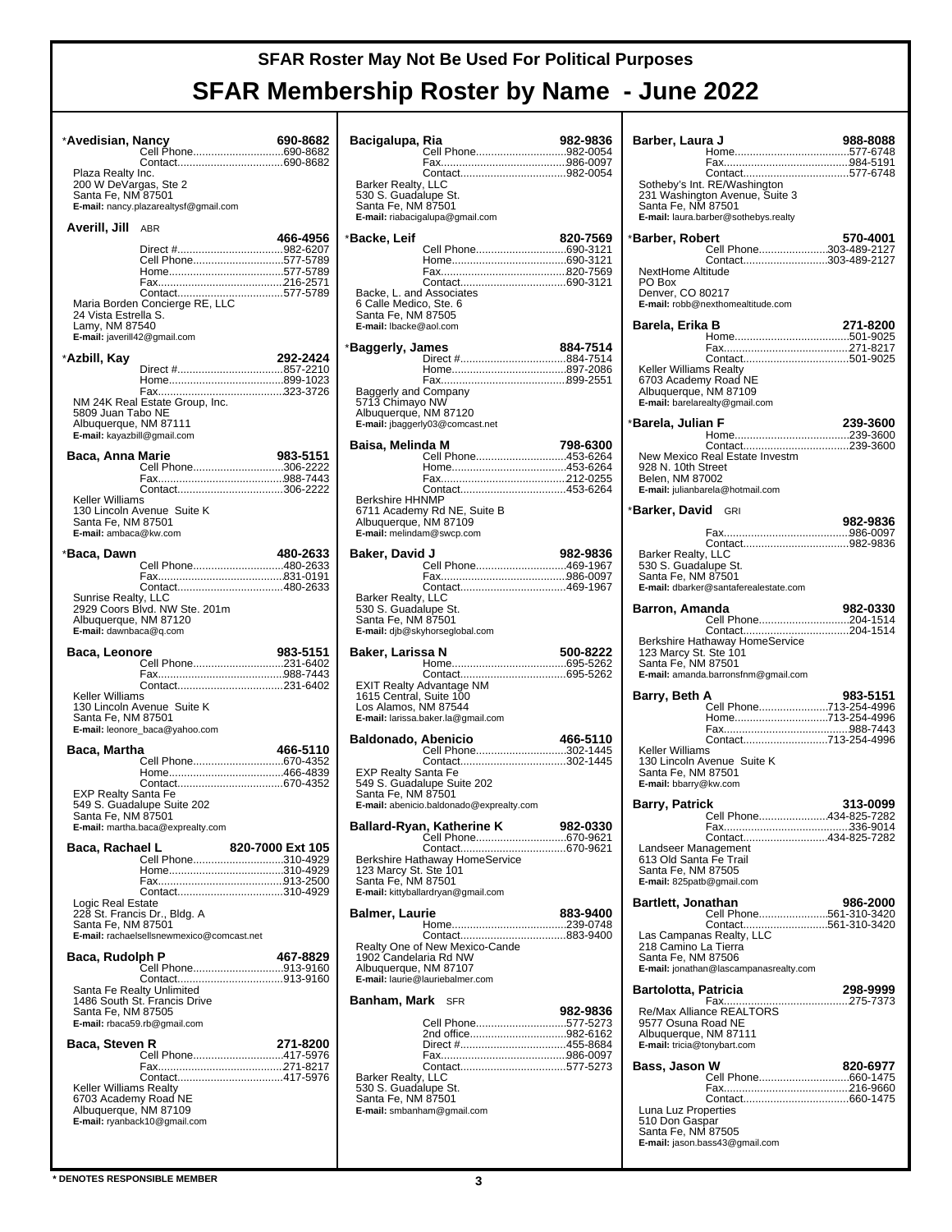| *Avedisian, Nancy                                    | Cell Phone690-8682                                                        | 690-8682         |
|------------------------------------------------------|---------------------------------------------------------------------------|------------------|
| Plaza Realty Inc.                                    |                                                                           |                  |
| 200 W DeVargas, Ste 2<br>Santa Fe, NM 87501          | E-mail: nancy.plazarealtysf@gmail.com                                     |                  |
| Averill, Jill                                        | ABR                                                                       |                  |
|                                                      |                                                                           | 466-4956         |
|                                                      | Cell Phone577-5789                                                        |                  |
|                                                      | Contact577-5789                                                           |                  |
| 24 Vista Estrella S.<br>Lamy, NM 87540               | Maria Borden Concierge RE, LLC<br>E-mail: javerill42@gmail.com            |                  |
| *Azbill, Kay                                         |                                                                           | 292-2424         |
|                                                      |                                                                           |                  |
| 5809 Juan Tabo NE                                    | NM 24K Real Estate Group, Inc.                                            |                  |
| Albuquerque, NM 87111<br>E-mail: kayazbill@gmail.com |                                                                           |                  |
| Baca, Anna Marie                                     |                                                                           | 983-5151         |
|                                                      | Cell Phone306-2222                                                        |                  |
| Keller Williams                                      | Contact306-2222                                                           |                  |
| Santa Fe, NM 87501<br>E-mail: ambaca@kw.com          | 130 Lincoln Avenue Suite K                                                |                  |
| *Baca, Dawn                                          |                                                                           | 480-2633         |
|                                                      | Cell Phone480-2633                                                        |                  |
| Sunrise Realty, LLC                                  |                                                                           |                  |
| Albuquerque, NM 87120<br>E-mail: dawnbaca@q.com      | 2929 Coors Blvd. NW Ste. 201m                                             |                  |
|                                                      |                                                                           |                  |
| Baca, Leonore                                        |                                                                           | 983-5151         |
|                                                      | Cell Phone231-6402                                                        |                  |
| Keller Williams                                      |                                                                           |                  |
| Santa Fe, NM 87501                                   | 130 Lincoln Avenue Suite K<br>E-mail: leonore_baca@yahoo.com              |                  |
| Baca, Martha                                         |                                                                           | 466-5110         |
|                                                      | Cell Phone670-4352                                                        |                  |
| EXP Realty Santa Fe                                  |                                                                           |                  |
| Santa Fe, NM 87501                                   | 549 S. Guadalupe Suite 202<br>E-mail: martha.baca@exprealty.com           |                  |
| Baca, Rachael L                                      |                                                                           | 820-7000 Ext 105 |
|                                                      | Cell Phone310-4929                                                        |                  |
|                                                      |                                                                           |                  |
| Logic Real Estate                                    | Contact310-4929                                                           |                  |
| Santa Fe, NM 87501                                   | 228 St. Francis Dr., Bldg. A<br>E-mail: rachaelsellsnewmexico@comcast.net |                  |
| Baca, Rudolph P                                      |                                                                           | 467-8829         |
|                                                      | Cell Phone913-9160                                                        |                  |
| Santa Fe, NM 87505                                   | Santa Fe Realty Unlimited<br>1486 South St. Francis Drive                 |                  |
| Baca, Steven R                                       | E-mail: rbaca59.rb@gmail.com                                              | 271-8200         |
|                                                      | Cell Phone417-5976                                                        |                  |
|                                                      |                                                                           |                  |
| Keller Williams Realty                               |                                                                           |                  |
| 6703 Academy Road NE<br>Albuquerque, NM 87109        | E-mail: ryanback10@gmail.com                                              |                  |

| Bacigalupa, Ria                                                                                                    | Cell Phone982-0054                                                                                              | 982-9836 |
|--------------------------------------------------------------------------------------------------------------------|-----------------------------------------------------------------------------------------------------------------|----------|
| Barker Realty, LLC<br>530 S. Guadalupe St.<br>Santa Fe, NM 87501                                                   | E-mail: riabacigalupa@gmail.com                                                                                 |          |
| *Backe, Leif<br>Backe, L. and Associates<br>6 Calle Medico, Ste. 6<br>Santa Fe, NM 87505<br>E-mail: Ibacke@aol.com | Cell Phone690-3121                                                                                              | 820-7569 |
| *Baggerly, James                                                                                                   |                                                                                                                 | 884-7514 |
| <b>Baggerly and Company</b><br>5713 Chimayo NW<br>Albuquerque, NM 87120                                            | E-mail: jbaggerly03@comcast.net                                                                                 |          |
| Baisa, Melinda M<br><b>Berkshire HHNMP</b><br>E-mail: melindam@swcp.com                                            | Cell Phone453-6264<br>6711 Academy Rd NE, Suite B<br>Albuquerque, NM 87109                                      | 798-6300 |
| Baker, David J<br>Barker Realty, LLC<br>530 S. Guadalupe St.<br>Santa Fe, NM 87501                                 | Cell Phone469-1967<br>E-mail: djb@skyhorseglobal.com                                                            | 982-9836 |
|                                                                                                                    |                                                                                                                 |          |
| Baker, Larissa N<br>1615 Central, Suite 100                                                                        | EXIT Realty Advantage NM                                                                                        | 500-8222 |
| Los Alamos, NM 87544<br><b>Baldonado, Abenicio</b>                                                                 | E-mail: larissa.baker.la@gmail.com                                                                              | 466-5110 |
| <b>EXP Realty Santa Fe</b><br>Santa Fe, NM 87501                                                                   | Cell Phone302-1445<br>Contact302-1445<br>549 S. Guadalupe Suite 202<br>E-mail: abenicio.baldonado@exprealty.com |          |
|                                                                                                                    | Ballard-Ryan, Katherine K<br>Cell Phone670-9621                                                                 | 982-0330 |
| 123 Marcy St. Ste 101<br>Santa Fe, NM 87501                                                                        | Berkshire Hathaway HomeService<br>E-mail: kittyballardryan@gmail.com                                            |          |
| <b>Balmer, Laurie</b>                                                                                              |                                                                                                                 | 883-9400 |
| 1902 Candelaria Rd NW<br>Albuquerque, NM 87107                                                                     | Realty One of New Mexico-Cande<br>E-mail: laurie@lauriebalmer.com                                               |          |
| Banham, Mark                                                                                                       | <b>SFR</b>                                                                                                      | 982-9836 |

| Barber, Laura J                                                                                                                         | 988-8088 |
|-----------------------------------------------------------------------------------------------------------------------------------------|----------|
| Sotheby's Int. RE/Washington<br>231 Washington Avenue, Suite 3<br>Santa Fe, NM 87501<br>E-mail: laura.barber@sothebys.realty            |          |
| *Barber, Robert<br>Cell Phone303-489-2127<br>Contact303-489-2127                                                                        | 570-4001 |
| NextHome Altitude<br>PO Box<br>Denver, CO 80217<br>E-mail: robb@nexthomealtitude.com                                                    |          |
| Barela, Erika B                                                                                                                         | 271-8200 |
| <b>Keller Williams Realty</b><br>6703 Academy Road NE<br>Albuquerque, NM 87109<br>E-mail: barelarealty@gmail.com                        |          |
| *Barela, Julian F                                                                                                                       | 239-3600 |
| New Mexico Real Estate Investm<br>928 N. 10th Street<br>Belen, NM 87002<br>E-mail: julianbarela@hotmail.com                             |          |
| * <b>Barker, David</b> GRI                                                                                                              | 982-9836 |
|                                                                                                                                         |          |
| Barker Realty, LLC<br>530 S. Guadalupe St.<br>Santa Fe, NM 87501<br>E-mail: dbarker@santaferealestate.com                               |          |
| Barron, Amanda<br>Cell Phone204-1514                                                                                                    | 982-0330 |
| Berkshire Hathaway HomeService<br>123 Marcy St. Ste 101<br>Santa Fe, NM 87501<br>E-mail: amanda.barronsfnm@gmail.com                    |          |
| Barry, Beth A                                                                                                                           | 983-5151 |
| Cell Phone713-254-4996<br>Home713-254-4996                                                                                              |          |
| Contact713-254-4996                                                                                                                     |          |
| Keller Williams<br>130 Lincoln Avenue Suite K<br>Santa Fe, NM 87501<br>E-mail: bbarry@kw.com                                            |          |
| <b>Barry, Patrick</b>                                                                                                                   | 313-0099 |
| Cell Phone434-825-7282                                                                                                                  |          |
| Contact434-825-7282<br>Landseer Management<br>613 Old Santa Fe Trail<br>Santa Fe, NM 87505<br>E-mail: 825patb@gmail.com                 |          |
| <b>Bartlett, Jonathan</b><br>Cell Phone561-310-3420                                                                                     | 986-2000 |
| Contact561-310-3420<br>Las Campanas Realty, LLC<br>218 Camino La Tierra<br>Santa Fe, NM 87506<br>E-mail: jonathan@lascampanasrealty.com |          |
| <b>Bartolotta, Patricia</b>                                                                                                             | 298-9999 |
| 9577 Osuna Road NE<br>Albuquerque, NM 87111<br>E-mail: tricia@tonybart.com                                                              |          |
| Bass, Jason W                                                                                                                           | 820-6977 |
|                                                                                                                                         |          |
| Luna Luz Properties<br>510 Don Gaspar<br>Santa Fe, NM 87505<br>E-mail: jason.bass43@gmail.com                                           |          |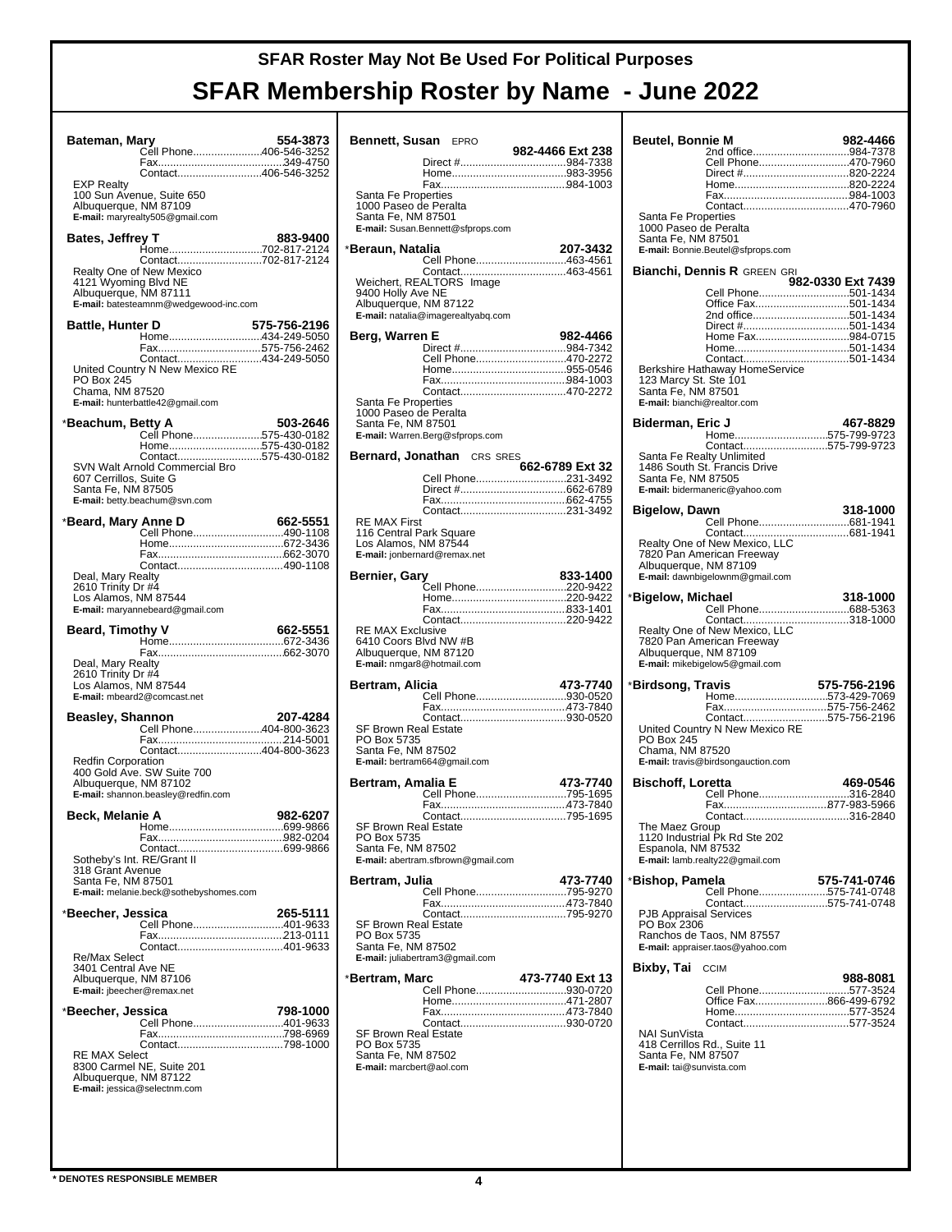| Bateman, Mary                                 |                                              | 554-3873     |
|-----------------------------------------------|----------------------------------------------|--------------|
|                                               | <br>Cell Phone406-546-3252                   |              |
|                                               | Contact406-546-3252                          |              |
| <b>EXP Realty</b>                             | 100 Sun Avenue, Suite 650                    |              |
| Albuquerque, NM 87109                         |                                              |              |
|                                               | E-mail: maryrealty505@gmail.com              |              |
| <b>Bates, Jeffrey T</b>                       |                                              | 883-9400     |
|                                               | .<br>Home702-817-2124<br>Contact702-817-2124 |              |
|                                               | Realty One of New Mexico                     |              |
| 4121 Wyoming Blvd NE<br>Albuquerque, NM 87111 |                                              |              |
|                                               | E-mail: batesteamnm@wedgewood-inc.com        |              |
| Battle, Hunter D                              |                                              | 575-756-2196 |
|                                               | Home434-249-5050                             |              |
|                                               | Fax575-756-2462<br>Contact434-249-5050       |              |
|                                               | United Country N New Mexico RE               |              |
| PO Box 245<br>Chama, NM 87520                 |                                              |              |
|                                               | E-mail: hunterbattle42@gmail.com             |              |
| *Beachum, Betty A                             |                                              | 503-2646     |
|                                               | Cell Phone575-430-0182                       |              |
|                                               | Home575-430-0182<br>Contact575-430-0182      |              |
|                                               | SVN Walt Arnold Commercial Bro               |              |
| 607 Cerrillos, Suite G<br>Santa Fe, NM 87505  |                                              |              |
|                                               | E-mail: betty.beachum@svn.com                |              |
| *Beard, Mary Anne D                           |                                              | 662-5551     |
|                                               | Cell Phone490-1108                           |              |
|                                               |                                              |              |
|                                               | Contact490-1108                              |              |
| Deal, Mary Realty<br>2610 Trinity Dr #4       |                                              |              |
| Los Alamos, NM 87544                          |                                              |              |
|                                               | E-mail: maryannebeard@gmail.com              |              |
| <b>Beard, Timothy V</b>                       |                                              | 662-5551     |
|                                               |                                              |              |
| Deal, Mary Realty                             |                                              |              |
| 2610 Trinity Dr #4                            |                                              |              |
| Los Alamos, NM 87544                          | E-mail: mbeard2@comcast.net                  |              |
|                                               |                                              |              |
| Beasley, Shannon                              | Cell Phone404-800-3623                       | 207-4284     |
|                                               |                                              |              |
| <b>Redfin Corporation</b>                     | Contact404-800-3623                          |              |
|                                               | 400 Gold Ave. SW Suite 700                   |              |
| Albuquerque, NM 87102                         | E-mail: shannon.beasley@redfin.com           |              |
|                                               |                                              |              |
| Beck, Melanie A                               |                                              | 982-6207     |
|                                               |                                              |              |
|                                               | Sotheby's Int. RE/Grant II                   |              |
| 318 Grant Avenue                              |                                              |              |
| Santa Fe, NM 87501                            | E-mail: melanie.beck@sothebyshomes.com       |              |
|                                               |                                              |              |
| *Beecher, Jessica                             | Cell Phone401-9633                           | 265-5111     |
|                                               |                                              |              |
| Re/Max Select                                 | Contact401-9633                              |              |
| 3401 Central Ave NE                           |                                              |              |
| Albuquerque, NM 87106                         |                                              |              |
| E-mail: jbeecher@remax.net                    |                                              |              |
| *Beecher, Jessica                             | Cell Phone401-9633                           | 798-1000     |
|                                               |                                              |              |
|                                               | Contact798-1000                              |              |
| <b>RE MAX Select</b>                          | 8300 Carmel NE, Suite 201                    |              |
| Albuquerque, NM 87122                         |                                              |              |
|                                               | E-mail: jessica@selectnm.com                 |              |
|                                               |                                              |              |
|                                               |                                              |              |
|                                               |                                              |              |

| <b>Bennett, Susan EPRO</b>                                  |  | 982-4466 Ext 238   |          |
|-------------------------------------------------------------|--|--------------------|----------|
|                                                             |  |                    |          |
|                                                             |  |                    |          |
| Santa Fe Properties                                         |  |                    |          |
| 1000 Paseo de Peralta                                       |  |                    |          |
| Santa Fe, NM 87501                                          |  |                    |          |
| E-mail: Susan.Bennett@sfprops.com                           |  |                    |          |
| *Beraun, Natalia                                            |  |                    | 207-3432 |
|                                                             |  | Cell Phone463-4561 |          |
| Weichert, REALTORS® Image                                   |  |                    |          |
| 9400 Holly Ave NE                                           |  |                    |          |
| Albuquerque, NM 87122<br>E-mail: natalia@imagerealtyabq.com |  |                    |          |
|                                                             |  |                    |          |
| Berg, Warren E                                              |  |                    | 982-4466 |
|                                                             |  | Cell Phone470-2272 |          |
|                                                             |  |                    |          |
|                                                             |  |                    |          |
| Santa Fe Properties                                         |  |                    |          |
| 1000 Paseo de Peralta<br>Santa Fe, NM 87501                 |  |                    |          |
| E-mail: Warren.Berg@sfprops.com                             |  |                    |          |
| <b>Bernard, Jonathan</b> CRS SRES                           |  |                    |          |
|                                                             |  | 662-6789 Ext 32    |          |
|                                                             |  | Cell Phone231-3492 |          |
|                                                             |  |                    |          |
|                                                             |  |                    |          |
| <b>RE MAX First</b><br>116 Central Park Square              |  |                    |          |
| Los Alamos, NM 87544                                        |  |                    |          |
| E-mail: jonbernard@remax.net                                |  |                    |          |
| Bernier, Gary                                               |  |                    | 833-1400 |
|                                                             |  | Cell Phone220-9422 |          |
|                                                             |  |                    |          |
|                                                             |  |                    |          |
| <b>RE MAX Exclusive</b>                                     |  |                    |          |
| 6410 Coors Blvd NW #B<br>Albuquerque, NM 87120              |  |                    |          |
| E-mail: nmgar8@hotmail.com                                  |  |                    |          |
| Bertram, Alicia                                             |  |                    | 473-7740 |
|                                                             |  | Cell Phone930-0520 |          |
|                                                             |  |                    |          |
| SF Brown Real Estate                                        |  |                    |          |
| PO Box 5735                                                 |  |                    |          |
| Santa Fe, NM 87502<br>E-mail: bertram664@gmail.com          |  |                    |          |
|                                                             |  |                    |          |
| Bertram, Amalia E                                           |  | Cell Phone795-1695 | 473-7740 |
|                                                             |  |                    |          |
|                                                             |  |                    |          |
| SF Brown Real Estate<br>PO Box 5735                         |  |                    |          |
| Santa Fe, NM 87502                                          |  |                    |          |
| E-mail: abertram.sfbrown@gmail.com                          |  |                    |          |
| Bertram, Julia                                              |  |                    | 473-7740 |
|                                                             |  | Cell Phone795-9270 |          |
|                                                             |  |                    |          |
| SF Brown Real Estate                                        |  |                    |          |
| PO Box 5735<br>Santa Fe, NM 87502                           |  |                    |          |
| E-mail: juliabertram3@gmail.com                             |  |                    |          |
|                                                             |  | 473-7740 Ext 13    |          |
| *Bertram, Marc                                              |  | Cell Phone930-0720 |          |
|                                                             |  |                    |          |
|                                                             |  |                    |          |
| SF Brown Real Estate                                        |  |                    |          |
| PO Box 5735                                                 |  |                    |          |
| Santa Fe, NM 87502<br>E-mail: marcbert@aol.com              |  |                    |          |
|                                                             |  |                    |          |
|                                                             |  |                    |          |

| <b>Beutel, Bonnie M</b>                      |                                                            | 982-4466          |
|----------------------------------------------|------------------------------------------------------------|-------------------|
|                                              | Cell Phone470-7960                                         |                   |
|                                              | Direct #820-2224                                           |                   |
|                                              |                                                            |                   |
|                                              |                                                            |                   |
| Santa Fe Properties<br>1000 Paseo de Peralta |                                                            |                   |
| Santa Fe, NM 87501                           |                                                            |                   |
|                                              | E-mail: Bonnie.Beutel@sfprops.com                          |                   |
|                                              | <b>Bianchi, Dennis R GREEN GRI</b>                         | 982-0330 Ext 7439 |
|                                              | Cell Phone501-1434<br>Office Fax501-1434                   |                   |
|                                              | 2nd office501-1434                                         |                   |
|                                              | Direct #501-1434<br>Home Fax984-0715                       |                   |
|                                              |                                                            |                   |
|                                              | Berkshire Hathaway HomeService                             |                   |
| 123 Marcy St. Ste 101<br>Santa Fe, NM 87501  |                                                            |                   |
| E-mail: bianchi@realtor.com                  |                                                            |                   |
|                                              |                                                            |                   |
| Biderman, Eric J                             | Home575-799-9723                                           | 467-8829          |
|                                              | Contact575-799-9723                                        |                   |
|                                              | Santa Fe Realty Unlimited<br>1486 South St. Francis Drive  |                   |
| Santa Fe, NM 87505                           |                                                            |                   |
|                                              | E-mail: bidermaneric@yahoo.com                             |                   |
| <b>Bigelow, Dawn</b>                         |                                                            | 318-1000          |
|                                              |                                                            |                   |
|                                              | Realty One of New Mexico, LLC<br>7820 Pan American Freeway |                   |
| Albuquerque, NM 87109                        |                                                            |                   |
|                                              | E-mail: dawnbigelownm@gmail.com                            |                   |
| *Bigelow, Michael                            |                                                            | 318-1000          |
|                                              | Contact318-1000                                            |                   |
|                                              | Realty One of New Mexico, LLC<br>7820 Pan American Freeway |                   |
| Albuquerque, NM 87109                        |                                                            |                   |
|                                              | E-mail: mikebigelow5@gmail.com                             |                   |
| *Birdsong, Travis                            | Home573-429-7069                                           | 575-756-2196      |
|                                              | Fax575-756-2462                                            |                   |
|                                              | Contact575-756-2196<br>United Country N New Mexico RE      |                   |
| <b>PO Box 245</b>                            |                                                            |                   |
| Chama, NM 87520                              | E-mail: travis@birdsongauction.com                         |                   |
|                                              |                                                            |                   |
| <b>Bischoff, Loretta</b>                     | Cell Phone316-2840                                         | 469-0546          |
|                                              | Contact316-2840                                            |                   |
| The Maez Group                               |                                                            |                   |
| Espanola, NM 87532                           | 1120 Industrial Pk Rd Ste 202                              |                   |
|                                              | E-mail: lamb.realty22@gmail.com                            |                   |
| *Bishop, Pamela                              |                                                            | 575-741-0746      |
|                                              | Cell Phone575-741-0748<br>Contact575-741-0748              |                   |
| <b>PJB Appraisal Services</b>                |                                                            |                   |
| PO Box 2306                                  | Ranchos de Taos, NM 87557                                  |                   |
|                                              | E-mail: appraiser.taos@yahoo.com                           |                   |
| Bixby, Tai                                   | <b>CCIM</b>                                                |                   |
|                                              | Cell Phone577-3524                                         | 988-8081          |
|                                              | Office Fax866-499-6792                                     |                   |
|                                              |                                                            |                   |
| NAI SunVista                                 | 418 Cerrillos Rd., Suite 11                                |                   |
| Santa Fe, NM 87507                           |                                                            |                   |
| E-mail: tai@sunvista.com                     |                                                            |                   |
|                                              |                                                            |                   |
|                                              |                                                            |                   |
|                                              |                                                            |                   |
|                                              |                                                            |                   |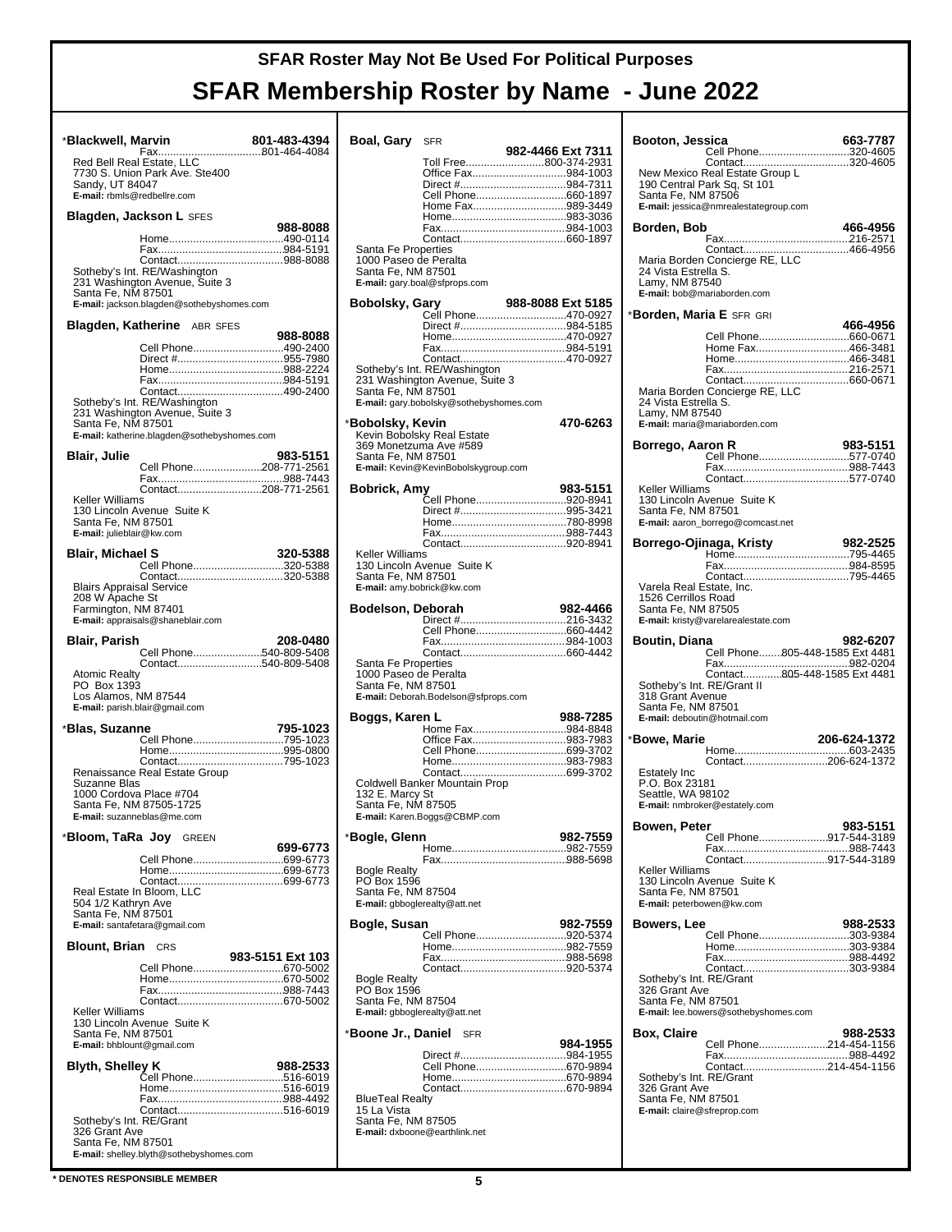#### \***Blackwell, Marvin 801-483-4394** Fax........................ 801-464-4084 ........... Red Bell Real Estate, LLC 7730 S. Union Park Ave. Ste400 Sandy, UT 84047 **E-mail:** rbmls@redbellre.com **Blagden, Jackson L** SFES **988-8088** Home........................... 490-0114 ........... Fax............................... 984-5191 ........... Contact........................ 988-8088 ........... Sotheby's Int. RE/Washington 231 Washington Avenue, Suite 3 Santa Fe, NM 87501 **E-mail:** jackson.blagden@sothebyshomes.com **Blagden, Katherine** ABR SFES **988-8088** Cell Phone...............................490-2400 Direct # 955-7980 ................................... Home........................... 988-2224 ........... Fax............................... 984-5191 ........... Contact........................ 490-2400 ........... Sotheby's Int. RE/Washington 231 Washington Avenue, Suite 3 Santa Fe, NM 87501 **E-mail:** katherine.blagden@sothebyshomes.com **Blair, Julie 983-5151** Cell Phone 208-771-2561 ....................... Fax............................... 988-7443 ........... Contact................. 208-771-2561 ........... Keller Williams 130 Lincoln Avenue Suite K Santa Fe, NM 87501 **E-mail:** julieblair@kw.com **Blair, Michael S 320-5388** Cell Phone...............................320-5388<br>Contact..................................320-5388 Blairs Appraisal Service 208 W Apache St Farmington, NM 87401 **E-mail:** appraisals@shaneblair.com **Blair, Parish 208-0480** Cell Phone 540-809-5408 ....................... Contact................. 540-809-5408 ........... Atomic Realty PO Box 1393 Los Alamos, NM 87544 **E-mail:** parish.blair@gmail.com \***Blas, Suzanne 795-1023** Cell Phone 795-1023 .............................. Home........................... 995-0800 ........... Contact........................ 795-1023 ........... Renaissance Real Estate Group Suzanne Blas 1000 Cordova Place #704 Santa Fe, NM 87505-1725 **E-mail:** suzanneblas@me.com \***Bloom, TaRa Joy** GREEN **699-6773** Cell Phone..................................699-6773 Home........................... 699-6773 ........... Contact........................ 699-6773 ........... Real Estate In Bloom, LLC 504 1/2 Kathryn Ave Santa Fe, NM 87501 **E-mail:** santafetara@gmail.com **Blount, Brian** CRS **983-5151 Ext 103** Cell Phone 670-5002 .............................. Home........................... 670-5002 ........... Fax............................... 988-7443 ........... Contact........................ 670-5002 ........... Keller Williams 130 Lincoln Avenue Suite K Santa Fe, NM 87501 **E-mail:** bhblount@gmail.com **Blyth, Shelley K 988-2533** Cell Phone 516-6019 .............................. Home........................... 516-6019 ........... Fax............................... 988-4492 ........... Contact........................ 516-6019 ........... Sotheby's Int. RE/Grant 326 Grant Ave Santa Fe, NM 87501 **E-mail:** shelley.blyth@sothebyshomes.com  $B<sub>0</sub>$ Santa Fe Properties Keller Williams Santa Fe Properties 132 E. Marcy St Bogle Realty PO Box 1596 Bogle Realty PO Box 1596 BlueTeal Realty  $\frac{1}{S}$

| Boal, Gary                                                         | <b>SFR</b>                              |                   |
|--------------------------------------------------------------------|-----------------------------------------|-------------------|
|                                                                    | Toll Free800-374-2931                   | 982-4466 Ext 7311 |
|                                                                    | Office Fax984-1003                      |                   |
|                                                                    | Direct #984-7311                        |                   |
|                                                                    | Cell Phone660-1897                      |                   |
|                                                                    | Home Fax989-3449                        |                   |
|                                                                    |                                         |                   |
|                                                                    |                                         |                   |
| Santa Fe Properties<br>1000 Paseo de Peralta<br>Santa Fe, NM 87501 | E-mail: gary.boal@sfprops.com           |                   |
| Bobolsky, Gary                                                     |                                         | 988-8088 Ext 5185 |
|                                                                    | Cell Phone470-0927                      |                   |
|                                                                    |                                         |                   |
|                                                                    |                                         |                   |
|                                                                    |                                         |                   |
|                                                                    | Sotheby's Int. RE/Washington            |                   |
|                                                                    | 231 Washington Avenue, Suite 3          |                   |
| Santa Fe, NM 87501                                                 |                                         |                   |
|                                                                    | E-mail: gary.bobolsky@sothebyshomes.com |                   |
| *Bobolsky, Kevin                                                   |                                         | 470-6263          |
|                                                                    | Kevin Bobolsky Real Estate              |                   |
|                                                                    | 369 Monetzuma Ave #589                  |                   |
| Santa Fe, NM 87501                                                 | E-mail: Kevin@KevinBobolskygroup.com    |                   |
|                                                                    |                                         |                   |
| <b>Bobrick, Amy</b>                                                |                                         | 983-5151          |
|                                                                    | Cell Phone920-8941                      |                   |
|                                                                    |                                         |                   |
|                                                                    |                                         |                   |
|                                                                    |                                         |                   |
| <b>Keller Williams</b>                                             | 130 Lincoln Avenue Suite K              |                   |
| Santa Fe, NM 87501                                                 |                                         |                   |
|                                                                    | E-mail: amy.bobrick@kw.com              |                   |
|                                                                    |                                         |                   |
| Bodelson, Deborah                                                  |                                         | 982-4466          |
|                                                                    |                                         |                   |
|                                                                    |                                         |                   |
|                                                                    |                                         |                   |
| Santa Fe Properties                                                |                                         |                   |
| 1000 Paseo de Peralta<br>Santa Fe, NM 87501                        |                                         |                   |
|                                                                    | E-mail: Deborah.Bodelson@sfprops.com    |                   |
|                                                                    |                                         |                   |
| Boggs, Karen L                                                     | Home Fax984-8848                        | 988-7285          |
|                                                                    | Office Fax983-7983                      |                   |
|                                                                    | Cell Phone699-3702                      |                   |
|                                                                    |                                         |                   |
|                                                                    | Coldwell Banker Mountain Prop           |                   |
| 132 E. Marcy St                                                    |                                         |                   |
| Santa Fe, NM 87505                                                 |                                         |                   |
| E-mail: Karen.Boggs@CBMP.com                                       |                                         |                   |
|                                                                    |                                         |                   |
|                                                                    |                                         | 982-7559          |
| *Bogle, Glenn                                                      |                                         |                   |
|                                                                    |                                         |                   |
| <b>Bogle Realty</b>                                                |                                         |                   |
| PO Box 1596<br>Santa Fe, NM 87504                                  |                                         |                   |
| E-mail: gbboglerealty@att.net                                      |                                         |                   |
|                                                                    |                                         |                   |
| Bogle, Susan                                                       |                                         | 982-7559          |
|                                                                    | Cell Phone920-5374                      |                   |
|                                                                    |                                         |                   |
|                                                                    |                                         |                   |
| <b>Bogle Realty</b><br>PO Box 1596                                 |                                         |                   |
| Santa Fe, NM 87504                                                 |                                         |                   |
| E-mail: gbboglerealty@att.net                                      |                                         |                   |
|                                                                    |                                         |                   |
|                                                                    | <b>SFR</b>                              | 984-1955          |
|                                                                    |                                         |                   |
| *Boone Jr., Daniel                                                 | Cell Phone670-9894                      |                   |
|                                                                    |                                         |                   |
|                                                                    |                                         |                   |
| <b>BlueTeal Realty</b><br>15 La Vista                              |                                         |                   |
| Santa Fe, NM 87505                                                 |                                         |                   |
|                                                                    | E-mail: dxboone@earthlink.net           |                   |

| Booton, Jessica                                                       | Cell Phone320-4605                                                                                                        | 663-7787     |
|-----------------------------------------------------------------------|---------------------------------------------------------------------------------------------------------------------------|--------------|
| Santa Fe, NM 87506                                                    | Contact320-4605<br>New Mexico Real Estate Group L<br>190 Central Park Sq, St 101<br>E-mail: jessica@nmrealestategroup.com |              |
| Borden, Bob                                                           |                                                                                                                           | 466-4956     |
| 24 Vista Estrella S.<br>Lamy, NM 87540                                | E-mail: bob@mariaborden.com                                                                                               |              |
| * <b>Borden, Maria E</b> SFR GRI                                      |                                                                                                                           |              |
| 24 Vista Estrella S.<br>Lamy, NM 87540                                | Home Fax466-3481<br>E-mail: maria@mariaborden.com                                                                         | 466-4956     |
| Borrego, Aaron R                                                      |                                                                                                                           | 983-5151     |
|                                                                       | Cell Phone577-0740                                                                                                        |              |
| Keller Williams<br>Santa Fe, NM 87501                                 | 130 Lincoln Avenue Suite K<br>E-mail: aaron_borrego@comcast.net                                                           |              |
|                                                                       |                                                                                                                           |              |
|                                                                       |                                                                                                                           |              |
| Varela Real Estate, Inc.<br>1526 Cerrillos Road<br>Santa Fe, NM 87505 | E-mail: kristy@varelarealestate.com                                                                                       |              |
| <b>Boutin, Diana</b>                                                  | Cell Phone805-448-1585 Ext 4481                                                                                           | 982-6207     |
|                                                                       |                                                                                                                           |              |
| Sotheby's Int. RE/Grant II<br>318 Grant Avenue<br>Santa Fe, NM 87501  | Contact805-448-1585 Ext 4481<br>E-mail: deboutin@hotmail.com                                                              |              |
| *Bowe, Marie                                                          |                                                                                                                           | 206-624-1372 |
| <b>Estately Inc</b><br>P.O. Box 23181<br>Seattle, WA 98102            | Contact206-624-1372<br>E-mail: nmbroker@estately.com                                                                      |              |
| <b>Bowen, Peter</b>                                                   |                                                                                                                           | 983-5151     |
|                                                                       | Cell Phone917-544-3189                                                                                                    |              |
| Keller Williams<br>Santa Fe, NM 87501<br>E-mail: peterbowen@kw.com    | Contact917-544-3189<br>130 Lincoln Avenue Suite K                                                                         |              |
| Bowers, Lee                                                           |                                                                                                                           | 988-2533     |
|                                                                       | Cell Phone303-9384                                                                                                        |              |
| Sotheby's Int. RE/Grant<br>326 Grant Ave<br>Santa Fe, NM 87501        | Contact303-9384<br>E-mail: lee.bowers@sothebyshomes.com                                                                   |              |
| <b>Box, Claire</b>                                                    | Cell Phone214-454-1156                                                                                                    | 988-2533     |

**\* DENOTES RESPONSIBLE MEMBER 5**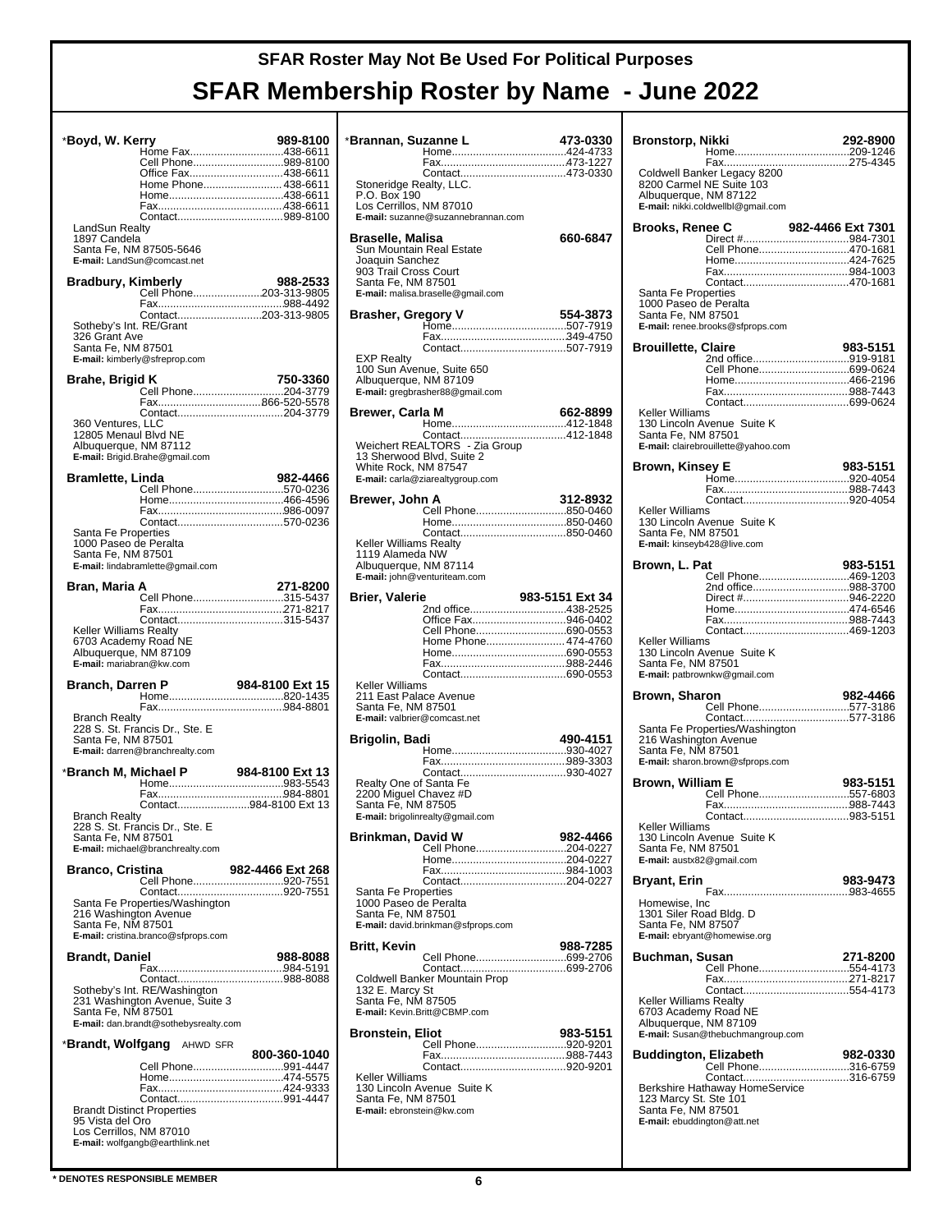| *Boyd, W. Kerry                                                                  |                                                        | 989-8100                               |
|----------------------------------------------------------------------------------|--------------------------------------------------------|----------------------------------------|
|                                                                                  |                                                        | Home Fax438-6611<br>Cell Phone989-8100 |
|                                                                                  |                                                        | Office Fax438-6611                     |
|                                                                                  |                                                        | Home Phone 438-6611                    |
|                                                                                  |                                                        |                                        |
|                                                                                  |                                                        |                                        |
| LandSun Realty<br>1897 Candela                                                   |                                                        |                                        |
|                                                                                  | Santa Fe, NM 87505-5646<br>E-mail: LandSun@comcast.net |                                        |
| <b>Bradbury, Kimberly</b>                                                        |                                                        | 988-2533                               |
|                                                                                  |                                                        | Cell Phone203-313-9805                 |
|                                                                                  |                                                        |                                        |
| Sotheby's Int. RE/Grant                                                          |                                                        | Contact203-313-9805                    |
| 326 Grant Ave                                                                    |                                                        |                                        |
| Santa Fe, NM 87501                                                               | E-mail: kimberly@sfreprop.com                          |                                        |
|                                                                                  |                                                        |                                        |
| Brahe, Brigid K                                                                  |                                                        | 750-3360                               |
|                                                                                  |                                                        |                                        |
|                                                                                  |                                                        |                                        |
| 360 Ventures, LLC<br>12805 Menaul Blvd NE                                        |                                                        |                                        |
| Albuquerque, NM 87112                                                            |                                                        |                                        |
|                                                                                  | E-mail: Brigid.Brahe@gmail.com                         |                                        |
| Bramlette, Linda                                                                 |                                                        | 982-4466                               |
|                                                                                  |                                                        | Cell Phone570-0236                     |
|                                                                                  |                                                        |                                        |
|                                                                                  |                                                        | Contact570-0236                        |
| Santa Fe Properties                                                              |                                                        |                                        |
| 1000 Paseo de Peralta<br>Santa Fe, NM 87501                                      |                                                        |                                        |
|                                                                                  | E-mail: lindabramlette@gmail.com                       |                                        |
|                                                                                  |                                                        |                                        |
| Bran, Maria A                                                                    |                                                        | 271-8200                               |
|                                                                                  |                                                        |                                        |
| Keller Williams Realty                                                           |                                                        | Contact315-5437                        |
| 6703 Academy Road NE                                                             |                                                        |                                        |
| Albuquerque, NM 87109                                                            |                                                        |                                        |
|                                                                                  |                                                        |                                        |
| E-mail: mariabran@kw.com                                                         |                                                        |                                        |
| Branch, Darren P                                                                 |                                                        | 984-8100 Ext 15                        |
|                                                                                  |                                                        |                                        |
| <b>Branch Realty</b>                                                             |                                                        |                                        |
|                                                                                  | 228 S. St. Francis Dr., Ste. E                         |                                        |
| Santa Fe, NM 87501                                                               | E-mail: darren@branchrealty.com                        |                                        |
|                                                                                  |                                                        |                                        |
|                                                                                  |                                                        |                                        |
|                                                                                  |                                                        |                                        |
|                                                                                  |                                                        | Contact984-8100 Ext 13                 |
| <b>Branch Realty</b>                                                             | 228 S. St. Francis Dr., Ste. E                         |                                        |
| Santa Fe, NM 87501                                                               |                                                        |                                        |
|                                                                                  | E-mail: michael@branchrealty.com                       |                                        |
| <b>Branco, Cristina</b>                                                          |                                                        | 982-4466 Ext 268                       |
|                                                                                  |                                                        | Cell Phone920-7551                     |
|                                                                                  | Santa Fe Properties/Washington                         |                                        |
| 216 Washington Avenue                                                            |                                                        |                                        |
| Santa Fe, NM 87501                                                               | E-mail: cristina.branco@sfprops.com                    |                                        |
|                                                                                  |                                                        |                                        |
| <b>Brandt, Daniel</b>                                                            |                                                        | 988-8088                               |
|                                                                                  |                                                        |                                        |
|                                                                                  | Sotheby's Int. RE/Washington                           |                                        |
| Santa Fe, NM 87501                                                               | 231 Washington Avenue, Suite 3                         |                                        |
|                                                                                  | E-mail: dan.brandt@sothebysrealty.com                  |                                        |
|                                                                                  | * <b>Brandt, Wolfgang</b> AHWD SFR                     |                                        |
|                                                                                  |                                                        | 800-360-1040                           |
|                                                                                  |                                                        | Cell Phone991-4447                     |
|                                                                                  |                                                        |                                        |
|                                                                                  |                                                        |                                        |
| <b>Brandt Distinct Properties</b><br>95 Vista del Oro<br>Los Cerrillos, NM 87010 |                                                        |                                        |

| *Brannan, Suzanne L                             |                                            | 473-0330        |
|-------------------------------------------------|--------------------------------------------|-----------------|
|                                                 |                                            |                 |
|                                                 |                                            |                 |
| Stoneridge Realty, LLC.<br>P.O. Box 190         |                                            |                 |
| Los Cerrillos, NM 87010                         |                                            |                 |
|                                                 | E-mail: suzanne@suzannebrannan.com         |                 |
| Braselle, Malisa                                |                                            | 660-6847        |
| Sun Mountain Real Estate                        |                                            |                 |
| Joaquin Sanchez                                 |                                            |                 |
| 903 Trail Cross Court<br>Santa Fe, NM 87501     |                                            |                 |
|                                                 | E-mail: malisa.braselle@gmail.com          |                 |
|                                                 |                                            |                 |
|                                                 |                                            |                 |
|                                                 |                                            |                 |
| EXP Realty                                      |                                            |                 |
|                                                 | 100 Sun Avenue, Suite 650                  |                 |
| Albuquerque, NM 87109                           | E-mail: gregbrasher88@gmail.com            |                 |
|                                                 |                                            |                 |
| Brewer, Carla M                                 |                                            | 662-8899        |
|                                                 |                                            |                 |
|                                                 | Weichert REALTORS <sup>®</sup> - Zia Group |                 |
| White Rock, NM 87547                            | 13 Sherwood Blvd, Suite 2                  |                 |
|                                                 | E-mail: carla@ziarealtygroup.com           |                 |
|                                                 |                                            |                 |
| Brewer. John A                                  | Cell Phone850-0460                         | 312-8932        |
|                                                 |                                            |                 |
| Keller Williams Realty                          |                                            |                 |
| 1119 Alameda NW                                 |                                            |                 |
| Albuquerque, NM 87114                           |                                            |                 |
|                                                 | E-mail: john@venturiteam.com               |                 |
| <b>Brier, Valerie</b>                           |                                            | 983-5151 Ext 34 |
|                                                 | 2nd office438-2525<br>Office Fax946-0402   |                 |
|                                                 | Cell Phone690-0553                         |                 |
|                                                 | Home Phone 474-4760                        |                 |
|                                                 |                                            |                 |
|                                                 |                                            |                 |
| Keller Williams                                 |                                            |                 |
| 211 East Palace Avenue<br>Santa Fe, NM 87501    |                                            |                 |
| E-mail: valbrier@comcast.net                    |                                            |                 |
| Brigolin, Badi                                  |                                            | 490-4151        |
|                                                 |                                            |                 |
|                                                 |                                            |                 |
| Realty One of Santa Fe                          |                                            |                 |
| 2200 Miguel Chavez #D                           |                                            |                 |
| Santa Fe, NM 87505                              |                                            |                 |
|                                                 | E-mail: brigolinrealty@gmail.com           |                 |
| Brinkman, David W                               |                                            | 982-4466        |
|                                                 | Cell Phone204-0227                         |                 |
|                                                 |                                            |                 |
|                                                 |                                            |                 |
|                                                 |                                            |                 |
| Santa Fe Properties                             |                                            |                 |
| 1000 Paseo de Peralta<br>Santa Fe, NM 87501     |                                            |                 |
|                                                 | E-mail: david.brinkman@sfprops.com         |                 |
| Britt, Kevin                                    |                                            | 988-7285        |
|                                                 | Cell Phone699-2706                         |                 |
|                                                 |                                            |                 |
| 132 E. Marcy St                                 | Coldwell Banker Mountain Prop              |                 |
| Santa Fe, NM 87505                              |                                            |                 |
|                                                 | E-mail: Kevin.Britt@CBMP.com               |                 |
| <b>Bronstein, Eliot</b>                         |                                            | 983-5151        |
|                                                 | Cell Phone920-9201                         |                 |
|                                                 |                                            |                 |
| Keller Williams                                 |                                            |                 |
|                                                 | 130 Lincoln Avenue Suite K                 |                 |
| Santa Fe, NM 87501<br>E-mail: ebronstein@kw.com |                                            |                 |
|                                                 |                                            |                 |

| Bronstorp, Nikki                            |                                                                                                                        | 292-8900          |
|---------------------------------------------|------------------------------------------------------------------------------------------------------------------------|-------------------|
|                                             | Coldwell Banker Legacy 8200<br>8200 Carmel NE Suite 103<br>Albuquerque, NM 87122<br>E-mail: nikki.coldwellbl@gmail.com |                   |
| Brooks, Renee C                             |                                                                                                                        | 982-4466 Ext 7301 |
|                                             |                                                                                                                        |                   |
|                                             | Cell Phone470-1681                                                                                                     |                   |
|                                             |                                                                                                                        |                   |
| Santa Fe Properties                         |                                                                                                                        |                   |
| 1000 Paseo de Peralta                       |                                                                                                                        |                   |
| Santa Fe, NM 87501                          | E-mail: renee.brooks@sfprops.com                                                                                       |                   |
| <b>Brouillette, Claire</b>                  |                                                                                                                        | 983-5151          |
|                                             | 2nd office919-9181                                                                                                     |                   |
|                                             | Cell Phone699-0624                                                                                                     |                   |
|                                             |                                                                                                                        |                   |
| Keller Williams                             |                                                                                                                        |                   |
| Santa Fe, NM 87501                          | 130 Lincoln Avenue Suite K<br>E-mail: clairebrouillette@yahoo.com                                                      |                   |
|                                             |                                                                                                                        | 983-5151          |
| Brown, Kinsey E                             |                                                                                                                        |                   |
|                                             |                                                                                                                        |                   |
| Keller Williams                             |                                                                                                                        |                   |
| Santa Fe, NM 87501                          | 130 Lincoln Avenue Suite K                                                                                             |                   |
|                                             | E-mail: kinseyb428@live.com                                                                                            |                   |
| Brown. L. Pat                               |                                                                                                                        | 983-5151          |
|                                             | Cell Phone469-1203                                                                                                     |                   |
|                                             | 2nd office988-3700                                                                                                     |                   |
|                                             |                                                                                                                        |                   |
|                                             |                                                                                                                        |                   |
| Keller Williams<br>Santa Fe, NM 87501       | 130 Lincoln Avenue Suite K<br>E-mail: patbrownkw@gmail.com                                                             |                   |
|                                             |                                                                                                                        |                   |
| Brown, Sharon                               | Cell Phone577-3186                                                                                                     | 982-4466          |
|                                             |                                                                                                                        |                   |
|                                             | Santa Fe Properties/Washington                                                                                         |                   |
| Santa Fe, NM 87501                          | 216 Washington Avenue<br>E-mail: sharon.brown@sfprops.com                                                              |                   |
| <b>Brown, William E</b>                     |                                                                                                                        | 983-5151          |
|                                             |                                                                                                                        |                   |
|                                             |                                                                                                                        |                   |
| Keller Williams                             |                                                                                                                        |                   |
|                                             | 130 Lincoln Avenue Suite K                                                                                             |                   |
| Santa Fe, NM 87501                          | E-mail: austx82@gmail.com                                                                                              |                   |
|                                             |                                                                                                                        |                   |
| Bryant, Erin                                |                                                                                                                        | 983-9473          |
| Homewise, Inc.                              |                                                                                                                        |                   |
| Santa Fe, NM 87507                          | 1301 Siler Road Bldg. D<br>E-mail: ebryant@homewise.org                                                                |                   |
| Buchman, Susan                              |                                                                                                                        | 271-8200          |
|                                             | Cell Phone554-4173                                                                                                     |                   |
|                                             |                                                                                                                        |                   |
| Keller Williams Realty                      |                                                                                                                        |                   |
|                                             | 6703 Academy Road NE<br>Albuquerque, NM 87109                                                                          |                   |
|                                             | E-mail: Susan@thebuchmangroup.com                                                                                      |                   |
|                                             | <b>Buddington, Elizabeth</b>                                                                                           | 982-0330          |
|                                             | Cell Phone316-6759                                                                                                     |                   |
|                                             |                                                                                                                        |                   |
| 123 Marcy St. Ste 101<br>Santa Fe, NM 87501 |                                                                                                                        |                   |
|                                             | E-mail: ebuddington@att.net                                                                                            |                   |
|                                             |                                                                                                                        |                   |

**\* DENOTES RESPONSIBLE MEMBER 6**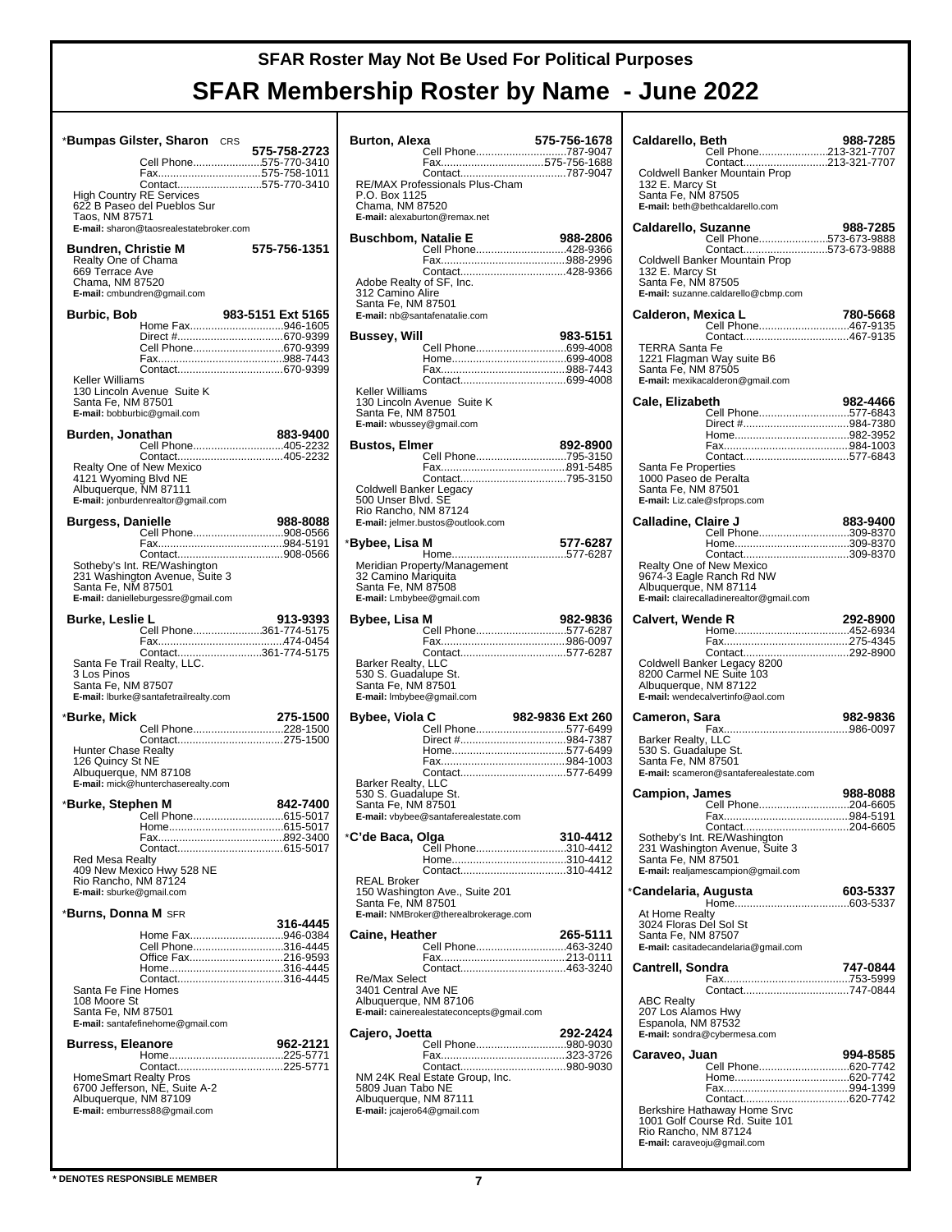|                                                                                                                 | *Bumpas Gilster, Sharon CRS                                                                           | 575-758-2723                                                     |
|-----------------------------------------------------------------------------------------------------------------|-------------------------------------------------------------------------------------------------------|------------------------------------------------------------------|
|                                                                                                                 |                                                                                                       | Cell Phone575-770-3410<br>Fax575-758-1011<br>Contact575-770-3410 |
| <b>High Country RE Services</b><br>Taos, NM 87571                                                               | 622 B Paseo del Pueblos Sur<br>E-mail: sharon@taosrealestatebroker.com                                |                                                                  |
| Bundren, Christie M<br>Realty One of Chama<br>669 Terrace Ave<br>Chama, NM 87520<br>E-mail: cmbundren@gmail.com |                                                                                                       | 575-756-1351                                                     |
| Burbic, Bob                                                                                                     |                                                                                                       | 983-5151 Ext 5165                                                |
|                                                                                                                 |                                                                                                       | Home Fax946-1605<br>Cell Phone670-9399                           |
| Keller Williams<br>Santa Fe, NM 87501<br>E-mail: bobburbic@gmail.com                                            | 130 Lincoln Avenue Suite K                                                                            |                                                                  |
| Burden. Jonathan                                                                                                |                                                                                                       | 883-9400<br>Cell Phone405-2232                                   |
|                                                                                                                 |                                                                                                       | Contact405-2232                                                  |
| Realty One of New Mexico<br>4121 Wyoming Blvd NE<br>Albuquerque, NM 87111                                       | E-mail: jonburdenrealtor@gmail.com                                                                    |                                                                  |
| <b>Burgess, Danielle</b>                                                                                        |                                                                                                       | 988-8088                                                         |
|                                                                                                                 |                                                                                                       | Cell Phone908-0566                                               |
| Santa Fe, NM 87501                                                                                              | Sotheby's Int. RE/Washington<br>231 Washington Avenue, Suite 3<br>E-mail: danielleburgessre@gmail.com |                                                                  |
| Burke, Leslie L                                                                                                 |                                                                                                       | 913-9393<br>Cell Phone361-774-5175                               |
|                                                                                                                 |                                                                                                       | Contact361-774-5175                                              |
| Santa Fe Trail Realty, LLC.<br>3 Los Pinos<br>Santa Fe, NM 87507                                                | E-mail: Iburke@santafetrailrealty.com                                                                 |                                                                  |
| *Burke, Mick                                                                                                    |                                                                                                       | 275-1500                                                         |
| <b>Hunter Chase Realty</b><br>126 Quincy St NE<br>Albuquerque, NM 87108                                         | E-mail: mick@hunterchaserealty.com                                                                    | Cell Phone228-1500                                               |
| *Burke, Stephen M                                                                                               |                                                                                                       | 842-7400                                                         |
|                                                                                                                 | Hom                                                                                                   | 615-5017                                                         |
| E-mail: sburke@gmail.com                                                                                        | Red Mesa Realty<br>409 New Mexico Hwy 528 NE<br>Rio Rancho, NM 87124                                  |                                                                  |
| * <b>Burns, Donna M</b> SFR                                                                                     |                                                                                                       | 316-4445                                                         |
| Santa Fe Fine Homes<br>108 Moore St                                                                             |                                                                                                       | Home Fax946-0384<br>Cell Phone316-4445<br>Office Fax216-9593     |
| Santa Fe, NM 87501                                                                                              | E-mail: santafefinehome@gmail.com                                                                     |                                                                  |
| <b>Burress, Eleanore</b>                                                                                        |                                                                                                       | 962-2121                                                         |
| Albuquerque, NM 87109                                                                                           | HomeSmart Realty Pros<br>6700 Jefferson, NE, Suite A-2<br>E-mail: emburress88@gmail.com               |                                                                  |

| Burton, Alexa                                                                                 |                                                                         | 575-756-1678     |
|-----------------------------------------------------------------------------------------------|-------------------------------------------------------------------------|------------------|
|                                                                                               | Cell Phone787-9047                                                      |                  |
| P.O. Box 1125<br>Chama, NM 87520                                                              | RE/MAX Professionals Plus-Cham                                          |                  |
|                                                                                               | E-mail: alexaburton@remax.net                                           |                  |
| <b>Buschbom, Natalie E</b>                                                                    | Cell Phone428-9366                                                      | 988-2806         |
| Adobe Realty of SF, Inc.<br>312 Camino Alire<br>Santa Fe, NM 87501                            | E-mail: nb@santafenatalie.com                                           |                  |
| Bussey, Will                                                                                  |                                                                         | 983-5151         |
| Keller Williams                                                                               | Cell Phone699-4008                                                      |                  |
| Santa Fe, NM 87501<br>E-mail: wbussey@gmail.com                                               | 130 Lincoln Avenue Suite K                                              |                  |
| <b>Bustos, Elmer</b>                                                                          | Cell Phone795-3150                                                      | 892-8900         |
| Coldwell Banker Legacy<br>500 Unser Blvd. SE<br>Rio Rancho, NM 87124                          | E-mail: jelmer.bustos@outlook.com                                       |                  |
| *Bybee, Lisa M                                                                                |                                                                         | 577-6287         |
| 32 Camino Mariquita<br>Santa Fe, NM 87508<br>E-mail: Lmbybee@gmail.com                        | Meridian Property/Management                                            |                  |
| Bybee, Lisa M                                                                                 | Cell Phone577-6287                                                      | 982-9836         |
| Barker Realty, LLC<br>530 S. Guadalupe St.<br>Santa Fe, NM 87501<br>E-mail: Imbybee@gmail.com |                                                                         |                  |
| Bybee, Viola C                                                                                |                                                                         | 982-9836 Ext 260 |
| Barker Realty, LLC<br>530 S. Guadalupe St.<br>Santa Fe, NM 87501                              | Cell Phone577-6499<br>E-mail: vbybee@santaferealestate.com              |                  |
| *C'de Baca, Olga                                                                              |                                                                         | 310-4412         |
|                                                                                               | Cell Phone310-4412<br>Contact310-4412                                   |                  |
| <b>REAL Broker</b><br>Santa Fe, NM 87501                                                      | 150 Washington Ave., Suite 201<br>E-mail: NMBroker@therealbrokerage.com |                  |
| <b>Caine, Heather</b>                                                                         | Cell Phone463-3240                                                      | 265-5111         |
| Re/Max Select<br>3401 Central Ave NE<br>Albuquerque, NM 87106                                 | E-mail: cainerealestateconcepts@gmail.com                               |                  |
| Cajero, Joetta                                                                                | Cell Phone980-9030                                                      | 292-2424         |
| 5809 Juan Tabo NE<br>Albuquerque, NM 87111<br>E-mail: jcajero64@gmail.com                     | NM 24K Real Estate Group, Inc.                                          |                  |
|                                                                                               |                                                                         |                  |

| Caldarello, Beth<br>Cell Phone213-321-7707<br>Contact213-321-7707                                                                    | 988-7285 |
|--------------------------------------------------------------------------------------------------------------------------------------|----------|
| Coldwell Banker Mountain Prop<br>132 E. Marcy St<br>Santa Fe, NM 87505<br>E-mail: beth@bethcaldarello.com                            |          |
| <b>Caldarello, Suzanne</b><br>Cell Phone573-673-9888                                                                                 | 988-7285 |
| Contact573-673-9888<br>Coldwell Banker Mountain Prop<br>132 E. Marcy St<br>Santa Fe, NM 87505<br>E-mail: suzanne.caldarello@cbmp.com |          |
| Calderon, Mexica L<br>Cell Phone467-9135                                                                                             | 780-5668 |
| <b>TERRA Santa Fe</b><br>1221 Flagman Way suite B6<br>Santa Fe, NM 87505<br>E-mail: mexikacalderon@gmail.com                         |          |
| Cale, Elizabeth                                                                                                                      | 982-4466 |
| Cell Phone577-6843                                                                                                                   |          |
|                                                                                                                                      |          |
| Contact577-6843                                                                                                                      |          |
| Santa Fe Properties<br>1000 Paseo de Peralta<br>Santa Fe, NM 87501<br>E-mail: Liz.cale@sfprops.com                                   |          |
| Calladine, Claire J                                                                                                                  | 883-9400 |
| Cell Phone309-8370                                                                                                                   |          |
|                                                                                                                                      |          |
| Realty One of New Mexico<br>9674-3 Eagle Ranch Rd NW<br>Albuquerque, NM 87114<br>E-mail: clairecalladinerealtor@gmail.com            |          |
| <b>Calvert, Wende R</b>                                                                                                              | 292-8900 |
|                                                                                                                                      |          |
|                                                                                                                                      |          |
|                                                                                                                                      |          |
| Coldwell Banker Legacy 8200<br>8200 Carmel NE Suite 103<br>Albuquerque, NM 87122<br>E-mail: wendecalvertinfo@aol.com                 |          |
| Cameron, Sara                                                                                                                        | 982-9836 |
| Barker Realty, LLC<br>530 S. Guadalupe St.<br>Santa Fe, NM 87501<br>E-mail: scameron@santaferealestate.com                           |          |
| <b>Campion, James</b>                                                                                                                | 988-8088 |
| Cell Phone204-6605                                                                                                                   |          |
| Fax                                                                                                                                  | 984-5191 |
| Sotheby's Int. RE/Washington<br>231 Washington Avenue, Suite 3<br>Santa Fe, NM 87501<br>E-mail: realjamescampion@gmail.com           |          |
| *Candelaria, Augusta                                                                                                                 | 603-5337 |
| At Home Realty                                                                                                                       |          |
| 3024 Floras Del Sol St<br>Santa Fe, NM 87507<br>E-mail: casitadecandelaria@gmail.com                                                 |          |
|                                                                                                                                      | 747-0844 |
| Cantrell, Sondra                                                                                                                     |          |
|                                                                                                                                      |          |
| <b>ABC Realty</b><br>207 Los Alamos Hwy<br>Espanola, NM 87532                                                                        |          |
| E-mail: sondra@cybermesa.com                                                                                                         |          |
| Caraveo, Juan                                                                                                                        | 994-8585 |
|                                                                                                                                      |          |
|                                                                                                                                      |          |
|                                                                                                                                      |          |
| Berkshire Hathaway Home Srvc<br>1001 Golf Course Rd. Suite 101<br>Rio Rancho, NM 87124                                               |          |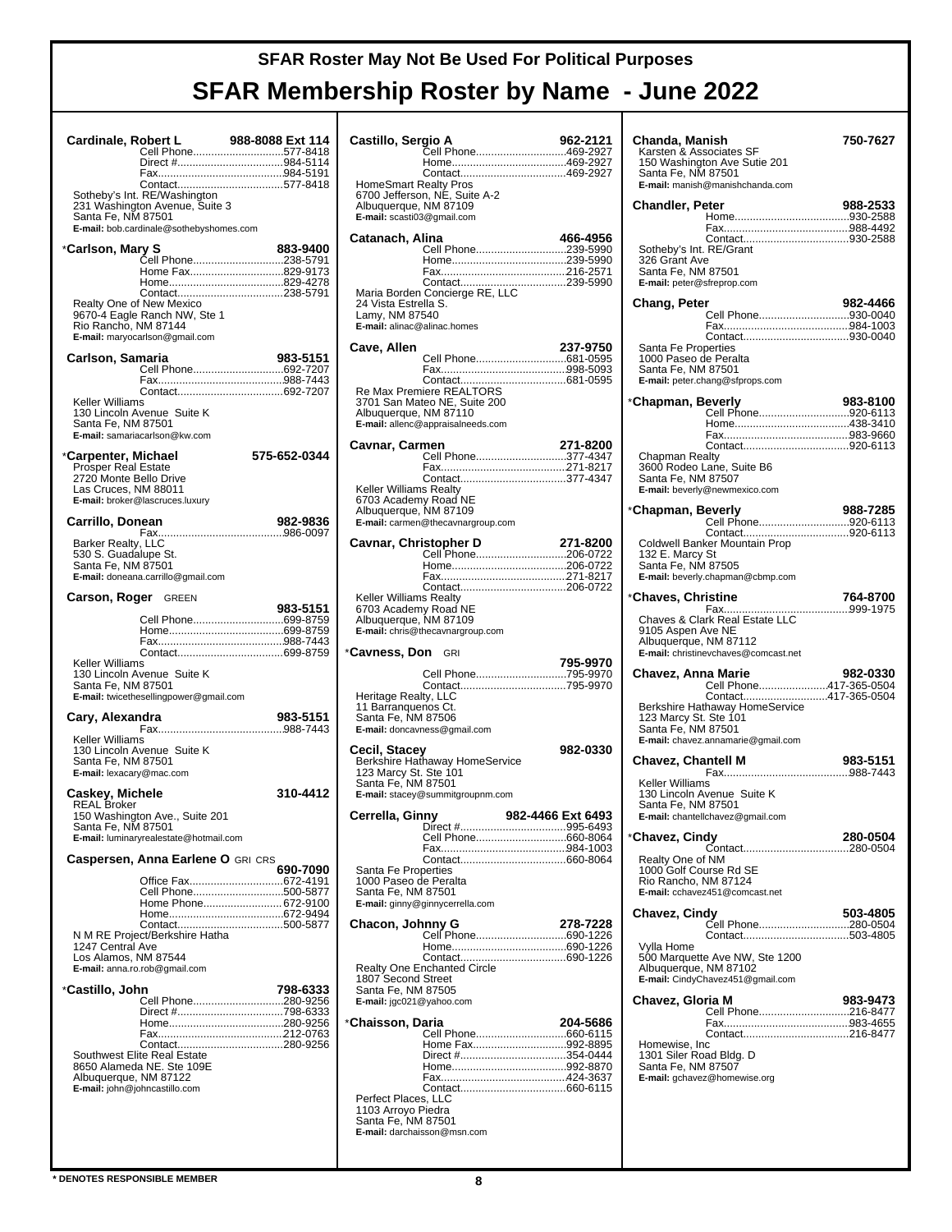| Cardinale, Robert L                                                                                 | Cell Phone577-8418                                                                                        | 988-8088 Ext 114 |
|-----------------------------------------------------------------------------------------------------|-----------------------------------------------------------------------------------------------------------|------------------|
|                                                                                                     |                                                                                                           |                  |
| Santa Fe, NM 87501                                                                                  | Sotheby's Int. RE/Washington<br>231 Washington Avenue, Suite 3<br>E-mail: bob.cardinale@sothebyshomes.com |                  |
| *Carlson, Mary S                                                                                    |                                                                                                           | 883-9400         |
|                                                                                                     | Cell Phone238-5791<br>Home Fax829-9173                                                                    |                  |
| Rio Rancho, NM 87144                                                                                | Realty One of New Mexico<br>9670-4 Eagle Ranch NW, Ste 1<br>E-mail: maryocarlson@gmail.com                |                  |
| Carlson, Samaria                                                                                    | Cell Phone692-7207                                                                                        | 983-5151         |
| Keller Williams<br>Santa Fe, NM 87501                                                               | 130 Lincoln Avenue Suite K<br>E-mail: samariacarlson@kw.com                                               |                  |
| *Carpenter, Michael<br><b>Prosper Real Estate</b><br>2720 Monte Bello Drive<br>Las Cruces, NM 88011 | E-mail: broker@lascruces.luxury                                                                           | 575-652-0344     |
| Carrillo, Donean                                                                                    |                                                                                                           | 982-9836         |
| Barker Realty, LLC<br>530 S. Guadalupe St.<br>Santa Fe, NM 87501                                    | E-mail: doneana.carrillo@gmail.com                                                                        |                  |
| <b>Carson, Roger</b> GREEN                                                                          |                                                                                                           | 983-5151         |
|                                                                                                     | Cell Phone699-8759                                                                                        |                  |
|                                                                                                     |                                                                                                           |                  |
| Keller Williams<br>Santa Fe, NM 87501                                                               | 130 Lincoln Avenue Suite K<br>E-mail: twicethesellingpower@gmail.com                                      |                  |
| Cary, Alexandra                                                                                     |                                                                                                           | 983-5151         |
| Keller Williams<br>Santa Fe, NM 87501<br>E-mail: lexacary@mac.com                                   | 130 Lincoln Avenue Suite K                                                                                |                  |
| Caskey, Michele                                                                                     |                                                                                                           | 310-4412         |
| <b>REAL Broker</b><br>Santa Fe, NM 87501                                                            | 150 Washington Ave., Suite 201<br>E-mail: luminaryrealestate@hotmail.com                                  |                  |
|                                                                                                     | Caspersen, Anna Earlene O GRI CRS                                                                         | 690-7090         |
|                                                                                                     | Office Fax672-4191<br>Cell Phone500-5877                                                                  |                  |
|                                                                                                     | Home Phone 672-9100                                                                                       |                  |
| 1247 Central Ave<br>Los Alamos, NM 87544                                                            | N M RE Project/Berkshire Hatha<br>E-mail: anna.ro.rob@gmail.com                                           |                  |
| *Castillo, John                                                                                     |                                                                                                           | 798-6333         |
|                                                                                                     | Cell Phone280-9256                                                                                        |                  |
| Albuquerque, NM 87122                                                                               | Southwest Elite Real Estate<br>8650 Alameda NE. Ste 109E<br>E-mail: john@johncastillo.com                 |                  |
|                                                                                                     |                                                                                                           |                  |

| Castillo, Sergio A                                                                                                 | Čell Phone469-2927                                                                             | 962-2121          |
|--------------------------------------------------------------------------------------------------------------------|------------------------------------------------------------------------------------------------|-------------------|
| Albuquerque, NM 87109<br>E-mail: scasti03@gmail.com                                                                | HomeSmart Realty Pros<br>6700 Jefferson, NE, Suite A-2                                         |                   |
| Catanach, Alina                                                                                                    |                                                                                                | 466-4956          |
| 24 Vista Estrella S.<br>Lamy, NM 87540                                                                             | Cell Phone239-5990                                                                             |                   |
| E-mail: alinac@alinac.homes                                                                                        |                                                                                                |                   |
| Cave, Allen                                                                                                        |                                                                                                | 237-9750          |
| Albuquerque, NM 87110                                                                                              | Re Max Premiere REALTORS®<br>3701 San Mateo NE, Suite 200<br>E-mail: allenc@appraisalneeds.com |                   |
| Cavnar, Carmen                                                                                                     | Cell Phone377-4347                                                                             | 271-8200          |
| Keller Williams Realty<br>6703 Academy Road NE<br>Albuquerque, NM 87109                                            | E-mail: carmen@thecavnargroup.com                                                              |                   |
| Cavnar, Christopher D                                                                                              |                                                                                                | 271-8200          |
| <b>Keller Williams Realty</b><br>6703 Academy Road NE<br>Albuquerque, NM 87109                                     | Cell Phone206-0722                                                                             |                   |
| * <b>Cavness, Don</b> GRI                                                                                          | E-mail: chris@thecavnargroup.com                                                               |                   |
|                                                                                                                    | Cell Phone795-9970                                                                             | 795-9970          |
| Heritage Realty, LLC<br>11 Barranquenos Ct.<br>Santa Fe, NM 87506                                                  | Contact795-9970<br>E-mail: doncavness@gmail.com                                                |                   |
| Cecil, Stacey<br>123 Marcy St. Ste 101<br>Santa Fe, NM 87501                                                       | Berkshire Hathaway HomeService<br>E-mail: stacey@summitgroupnm.com                             | 982-0330          |
| Cerrella, Ginny                                                                                                    |                                                                                                | 982-4466 Ext 6493 |
|                                                                                                                    | Cell Phone660-8064                                                                             |                   |
| Santa Fe Properties<br>1000 Paseo de Peralta<br>Santa Fe, NM 87501                                                 | E-mail: ginny@ginnycerrella.com                                                                |                   |
| <b>Chacon, Johnny G</b>                                                                                            | <br>Cell Phone690-1226                                                                         | 278-7228          |
| 1807 Second Street<br>Santa Fe, NM 87505<br>E-mail: jgc021@yahoo.com                                               | <b>Realty One Enchanted Circle</b>                                                             |                   |
| *Chaisson, Daria<br>Perfect Places, LLC<br>1103 Arroyo Piedra<br>Santa Fe, NM 87501<br>E-mail: darchaisson@msn.com | Home Fax992-8895<br>Direct #354-0444                                                           | 204-5686          |

| Chanda, Manish<br>Karsten & Associates SF<br>150 Washington Ave Sutie 201                                                                                            | 750-7627 |
|----------------------------------------------------------------------------------------------------------------------------------------------------------------------|----------|
| Santa Fe, NM 87501<br>E-mail: manish@manishchanda.com                                                                                                                |          |
| <b>Chandler, Peter</b>                                                                                                                                               | 988-2533 |
| Sotheby's Int. RE/Grant<br>326 Grant Ave<br>Santa Fe, NM 87501<br>E-mail: peter@sfreprop.com                                                                         |          |
| Chang, Peter                                                                                                                                                         | 982-4466 |
| Cell Phone930-0040<br>Santa Fe Properties<br>1000 Paseo de Peralta<br>Santa Fe, NM 87501<br>E-mail: peter.chang@sfprops.com                                          |          |
| *Chapman, Beverly                                                                                                                                                    | 983-8100 |
| Cell Phone920-6113                                                                                                                                                   |          |
| <b>Chapman Realty</b><br>3600 Rodeo Lane, Suite B6<br>Santa Fe, NM 87507<br>E-mail: beverly@newmexico.com                                                            |          |
| 988-7285 (Chapman, Beverly<br>113–920-6113 (Cell Phone920-6113                                                                                                       |          |
| Coldwell Banker Mountain Prop<br>132 E. Marcy St<br>Santa Fe, NM 87505<br>E-mail: beverly.chapman@cbmp.com                                                           |          |
| *Chaves, Christine                                                                                                                                                   | 764-8700 |
| Chaves & Clark Real Estate LLC<br>9105 Aspen Ave NE<br>Albuquerque, NM 87112<br>E-mail: christinevchaves@comcast.net                                                 |          |
| Chavez, Anna Marie                                                                                                                                                   | 982-0330 |
| Cell Phone417-365-0504<br>Contact417-365-0504<br>Berkshire Hathaway HomeService<br>123 Marcy St. Ste 101<br>Santa Fe, NM 87501<br>E-mail: chavez.annamarie@gmail.com |          |
| <b>Chavez, Chantell M</b>                                                                                                                                            | 983-5151 |
| Keller Williams<br>130 Lincoln Avenue Suite K<br>Santa Fe, NM 87501<br>E-mail: chantellchavez@gmail.com                                                              |          |
| *Chavez, Cindy                                                                                                                                                       | 280-0504 |
| Realty One of NM<br>1000 Golf Course Rd SE<br>Rio Rancho, NM 87124<br>E-mail: cchavez451@comcast.net                                                                 |          |
| Chavez, Cindy<br>Cell Phone280-0504                                                                                                                                  | 503-4805 |
| Vylla Home<br>500 Marquette Ave NW, Ste 1200<br>Albuquerque, NM 87102<br>E-mail: CindyChavez451@gmail.com                                                            |          |
| Chavez, Gloria M<br>Cell Phone216-8477                                                                                                                               | 983-9473 |
|                                                                                                                                                                      |          |
| Homewise, Inc<br>1301 Siler Road Bldg. D<br>Santa Fe, NM 87507<br>E-mail: gchavez@homewise.org                                                                       |          |
|                                                                                                                                                                      |          |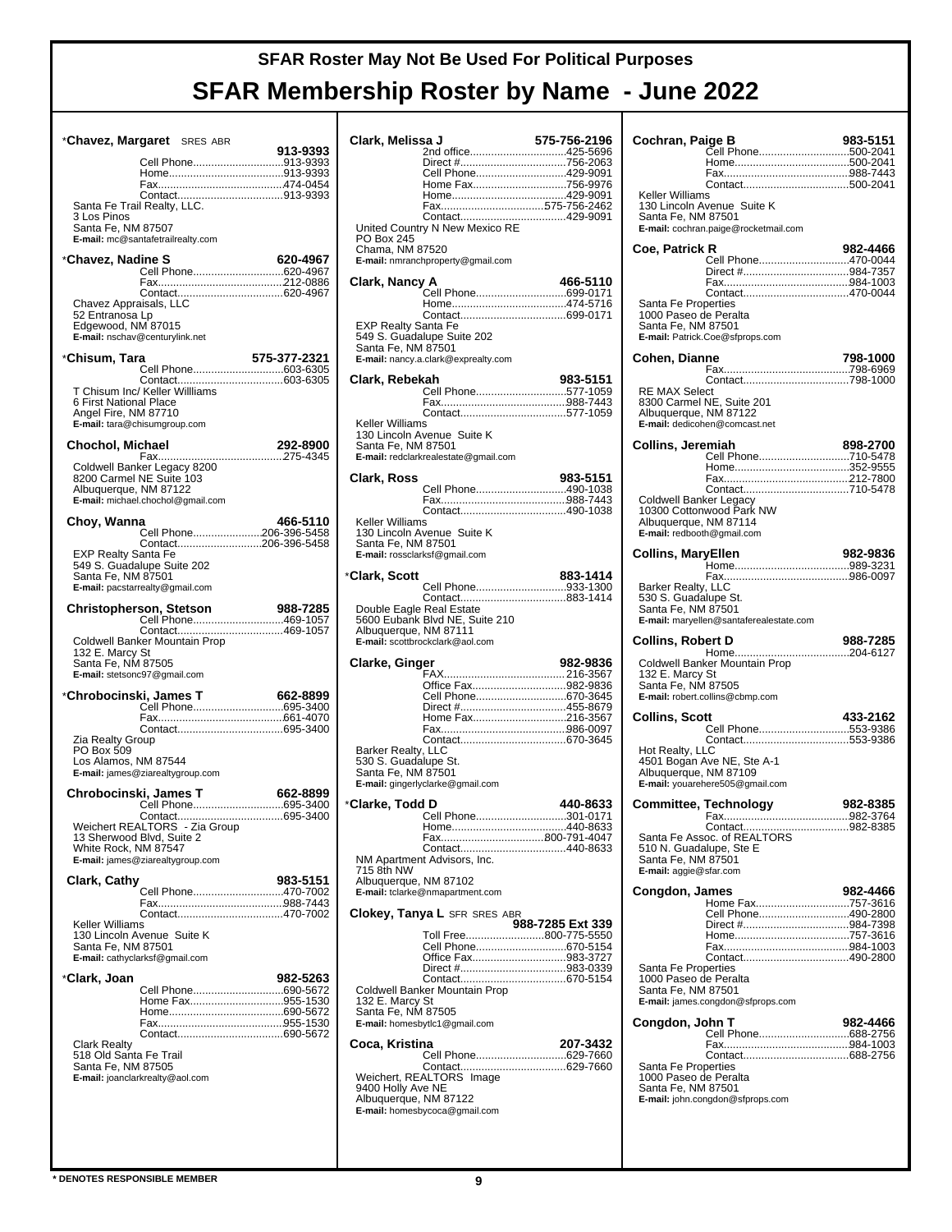| *Chavez, Margaret SRES ABR                                           |              |
|----------------------------------------------------------------------|--------------|
| Cell Phone913-9393                                                   | 913-9393     |
|                                                                      |              |
|                                                                      |              |
| Santa Fe Trail Realty, LLC.                                          |              |
| 3 Los Pinos                                                          |              |
| Santa Fe, NM 87507<br>E-mail: mc@santafetrailrealty.com              |              |
|                                                                      |              |
| *Chavez, Nadine S<br>0 <b>20-4967   line S</b><br>Cell Phone620-4967 | 620-4967     |
|                                                                      |              |
|                                                                      |              |
| Chavez Appraisals, LLC                                               |              |
| 52 Entranosa Lp<br>Edgewood, NM 87015                                |              |
| E-mail: nschav@centurylink.net                                       |              |
| *Chisum, Tara                                                        | 575-377-2321 |
| Cell Phone603-6305                                                   |              |
|                                                                      |              |
| T Chisum Inc/ Keller Willliams<br>6 First National Place             |              |
| Angel Fire, NM 87710                                                 |              |
| E-mail: tara@chisumgroup.com                                         |              |
| Chochol, Michael                                                     | 292-8900     |
|                                                                      |              |
| Coldwell Banker Legacy 8200<br>8200 Carmel NE Suite 103              |              |
| Albuquerque, NM 87122                                                |              |
| E-mail: michael.chochol@gmail.com                                    |              |
| Choy, Wanna                                                          | 466-5110     |
| Cell Phone206-396-5458                                               |              |
| Contact206-396-5458<br><b>EXP Realty Santa Fe</b>                    |              |
| 549 S. Guadalupe Suite 202                                           |              |
| Santa Fe, NM 87501                                                   |              |
| E-mail: pacstarrealty@gmail.com                                      |              |
| Christopherson, Stetson                                              | 988-7285     |
| Cell Phone469-1057                                                   |              |
| Coldwell Banker Mountain Prop                                        |              |
| 132 E. Marcy St<br>Santa Fe, NM 87505                                |              |
| E-mail: stetsonc97@gmail.com                                         |              |
|                                                                      |              |
| *Chrobocinski, James T<br>Cell Phone695-3400                         | 662-8899     |
|                                                                      |              |
|                                                                      |              |
|                                                                      |              |
| Zia Realty Group<br>PO Box 509                                       |              |
| Los Alamos, NM 87544                                                 |              |
| E-mail: james@ziarealtygroup.com                                     |              |
| Chrobocinski, James T                                                | 662-8899     |
| Cell Phone695-3400                                                   |              |
|                                                                      |              |
| 13 Sherwood Blvd, Suite 2                                            |              |
| White Rock, NM 87547<br>E-mail: james@ziarealtygroup.com             |              |
|                                                                      |              |
| Clark, Cathy                                                         | 983-5151     |
|                                                                      |              |
| Keller Williams                                                      |              |
| 130 Lincoln Avenue Suite K                                           |              |
| Santa Fe, NM 87501                                                   |              |
| E-mail: cathyclarksf@gmail.com                                       |              |
| *Clark, Joan                                                         | 982-5263     |
| Cell Phone690-5672<br>Home Fax955-1530                               |              |
|                                                                      |              |
|                                                                      |              |
| <b>Clark Realty</b>                                                  |              |
| 518 Old Santa Fe Trail                                               |              |
| Santa Fe, NM 87505<br>E-mail: joanclarkrealty@aol.com                |              |
|                                                                      |              |
|                                                                      |              |

| 575-756-2196<br>Clark, Melissa J           |                                             |                  |
|--------------------------------------------|---------------------------------------------|------------------|
|                                            | 2nd office425-5696<br>Direct #756-2063      |                  |
|                                            | Cell Phone429-9091                          |                  |
|                                            | Home Fax756-9976                            |                  |
|                                            |                                             |                  |
|                                            |                                             |                  |
|                                            | United Country N New Mexico RE              |                  |
| PO Box 245<br>Chama, NM 87520              |                                             |                  |
|                                            | E-mail: nmranchproperty@gmail.com           |                  |
| Clark, Nancy A                             |                                             | 466-5110         |
|                                            | Cell Phone699-0171                          |                  |
|                                            |                                             |                  |
| EXP Realty Santa Fe                        |                                             |                  |
| Santa Fe, NM 87501                         | 549 S. Guadalupe Suite 202                  |                  |
|                                            | E-mail: nancy.a.clark@exprealty.com         |                  |
| Clark, Rebekah                             |                                             | 983-5151         |
|                                            | Cell Phone577-1059                          |                  |
|                                            |                                             |                  |
| Keller Williams                            |                                             |                  |
|                                            | 130 Lincoln Avenue Suite K                  |                  |
| Santa Fe, NM 87501                         | E-mail: redclarkrealestate@gmail.com        |                  |
|                                            |                                             |                  |
| Clark, Ross                                | Cell Phone490-1038                          | 983-5151         |
|                                            |                                             |                  |
|                                            |                                             |                  |
| Keller Williams                            | 130 Lincoln Avenue Suite K                  |                  |
| Santa Fe, NM 87501                         |                                             |                  |
|                                            | E-mail: rossclarksf@gmail.com               |                  |
| *Clark, Scott                              |                                             | 883-1414         |
|                                            | Cell Phone933-1300                          |                  |
| Double Eagle Real Estate                   |                                             |                  |
|                                            | 5600 Eubank Blvd NE, Suite 210              |                  |
| Albuquerque, NM 87111                      | E-mail: scottbrockclark@aol.com             |                  |
|                                            |                                             |                  |
|                                            |                                             |                  |
| Clarke, Ginger                             |                                             | 982-9836         |
|                                            | Office Fax982-9836                          |                  |
|                                            | Cell Phone670-3645<br>Direct #455-8679      |                  |
|                                            | Home Fax216-3567                            |                  |
|                                            |                                             |                  |
| Barker Realty, LLC                         |                                             |                  |
| 530 S. Guadalupe St.<br>Santa Fe, NM 87501 |                                             |                  |
|                                            | E-mail: gingerlyclarke@gmail.com            |                  |
|                                            |                                             | 440-8633         |
|                                            | Cell Phone301-0171                          |                  |
| *Clarke, Todd D                            |                                             |                  |
|                                            | Fax800-791-4047                             |                  |
|                                            | NM Apartment Advisors, Inc.                 |                  |
| 715 8th NW<br>Albuquerque, NM 87102        |                                             |                  |
|                                            | E-mail: tclarke@nmapartment.com             |                  |
|                                            | <b>Clokey, Tanya L</b> SFR SRES ABR         |                  |
|                                            |                                             | 988-7285 Ext 339 |
|                                            | Toll Free800-775-5550<br>Cell Phone670-5154 |                  |
|                                            | Office Fax983-3727                          |                  |
|                                            |                                             |                  |
|                                            | Coldwell Banker Mountain Prop               |                  |
| 132 E. Marcy St                            |                                             |                  |
| Santa Fe, NM 87505                         | E-mail: homesbytic1@gmail.com               |                  |
|                                            |                                             |                  |
| Coca, Kristina                             | Cell Phone629-7660                          | 207-3432         |
|                                            | Contact629-7660                             |                  |
| 9400 Holly Ave NE                          | Weichert, REALTORS® Image                   |                  |
| Albuquerque, NM 87122                      |                                             |                  |
|                                            | E-mail: homesbycoca@gmail.com               |                  |

| Cochran, Paige B                                                        |                                                                                       | 983-5151 |
|-------------------------------------------------------------------------|---------------------------------------------------------------------------------------|----------|
|                                                                         | Cell Phone500-2041                                                                    |          |
|                                                                         |                                                                                       |          |
| Keller Williams<br>Santa Fe, NM 87501                                   | Contact500-2041<br>130 Lincoln Avenue Suite K<br>E-mail: cochran.paige@rocketmail.com |          |
| Coe, Patrick R                                                          |                                                                                       | 982-4466 |
|                                                                         | Cell Phone470-0044                                                                    |          |
|                                                                         |                                                                                       |          |
| Santa Fe Properties<br>1000 Paseo de Peralta<br>Santa Fe, NM 87501      | E-mail: Patrick.Coe@sfprops.com                                                       |          |
| Cohen, Dianne                                                           |                                                                                       | 798-1000 |
|                                                                         |                                                                                       |          |
| <b>RE MAX Select</b><br>Albuquerque, NM 87122                           | Contact798-1000<br>8300 Carmel NE, Suite 201<br>E-mail: dedicohen@comcast.net         |          |
| Collins, Jeremiah                                                       |                                                                                       | 898-2700 |
|                                                                         | Cell Phone710-5478                                                                    |          |
|                                                                         |                                                                                       |          |
| Coldwell Banker Legacy                                                  | Contact710-5478                                                                       |          |
| Albuquerque, NM 87114                                                   | 10300 Cottonwood Park NW                                                              |          |
| E-mail: redbooth@gmail.com                                              |                                                                                       |          |
| <b>Collins, MaryEllen</b>                                               |                                                                                       | 982-9836 |
| Barker Realty, LLC<br>530 S. Guadalupe St.<br>Santa Fe, NM 87501        | E-mail: maryellen@santaferealestate.com                                               |          |
|                                                                         |                                                                                       |          |
| <b>Collins, Robert D</b>                                                |                                                                                       | 988-7285 |
| 132 E. Marcy St<br>Santa Fe, NM 87505                                   | Coldwell Banker Mountain Prop<br>E-mail: robert.collins@cbmp.com                      |          |
| Collins, Scott                                                          |                                                                                       | 433-2162 |
|                                                                         | Cell Phone553-9386                                                                    |          |
| Hot Realty, LLC<br>Albuquerque, NM 87109                                | 4501 Bogan Ave NE, Ste A-1<br>E-mail: youarehere505@gmail.com                         |          |
|                                                                         | <b>Committee, Technology</b>                                                          | 982-8385 |
|                                                                         | ⊦ах….                                                                                 |          |
| 510 N. Guadalupe, Ste E<br>Santa Fe, NM 87501<br>E-mail: aggie@sfar.com | Santa Fe Assoc. of REALTORS®                                                          |          |
| Congdon, James                                                          |                                                                                       | 982-4466 |
|                                                                         | Home Fax757-3616<br>Cell Phone490-2800                                                |          |
|                                                                         |                                                                                       |          |
|                                                                         |                                                                                       |          |
| Santa Fe Properties<br>1000 Paseo de Peralta<br>Santa Fe, NM 87501      | Contact490-2800<br>E-mail: james.congdon@sfprops.com                                  |          |
|                                                                         |                                                                                       | 982-4466 |
| Congdon, John T                                                         | <br>Cell Phone688-2756                                                                |          |
|                                                                         |                                                                                       |          |
| Santa Fe Properties<br>1000 Paseo de Peralta<br>Santa Fe, NM 87501      | E-mail: john.congdon@sfprops.com                                                      |          |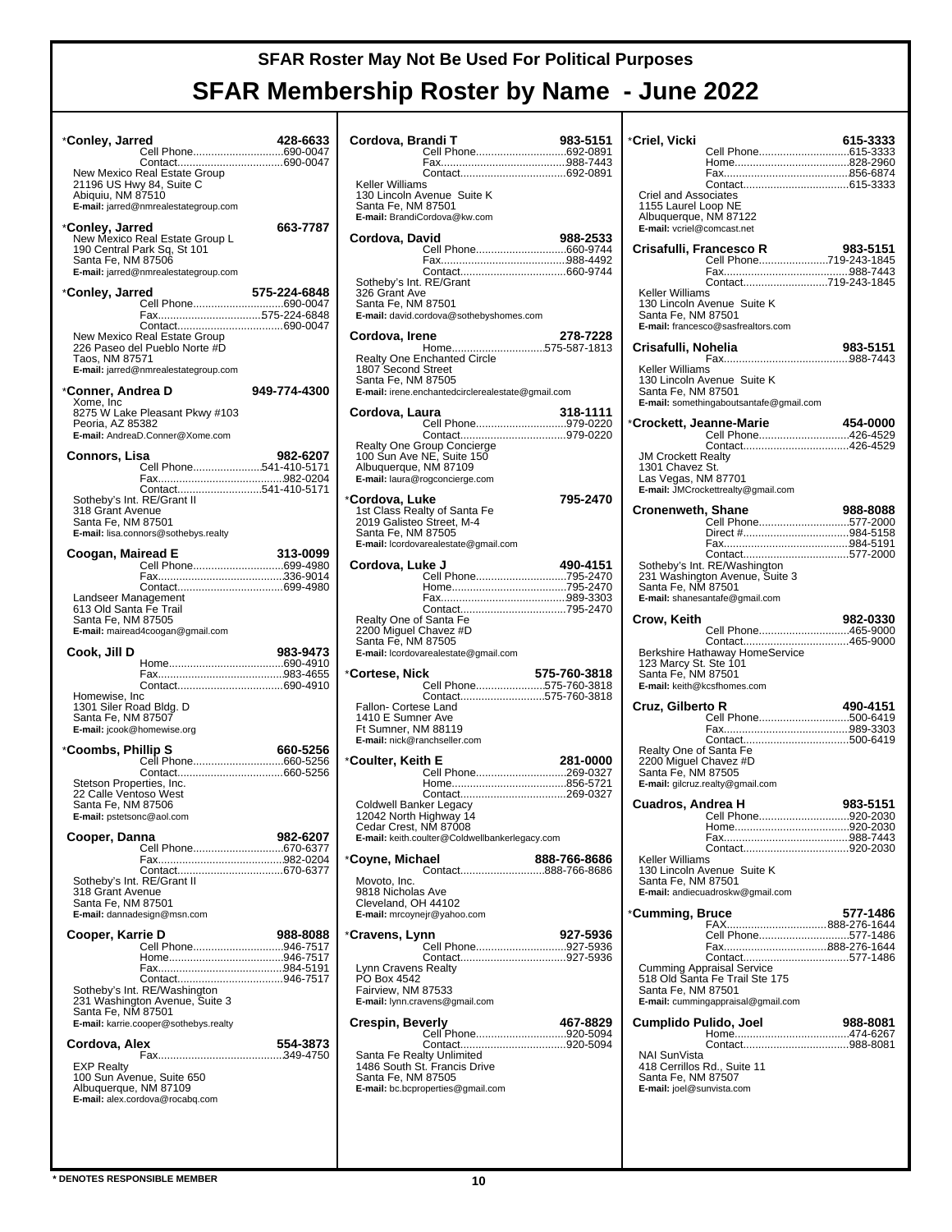| *Conley, Jarred<br>Cell Phone690-0047                                                                                                          | 428-6633     |
|------------------------------------------------------------------------------------------------------------------------------------------------|--------------|
| New Mexico Real Estate Group<br>21196 US Hwy 84, Suite C<br>Abiquiu, NM 87510                                                                  |              |
| E-mail: jarred@nmrealestategroup.com                                                                                                           |              |
| *Conley, Jarred<br>New Mexico Real Estate Group L<br>190 Central Park Sq, St 101<br>Santa Fe, NM 87506<br>E-mail: jarred@nmrealestategroup.com | 663-7787     |
| *Conley, Jarred                                                                                                                                | 575-224-6848 |
| Fax575-224-6848                                                                                                                                |              |
| New Mexico Real Estate Group<br>226 Paseo del Pueblo Norte #D<br>Taos, NM 87571<br>E-mail: jarred@nmrealestategroup.com                        |              |
| *Conner, Andrea D                                                                                                                              | 949-774-4300 |
| Xome, Inc<br>8275 W Lake Pleasant Pkwy #103<br>Peoria, AZ 85382<br>E-mail: AndreaD.Conner@Xome.com                                             |              |
| Connors, Lisa                                                                                                                                  | 982-6207     |
| Cell Phone541-410-5171                                                                                                                         |              |
| Contact541-410-5171<br>Sotheby's Int. RE/Grant II<br>318 Grant Avenue<br>Santa Fe, NM 87501<br>E-mail: lisa.connors@sothebys.realty            |              |
| Coogan, Mairead E                                                                                                                              | 313-0099     |
|                                                                                                                                                |              |
| Landseer Management<br>613 Old Santa Fe Trail<br>Santa Fe, NM 87505<br>E-mail: mairead4coogan@gmail.com                                        |              |
| Cook, Jill D                                                                                                                                   | 983-9473     |
|                                                                                                                                                |              |
| Homewise, Inc<br>1301 Siler Road Bldg. D<br>Santa Fe, NM 87507<br>E-mail: jcook@homewise.org                                                   |              |
| *Coombs, Phillip S                                                                                                                             | 660-5256     |
| Cell Phone660-5256                                                                                                                             |              |
| Stetson Properties, Inc.<br>22 Calle Ventoso West<br>Santa Fe, NM 87506<br>E-mail: pstetsonc@aol.com                                           |              |
| Cooper, Danna                                                                                                                                  | 982-6207     |
| Cell Phone670-6377                                                                                                                             |              |
| Sotheby's Int. RE/Grant II<br>318 Grant Avenue<br>Santa Fe, NM 87501<br>E-mail: dannadesign@msn.com                                            |              |
| Cooper, Karrie D<br>Cell Phone946-7517                                                                                                         | 988-8088     |
|                                                                                                                                                |              |
| Sotheby's Int. RE/Washington<br>231 Washington Avenue, Suite 3<br>Santa Fe, NM 87501<br>E-mail: karrie.cooper@sothebys.realty                  |              |
| Cordova, Alex                                                                                                                                  | 554-3873     |
| <b>EXP Realty</b><br>100 Sun Avenue, Suite 650<br>Albuquerque, NM 87109<br>E-mail: alex.cordova@rocabq.com                                     |              |
|                                                                                                                                                |              |

| Cordova, Brandi T                 |                                                                                                                         | 983-5151<br>Cell Phone692-0891                |
|-----------------------------------|-------------------------------------------------------------------------------------------------------------------------|-----------------------------------------------|
| Keller Williams                   | 130 Lincoln Avenue Suite K<br>Santa Fe, NM 87501<br>E-mail: BrandiCordova@kw.com                                        |                                               |
| Cordova, David<br>326 Grant Ave   | Sotheby's Int. RE/Grant<br>Santa Fe, NM 87501<br>E-mail: david.cordova@sothebyshomes.com                                | 988-2533                                      |
| Cordova, Irene                    |                                                                                                                         | 278-7228                                      |
| 1807 Second Street                | Realty One Enchanted Circle<br>Santa Fe, NM 87505<br>E-mail: irene.enchantedcirclerealestate@gmail.com                  | Home575-587-1813                              |
| Cordova, Laura                    |                                                                                                                         | 318-1111<br>Cell Phone979-0220                |
|                                   | Realty One Group Concierge<br>100 Sun Ave NE, Suite 150<br>Albuquerque, NM 87109<br>E-mail: laura@rogconcierge.com      |                                               |
| *Cordova, Luke                    | 1st Class Realty of Santa Fe<br>2019 Galisteo Street, M-4<br>Santa Fe, NM 87505<br>E-mail: lcordovarealestate@gmail.com | 795-2470                                      |
| Cordova, Luke J                   |                                                                                                                         | 490-4151<br>Cell Phone795-2470                |
|                                   | Realty One of Santa Fe<br>2200 Miguel Chavez #D                                                                         |                                               |
|                                   | Santa Fe, NM 87505<br>E-mail: lcordovarealestate@gmail.com                                                              |                                               |
| *Cortese, Nick                    |                                                                                                                         | 575-760-3818                                  |
|                                   | Fallon- Cortese Land<br>1410 E Sumner Ave<br>Ft Sumner, NM 88119<br>E-mail: nick@ranchseller.com                        | Cell Phone575-760-3818<br>Contact575-760-3818 |
| *Coulter, Keith E                 |                                                                                                                         | 281-0000                                      |
|                                   | Coldwell Banker Legacy<br>12042 North Highway 14<br>Cedar Crest, NM 87008                                               | Cell Phone269-0327                            |
| *Coyne, Michael                   | E-mail: keith.coulter@Coldwellbankerlegacy.com                                                                          | 888-766-8686                                  |
| Movoto, Inc.<br>9818 Nicholas Ave | Cleveland, OH 44102<br>E-mail: mrcoynejr@yahoo.com                                                                      |                                               |
| *Cravens, Lynn                    |                                                                                                                         | 927-5936                                      |
| PO Box 4542<br>Fairview, NM 87533 | Lynn Cravens Realty<br>E-mail: lynn.cravens@gmail.com                                                                   | Cell Phone927-5936                            |
| <b>Crespin, Beverly</b>           | Santa Fe Realty Unlimited<br>1486 South St. Francis Drive<br>Santa Fe, NM 87505<br>E-mail: bc.bcproperties@gmail.com    | 467-8829<br>Cell Phone920-5094                |

| *Criel, Vicki                                       |                                                             | 615-3333             |
|-----------------------------------------------------|-------------------------------------------------------------|----------------------|
|                                                     | Cell Phone615-3333                                          |                      |
|                                                     |                                                             |                      |
| Criel and Associates                                |                                                             |                      |
| 1155 Laurel Loop NE                                 |                                                             |                      |
| Albuquerque, NM 87122<br>E-mail: vcriel@comcast.net |                                                             |                      |
| Crisafulli, Francesco R                             |                                                             | 983-5151             |
|                                                     | Cell Phone719-243-1845                                      |                      |
|                                                     | Contact719-243-1845                                         |                      |
| Keller Williams                                     | 130 Lincoln Avenue Suite K                                  |                      |
| Santa Fe, NM 87501                                  | E-mail: francesco@sasfrealtors.com                          |                      |
| Crisafulli, Nohelia                                 |                                                             | 983-5151             |
|                                                     |                                                             |                      |
| Keller Williams                                     | 130 Lincoln Avenue Suite K                                  |                      |
| Santa Fe, NM 87501                                  | E-mail: somethingaboutsantafe@gmail.com                     |                      |
|                                                     |                                                             |                      |
| *Crockett, Jeanne-Marie                             | <b>AUTO-Marie<br/>Cell Phone426-4529</b>                    | 454-0000             |
| JM Crockett Realty                                  | Contact426-4529                                             |                      |
| 1301 Chavez St.                                     |                                                             |                      |
| Las Vegas, NM 87701                                 | E-mail: JMCrockettrealty@gmail.com                          |                      |
| <b>Cronenweth, Shane</b>                            |                                                             | 988-8088             |
|                                                     | Cell Phone577-2000                                          |                      |
|                                                     | Contact577-2000                                             |                      |
|                                                     | Sotheby's Int. RE/Washington                                |                      |
| Santa Fe, NM 87501                                  | 231 Washington Avenue, Suite 3                              |                      |
|                                                     | E-mail: shanesantafe@gmail.com                              |                      |
| Crow, Keith                                         | Cell Phone465-9000                                          | 982-0330             |
|                                                     | Contact465-9000                                             |                      |
| 123 Marcy St. Ste 101                               | Berkshire Hathaway HomeService                              |                      |
| Santa Fe, NM 87501                                  | E-mail: keith@kcsfhomes.com                                 |                      |
|                                                     |                                                             |                      |
| Cruz, Gilberto R                                    | Cell Phone500-6419                                          | 490-4151             |
|                                                     |                                                             |                      |
| Realty One of Santa Fe<br>2200 Miguel Chavez #D     |                                                             |                      |
| Santa Fe, NM 87505                                  |                                                             |                      |
|                                                     | E-mail: gilcruz.realty@gmail.com                            |                      |
| Cuadros, Andrea H                                   | Cell Phone                                                  | 983-5151<br>920-2030 |
|                                                     |                                                             |                      |
|                                                     |                                                             |                      |
| Keller Williams                                     | 130 Lincoln Avenue Suite K                                  |                      |
| Santa Fe, NM 87501                                  | E-mail: andiecuadroskw@gmail.com                            |                      |
| *Cumming, Bruce                                     |                                                             | 577-1486             |
|                                                     | FAX888-276-1644                                             |                      |
|                                                     | Cell Phone577-1486<br>Fax888-276-1644                       |                      |
|                                                     | Contact577-1486                                             |                      |
| Santa Fe, NM 87501                                  | Cumming Appraisal Service<br>518 Old Santa Fe Trail Ste 175 |                      |
|                                                     | E-mail: cummingappraisal@gmail.com                          |                      |
| Cumplido Pulido, Joel                               |                                                             | 988-8081             |
|                                                     |                                                             |                      |
| NAI SunVista<br>418 Cerrillos Rd., Suite 11         |                                                             |                      |
| Santa Fe, NM 87507                                  |                                                             |                      |
| E-mail: joel@sunvista.com                           |                                                             |                      |
|                                                     |                                                             |                      |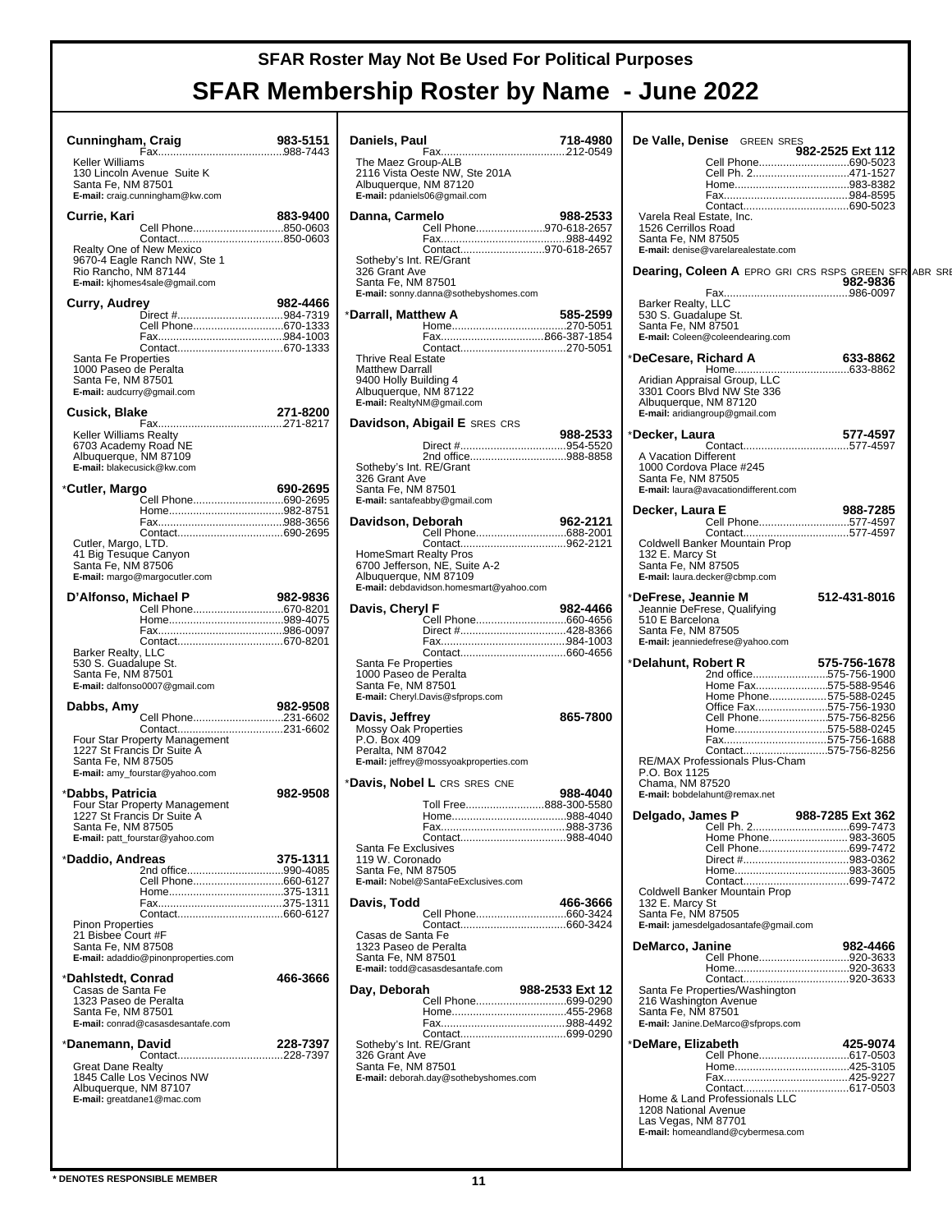| Cunningham, Craig                                                                 |                                       |
|-----------------------------------------------------------------------------------|---------------------------------------|
|                                                                                   | 983-5151                              |
| Keller Williams                                                                   |                                       |
| 130 Lincoln Avenue Suite K                                                        |                                       |
| Santa Fe, NM 87501<br>E-mail: craig.cunningham@kw.com                             |                                       |
| Currie, Kari                                                                      | 883-9400                              |
|                                                                                   | Cell Phone850-0603<br>Contact850-0603 |
| Realty One of New Mexico                                                          |                                       |
| 9670-4 Eagle Ranch NW, Ste 1                                                      |                                       |
| Rio Rancho, NM 87144<br>E-mail: kihomes4sale@gmail.com                            |                                       |
|                                                                                   |                                       |
| Curry, Audrey                                                                     | 982-4466                              |
|                                                                                   | Cell Phone670-1333                    |
|                                                                                   |                                       |
| Santa Fe Properties                                                               |                                       |
| 1000 Paseo de Peralta                                                             |                                       |
| Santa Fe, NM 87501<br>E-mail: audcurry@gmail.com                                  |                                       |
|                                                                                   |                                       |
| Cusick, Blake                                                                     | 271-8200                              |
| Keller Williams Realty                                                            |                                       |
| 6703 Academy Road NE<br>Albuquerque, NM 87109                                     |                                       |
| E-mail: blakecusick@kw.com                                                        |                                       |
|                                                                                   | 690-2695                              |
| *Cutler, Margo                                                                    |                                       |
|                                                                                   |                                       |
|                                                                                   |                                       |
| Cutler, Margo, LTD.                                                               |                                       |
| 41 Big Tesuque Canyon                                                             |                                       |
| Santa Fe, NM 87506<br>E-mail: margo@margocutler.com                               |                                       |
|                                                                                   |                                       |
| D'Alfonso, Michael P                                                              | 982-9836<br>Cell Phone670-8201        |
|                                                                                   |                                       |
|                                                                                   |                                       |
| Barker Realty, LLC                                                                |                                       |
| 530 S. Guadalupe St.                                                              |                                       |
| Santa Fe, NM 87501<br>E-mail: dalfonso0007@gmail.com                              |                                       |
|                                                                                   |                                       |
| Dabbs, Amy                                                                        | 982-9508<br>Cell Phone231-6602        |
|                                                                                   |                                       |
|                                                                                   |                                       |
|                                                                                   |                                       |
| Four Star Property Management<br>1227 St Francis Dr Suite A<br>Santa Fe, NM 87505 |                                       |
| E-mail: amy_fourstar@yahoo.com                                                    |                                       |
|                                                                                   | 982-9508                              |
| *Dabbs, Patricia                                                                  |                                       |
| Four Star Property Management<br>1227 St Francis Dr Suite A                       |                                       |
| Santa Fe, NM 87505<br>E-mail: patt_fourstar@yahoo.com                             |                                       |
|                                                                                   |                                       |
| *Daddio, Andreas                                                                  | 375-1311<br>2nd office990-4085        |
|                                                                                   | Cell Phone660-6127                    |
|                                                                                   |                                       |
|                                                                                   |                                       |
| <b>Pinon Properties</b><br>21 Bisbee Court #F                                     |                                       |
| Santa Fe, NM 87508                                                                |                                       |
| E-mail: adaddio@pinonproperties.com                                               |                                       |
| *Dahlstedt, Conrad                                                                | 466-3666                              |
| Casas de Santa Fe                                                                 |                                       |
| 1323 Paseo de Peralta<br>Santa Fe, NM 87501                                       |                                       |
| E-mail: conrad@casasdesantafe.com                                                 |                                       |
| *Danemann, David                                                                  | 228-7397                              |
|                                                                                   |                                       |
| <b>Great Dane Realty</b>                                                          |                                       |
| 1845 Calle Los Vecinos NW<br>Albuquerque, NM 87107                                |                                       |
| E-mail: greatdane1@mac.com                                                        |                                       |
|                                                                                   |                                       |
|                                                                                   |                                       |

| Daniels, Paul                                                                                                                |                                                                                                   | 718-4980        |
|------------------------------------------------------------------------------------------------------------------------------|---------------------------------------------------------------------------------------------------|-----------------|
| The Maez Group-ALB<br>Albuquerque, NM 87120                                                                                  | 2116 Vista Oeste NW, Ste 201A<br>E-mail: pdaniels06@gmail.com                                     |                 |
| Danna, Carmelo                                                                                                               | Cell Phone970-618-2657                                                                            | 988-2533        |
|                                                                                                                              |                                                                                                   |                 |
| Sotheby's Int. RE/Grant<br>326 Grant Ave<br>Santa Fe, NM 87501                                                               | Contact970-618-2657<br>E-mail: sonny.danna@sothebyshomes.com                                      |                 |
| *Darrall, Matthew A                                                                                                          |                                                                                                   | 585-2599        |
|                                                                                                                              |                                                                                                   |                 |
| <b>Thrive Real Estate</b><br>Matthew Darrall<br>9400 Holly Building 4<br>Albuquerque, NM 87122<br>E-mail: RealtyNM@gmail.com |                                                                                                   |                 |
|                                                                                                                              | Davidson, Abigail E SRES CRS                                                                      |                 |
| Sotheby's Int. RE/Grant                                                                                                      | 2nd office988-8858                                                                                | 988-2533        |
| 326 Grant Ave<br>Santa Fe, NM 87501                                                                                          | E-mail: santafeabby@gmail.com                                                                     |                 |
| Davidson, Deborah                                                                                                            |                                                                                                   | 962-2121        |
|                                                                                                                              |                                                                                                   |                 |
| Albuquerque, NM 87109                                                                                                        | HomeSmart Realty Pros<br>6700 Jefferson, NE, Suite A-2<br>E-mail: debdavidson.homesmart@yahoo.com |                 |
| Davis, Cheryl F                                                                                                              |                                                                                                   | 982-4466        |
|                                                                                                                              |                                                                                                   |                 |
| Santa Fe Properties<br>1000 Paseo de Peralta<br>Santa Fe, NM 87501                                                           | E-mail: Cheryl.Davis@sfprops.com                                                                  |                 |
| Davis, Jeffrey                                                                                                               |                                                                                                   | 865-7800        |
| <b>Mossy Oak Properties</b><br>P.O. Box 409<br>Peralta, NM 87042                                                             | E-mail: jeffrey@mossyoakproperties.com                                                            |                 |
|                                                                                                                              | * <b>Davis, Nobel L</b> CRS SRES CNE                                                              |                 |
|                                                                                                                              | Toll Free888-300-5580                                                                             | 988-4040        |
|                                                                                                                              | Fax.                                                                                              |                 |
| Santa Fe Exclusives<br>119 W. Coronado<br>Santa Fe, NM 87505                                                                 |                                                                                                   |                 |
|                                                                                                                              | E-mail: Nobel@SantaFeExclusives.com                                                               |                 |
| Davis, Todd                                                                                                                  |                                                                                                   | 466-3666        |
| Casas de Santa Fe<br>1323 Paseo de Peralta<br>Santa Fe, NM 87501                                                             | E-mail: todd@casasdesantafe.com                                                                   |                 |
| Day, Deborah                                                                                                                 |                                                                                                   | 988-2533 Ext 12 |
|                                                                                                                              | Cell Phone699-0290                                                                                |                 |
|                                                                                                                              |                                                                                                   |                 |
| Sotheby's Int. RE/Grant<br>326 Grant Ave<br>Santa Fe, NM 87501                                                               | E-mail: deborah.day@sothebyshomes.com                                                             |                 |
|                                                                                                                              |                                                                                                   |                 |

|                                                                       | De Valle, Denise GREEN SRES                                                                                                                                                                                                                                   |                                                              |  |
|-----------------------------------------------------------------------|---------------------------------------------------------------------------------------------------------------------------------------------------------------------------------------------------------------------------------------------------------------|--------------------------------------------------------------|--|
|                                                                       | Cell Phone690-5023<br>Cell Ph. 2471-1527                                                                                                                                                                                                                      | 982-2525 Ext 112                                             |  |
| Varela Real Estate, Inc.<br>1526 Cerrillos Road<br>Santa Fe, NM 87505 | E-mail: denise@varelarealestate.com                                                                                                                                                                                                                           |                                                              |  |
|                                                                       |                                                                                                                                                                                                                                                               | <b>Dearing, Coleen A EPRO GRI CRS RSPS GREEN SFR ABR SRE</b> |  |
| Barker Realty, LLC<br>530 S. Guadalupe St.<br>Santa Fe, NM 87501      | E-mail: Coleen@coleendearing.com                                                                                                                                                                                                                              |                                                              |  |
| *DeCesare, Richard A                                                  |                                                                                                                                                                                                                                                               |                                                              |  |
| Albuquerque, NM 87120                                                 | 3301 Coors Blvd NW Ste 336<br>E-mail: aridiangroup@gmail.com                                                                                                                                                                                                  |                                                              |  |
| *Decker, Laura                                                        |                                                                                                                                                                                                                                                               | 577-4597                                                     |  |
| A Vacation Different<br>1000 Cordova Place #245<br>Santa Fe, NM 87505 | E-mail: laura@avacationdifferent.com                                                                                                                                                                                                                          |                                                              |  |
| Decker, Laura E                                                       | Cell Phone577-4597                                                                                                                                                                                                                                            | 988-7285                                                     |  |
| 132 E. Marcy St<br>Santa Fe, NM 87505                                 | Coldwell Banker Mountain Prop<br>E-mail: laura.decker@cbmp.com                                                                                                                                                                                                |                                                              |  |
| *DeFrese, Jeannie M<br>510 E Barcelona<br>Santa Fe, NM 87505          | Jeannie DeFrese, Qualifying<br>E-mail: jeanniedefrese@yahoo.com                                                                                                                                                                                               | 512-431-8016                                                 |  |
| *Delahunt, Robert R<br>P.O. Box 1125<br>Chama, NM 87520               | 2nd office575-756-1900<br>Home Fax575-588-9546<br>Home Phone575-588-0245<br>Office Fax575-756-1930<br>Cell Phone575-756-8256<br>Home575-588-0245<br>Fax575-756-1688<br>Contact575-756-8256<br>RE/MAX Professionals Plus-Cham<br>E-mail: bobdelahunt@remax.net | 575-756-1678                                                 |  |
| Delgado, James P                                                      |                                                                                                                                                                                                                                                               | 988-7285 EXt 362                                             |  |
| 132 E. Marcy St<br>Santa Fe, NM 87505                                 | Home Phone 983-3605<br>Cell Phone699-7472<br>Contact699-7472<br>Coldwell Banker Mountain Prop                                                                                                                                                                 |                                                              |  |
|                                                                       | E-mail: jamesdelgadosantafe@gmail.com                                                                                                                                                                                                                         |                                                              |  |
| DeMarco, Janine<br>216 Washington Avenue<br>Santa Fe, NM 87501        | Cell Phone920-3633<br>Santa Fe Properties/Washington<br>E-mail: Janine.DeMarco@sfprops.com                                                                                                                                                                    | 982-4466                                                     |  |
| *DeMare, Elizabeth                                                    |                                                                                                                                                                                                                                                               | 425-9074                                                     |  |
| 1208 National Avenue<br>Las Vegas, NM 87701                           | Home & Land Professionals LLC<br>E-mail: homeandland@cybermesa.com                                                                                                                                                                                            |                                                              |  |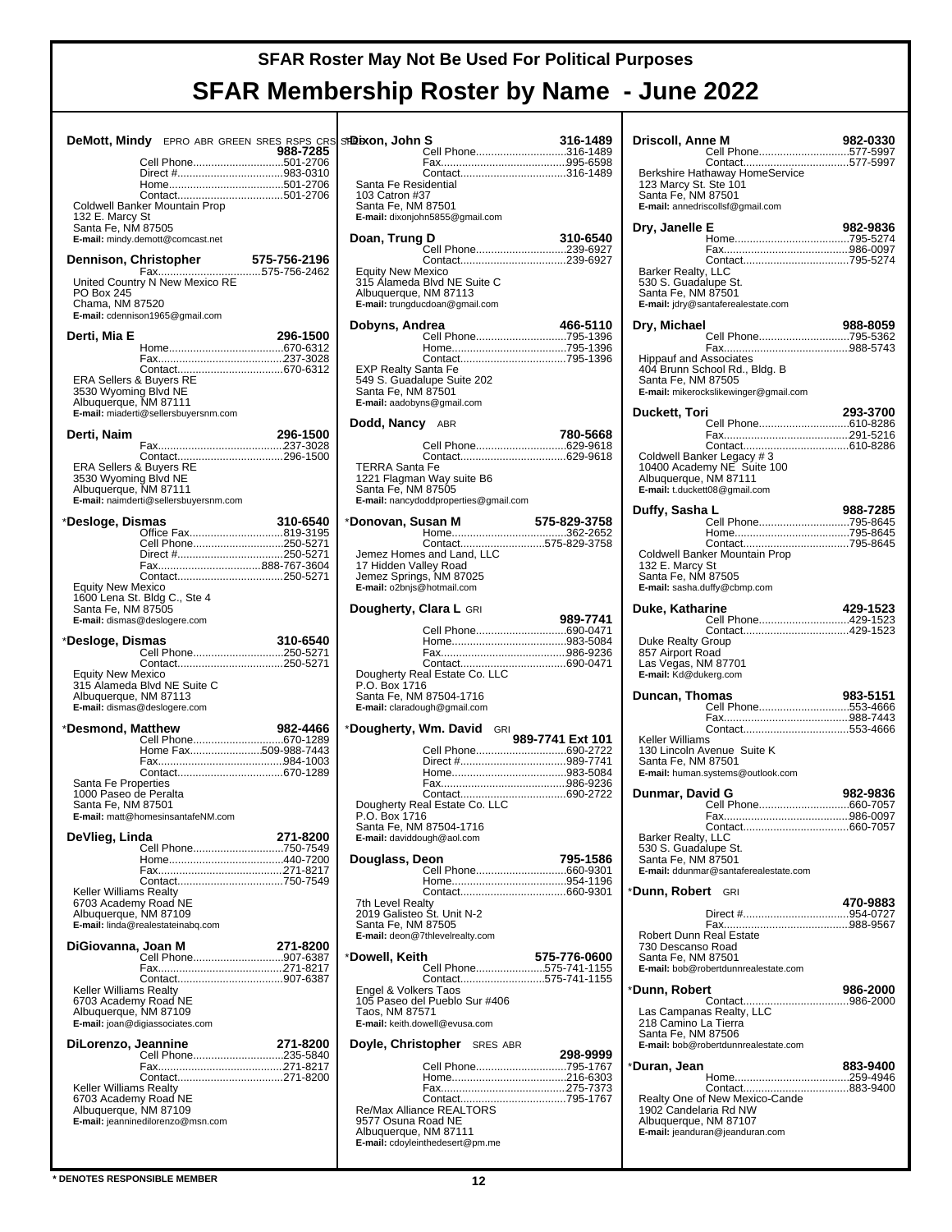| <b>DeMott, Mindy</b> EPRO ABR GREEN SRES RSPS CRS ST <b>Ds</b> |          |                      |
|----------------------------------------------------------------|----------|----------------------|
| Cell Phone501-2706                                             | 988-7285 |                      |
|                                                                |          |                      |
|                                                                |          | S:<br>1 <sub>0</sub> |
| Coldwell Banker Mountain Prop                                  |          | S.                   |
| 132 E. Marcy St                                                |          | E-                   |
| Santa Fe, NM 87505<br>E-mail: mindy.demott@comcast.net         |          | Do                   |
|                                                                |          |                      |
|                                                                |          | E۱                   |
| United Country N New Mexico RE                                 |          | 31                   |
| <b>PO Box 245</b><br>Chama, NM 87520                           |          | $\mathsf{A}$<br>E-   |
| E-mail: cdennison1965@gmail.com                                |          |                      |
| Derti, Mia E                                                   | 296-1500 | Do                   |
|                                                                |          |                      |
|                                                                |          | E.                   |
| <b>ERA Sellers &amp; Buyers RE</b>                             |          | 54                   |
| 3530 Wyoming Blvd NE                                           |          | S.                   |
| Albuquerque, NM 87111<br>E-mail: miaderti@sellersbuyersnm.com  |          | E-                   |
|                                                                |          | Do                   |
| Derti, Naim                                                    | 296-1500 |                      |
|                                                                |          |                      |
| <b>ERA Sellers &amp; Buyers RE</b><br>3530 Wyoming Blvd NE     |          | TI<br>12             |
| Albuquerque, NM 87111                                          |          | S.                   |
| E-mail: naimderti@sellersbuyersnm.com                          |          | E-                   |
| *Desloge, Dismas                                               | 310-6540 | *Do                  |
| Office Fax819-3195<br>Cell Phone250-5271                       |          |                      |
| Direct #250-5271                                               |          | Je                   |
|                                                                |          | 17<br>Je             |
| <b>Equity New Mexico</b>                                       |          | E-                   |
| 1600 Lena St. Bldg C., Ste 4<br>Santa Fe, NM 87505             |          | Do                   |
| E-mail: dismas@deslogere.com                                   |          |                      |
|                                                                |          |                      |
|                                                                |          |                      |
| *Desloge, Dismas                                               | 310-6540 |                      |
|                                                                |          |                      |
| <b>Equity New Mexico</b><br>315 Alameda Blvd NE Suite C        |          | D<br>P.              |
| Albuquerque, NM 87113                                          |          | S:                   |
| E-mail: dismas@deslogere.com                                   |          | E-                   |
| *Desmond, Matthew                                              |          | *Do                  |
| Home Fax509-988-7443                                           |          |                      |
|                                                                |          |                      |
| Santa Fe Properties                                            |          |                      |
| 1000 Paseo de Peralta                                          |          |                      |
| Santa Fe, NM 87501<br>E-mail: matt@homesinsantafeNM.com        |          | D                    |
|                                                                |          | S:                   |
| DeVlieg, Linda                                                 | 271-8200 | E-                   |
|                                                                |          | Do                   |
|                                                                |          |                      |
| <b>Keller Williams Realty</b>                                  |          |                      |
| 6703 Academy Road NE<br>Albuquerque, NM 87109                  |          | 7t<br>20             |
| E-mail: linda@realestateinabq.com                              |          | S:                   |
| DiGiovanna, Joan M                                             | 271-8200 | E-                   |
| Cell Phone907-6387                                             |          | *Do                  |
|                                                                |          |                      |
| <b>Keller Williams Realty</b>                                  |          | E۱                   |
| 6703 Academy Road NE<br>Albuquerque, NM 87109                  |          | 10<br>Т،             |
| E-mail: joan@digiassociates.com                                |          | E-                   |
| DiLorenzo, Jeannine                                            | 271-8200 | Do                   |
| Cell Phone235-5840                                             |          |                      |
|                                                                |          |                      |
| <b>Keller Williams Realty</b>                                  |          |                      |
| 6703 Academy Road NE<br>Albuquerque, NM 87109                  |          | R                    |
| E-mail: jeanninedilorenzo@msn.com                              |          | 95<br>Al             |

| গ9eixon, John S                                  |                                                  | 316-1489         |
|--------------------------------------------------|--------------------------------------------------|------------------|
|                                                  | Cell Phone316-1489                               |                  |
|                                                  |                                                  |                  |
|                                                  |                                                  |                  |
| Santa Fe Residential<br>103 Catron #37           |                                                  |                  |
| Santa Fe, NM 87501                               |                                                  |                  |
|                                                  | E-mail: dixonjohn5855@gmail.com                  |                  |
|                                                  |                                                  |                  |
| Doan, Trung D                                    |                                                  | 310-6540         |
|                                                  | Cell Phone239-6927                               |                  |
| <b>Equity New Mexico</b>                         |                                                  |                  |
|                                                  | 315 Alameda Blvd NE Suite C                      |                  |
| Albuquerque, NM 87113                            |                                                  |                  |
|                                                  | E-mail: trungducdoan@gmail.com                   |                  |
|                                                  |                                                  |                  |
| Dobyns, Andrea                                   | Cell Phone795-1396                               | 466-5110         |
|                                                  |                                                  |                  |
|                                                  |                                                  |                  |
| EXP Realty Santa Fe                              |                                                  |                  |
|                                                  | 549 S. Guadalupe Suite 202                       |                  |
| Santa Fe, NM 87501<br>E-mail: aadobyns@gmail.com |                                                  |                  |
|                                                  |                                                  |                  |
| Dodd, Nancy                                      | ABR                                              |                  |
|                                                  |                                                  | 780-5668         |
|                                                  | Cell Phone629-9618                               |                  |
|                                                  |                                                  |                  |
| <b>TERRA Santa Fe</b>                            | 1221 Flagman Way suite B6                        |                  |
| Santa Fe, NM 87505                               |                                                  |                  |
|                                                  | E-mail: nancydoddproperties@gmail.com            |                  |
|                                                  |                                                  |                  |
| *Donovan, Susan M                                |                                                  | 575-829-3758     |
|                                                  | Contact575-829-3758                              |                  |
|                                                  | Jemez Homes and Land, LLC                        |                  |
|                                                  |                                                  |                  |
|                                                  | 17 Hidden Valley Road<br>Jemez Springs, NM 87025 |                  |
| E-mail: o2bnjs@hotmail.com                       |                                                  |                  |
|                                                  |                                                  |                  |
| Dougherty, Clara L GRI                           |                                                  | 989-7741         |
|                                                  | Cell Phone690-0471                               |                  |
|                                                  |                                                  |                  |
|                                                  |                                                  |                  |
|                                                  |                                                  |                  |
|                                                  |                                                  |                  |
|                                                  | Dougherty Real Estate Co. LLC                    |                  |
| P.O. Box 1716                                    |                                                  |                  |
|                                                  | Santa Fe, NM 87504-1716                          |                  |
|                                                  | E-mail: claradough@gmail.com                     |                  |
|                                                  | *Dougherty, Wm. David GRI                        |                  |
|                                                  |                                                  | 989-7741 Ext 101 |
|                                                  |                                                  |                  |
|                                                  |                                                  |                  |
|                                                  |                                                  |                  |
|                                                  |                                                  |                  |
|                                                  | Dougherty Real Estate Co. LLC                    |                  |
| P.O. Box 1716                                    |                                                  |                  |
| E-mail: daviddough@aol.com                       | Santa Fe, NM 87504-1716                          |                  |
|                                                  |                                                  |                  |
| Douglass, Deon                                   |                                                  | 795-1586         |
|                                                  | Cell Phone660-9301                               |                  |
|                                                  |                                                  |                  |
|                                                  |                                                  |                  |
| 7th Level Realty<br>2019 Galisteo St. Unit N-2   |                                                  |                  |
| Santa Fe, NM 87505                               |                                                  |                  |
|                                                  | E-mail: deon@7thlevelrealty.com                  |                  |
|                                                  |                                                  | 575-776-0600     |
|                                                  | Cell Phone575-741-1155                           |                  |
|                                                  | Contact575-741-1155                              |                  |
| *Dowell, Keith<br>Engel & Volkers Taos           |                                                  |                  |
| Taos, NM 87571                                   | 105 Paseo del Pueblo Sur #406                    |                  |
|                                                  | E-mail: keith.dowell@evusa.com                   |                  |
|                                                  |                                                  |                  |
|                                                  | Doyle, Christopher SRES ABR                      | 298-9999         |
|                                                  | Cell Phone795-1767                               |                  |
|                                                  |                                                  |                  |
|                                                  |                                                  |                  |
|                                                  |                                                  |                  |
| 9577 Osuna Road NE                               |                                                  |                  |
| Albuquerque, NM 87111                            | E-mail: cdoyleinthedesert@pm.me                  |                  |

| Driscoll, Anne M                                                                                                              | 982-0330 |
|-------------------------------------------------------------------------------------------------------------------------------|----------|
| Cell Phone577-5997<br>Contact577-5997<br>Berkshire Hathaway HomeService                                                       |          |
| 123 Marcy St. Ste 101<br>Santa Fe, NM 87501<br>E-mail: annedriscollsf@gmail.com                                               |          |
| Dry, Janelle E                                                                                                                | 982-9836 |
|                                                                                                                               |          |
| Barker Realty, LLC<br>530 S. Guadalupe St.<br>Santa Fe, NM 87501<br>E-mail: jdry@santaferealestate.com                        |          |
| Dry, Michael                                                                                                                  | 988-8059 |
| <b>Hippauf and Associates</b><br>404 Brunn School Rd., Bldg. B<br>Santa Fe, NM 87505<br>E-mail: mikerockslikewinger@gmail.com |          |
| Duckett, Tori                                                                                                                 | 293-3700 |
|                                                                                                                               |          |
| Coldwell Banker Legacy #3<br>10400 Academy NE Suite 100<br>Albuquerque, NM 87111<br>E-mail: t.duckett08@gmail.com             |          |
| Duffy, Sasha L<br>Cell Phone795-8645                                                                                          | 988-7285 |
|                                                                                                                               |          |
| Coldwell Banker Mountain Prop<br>132 E. Marcy St<br>Santa Fe, NM 87505<br>E-mail: sasha.duffy@cbmp.com                        |          |
| Duke, Katharine<br>Cell Phone429-1523                                                                                         | 429-1523 |
| Duke Realty Group<br>857 Airport Road<br>Las Vegas, NM 87701<br>E-mail: Kd@dukerg.com                                         |          |
| Duncan, Thomas                                                                                                                | 983-5151 |
| Cell Phone553-4666                                                                                                            |          |
| Keller Williams<br>130 Lincoln Avenue Suite K<br>Santa Fe, NM 87501<br>E-mail: human.systems@outlook.com                      |          |
| Dunmar, David G                                                                                                               | 982-9836 |
|                                                                                                                               |          |
| Barker Realty, LLC<br>530 S. Guadalupe St.<br>Santa Fe, NM 87501<br>E-mail: ddunmar@santaferealestate.com                     |          |
| *Dunn, Robert<br>GRI                                                                                                          |          |
|                                                                                                                               | 470-9883 |
| Robert Dunn Real Estate<br>730 Descanso Road<br>Santa Fe, NM 87501<br>E-mail: bob@robertdunnrealestate.com                    |          |
| *Dunn, Robert                                                                                                                 | 986-2000 |
| 218 Camino La Tierra<br>Santa Fe, NM 87506<br>E-mail: bob@robertdunnrealestate.com                                            |          |
| *Duran, Jean                                                                                                                  | 883-9400 |
|                                                                                                                               |          |
| Realty One of New Mexico-Cande<br>1902 Candelaria Rd NW<br>Albuquerque, NM 87107<br>E-mail: jeanduran@jeanduran.com           |          |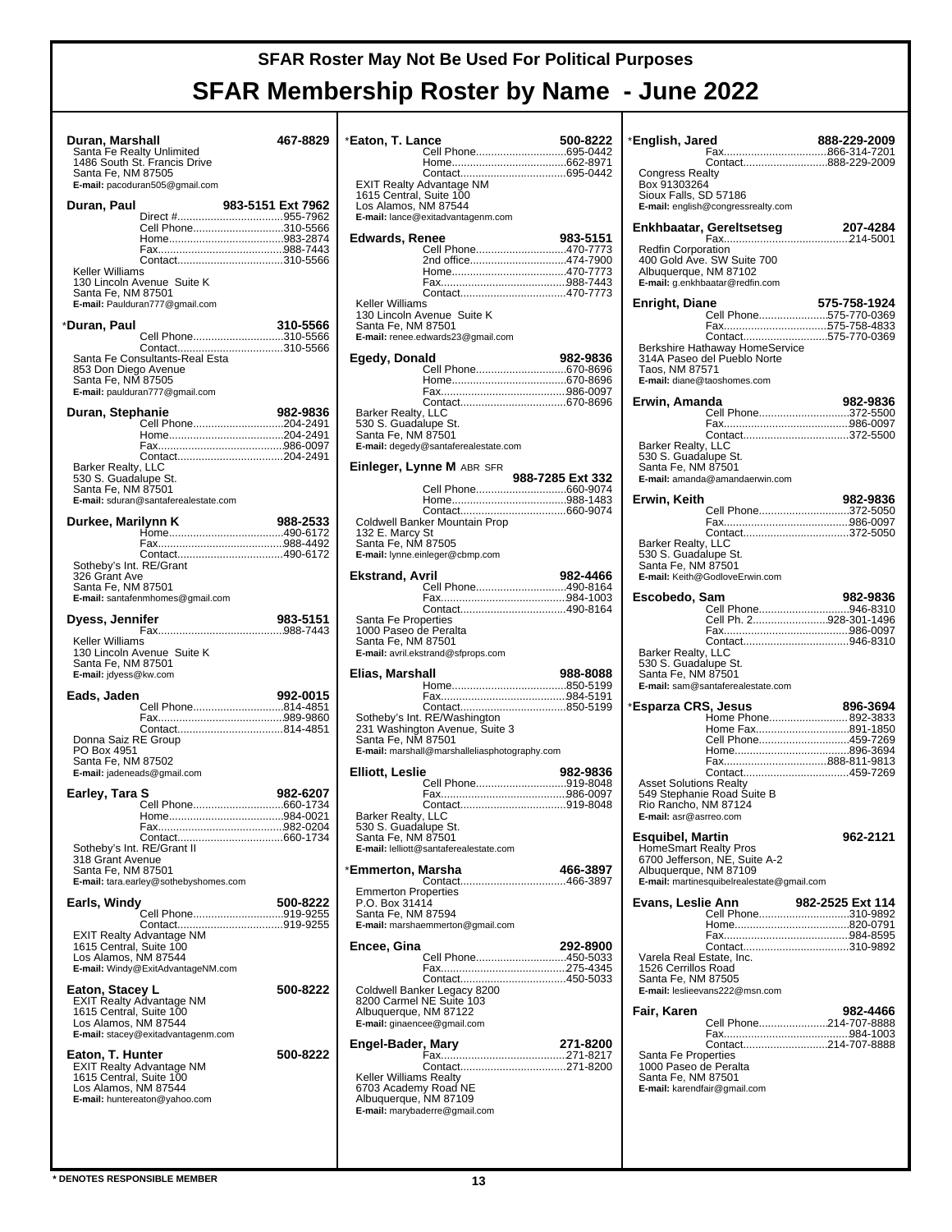| Duran, Marshall<br>Santa Fe Realty Unlimited<br>1486 South St. Francis Drive<br>Santa Fe, NM 87505<br>E-mail: pacoduran505@gmail.com                                    | 467-8829             |
|-------------------------------------------------------------------------------------------------------------------------------------------------------------------------|----------------------|
| Duran, Paul<br>Cell Phone310-5566<br>Keller Williams<br>130 Lincoln Avenue Suite K<br>Santa Fe, NM 87501<br>E-mail: Paulduran777@gmail.com                              | 983-5151 Ext 7962    |
| *Duran, Paul<br>Cell Phone310-5566<br>Contact310-5566<br>Santa Fe Consultants-Real Esta<br>853 Don Diego Avenue<br>Santa Fe, NM 87505<br>E-mail: paulduran777@gmail.com | 310-5566             |
| Duran, Stephanie<br>Cell Phone204-2491<br>Contact204-2491<br>Barker Realty, LLC<br>530 S. Guadalupe St.<br>Santa Fe, NM 87501<br>E-mail: sduran@santaferealestate.com   | 982-9836             |
| Durkee, Marilynn K<br>Contact490-6172<br>Sotheby's Int. RE/Grant<br>326 Grant Ave<br>Santa Fe, NM 87501<br>E-mail: santafenmhomes@gmail.com                             | 988-2533             |
| Dyess, Jennifer<br>Keller Williams<br>130 Lincoln Avenue Suite K<br>Santa Fe, NM 87501<br>E-mail: jdyess@kw.com                                                         | 983-5151             |
| Eads, Jaden<br>Cell Phone814-4851<br>Donna Saiz RE Group<br>PO Box 4951<br>Santa Fe, NM 87502<br>E-mail: jadeneads@gmail.com                                            | 992-0015             |
| Earley, Tara S<br>Home<br>Sotheby's Int. RE/Grant II<br>318 Grant Avenue<br>Santa Fe, NM 87501<br>E-mail: tara.earley@sothebyshomes.com                                 | 982-6207<br>984-0021 |
| Earls, Windy<br>Cell Phone919-9255<br><b>EXIT Realty Advantage NM</b><br>1615 Central, Suite 100<br>Los Alamos, NM 87544<br>E-mail: Windy@ExitAdvantageNM.com           | 500-8222             |
| Eaton, Stacey L<br><b>EXIT Realty Advantage NM</b><br>1615 Central, Suite 100<br>Los Alamos, NM 87544<br>E-mail: stacey@exitadvantagenm.com                             | 500-8222             |
| Eaton, T. Hunter<br><b>EXIT Realty Advantage NM</b><br>1615 Central, Suite 100<br>Los Alamos, NM 87544<br>E-mail: huntereaton@yahoo.com                                 | 500-8222             |

| *Eaton, T. Lance                           | Cell Phone695-0442                                         | 500-8222         |
|--------------------------------------------|------------------------------------------------------------|------------------|
|                                            |                                                            |                  |
|                                            |                                                            |                  |
|                                            | <b>EXIT Realty Advantage NM</b><br>1615 Central, Suite 100 |                  |
|                                            | Los Alamos, NM 87544                                       |                  |
|                                            | E-mail: lance@exitadvantagenm.com                          |                  |
| Edwards, Renee                             |                                                            | 983-5151         |
|                                            | Cell Phone470-7773<br>2nd office474-7900                   |                  |
|                                            |                                                            |                  |
|                                            |                                                            |                  |
| Keller Williams                            |                                                            |                  |
| Santa Fe, NM 87501                         | 130 Lincoln Avenue Suite K                                 |                  |
|                                            | E-mail: renee.edwards23@gmail.com                          |                  |
|                                            |                                                            |                  |
| Egedy, Donald                              | Cell Phone670-8696                                         | 982-9836         |
|                                            |                                                            |                  |
|                                            |                                                            |                  |
| Barker Realty, LLC<br>530 S. Guadalupe St. |                                                            |                  |
| Santa Fe, NM 87501                         |                                                            |                  |
|                                            | E-mail: degedy@santaferealestate.com                       |                  |
|                                            | Einleger, Lynne M ABR SFR                                  |                  |
|                                            |                                                            | 988-7285 Ext 332 |
|                                            |                                                            |                  |
|                                            |                                                            |                  |
| 132 E. Marcy St                            | Coldwell Banker Mountain Prop                              |                  |
| Santa Fe, NM 87505                         |                                                            |                  |
|                                            | E-mail: lynne.einleger@cbmp.com                            |                  |
| Ekstrand, Avril                            |                                                            | 982-4466         |
|                                            | Cell Phone490-8164                                         |                  |
|                                            |                                                            |                  |
| Santa Fe Properties                        |                                                            |                  |
| Santa Fe, NM 87501                         | 1000 Paseo de Peralta                                      |                  |
|                                            |                                                            |                  |
|                                            | E-mail: avril.ekstrand@sfprops.com                         |                  |
|                                            |                                                            | 988-8088         |
| Elias, Marshall                            |                                                            |                  |
|                                            |                                                            |                  |
|                                            | Sotheby's Int. RE/Washington                               |                  |
|                                            | 231 Washington Avenue, Suite 3                             |                  |
| Santa Fe, NM 87501                         | E-mail: marshall@marshalleliasphotography.com              |                  |
|                                            |                                                            |                  |
| Elliott, Leslie                            | Cell Phone919-8048                                         | 982-9836         |
|                                            |                                                            |                  |
| Barker Realty, LLC                         |                                                            |                  |
| 530 S. Guadalupe St.                       |                                                            |                  |
| Santa Fe, NM 87501                         | E-mail: lelliott@santaferealestate.com                     |                  |
|                                            |                                                            |                  |
| *Emmerton, Marsha                          |                                                            | 466-3897         |
| <b>Emmerton Properties</b>                 |                                                            |                  |
| P.O. Box 31414<br>Santa Fe, NM 87594       |                                                            |                  |
|                                            | E-mail: marshaemmerton@gmail.com                           |                  |
| Encee, Gina                                |                                                            | 292-8900         |
|                                            | Cell Phone450-5033                                         |                  |
|                                            |                                                            |                  |
|                                            | Coldwell Banker Legacy 8200                                |                  |
|                                            | 8200 Carmel NE Suite 103<br>Albuquerque, NM 87122          |                  |
|                                            | E-mail: ginaencee@gmail.com                                |                  |
|                                            |                                                            | 271-8200         |
| Engel-Bader, Mary                          |                                                            |                  |
|                                            |                                                            |                  |
| Keller Williams Realty                     | 6703 Academy Road NE                                       |                  |
|                                            | Albuquerque, NM 87109                                      |                  |
|                                            | E-mail: marybaderre@gmail.com                              |                  |

| *English, Jared                              | Contact888-229-2009                                           | 888-229-2009     |
|----------------------------------------------|---------------------------------------------------------------|------------------|
| <b>Congress Realty</b>                       |                                                               |                  |
| Box 91303264<br>Sioux Falls, SD 57186        |                                                               |                  |
|                                              | E-mail: english@congressrealty.com                            |                  |
|                                              |                                                               | 207-4284         |
| <b>Redfin Corporation</b>                    |                                                               |                  |
| Albuquerque, NM 87102                        | 400 Gold Ave. SW Suite 700<br>E-mail: g.enkhbaatar@redfin.com |                  |
|                                              |                                                               |                  |
| Enright, Diane                               | Cell Phone575-770-0369                                        | 575-758-1924     |
|                                              | Fax575-758-4833                                               |                  |
|                                              | Contact575-770-0369<br>Berkshire Hathaway HomeService         |                  |
|                                              | 314A Paseo del Pueblo Norte                                   |                  |
| Taos, NM 87571                               | E-mail: diane@taoshomes.com                                   |                  |
|                                              |                                                               |                  |
| Erwin, Amanda                                | Cell Phone372-5500                                            | 982-9836         |
|                                              |                                                               |                  |
| <b>Barker Realty, LLC</b>                    | Contact372-5500                                               |                  |
| 530 S. Guadalupe St.                         |                                                               |                  |
| Santa Fe, NM 87501                           | E-mail: amanda@amandaerwin.com                                |                  |
|                                              |                                                               |                  |
| Erwin, Keith                                 | Cell Phone372-5050                                            | 982-9836         |
|                                              |                                                               |                  |
| <b>Barker Realty, LLC</b>                    |                                                               |                  |
| 530 S. Guadalupe St.                         |                                                               |                  |
| Santa Fe, NM 87501                           | E-mail: Keith@GodloveErwin.com                                |                  |
|                                              |                                                               |                  |
| Escobedo, Sam                                | Cell Phone946-8310                                            | 982-9836         |
|                                              | Cell Ph. 2928-301-1496                                        |                  |
|                                              |                                                               |                  |
| Barker Realty, LLC<br>530 S. Guadalupe St.   |                                                               |                  |
| Santa Fe, NM 87501                           |                                                               |                  |
|                                              | E-mail: sam@santaferealestate.com                             |                  |
| *Esparza CRS, Jesus                          |                                                               | 896-3694         |
|                                              | Home Phone892-3833<br>Home Fax891-1850                        |                  |
|                                              | Cell Phone459-7269                                            |                  |
|                                              | Fax888-811-9813                                               |                  |
|                                              |                                                               |                  |
| <b>Asset Solutions Realty</b>                | 549 Stephanie Road Suite B                                    |                  |
| Rio Rancho, NM 87124                         |                                                               |                  |
| E-mail: asr@asrreo.com                       |                                                               |                  |
| Esquibel, Martin                             |                                                               | 962-2121         |
|                                              | HomeSmart Realty Pros<br>6700 Jefferson, NE, Suite A-2        |                  |
| Albuquerque, NM 87109                        | E-mail: martinesquibelrealestate@gmail.com                    |                  |
|                                              |                                                               |                  |
| Evans, Leslie Ann                            | Cell Phone310-9892                                            | 982-2525 Ext 114 |
|                                              |                                                               |                  |
|                                              | Contact310-9892                                               |                  |
| Varela Real Estate, Inc.                     |                                                               |                  |
| 1526 Cerrillos Road<br>Santa Fe, NM 87505    |                                                               |                  |
|                                              | E-mail: leslieevans222@msn.com                                |                  |
| Fair, Karen                                  |                                                               | 982-4466         |
|                                              | Cell Phone214-707-8888                                        |                  |
|                                              | Contact214-707-8888                                           |                  |
| Santa Fe Properties<br>1000 Paseo de Peralta |                                                               |                  |
| Santa Fe, NM 87501                           |                                                               |                  |
| E-mail: karendfair@gmail.com                 |                                                               |                  |
|                                              |                                                               |                  |
|                                              |                                                               |                  |
|                                              |                                                               |                  |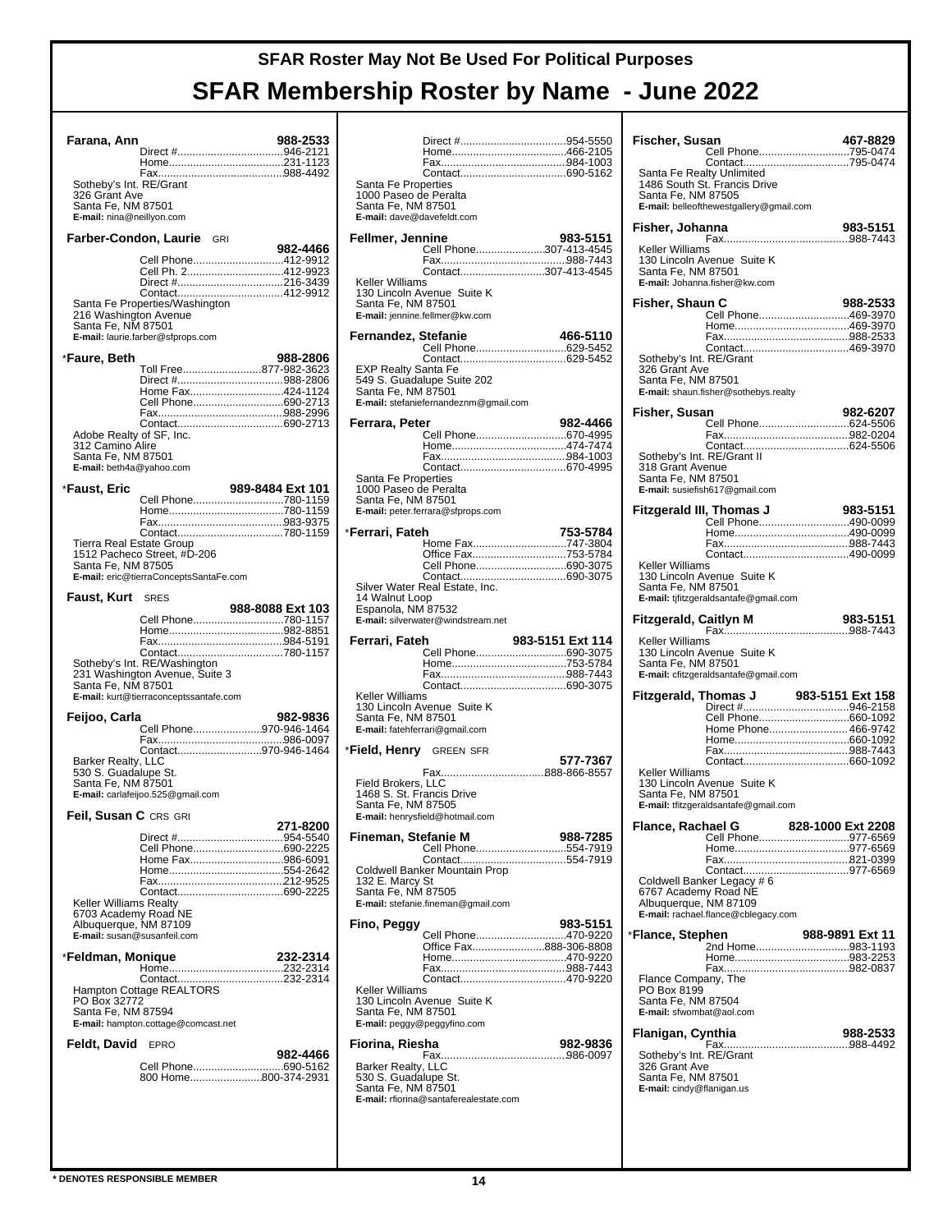| Farana, Ann                                                                  |                                                                                                          | 988-2533                               |  |
|------------------------------------------------------------------------------|----------------------------------------------------------------------------------------------------------|----------------------------------------|--|
|                                                                              |                                                                                                          |                                        |  |
| Sotheby's Int. RE/Grant                                                      |                                                                                                          |                                        |  |
| 326 Grant Ave<br>Santa Fe, NM 87501<br>E-mail: nina@neillyon.com             |                                                                                                          |                                        |  |
| Farber-Condon, Laurie                                                        |                                                                                                          | GRI                                    |  |
|                                                                              |                                                                                                          | 982-4466<br>Cell Phone412-9912         |  |
|                                                                              |                                                                                                          | Cell Ph. 2412-9923                     |  |
|                                                                              | Santa Fe Properties/Washington                                                                           |                                        |  |
| 216 Washington Avenue<br>Santa Fe, NM 87501                                  | E-mail: laurie.farber@sfprops.com                                                                        |                                        |  |
| *Faure, Beth                                                                 |                                                                                                          | 988-2806                               |  |
|                                                                              |                                                                                                          | Toll Free877-982-3623                  |  |
|                                                                              |                                                                                                          | Home Fax424-1124                       |  |
|                                                                              |                                                                                                          | Cell Phone690-2713                     |  |
| Adobe Realty of SF, Inc.                                                     |                                                                                                          |                                        |  |
| 312 Camino Alire                                                             |                                                                                                          |                                        |  |
| Santa Fe, NM 87501<br>E-mail: beth4a@yahoo.com                               |                                                                                                          |                                        |  |
| *Faust, Eric                                                                 |                                                                                                          | 989-8484 Ext 101                       |  |
|                                                                              |                                                                                                          |                                        |  |
|                                                                              |                                                                                                          |                                        |  |
| Tierra Real Estate Group                                                     |                                                                                                          | Contact780-1159                        |  |
| Santa Fe, NM 87505                                                           | 1512 Pacheco Street, #D-206<br>E-mail: eric@tierraConceptsSantaFe.com                                    |                                        |  |
| <b>Faust, Kurt</b> SRES                                                      |                                                                                                          |                                        |  |
|                                                                              |                                                                                                          | 988-8088 Ext 103<br>Cell Phone780-1157 |  |
|                                                                              |                                                                                                          |                                        |  |
|                                                                              |                                                                                                          |                                        |  |
|                                                                              |                                                                                                          |                                        |  |
| Santa Fe, NM 87501                                                           | Sotheby's Int. RE/Washington<br>231 Washington Avenue, Suite 3<br>E-mail: kurt@tierraconceptssantafe.com |                                        |  |
|                                                                              |                                                                                                          | 982-9836                               |  |
| Feijoo, Carla                                                                |                                                                                                          | Cell Phone970-946-1464                 |  |
|                                                                              |                                                                                                          | Contact970-946-1464                    |  |
| Barker Realty, LLC<br>530 S. Guadalupe St.<br>Santa Fe, NM 87501             | E-mail: carlafeijoo.525@gmail.com                                                                        |                                        |  |
| Feil, Susan C CRS GRI                                                        |                                                                                                          |                                        |  |
|                                                                              |                                                                                                          | 271-8200                               |  |
|                                                                              |                                                                                                          | Cell Phone690-2225                     |  |
|                                                                              |                                                                                                          | Home Fax986-6091                       |  |
|                                                                              |                                                                                                          |                                        |  |
| Keller Williams Realty                                                       |                                                                                                          |                                        |  |
| 6703 Academy Road NE<br>Albuquerque, NM 87109<br>E-mail: susan@susanfeil.com |                                                                                                          |                                        |  |
| *Feldman, Monique                                                            |                                                                                                          | 232-2314                               |  |
|                                                                              |                                                                                                          | Contact232-2314                        |  |
|                                                                              | Hampton Cottage REALTORS®                                                                                |                                        |  |
| PO Box 32772<br>Santa Fe, NM 87594                                           | E-mail: hampton.cottage@comcast.net                                                                      |                                        |  |
| Feldt, David EPRO                                                            |                                                                                                          |                                        |  |
|                                                                              |                                                                                                          | 982-4466<br>Cell Phone690-5162         |  |
|                                                                              |                                                                                                          | 800 Home800-374-2931                   |  |
|                                                                              |                                                                                                          |                                        |  |
|                                                                              |                                                                                                          |                                        |  |

| Santa Fe Properties<br>1000 Paseo de Peralta<br>Santa Fe, NM 87501<br>E-mail: dave@davefeldt.com |                                                                                                              |                  |
|--------------------------------------------------------------------------------------------------|--------------------------------------------------------------------------------------------------------------|------------------|
| Fellmer, Jennine                                                                                 |                                                                                                              | 983-5151         |
|                                                                                                  | Cell Phone307-413-4545                                                                                       |                  |
|                                                                                                  | Contact307-413-4545                                                                                          |                  |
| Keller Williams<br>Santa Fe, NM 87501                                                            | 130 Lincoln Avenue Suite K<br>E-mail: jennine.fellmer@kw.com                                                 |                  |
| Fernandez, Stefanie                                                                              |                                                                                                              | 466-5110         |
| EXP Realty Santa Fe<br>Santa Fe, NM 87501                                                        | Cell Phone629-5452<br>Contact629-5452<br>549 S. Guadalupe Suite 202<br>E-mail: stefaniefernandeznm@gmail.com |                  |
| Ferrara, Peter                                                                                   |                                                                                                              | 982-4466         |
|                                                                                                  |                                                                                                              |                  |
|                                                                                                  |                                                                                                              |                  |
| Santa Fe Properties<br>1000 Paseo de Peralta<br>Santa Fe, NM 87501                               | E-mail: peter.ferrara@sfprops.com                                                                            |                  |
| *Ferrari, Fateh                                                                                  |                                                                                                              | 753-5784         |
|                                                                                                  | Home Fax747-3804                                                                                             |                  |
|                                                                                                  | Office Fax753-5784<br>Cell Phone690-3075                                                                     |                  |
| 14 Walnut Loop<br>Espanola, NM 87532                                                             | Silver Water Real Estate, Inc.<br>E-mail: silverwater@windstream.net                                         |                  |
|                                                                                                  |                                                                                                              |                  |
| Ferrari, Fateh                                                                                   |                                                                                                              | 983-5151 Ext 114 |
|                                                                                                  | Cell Phone690-3075                                                                                           |                  |
|                                                                                                  |                                                                                                              |                  |
| Keller Williams<br>Santa Fe, NM 87501                                                            | 130 Lincoln Avenue Suite K<br>E-mail: fatehferrari@gmail.com                                                 |                  |
| *Field, Henry GREEN SFR                                                                          |                                                                                                              |                  |
|                                                                                                  |                                                                                                              | 577-7367         |
| Field Brokers, LLC<br>1468 S. St. Francis Drive<br>Santa Fe, NM 87505                            | E-mail: henrysfield@hotmail.com                                                                              |                  |
| Fineman, Stefanie M                                                                              |                                                                                                              | 988-7285         |
|                                                                                                  | Cell Phone554-7919                                                                                           |                  |
| 132 E. Marcy St<br>Santa Fe, NM 87505                                                            | Coldwell Banker Mountain Prop<br>E-mail: stefanie.fineman@gmail.com                                          |                  |
| Fino, Peggy                                                                                      |                                                                                                              | 983-5151         |
|                                                                                                  | Cell Phone470-9220<br>Office Fax888-306-8808                                                                 |                  |
|                                                                                                  |                                                                                                              |                  |
|                                                                                                  |                                                                                                              |                  |
| Keller Williams<br>Santa Fe, NM 87501                                                            | 130 Lincoln Avenue Suite K<br>E-mail: peggy@peggyfino.com                                                    |                  |
| Fiorina, Riesha                                                                                  |                                                                                                              | 982-9836         |
| 530 S. Guadalupe St.<br>Santa Fe, NM 87501                                                       | E-mail: rfiorina@santaferealestate.com                                                                       |                  |

| Fischer, Susan                                                                              | Cell Phone795-0474                                                                                   | 467-8829          |
|---------------------------------------------------------------------------------------------|------------------------------------------------------------------------------------------------------|-------------------|
| Santa Fe, NM 87505                                                                          | Santa Fe Realty Unlimited<br>1486 South St. Francis Drive<br>E-mail: belleofthewestgallery@gmail.com |                   |
| Fisher, Johanna                                                                             |                                                                                                      | 983-5151          |
| Keller Williams<br>Santa Fe, NM 87501                                                       | 130 Lincoln Avenue Suite K<br>E-mail: Johanna.fisher@kw.com                                          |                   |
| Fisher, Shaun C<br>Sotheby's Int. RE/Grant                                                  | Cell Phone469-3970<br>Contact469-3970                                                                | 988-2533          |
| 326 Grant Ave<br>Santa Fe, NM 87501                                                         | E-mail: shaun.fisher@sothebys.realty                                                                 |                   |
| Fisher, Susan                                                                               | Cell Phone624-5506                                                                                   | 982-6207          |
|                                                                                             |                                                                                                      |                   |
| 318 Grant Avenue<br>Santa Fe, NM 87501                                                      | Sotheby's Int. RE/Grant II<br>E-mail: susiefish617@gmail.com                                         |                   |
|                                                                                             | <b>Fitzgerald III, Thomas J</b>                                                                      | 983-5151          |
|                                                                                             | Cell Phone490-0099                                                                                   |                   |
|                                                                                             |                                                                                                      |                   |
| Keller Williams<br>Santa Fe, NM 87501                                                       | 130 Lincoln Avenue Suite K<br>E-mail: tjfitzgeraldsantafe@gmail.com                                  |                   |
| Fitzgerald, Caitlyn M                                                                       |                                                                                                      | 983-5151          |
| Keller Williams                                                                             |                                                                                                      |                   |
| Santa Fe, NM 87501                                                                          | 130 Lincoln Avenue Suite K<br>E-mail: cfitzgeraldsantafe@gmail.com                                   |                   |
| Fitzgerald, Thomas J                                                                        |                                                                                                      |                   |
|                                                                                             | <b>homas J</b> 983-5151 Ext 158<br>Direct #946-2158                                                  |                   |
|                                                                                             | Home Phone 466-9742                                                                                  |                   |
|                                                                                             |                                                                                                      |                   |
| Keller Williams<br>Santa Fe, NM 87501                                                       | 130 Lincoln Avenue Suite K<br>E-mail: tfitzgeraldsantafe@gmail.com                                   |                   |
| Flance, Rachael G                                                                           |                                                                                                      | 828-1000 Ext 2208 |
|                                                                                             | Cell Phone977-6569                                                                                   |                   |
|                                                                                             |                                                                                                      |                   |
| 6767 Academy Road NE<br>Albuquerque, NM 87109                                               | Coldwell Banker Legacy # 6<br>E-mail: rachael.flance@cblegacy.com                                    |                   |
| *Flance, Stephen                                                                            |                                                                                                      | 988-9891 Ext 11   |
|                                                                                             | 2nd Home983-1193                                                                                     |                   |
| Flance Company, The<br>PO Box 8199<br>Santa Fe, NM 87504<br>E-mail: sfwombat@aol.com        |                                                                                                      |                   |
| Flanigan, Cynthia                                                                           |                                                                                                      | 988-2533          |
| Sotheby's Int. RE/Grant<br>326 Grant Ave<br>Santa Fe, NM 87501<br>E-mail: cindy@flanigan.us |                                                                                                      |                   |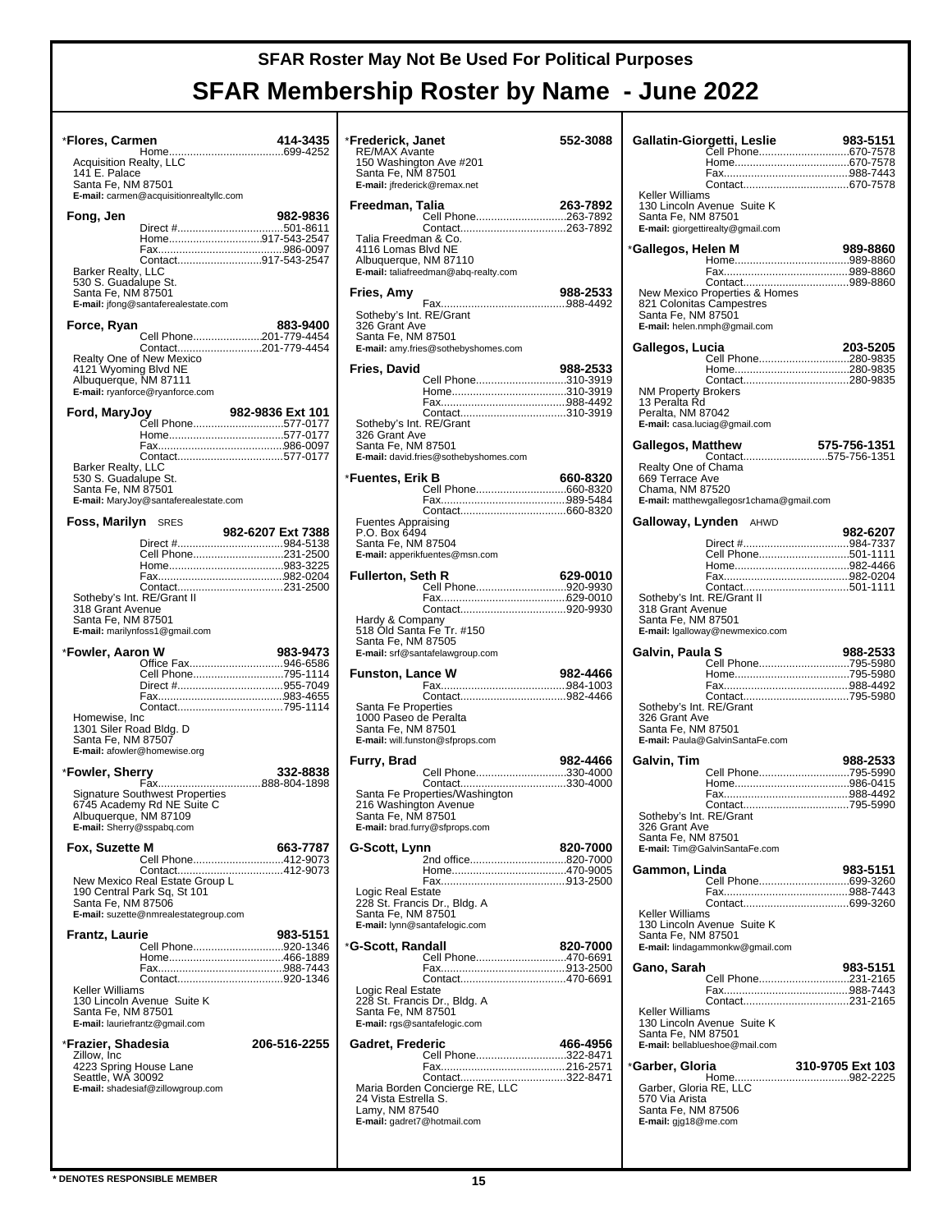| *Flores, Carmen                                                                      |                                                                                                              | 414-3435          |  |
|--------------------------------------------------------------------------------------|--------------------------------------------------------------------------------------------------------------|-------------------|--|
| <b>Acquisition Realty, LLC</b><br>141 E. Palace<br>Santa Fe, NM 87501                |                                                                                                              |                   |  |
|                                                                                      | E-mail: carmen@acquisitionrealtyllc.com                                                                      |                   |  |
| Fong, Jen<br><b>Barker Realty, LLC</b><br>530 S. Guadalupe St.<br>Santa Fe, NM 87501 | Direct #501-8611<br>Home917-543-2547<br>Contact917-543-2547<br>E-mail: jfong@santaferealestate.com           | 982-9836          |  |
|                                                                                      |                                                                                                              |                   |  |
| Force, Ryan<br>4121 Wyoming Blvd NE<br>Albuquerque, NM 87111                         | Cell Phone201-779-4454<br>Contact201-779-4454<br>Realty One of New Mexico<br>E-mail: ryanforce@ryanforce.com | 883-9400          |  |
|                                                                                      |                                                                                                              |                   |  |
| Barker Realty, LLC<br>530 S. Guadalupe St.<br>Santa Fe, NM 87501                     | E-mail: MaryJoy@santaferealestate.com                                                                        |                   |  |
| <b>Foss, Marilyn</b> SRES                                                            |                                                                                                              |                   |  |
| Sotheby's Int. RE/Grant II<br>318 Grant Avenue<br>Santa Fe, NM 87501                 | Cell Phone231-2500<br>E-mail: marilynfoss1@gmail.com                                                         | 982-6207 Ext 7388 |  |
| *Fowler, Aaron W                                                                     |                                                                                                              | 983-9473          |  |
| Homewise, Inc<br>1301 Siler Road Bldg. D<br>Santa Fe, NM 87507                       | Office Fax946-6586<br>Cell Phone795-1114<br>E-mail: afowler@homewise.org                                     |                   |  |
| *Fowler, Sherry                                                                      |                                                                                                              | 332-8838          |  |
| Albuquerque, NM 87109<br>E-mail: Sherry@sspabq.com                                   | Signature Southwest Properties<br>6745 Academy Rd NE Suite C                                                 |                   |  |
| Fox, Suzette M                                                                       |                                                                                                              | 663-7787          |  |
| Santa Fe, NM 87506                                                                   | Cell Phone412-9073<br>190 Central Park Sq, St 101<br>E-mail: suzette@nmrealestategroup.com                   |                   |  |
| Frantz, Laurie                                                                       |                                                                                                              | 983-5151          |  |
| Keller Williams<br>Santa Fe, NM 87501                                                | Cell Phone920-1346<br>130 Lincoln Avenue Suite K<br>E-mail: lauriefrantz@gmail.com                           |                   |  |
| *Frazier, Shadesia                                                                   |                                                                                                              |                   |  |
|                                                                                      |                                                                                                              | 206-516-2255      |  |
| Zillow, Inc<br>4223 Spring House Lane<br>Seattle, WA 30092                           | E-mail: shadesiaf@zillowgroup.com                                                                            |                   |  |

| *Frederick, Janet                                                   |                                                                                                           | 552-3088 |
|---------------------------------------------------------------------|-----------------------------------------------------------------------------------------------------------|----------|
| <b>RE/MAX Avante</b><br>Santa Fe, NM 87501                          | 150 Washington Ave #201<br>E-mail: jfrederick@remax.net                                                   |          |
|                                                                     |                                                                                                           |          |
| Freedman, Talia                                                     | Cell Phone263-7892                                                                                        | 263-7892 |
| Talia Freedman & Co.<br>4116 Lomas Blvd NE<br>Albuquerque, NM 87110 | E-mail: taliafreedman@abq-realty.com                                                                      |          |
| Fries, Amy                                                          |                                                                                                           | 988-2533 |
| Sotheby's Int. RE/Grant<br>326 Grant Ave<br>Santa Fe, NM 87501      | E-mail: amy.fries@sothebyshomes.com                                                                       |          |
| Fries, David                                                        |                                                                                                           | 988-2533 |
| Sotheby's Int. RE/Grant<br>326 Grant Ave                            | Cell Phone310-3919                                                                                        |          |
| Santa Fe, NM 87501                                                  | E-mail: david.fries@sothebyshomes.com                                                                     |          |
| *Fuentes, Erik B                                                    |                                                                                                           | 660-8320 |
|                                                                     |                                                                                                           |          |
| <b>Fuentes Appraising</b><br>P.O. Box 6494<br>Santa Fe, NM 87504    | E-mail: apperikfuentes@msn.com                                                                            |          |
| Fullerton, Seth R                                                   |                                                                                                           | 629-0010 |
|                                                                     | Cell Phone920-9930                                                                                        |          |
| Santa Fe, NM 87505                                                  | Hardy & Company<br>518 Old Santa Fe Tr. #150                                                              |          |
|                                                                     | E-mail: srf@santafelawgroup.com                                                                           |          |
| <b>Funston, Lance W</b>                                             |                                                                                                           | 982-4466 |
| Santa Fe Properties<br>1000 Paseo de Peralta<br>Santa Fe, NM 87501  | E-mail: will.funston@sfprops.com                                                                          |          |
| Furry, Brad                                                         |                                                                                                           | 982-4466 |
| 216 Washington Avenue<br>Santa Fe, NM 87501                         | Cell Phone330-4000<br>Contact330-4000<br>Santa Fe Properties/Washington<br>E-mail: brad.furry@sfprops.com |          |
| G-Scott, Lynn                                                       |                                                                                                           | 820-7000 |
| Logic Real Estate<br>Santa Fe, NM 87501                             | 2nd office820-7000<br>228 St. Francis Dr., Bldg. A<br>E-mail: lynn@santafelogic.com                       |          |
| *G-Scott, Randall                                                   |                                                                                                           | 820-7000 |
| Logic Real Estate<br>Santa Fe, NM 87501                             | Cell Phone470-6691<br>Contact470-6691<br>228 St. Francis Dr., Bldg. A<br>E-mail: rgs@santafelogic.com     |          |
| Gadret, Frederic                                                    | Cell Phone322-8471                                                                                        | 466-4956 |
| 24 Vista Estrella S.<br>Lamy, NM 87540                              | Contact322-8471<br>Maria Borden Concierge RE, LLC<br>E-mail: gadret7@hotmail.com                          |          |

|                                             | Gallatin-Giorgetti, Leslie                                      | 983-5151                               |
|---------------------------------------------|-----------------------------------------------------------------|----------------------------------------|
|                                             |                                                                 | Cell Phone670-7578                     |
|                                             |                                                                 |                                        |
|                                             |                                                                 |                                        |
| Keller Williams                             |                                                                 |                                        |
| Santa Fe, NM 87501                          | 130 Lincoln Avenue Suite K<br>E-mail: giorgettirealty@gmail.com |                                        |
|                                             |                                                                 |                                        |
| *Gallegos, Helen M                          |                                                                 | 989-8860                               |
|                                             |                                                                 |                                        |
|                                             | New Mexico Properties & Homes                                   |                                        |
|                                             | 821 Colonitas Campestres                                        |                                        |
| Santa Fe, NM 87501                          | E-mail: helen.nmph@gmail.com                                    |                                        |
|                                             |                                                                 |                                        |
| Gallegos, Lucia                             |                                                                 | 203-5205                               |
|                                             |                                                                 | Cell Phone280-9835                     |
|                                             |                                                                 |                                        |
| <b>NM Property Brokers</b><br>13 Peralta Rd |                                                                 |                                        |
| Peralta, NM 87042                           |                                                                 |                                        |
|                                             | E-mail: casa.luciag@gmail.com                                   |                                        |
| Gallegos, Matthew                           |                                                                 | 575-756-1351                           |
|                                             |                                                                 |                                        |
| Realty One of Chama<br>669 Terrace Ave      |                                                                 |                                        |
| Chama, NM 87520                             |                                                                 |                                        |
|                                             | E-mail: matthewgallegosr1chama@gmail.com                        |                                        |
|                                             | Galloway, Lynden AHWD                                           |                                        |
|                                             |                                                                 | 982-6207                               |
|                                             |                                                                 | Direct #984-7337<br>Cell Phone501-1111 |
|                                             |                                                                 |                                        |
|                                             |                                                                 |                                        |
|                                             | Sotheby's Int. RE/Grant II                                      |                                        |
| 318 Grant Avenue                            |                                                                 |                                        |
| Santa Fe, NM 87501                          | E-mail: Igalloway@newmexico.com                                 |                                        |
|                                             |                                                                 |                                        |
| Galvin, Paula S                             |                                                                 | 988-2533<br>Cell Phone795-5980         |
|                                             |                                                                 |                                        |
|                                             |                                                                 |                                        |
| Sotheby's Int. RE/Grant                     |                                                                 |                                        |
| 326 Gránt Ave                               |                                                                 |                                        |
| Santa Fe, NM 87501                          | E-mail: Paula@GalvinSantaFe.com                                 |                                        |
|                                             |                                                                 |                                        |
| Galvin, Tim                                 |                                                                 | 988-2533<br>Cell Phone795-5990         |
|                                             |                                                                 |                                        |
|                                             |                                                                 |                                        |
| Sotheby's Int. RE/Grant                     |                                                                 |                                        |
| 326 Grant Ave                               |                                                                 |                                        |
| Santa Fe. NM 87501                          | E-mail: Tim@GalvinSantaFe.com                                   |                                        |
|                                             |                                                                 |                                        |
| Gammon, Linda                               |                                                                 | 983-5151                               |
|                                             |                                                                 |                                        |
| Keller Williams                             |                                                                 |                                        |
|                                             | 130 Lincoln Avenue Suite K                                      |                                        |
| Santa Fe, NM 87501                          |                                                                 |                                        |
|                                             | E-mail: lindagammonkw@gmail.com                                 |                                        |
| Gano, Sarah                                 |                                                                 | 983-5151                               |
|                                             |                                                                 | Cell Phone231-2165                     |
|                                             |                                                                 |                                        |
| Keller Williams                             | 130 Lincoln Avenue Suite K                                      |                                        |
| Santa Fe, NM 87501                          |                                                                 |                                        |
|                                             | E-mail: bellablueshoe@mail.com                                  |                                        |
| *Garber, Gloria                             |                                                                 | 310-9705 Ext 103                       |
|                                             |                                                                 |                                        |
| Garber, Gloria RE, LLC<br>570 Via Arista    |                                                                 |                                        |
| Santa Fe, NM 87506                          |                                                                 |                                        |
| E-mail: gjg18@me.com                        |                                                                 |                                        |
|                                             |                                                                 |                                        |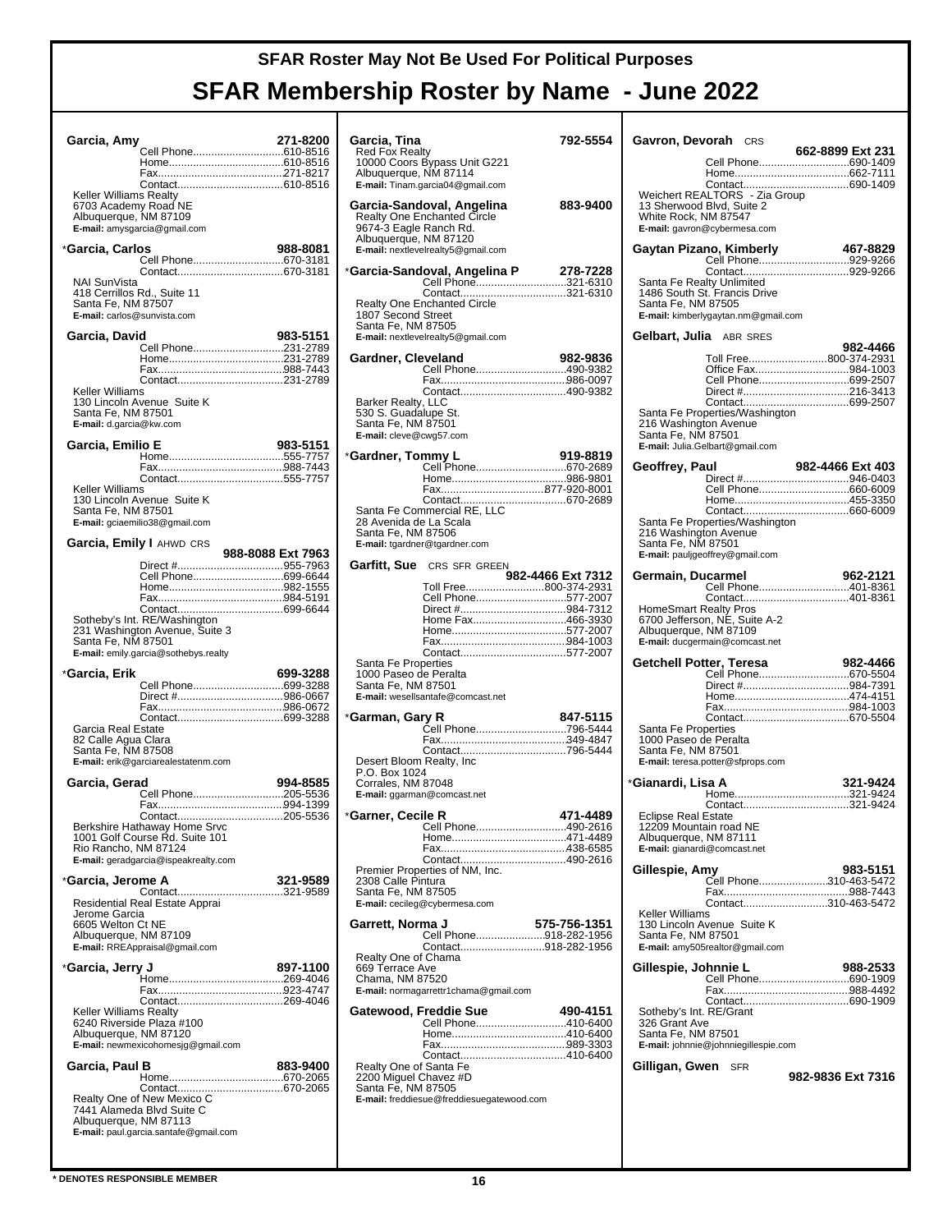| Garcia, Amy                                       | Cell Phone610-8516                                             | 271-8200          |
|---------------------------------------------------|----------------------------------------------------------------|-------------------|
|                                                   |                                                                |                   |
|                                                   |                                                                |                   |
| Keller Williams Realty                            |                                                                |                   |
| 6703 Academy Road NE<br>Albuquerque, NM 87109     |                                                                |                   |
|                                                   | E-mail: amysgarcia@gmail.com                                   |                   |
| *Garcia, Carlos                                   |                                                                | 988-8081          |
|                                                   |                                                                |                   |
| NAI SunVista                                      |                                                                |                   |
| 418 Cerrillos Rd., Suite 11                       |                                                                |                   |
| Santa Fe, NM 87507<br>E-mail: carlos@sunvista.com |                                                                |                   |
|                                                   |                                                                |                   |
| Garcia, David                                     | Cell Phone231-2789                                             | 983-5151          |
|                                                   |                                                                |                   |
|                                                   |                                                                |                   |
| Keller Williams                                   |                                                                |                   |
| Santa Fe, NM 87501                                | 130 Lincoln Avenue Suite K                                     |                   |
| E-mail: d.garcia@kw.com                           |                                                                |                   |
| Garcia, Emilio E                                  |                                                                | 983-5151          |
|                                                   |                                                                |                   |
|                                                   | Contact555-7757                                                |                   |
| Keller Williams                                   |                                                                |                   |
| Santa Fe, NM 87501                                | 130 Lincoln Avenue Suite K                                     |                   |
|                                                   | E-mail: gciaemilio38@gmail.com                                 |                   |
|                                                   | Garcia, Emily I AHWD CRS                                       |                   |
|                                                   |                                                                | 988-8088 Ext 7963 |
|                                                   |                                                                |                   |
|                                                   |                                                                |                   |
|                                                   |                                                                |                   |
|                                                   | Sotheby's Int. RE/Washington                                   |                   |
|                                                   | 231 Washington Avenue, Suite 3                                 |                   |
|                                                   |                                                                |                   |
| Santa Fe, NM 87501                                | E-mail: emily.garcia@sothebys.realty                           |                   |
|                                                   |                                                                |                   |
| *Garcia, Erik                                     | Cell Phone699-3288                                             | 699-3288          |
|                                                   |                                                                |                   |
|                                                   |                                                                |                   |
| Garcia Real Estate                                |                                                                |                   |
| 82 Calle Agua Clara<br>Santa Fe, NM 87508         |                                                                |                   |
|                                                   | E-mail: erik@garciarealestatenm.com                            |                   |
| Garcia, Gerad                                     |                                                                | 994-8585          |
|                                                   | Cell Phone205-5536                                             |                   |
|                                                   |                                                                |                   |
|                                                   | Berkshire Hathaway Home Srvc<br>1001 Golf Course Rd. Suite 101 |                   |
| Rio Rancho, NM 87124                              |                                                                |                   |
|                                                   | E-mail: geradgarcia@ispeakrealty.com                           |                   |
| *Garcia, Jerome A                                 |                                                                | 321-9589          |
|                                                   | Residential Real Estate Apprai                                 |                   |
| Jerome Garcia                                     |                                                                |                   |
| 6605 Welton Ct NE                                 |                                                                |                   |
| Albuquerque, NM 87109                             | E-mail: RREAppraisal@gmail.com                                 |                   |
|                                                   |                                                                |                   |
|                                                   |                                                                |                   |
|                                                   | Contact269-4046                                                |                   |
| Keller Williams Realty                            |                                                                |                   |
| Albuquerque, NM 87120                             | 6240 Riverside Plaza #100                                      |                   |
|                                                   | E-mail: newmexicohomesjg@gmail.com                             |                   |
| Garcia, Paul B                                    |                                                                | 883-9400          |
|                                                   |                                                                |                   |
|                                                   | Realty One of New Mexico C                                     |                   |
| Albuquerque, NM 87113                             | 7441 Alameda Blvd Suite C                                      |                   |

| Garcia, Tina                                    |                                                                 | 792-5554          |
|-------------------------------------------------|-----------------------------------------------------------------|-------------------|
| <b>Red Fox Realty</b>                           | 10000 Coors Bypass Unit G221                                    |                   |
| Albuquerque, NM 87114                           |                                                                 |                   |
|                                                 | E-mail: Tinam.garcia04@gmail.com                                |                   |
|                                                 | Garcia-Sandoval, Angelina<br><b>Realty One Enchanted Circle</b> | 883-9400          |
| 9674-3 Eagle Ranch Rd.                          |                                                                 |                   |
| Albuquerque, NM 87120                           |                                                                 |                   |
|                                                 | E-mail: nextlevelrealty5@gmail.com                              |                   |
|                                                 | *Garcia-Sandoval, Angelina P<br>Cell Phone321-6310              | 278-7228          |
|                                                 | Contact321-6310                                                 |                   |
|                                                 | Realty One Enchanted Circle                                     |                   |
| 1807 Second Street<br>Santa Fe, NM 87505        |                                                                 |                   |
|                                                 | E-mail: nextlevelrealty5@gmail.com                              |                   |
| Gardner, Cleveland                              |                                                                 | 982-9836          |
|                                                 | Cell Phone490-9382                                              |                   |
|                                                 |                                                                 |                   |
| Barker Realty, LLC                              |                                                                 |                   |
| 530 S. Guadalupe St.<br>Santa Fe, NM 87501      |                                                                 |                   |
| E-mail: cleve@cwg57.com                         |                                                                 |                   |
|                                                 |                                                                 |                   |
|                                                 |                                                                 |                   |
|                                                 |                                                                 |                   |
|                                                 |                                                                 |                   |
| 28 Avenida de La Scala                          | Santa Fe Commercial RE, LLC                                     |                   |
| Santa Fe, NM 87506                              |                                                                 |                   |
|                                                 | E-mail: tgardner@tgardner.com                                   |                   |
|                                                 | <b>Garfitt, Sue</b> CRS SFR GREEN                               |                   |
|                                                 | Toll Free800-374-2931                                           | 982-4466 Ext 7312 |
|                                                 | Cell Phone577-2007                                              |                   |
|                                                 | Home Fax466-3930                                                |                   |
|                                                 |                                                                 |                   |
|                                                 |                                                                 |                   |
| Santa Fe Properties                             |                                                                 |                   |
| 1000 Paseo de Peralta<br>Santa Fe, NM 87501     |                                                                 |                   |
|                                                 | E-mail: wesellsantafe@comcast.net                               |                   |
| *Garman, Gary R                                 |                                                                 | 847-5115          |
|                                                 | Čell Phone796-5444                                              |                   |
|                                                 |                                                                 |                   |
| Desert Bloom Realty, Inc                        |                                                                 |                   |
| P.O. Box 1024<br>Corrales, NM 87048             |                                                                 |                   |
|                                                 | E-mail: ggarman@comcast.net                                     |                   |
| *Garner, Cecile R                               |                                                                 | 471-4489          |
|                                                 | Cell Phone490-2616                                              |                   |
|                                                 |                                                                 |                   |
|                                                 | Premier Properties of NM, Inc.                                  |                   |
| 2308 Calle Pintura                              |                                                                 |                   |
| Santa Fe, NM 87505                              | E-mail: cecileg@cybermesa.com                                   |                   |
|                                                 |                                                                 |                   |
| Garrett, Norma J                                | Cell Phone918-282-1956                                          | 575-756-1351      |
|                                                 | Contact918-282-1956                                             |                   |
| Realty One of Chama<br>669 Terrace Ave          |                                                                 |                   |
| Chama, NM 87520                                 |                                                                 |                   |
|                                                 | E-mail: normagarrettr1chama@gmail.com                           |                   |
| Gatewood, Freddie Sue                           |                                                                 | 490-4151          |
|                                                 | Cell Phone410-6400                                              |                   |
|                                                 |                                                                 |                   |
|                                                 |                                                                 |                   |
| Realty One of Santa Fe<br>2200 Miguel Chavez #D |                                                                 |                   |
| Santa Fe, NM 87505                              | E-mail: freddiesue@freddiesuegatewood.com                       |                   |
|                                                 |                                                                 |                   |
|                                                 |                                                                 |                   |
|                                                 |                                                                 |                   |

| Gavron, Devorah CRS                             |                                                                                                  | 662-8899 Ext 231               |
|-------------------------------------------------|--------------------------------------------------------------------------------------------------|--------------------------------|
|                                                 |                                                                                                  | Cell Phone690-1409             |
|                                                 |                                                                                                  |                                |
| White Rock, NM 87547                            | 13 Sherwood Blvd, Suite 2<br>E-mail: gavron@cybermesa.com                                        |                                |
|                                                 | Gaytan Pizano, Kimberly                                                                          | 467-8829<br>Cell Phone929-9266 |
| Santa Fe, NM 87505                              | Santa Fe Realty Unlimited<br>1486 South St. Francis Drive<br>E-mail: kimberlygaytan.nm@gmail.com |                                |
|                                                 | Gelbart, Julia ABR SRES                                                                          | 982-4466                       |
|                                                 |                                                                                                  | Toll Free800-374-2931          |
|                                                 |                                                                                                  | Office Fax984-1003             |
|                                                 |                                                                                                  | Cell Phone699-2507             |
|                                                 |                                                                                                  |                                |
| 216 Washington Avenue<br>Santa Fe, NM 87501     | Santa Fe Properties/Washington<br>E-mail: Julia.Gelbart@gmail.com                                |                                |
| Geoffrey, Paul                                  |                                                                                                  | 982-4466 Ext 403               |
|                                                 |                                                                                                  | Cell Phone660-6009             |
|                                                 |                                                                                                  |                                |
|                                                 |                                                                                                  |                                |
|                                                 | Santa Fe Properties/Washington                                                                   |                                |
| 216 Washington Avenue<br>Santa Fe, NM 87501     | E-mail: pauljgeoffrey@gmail.com                                                                  |                                |
| Germain, Ducarmel                               |                                                                                                  | 962-2121                       |
|                                                 |                                                                                                  |                                |
|                                                 |                                                                                                  |                                |
|                                                 | HomeSmart Realty Pros<br>6700 Jefferson, NE, Suite A-2                                           |                                |
| Albuquerque, NM 87109                           |                                                                                                  |                                |
|                                                 | E-mail: ducgermain@comcast.net                                                                   |                                |
| Getchell Potter, Teresa                         |                                                                                                  | 982-4466                       |
|                                                 |                                                                                                  |                                |
|                                                 |                                                                                                  |                                |
|                                                 |                                                                                                  |                                |
|                                                 |                                                                                                  |                                |
| Santa Fe Properties                             |                                                                                                  |                                |
| 1000 Paseo de Peralta                           |                                                                                                  |                                |
| Santa Fe, NM 87501                              | E-mail: teresa.potter@sfprops.com                                                                |                                |
|                                                 |                                                                                                  |                                |
| *Gianardi, Lisa A                               |                                                                                                  | 321-9424                       |
|                                                 |                                                                                                  |                                |
| <b>Eclipse Real Estate</b>                      |                                                                                                  |                                |
| 12209 Mountain road NE<br>Albuquerque, NM 87111 |                                                                                                  |                                |
|                                                 | E-mail: gianardi@comcast.net                                                                     |                                |
| Gillespie, Amy                                  |                                                                                                  | 983-5151                       |
|                                                 |                                                                                                  | Cell Phone310-463-5472         |
|                                                 |                                                                                                  |                                |
| Keller Williams                                 |                                                                                                  | Contact310-463-5472            |
|                                                 | 130 Lincoln Avenue Suite K                                                                       |                                |
| Santa Fe, NM 87501                              |                                                                                                  |                                |
|                                                 | E-mail: amy505realtor@gmail.com                                                                  |                                |
| Gillespie, Johnnie L                            |                                                                                                  | 988-2533                       |
|                                                 |                                                                                                  |                                |
|                                                 |                                                                                                  |                                |
| Sotheby's Int. RE/Grant                         |                                                                                                  |                                |
| 326 Grant Ave                                   |                                                                                                  |                                |
| Santa Fe, NM 87501                              | E-mail: johnnie@johnniegillespie.com                                                             |                                |
|                                                 |                                                                                                  |                                |
| Gilligan, Gwen SFR                              |                                                                                                  |                                |
|                                                 |                                                                                                  | 982-9836 Ext 7316              |
|                                                 |                                                                                                  |                                |
|                                                 |                                                                                                  |                                |
|                                                 |                                                                                                  |                                |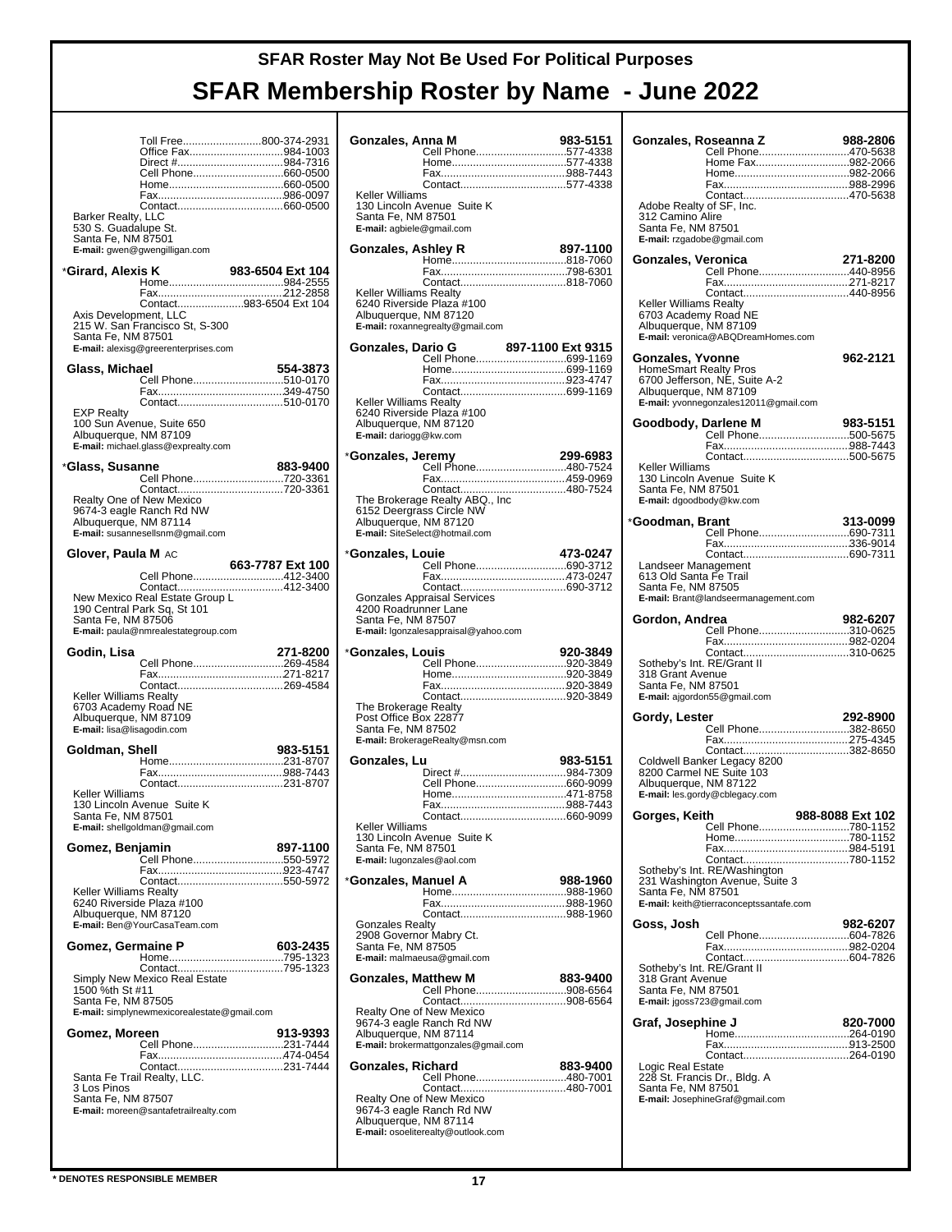┯

|                                                                                                       | Toll Free800-374-2931<br>Office Fax984-1003<br>Cell Phone660-0500                                                          |                  |
|-------------------------------------------------------------------------------------------------------|----------------------------------------------------------------------------------------------------------------------------|------------------|
| Barker Realty, LLC<br>530 S. Guadalupe St.<br>Santa Fe, NM 87501                                      | E-mail: gwen@gwengilligan.com                                                                                              |                  |
| *Girard, Alexis K                                                                                     |                                                                                                                            | 983-6504 Ext 104 |
| Axis Development, LLC<br>Santa Fe, NM 87501                                                           | Contact983-6504 Ext 104<br>215 W. San Francisco St, S-300<br>E-mail: alexisg@greerenterprises.com                          |                  |
| Glass, Michael                                                                                        |                                                                                                                            | 554-3873         |
|                                                                                                       |                                                                                                                            |                  |
| <b>EXP Realty</b><br>Albuquerque, NM 87109                                                            | 100 Sun Avenue, Suite 650<br>E-mail: michael.glass@exprealty.com                                                           |                  |
| *Glass, Susanne                                                                                       |                                                                                                                            | 883-9400         |
| Albuquerque, NM 87114                                                                                 | Cell Phone720-3361<br>Realty One of New Mexico<br>9674-3 eagle Ranch Rd NW<br>E-mail: susannesellsnm@gmail.com             |                  |
| <b>Glover, Paula M</b> AC                                                                             |                                                                                                                            | 663-7787 Ext 100 |
| Santa Fe, NM 87506                                                                                    | Cell Phone412-3400<br>New Mexico Real Estate Group L<br>190 Central Park Sq, St 101<br>E-mail: paula@nmrealestategroup.com |                  |
| Godin, Lisa                                                                                           |                                                                                                                            | 271-8200         |
|                                                                                                       | Cell Phone269-4584                                                                                                         |                  |
| Keller Williams Realty<br>6703 Academy Road NE<br>Albuquerque, NM 87109<br>E-mail: lisa@lisagodin.com |                                                                                                                            |                  |
| Goldman, Shell                                                                                        |                                                                                                                            | 983-5151         |
|                                                                                                       |                                                                                                                            |                  |
| Keller Williams<br>Santa Fe, NM 87501                                                                 | 130 Lincoln Avenue Suite K<br>E-mail: shellgoldman@gmail.com                                                               |                  |
| Gomez, Benjamin                                                                                       | Cell Phone550-5972                                                                                                         | 897-1100         |
| Keller Williams Realty<br>Albuquerque, NM 87120                                                       | 6240 Riverside Plaza #100<br>E-mail: Ben@YourCasaTeam.com                                                                  |                  |
| Gomez, Germaine P                                                                                     |                                                                                                                            | 603-2435         |
| 1500 %th St #11<br>Santa Fe, NM 87505                                                                 | Simply New Mexico Real Estate<br>E-mail: simplynewmexicorealestate@gmail.com                                               |                  |
| Gomez, Moreen                                                                                         | Cell Phone231-7444                                                                                                         | 913-9393         |
| 3 Los Pinos<br>Santa Fe, NM 87507                                                                     | E-mail: moreen@santafetrailrealty.com                                                                                      |                  |

| Gonzales, Anna M                                                                 |                                                                                              | 983-5151<br>Cell Phone577-4338          |
|----------------------------------------------------------------------------------|----------------------------------------------------------------------------------------------|-----------------------------------------|
| Keller Williams<br>Santa Fe, NM 87501<br>E-mail: agbiele@gmail.com               | 130 Lincoln Avenue Suite K                                                                   |                                         |
| Gonzales, Ashley R<br><b>Keller Williams Realty</b>                              |                                                                                              | 897-1100                                |
| Albuquerque, NM 87120                                                            | 6240 Riverside Plaza #100<br>E-mail: roxannegrealty@gmail.com                                |                                         |
| Gonzales, Dario G                                                                |                                                                                              | 897-1100 Ext 9315<br>Cell Phone699-1169 |
|                                                                                  |                                                                                              |                                         |
| <b>Keller Williams Realty</b><br>Albuquerque, NM 87120<br>E-mail: dariogg@kw.com | 6240 Riverside Plaza #100                                                                    |                                         |
| *Gonzales, Jeremy                                                                |                                                                                              | 299-6983<br>Cell Phone480-7524          |
|                                                                                  |                                                                                              |                                         |
| Albuquerque, NM 87120                                                            | The Brokerage Realty ABQ., Inc<br>6152 Deergrass Circle NW<br>E-mail: SiteSelect@hotmail.com |                                         |
| *Gonzales, Louie                                                                 |                                                                                              | 473-0247<br>Cell Phone690-3712          |
|                                                                                  |                                                                                              |                                         |
| 4200 Roadrunner Lane<br>Santa Fe, NM 87507                                       | Gonzales Appraisal Services<br>E-mail: Igonzalesappraisal@yahoo.com                          |                                         |
| *Gonzales, Louis                                                                 |                                                                                              | 920-3849<br>Cell Phone920-3849          |
|                                                                                  |                                                                                              |                                         |
| The Brokerage Realty<br>Post Office Box 22877<br>Santa Fe, NM 87502              | E-mail: BrokerageRealty@msn.com                                                              |                                         |
| Gonzales, Lu                                                                     |                                                                                              | 983-5151                                |
|                                                                                  |                                                                                              |                                         |
|                                                                                  |                                                                                              |                                         |
| Keller Williams<br>Santa Fe, NM 87501<br>E-mail: lugonzales@aol.com              | 130 Lincoln Avenue Suite K                                                                   |                                         |
| *Gonzales, Manuel A                                                              |                                                                                              | 988-1960                                |
|                                                                                  |                                                                                              |                                         |
| <b>Gonzales Realty</b><br>2908 Governor Mabry Ct.<br>Santa Fe, NM 87505          | E-mail: malmaeusa@gmail.com                                                                  |                                         |
| <b>Gonzales, Matthew M</b>                                                       |                                                                                              | 883-9400<br>Cell Phone908-6564          |
| Albuquerque, NM 87114                                                            | Realty One of New Mexico<br>9674-3 eagle Ranch Rd NW<br>E-mail: brokermattgonzales@gmail.com |                                         |
| Gonzales, Richard                                                                |                                                                                              | 883-9400<br>Cell Phone480-7001          |
| Albuquerque, NM 87114                                                            | Realty One of New Mexico<br>9674-3 eagle Ranch Rd NW<br>E-mail: osoeliterealty@outlook.com   |                                         |

| Gonzales, Roseanna Z                           | Cell Phone470-5638                                      | 988-2806         |
|------------------------------------------------|---------------------------------------------------------|------------------|
|                                                |                                                         |                  |
|                                                | Home Fax982-2066                                        |                  |
|                                                |                                                         |                  |
|                                                |                                                         |                  |
|                                                |                                                         |                  |
| Adobe Realty of SF, Inc.<br>312 Camino Alire   |                                                         |                  |
| Santa Fe, NM 87501                             |                                                         |                  |
| E-mail: rzgadobe@gmail.com                     |                                                         |                  |
|                                                |                                                         |                  |
| Gonzales, Veronica                             |                                                         | 271-8200         |
|                                                | Cell Phone440-8956                                      |                  |
|                                                |                                                         |                  |
|                                                |                                                         |                  |
| Keller Williams Realty                         |                                                         |                  |
| 6703 Academy Road NE                           |                                                         |                  |
| Albuquerque, NM 87109                          |                                                         |                  |
|                                                | E-mail: veronica@ABQDreamHomes.com                      |                  |
|                                                |                                                         |                  |
| <b>Gonzales, Yvonne</b>                        |                                                         | 962-2121         |
|                                                | HomeSmart Realty Pros<br>6700 Jefferson, NE, Suite A-2  |                  |
| Albuquerque, NM 87109                          |                                                         |                  |
|                                                | E-mail: yvonnegonzales12011@gmail.com                   |                  |
|                                                |                                                         |                  |
| Goodbody, Darlene M                            |                                                         | 983-5151         |
|                                                | Cell Phone500-5675                                      |                  |
|                                                |                                                         |                  |
|                                                |                                                         |                  |
| Keller Williams                                |                                                         |                  |
|                                                | 130 Lincoln Avenue Suite K                              |                  |
| Santa Fe, NM 87501                             |                                                         |                  |
| E-mail: dgoodbody@kw.com                       |                                                         |                  |
|                                                |                                                         |                  |
| *Goodman, Brant                                |                                                         | 313-0099         |
|                                                | Cell Phone690-7311                                      |                  |
|                                                |                                                         |                  |
|                                                |                                                         |                  |
| Landseer Management                            |                                                         |                  |
| 613 Old Santa Fe Trail                         |                                                         |                  |
| Santa Fe, NM 87505                             |                                                         |                  |
|                                                | E-mail: Brant@landseermanagement.com                    |                  |
| Gordon, Andrea                                 |                                                         | 982-6207         |
|                                                | Cell Phone310-0625                                      |                  |
|                                                |                                                         |                  |
|                                                |                                                         |                  |
| Sotheby's Int. RE/Grant II                     |                                                         |                  |
| 318 Grant Avenue                               |                                                         |                  |
| Santa Fe, NM 87501                             |                                                         |                  |
|                                                | E-mail: ajgordon55@gmail.com                            |                  |
|                                                |                                                         |                  |
| Gordy, Lester                                  |                                                         | 292-8900         |
|                                                | Cell Phone382-8650                                      |                  |
|                                                |                                                         |                  |
|                                                |                                                         |                  |
|                                                | Coldwell Banker Legacy 8200<br>8200 Carmel NE Suite 103 |                  |
|                                                |                                                         |                  |
| Albuquerque, NM 87122                          |                                                         |                  |
|                                                | E-mail: les.gordy@cblegacy.com                          |                  |
| Gorges, Keith                                  |                                                         | 988-8088 Ext 102 |
|                                                | Cell Phone780-1152                                      |                  |
|                                                |                                                         |                  |
|                                                |                                                         |                  |
|                                                |                                                         |                  |
|                                                | Sotheby's Int. RE/Washington                            |                  |
|                                                | 231 Washington Avenue, Suite 3                          |                  |
| Santa Fe, NM 87501                             |                                                         |                  |
|                                                | E-mail: keith@tierraconceptssantafe.com                 |                  |
|                                                |                                                         |                  |
| Goss, Josh                                     |                                                         | 982-6207         |
|                                                | Cell Phone604-7826                                      |                  |
|                                                |                                                         |                  |
|                                                |                                                         |                  |
| Sotheby's Int. RE/Grant II<br>318 Grant Avenue |                                                         |                  |
| Santa Fe, NM 87501                             |                                                         |                  |
| E-mail: jgoss723@gmail.com                     |                                                         |                  |
|                                                |                                                         |                  |
| Graf, Josephine J                              |                                                         | 820-7000         |
|                                                |                                                         |                  |
|                                                |                                                         |                  |
|                                                | Contact264-0190                                         |                  |
| Logic Real Estate                              |                                                         |                  |
|                                                | 228 St. Francis Dr., Bldg. A                            |                  |
| Santa Fe, NM 87501                             |                                                         |                  |
|                                                | E-mail: JosephineGraf@gmail.com                         |                  |
|                                                |                                                         |                  |
|                                                |                                                         |                  |
|                                                |                                                         |                  |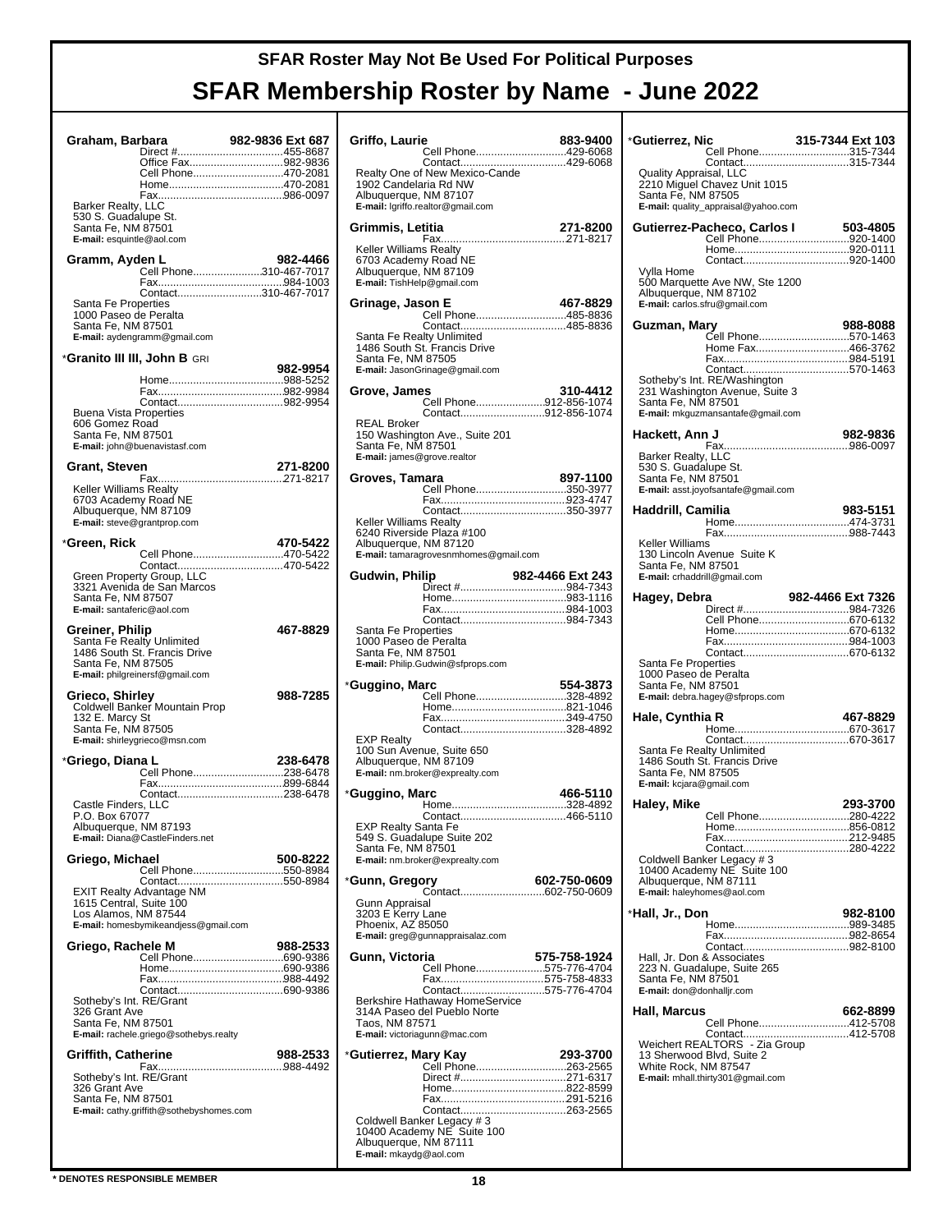| Graham, Barbara                                  |                                                         | 982-9836 Ext 687 |
|--------------------------------------------------|---------------------------------------------------------|------------------|
|                                                  | Direct #455-8687<br>Office Fax982-9836                  |                  |
|                                                  | Cell Phone470-2081                                      |                  |
|                                                  |                                                         |                  |
| Barker Realty, LLC<br>530 S. Guadalupe St.       |                                                         |                  |
| Santa Fe, NM 87501<br>E-mail: esquintle@aol.com  |                                                         |                  |
| Gramm, Ayden L                                   |                                                         | 982-4466         |
|                                                  | Cell Phone310-467-7017                                  |                  |
|                                                  | Contact310-467-7017                                     |                  |
| Santa Fe Properties<br>1000 Paseo de Peralta     |                                                         |                  |
| Santa Fe, NM 87501                               | E-mail: aydengramm@gmail.com                            |                  |
|                                                  |                                                         |                  |
|                                                  | *Granito III III, John B GRI                            | 982-9954         |
|                                                  |                                                         |                  |
|                                                  |                                                         |                  |
| <b>Buena Vista Properties</b><br>606 Gomez Road  |                                                         |                  |
| Santa Fe, NM 87501                               | E-mail: john@buenavistasf.com                           |                  |
|                                                  |                                                         |                  |
| Grant, Steven                                    |                                                         | 271-8200         |
| Keller Williams Realty<br>6703 Academy Road NE   |                                                         |                  |
| Albuquerque, NM 87109                            |                                                         |                  |
|                                                  | E-mail: steve@grantprop.com                             |                  |
| *Green. Rick                                     | Cell Phone470-5422                                      | 470-5422         |
|                                                  |                                                         |                  |
|                                                  | Green Property Group, LLC<br>3321 Avenida de San Marcos |                  |
| Santa Fe, NM 87507<br>E-mail: santaferic@aol.com |                                                         |                  |
| Greiner, Philip                                  |                                                         | 467-8829         |
|                                                  | Santa Fe Realty Unlimited                               |                  |
| Santa Fe, NM 87505                               | 1486 South St. Francis Drive                            |                  |
|                                                  | E-mail: philgreinersf@gmail.com                         |                  |
| Grieco, Shirley                                  |                                                         | 988-7285         |
| 132 E. Marcy St                                  | Coldwell Banker Mountain Prop                           |                  |
| Santa Fe, NM 87505                               | E-mail: shirleygrieco@msn.com                           |                  |
| *Griego, Diana L                                 |                                                         | 238-6478         |
|                                                  | Cell Phone238-6478                                      |                  |
|                                                  | Contact238-6478                                         |                  |
| Castle Finders, LLC<br>P.O. Box 67077            |                                                         |                  |
| Albuquerque, NM 87193                            |                                                         |                  |
|                                                  | E-mail: Diana@CastleFinders.net                         |                  |
| Griego, Michael                                  | Cell Phone550-8984                                      | 500-8222         |
|                                                  | <b>EXIT Realty Advantage NM</b>                         |                  |
| 1615 Central, Suite 100                          |                                                         |                  |
| Los Alamos, NM 87544                             | E-mail: homesbymikeandjess@gmail.com                    |                  |
| Griego, Rachele M                                |                                                         | 988-2533         |
|                                                  | Cell Phone690-9386                                      |                  |
|                                                  |                                                         |                  |
| Sotheby's Int. RE/Grant                          |                                                         |                  |
| 326 Grant Ave<br>Santa Fe, NM 87501              |                                                         |                  |
|                                                  | E-mail: rachele.griego@sothebys.realty                  |                  |
| <b>Griffith, Catherine</b>                       |                                                         | 988-2533         |
| Sotheby's Int. RE/Grant                          |                                                         |                  |
| 326 Grant Ave<br>Santa Fe, NM 87501              |                                                         |                  |
|                                                  | E-mail: cathy.griffith@sothebyshomes.com                |                  |
|                                                  |                                                         |                  |
|                                                  |                                                         |                  |

| Griffo, Laurie                                                 | Cell Phone429-6068                                                                | 883-9400         |
|----------------------------------------------------------------|-----------------------------------------------------------------------------------|------------------|
|                                                                | Realty One of New Mexico-Cande                                                    |                  |
| 1902 Candelaria Rd NW<br>Albuquerque, NM 87107                 |                                                                                   |                  |
|                                                                | E-mail: Igriffo.realtor@gmail.com                                                 |                  |
| Grimmis, Letitia                                               |                                                                                   | 271-8200         |
| Keller Williams Realty                                         |                                                                                   |                  |
| 6703 Academy Road NE<br>Albuquerque, NM 87109                  |                                                                                   |                  |
| E-mail: TishHelp@gmail.com                                     |                                                                                   |                  |
| Grinage, Jason E                                               | Cell Phone485-8836                                                                | 467-8829         |
|                                                                |                                                                                   |                  |
|                                                                | Santa Fe Realty Unlimited<br>1486 South St. Francis Drive                         |                  |
| Santa Fe, NM 87505                                             | E-mail: JasonGrinage@gmail.com                                                    |                  |
| Grove, James                                                   |                                                                                   | 310-4412         |
|                                                                | Cell Phone912-856-1074<br>Contact912-856-1074                                     |                  |
| <b>REAL Broker</b>                                             | 150 Washington Ave., Suite 201                                                    |                  |
| Santa Fe, NM 87501<br>E-mail: james@grove.realtor              |                                                                                   |                  |
| Groves, Tamara                                                 |                                                                                   | 897-1100         |
|                                                                | Cell Phone350-3977                                                                |                  |
| <b>Keller Williams Realty</b>                                  | Contact350-3977                                                                   |                  |
| Albuquerque, NM 87120                                          | 6240 Riverside Plaza #100                                                         |                  |
|                                                                | E-mail: tamaragrovesnmhomes@gmail.com                                             |                  |
| Gudwin, Philip                                                 |                                                                                   | 982-4466 Ext 243 |
|                                                                |                                                                                   |                  |
|                                                                |                                                                                   |                  |
|                                                                |                                                                                   |                  |
| Santa Fe Properties<br>1000 Paseo de Peralta                   |                                                                                   |                  |
| Santa Fe, NM 87501                                             | E-mail: Philip.Gudwin@sfprops.com                                                 |                  |
|                                                                |                                                                                   | 554-3873         |
|                                                                | Cell Phone328-4892                                                                |                  |
|                                                                |                                                                                   |                  |
| <b>EXP Realty</b>                                              | Contact328-4892                                                                   |                  |
| Albuquerque, NM 87109                                          | 100 Sun Avenue, Suite 650                                                         |                  |
|                                                                | E-mail: nm.broker@exprealty.com                                                   |                  |
|                                                                |                                                                                   | 466-5110         |
| *Guggino, Marc<br>*Guggino, Marc<br><b>EXP Realty Santa Fe</b> |                                                                                   |                  |
| Santa Fe, NM 87501                                             | 549 S. Guadalupe Suite 202                                                        |                  |
|                                                                | E-mail: nm.broker@exprealty.com                                                   |                  |
|                                                                |                                                                                   | 602-750-0609     |
| Gunn Appraisal                                                 |                                                                                   |                  |
| *Gunn, Gregory<br>3203 E Kerry Lane<br>Phoenix, AZ 85050       | E-mail: greg@gunnappraisalaz.com                                                  |                  |
| Gunn, Victoria                                                 |                                                                                   | 575-758-1924     |
|                                                                | Cell Phone575-776-4704<br>Fax575-758-4833                                         |                  |
|                                                                | Contact575-776-4704                                                               |                  |
| Taos, NM 87571                                                 | Berkshire Hathaway HomeService<br>314A Paseo del Pueblo Norte                     |                  |
|                                                                | E-mail: victoriagunn@mac.com                                                      |                  |
|                                                                |                                                                                   |                  |
|                                                                |                                                                                   |                  |
|                                                                |                                                                                   |                  |
|                                                                | Coldwell Banker Legacy # 3<br>10400 Academy NE Suite 100<br>Albuquerque, NM 87111 |                  |

| *Gutierrez, Nic                                                                                              |                                                                                                     | 315-7344 Ext 103                       |
|--------------------------------------------------------------------------------------------------------------|-----------------------------------------------------------------------------------------------------|----------------------------------------|
|                                                                                                              |                                                                                                     | Cell Phone315-7344                     |
| Quality Appraisal, LLC<br>Santa Fe, NM 87505                                                                 | 2210 Miguel Chavez Unit 1015<br>E-mail: quality_appraisal@yahoo.com                                 |                                        |
| Gutierrez-Pacheco, Carlos I                                                                                  |                                                                                                     | 503-4805                               |
|                                                                                                              |                                                                                                     | Cell Phone920-1400                     |
| Vylla Home                                                                                                   |                                                                                                     |                                        |
| Albuquerque, NM 87102<br>E-mail: carlos.sfru@gmail.com                                                       | 500 Marquette Ave NW, Ste 1200                                                                      |                                        |
| Guzman, Mary                                                                                                 |                                                                                                     | 988-8088                               |
|                                                                                                              |                                                                                                     | Cell Phone570-1463<br>Home Fax466-3762 |
|                                                                                                              |                                                                                                     |                                        |
| Santa Fe, NM 87501                                                                                           | Sotheby's Int. RE/Washington<br>231 Washington Avenue, Suite 3<br>E-mail: mkguzmansantafe@gmail.com |                                        |
| Hackett, Ann J                                                                                               |                                                                                                     | 982-9836                               |
| <b>Barker Realty, LLC</b><br>530 S. Guadalupe St.<br>Santa Fe, NM 87501                                      | E-mail: asst.joyofsantafe@gmail.com                                                                 |                                        |
| Haddrill, Camilia                                                                                            |                                                                                                     | 983-5151                               |
|                                                                                                              |                                                                                                     |                                        |
| Keller Williams<br>130 Lincoln Avenue Suite K<br>Santa Fe, NM 87501<br>E-mail: crhaddrill@gmail.com          |                                                                                                     |                                        |
| Hagey, Debra                                                                                                 |                                                                                                     |                                        |
|                                                                                                              |                                                                                                     | Cell Phone670-6132                     |
|                                                                                                              |                                                                                                     |                                        |
|                                                                                                              |                                                                                                     |                                        |
|                                                                                                              |                                                                                                     |                                        |
| Santa Fe Properties<br>1000 Paseo de Peralta<br>Santa Fe, NM 87501                                           | E-mail: debra.hagey@sfprops.com                                                                     |                                        |
| Hale, Cynthia R                                                                                              |                                                                                                     | 467-8829                               |
|                                                                                                              |                                                                                                     |                                        |
| Santa Fe Realty Unlimited<br>1486 South St. Francis Drive<br>Santa Fe, NM 87505<br>E-mail: kcjara@gmail.com  |                                                                                                     |                                        |
| Haley, Mike                                                                                                  |                                                                                                     | 293-3700                               |
|                                                                                                              |                                                                                                     | Cell Phone280-4222                     |
|                                                                                                              |                                                                                                     |                                        |
| Albuquerque, NM 87111<br>E-mail: haleyhomes@aol.com                                                          | Coldwell Banker Legacy # 3<br>10400 Academy NE Suite 100                                            |                                        |
| *Hall, Jr., Don                                                                                              |                                                                                                     | 982-8100                               |
|                                                                                                              |                                                                                                     |                                        |
| Hall, Jr. Don & Associates<br>223 N. Guadalupe, Suite 265<br>Santa Fe, NM 87501<br>E-mail: don@donhalljr.com |                                                                                                     |                                        |
| <b>Hall, Marcus</b>                                                                                          |                                                                                                     | 662-8899                               |
|                                                                                                              |                                                                                                     | Cell Phone412-5708                     |
| 13 Sherwood Blvd, Suite 2<br>White Rock, NM 87547                                                            | E-mail: mhall.thirty301@gmail.com                                                                   |                                        |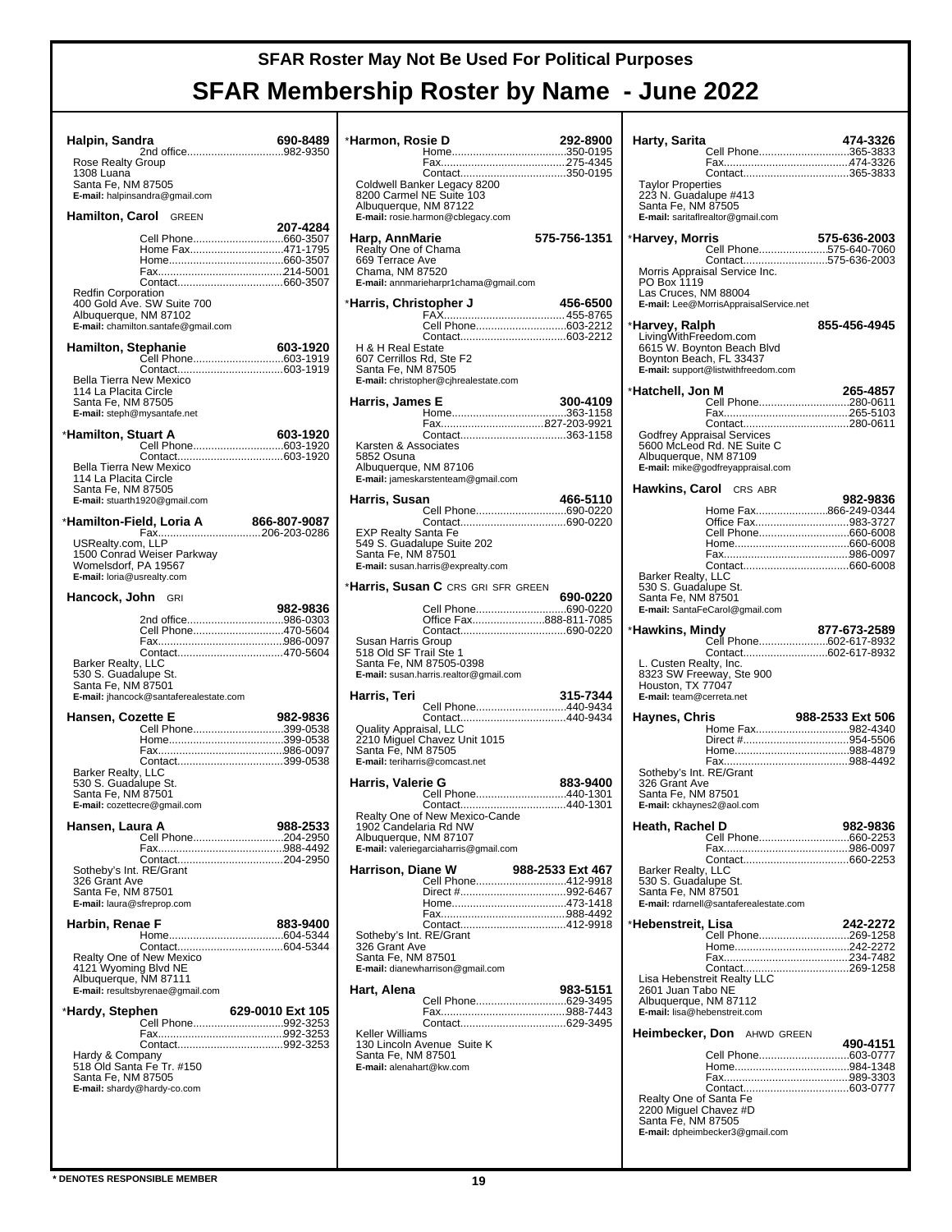| Halpin, Sandra                                                                                               | 2nd office982-9350                                                                                    | 690-8489         |  |
|--------------------------------------------------------------------------------------------------------------|-------------------------------------------------------------------------------------------------------|------------------|--|
| Rose Realty Group<br>1308 Luana                                                                              |                                                                                                       |                  |  |
| Santa Fe, NM 87505                                                                                           | E-mail: halpinsandra@gmail.com                                                                        |                  |  |
| Hamilton, Carol GREEN                                                                                        |                                                                                                       |                  |  |
| Redfin Corporation                                                                                           | Cell Phone660-3507<br>Home Fax471-1795<br>400 Gold Ave. SW Suite 700                                  | 207-4284         |  |
| Albuquerque, NM 87102                                                                                        | E-mail: chamilton.santafe@gmail.com                                                                   |                  |  |
|                                                                                                              |                                                                                                       |                  |  |
| <b>Bella Tierra New Mexico</b><br>114 La Placita Circle<br>Santa Fe, NM 87505<br>E-mail: steph@mysantafe.net |                                                                                                       |                  |  |
| *Hamilton, Stuart A                                                                                          |                                                                                                       | 603-1920         |  |
| Bella Tierra New Mexico<br>114 La Placita Circle<br>Santa Fe, NM 87505<br>E-mail: stuarth1920@gmail.com      | Cell Phone603-1920                                                                                    |                  |  |
|                                                                                                              |                                                                                                       |                  |  |
| USRealty.com, LLP<br>Womelsdorf, PA 19567<br>E-mail: loria@usrealty.com                                      | 1500 Conrad Weiser Parkway                                                                            |                  |  |
| <b>Hancock, John</b> GRI                                                                                     |                                                                                                       |                  |  |
| <b>Barker Realty, LLC</b><br>530 S. Guadalupe St.<br>Santa Fe, NM 87501                                      | 2nd office986-0303<br>Cell Phone470-5604<br>Contact470-5604<br>E-mail: jhancock@santaferealestate.com | 982-9836         |  |
| Hansen, Cozette E                                                                                            |                                                                                                       | 982-9836         |  |
| Barker Realty, LLC<br>530 S. Guadalupe St.<br>Santa Fe, NM 87501<br>E-mail: cozettecre@gmail.com             | Cell Phone399-0538<br>Contact399-0538                                                                 |                  |  |
| Hansen, Laura A                                                                                              |                                                                                                       | 988-2533         |  |
| Sotheby's Int. RE/Grant<br>326 Grant Ave<br>Santa Fe, NM 87501<br>E-mail: laura@sfreprop.com                 | Cell Phone204-2950                                                                                    |                  |  |
| Harbin, Renae F                                                                                              |                                                                                                       | 883-9400         |  |
| Realty One of New Mexico<br>4121 Wyoming Blvd NE<br>Albuquerque, NM 87111                                    | E-mail: resultsbyrenae@gmail.com                                                                      |                  |  |
| *Hardy, Stephen                                                                                              |                                                                                                       | 629-0010 Ext 105 |  |
| Hardy & Company<br>518 Old Santa Fe Tr. #150<br>Santa Fe, NM 87505<br>E-mail: shardy@hardy-co.com            | Cell Phone992-3253                                                                                    |                  |  |
|                                                                                                              |                                                                                                       |                  |  |

| *Harmon, Rosie D                                                            |                                                                                                  | 292-8900         |
|-----------------------------------------------------------------------------|--------------------------------------------------------------------------------------------------|------------------|
| Albuquerque, NM 87122                                                       | Coldwell Banker Legacy 8200<br>8200 Carmel NE Suite 103<br>E-mail: rosie.harmon@cblegacy.com     |                  |
| Harp, AnnMarie<br>Realty One of Chama<br>669 Terrace Ave<br>Chama, NM 87520 | E-mail: annmarieharpr1chama@gmail.com                                                            | 575-756-1351     |
| *Harris, Christopher J                                                      |                                                                                                  | 456-6500         |
|                                                                             |                                                                                                  |                  |
|                                                                             | Cell Phone603-2212                                                                               |                  |
| H & H Real Estate<br>607 Cerrillos Rd, Ste F2<br>Santa Fe, NM 87505         | E-mail: christopher@cjhrealestate.com                                                            |                  |
| Harris, James E                                                             |                                                                                                  | 300-4109         |
|                                                                             |                                                                                                  |                  |
|                                                                             | Contact363-1158                                                                                  |                  |
| Karsten & Associates<br>5852 Osuna<br>Albuquerque, NM 87106                 | E-mail: jameskarstenteam@gmail.com                                                               |                  |
| Harris, Susan                                                               |                                                                                                  | 466-5110         |
|                                                                             | Cell Phone690-0220                                                                               |                  |
| EXP Realty Santa Fe<br>Santa Fe, NM 87501                                   | 549 S. Guadalupe Suite 202<br>E-mail: susan.harris@exprealty.com                                 |                  |
|                                                                             | * <b>Harris, Susan C</b> CRS GRI SFR GREEN                                                       |                  |
|                                                                             |                                                                                                  | 690-0220         |
| Susan Harris Group<br>518 Old SF Trail Ste 1                                | Cell Phone690-0220<br>Office Fax888-811-7085                                                     |                  |
|                                                                             | Santa Fe, NM 87505-0398<br>E-mail: susan.harris.realtor@gmail.com                                |                  |
| Harris, Teri                                                                |                                                                                                  | 315-7344         |
|                                                                             | Cell Phone440-9434                                                                               |                  |
| Quality Appraisal, LLC<br>Santa Fe, NM 87505                                | 2210 Miguel Chavez Unit 1015<br>E-mail: teriharris@comcast.net                                   |                  |
| Harris, Valerie G                                                           |                                                                                                  | 883-9400         |
| Albuquerque, NM 87107                                                       | Cell Phone440-1301<br>Contact440-1301<br>Realty One of New Mexico-Cande<br>1902 Candelaria Rd NW |                  |
|                                                                             | E-mail: valeriegarciaharris@gmail.com                                                            |                  |
| Harrison, Diane W                                                           |                                                                                                  | 988-2533 Ext 467 |
|                                                                             | Cell Phone412-9918                                                                               |                  |
|                                                                             |                                                                                                  |                  |
|                                                                             |                                                                                                  |                  |
| Sotheby's Int. RE/Grant<br>326 Grant Ave<br>Santa Fe, NM 87501              | E-mail: dianewharrison@gmail.com                                                                 |                  |
| Hart, Alena                                                                 |                                                                                                  | 983-5151         |
|                                                                             |                                                                                                  |                  |
| <b>Keller Williams</b><br>Santa Fe, NM 87501<br>E-mail: alenahart@kw.com    | 130 Lincoln Avenue Suite K                                                                       |                  |
|                                                                             |                                                                                                  |                  |

| Harty, Sarita                                                                               |                                                                                               | 474-3326<br>Cell Phone365-3833                |
|---------------------------------------------------------------------------------------------|-----------------------------------------------------------------------------------------------|-----------------------------------------------|
|                                                                                             |                                                                                               |                                               |
| <b>Taylor Properties</b><br>223 N. Guadalupe #413<br>Santa Fe, NM 87505                     |                                                                                               | Contact365-3833                               |
|                                                                                             | E-mail: saritaflrealtor@gmail.com                                                             |                                               |
| *Harvey, Morris                                                                             |                                                                                               | 575-636-2003                                  |
|                                                                                             |                                                                                               | Cell Phone575-640-7060<br>Contact575-636-2003 |
| PO Box 1119<br>Las Cruces, NM 88004                                                         | Morris Appraisal Service Inc.<br>E-mail: Lee@MorrisAppraisalService.net                       |                                               |
| *Harvey, Ralph                                                                              |                                                                                               | 855-456-4945                                  |
| LivingWithFreedom.com                                                                       | 6615 W. Boynton Beach Blvd<br>Boynton Beach, FL 33437<br>E-mail: support@listwithfreedom.com  |                                               |
| *Hatchell, Jon M                                                                            |                                                                                               | 265-4857                                      |
|                                                                                             |                                                                                               | Cell Phone280-0611                            |
|                                                                                             |                                                                                               |                                               |
| Albuquerque, NM 87109                                                                       | Godfrey Appraisal Services<br>5600 McLeod Rd. NE Suite C<br>E-mail: mike@godfreyappraisal.com |                                               |
| Hawkins, Carol                                                                              | CRS ABR                                                                                       |                                               |
|                                                                                             |                                                                                               | 982-9836                                      |
|                                                                                             |                                                                                               | Home Fax866-249-0344<br>Office Fax983-3727    |
|                                                                                             |                                                                                               | Cell Phone660-6008                            |
|                                                                                             |                                                                                               |                                               |
|                                                                                             |                                                                                               |                                               |
| Barker Realty, LLC<br>530 S. Guadalupe St.<br>Santa Fe, NM 87501                            | E-mail: SantaFeCarol@gmail.com                                                                |                                               |
| *Hawkins, Mindy                                                                             |                                                                                               |                                               |
|                                                                                             |                                                                                               |                                               |
|                                                                                             |                                                                                               | 877-673-2589<br>Cell Phone602-617-8932        |
| L. Custen Realty, Inc.<br>Houston, TX 77047<br>E-mail: team@cerreta.net                     | 8323 SW Freeway, Ste 900                                                                      | Contact602-617-8932                           |
|                                                                                             |                                                                                               |                                               |
| Haynes, Chris                                                                               |                                                                                               | 988-2533 Ext 506<br>Home Fax982-4340          |
|                                                                                             |                                                                                               |                                               |
|                                                                                             |                                                                                               |                                               |
| Sotheby's Int. RE/Grant<br>326 Grant Ave<br>Santa Fe, NM 87501<br>E-mail: ckhaynes2@aol.com |                                                                                               |                                               |
|                                                                                             |                                                                                               |                                               |
| Heath, Rachel D                                                                             |                                                                                               | 982-9836<br>Cell Phone660-2253                |
|                                                                                             |                                                                                               |                                               |
|                                                                                             |                                                                                               |                                               |
| Barker Realty, LLC<br>530 S. Guadalupe St.                                                  |                                                                                               |                                               |
| Santa Fe, NM 87501                                                                          |                                                                                               |                                               |
|                                                                                             | E-mail: rdarnell@santaferealestate.com                                                        |                                               |
| *Hebenstreit, Lisa                                                                          |                                                                                               | 242-2272                                      |
|                                                                                             |                                                                                               | Cell Phone269-1258                            |
|                                                                                             |                                                                                               |                                               |
|                                                                                             |                                                                                               |                                               |
| 2601 Juan Tabo NE<br>Albuquerque, NM 87112<br>E-mail: lisa@hebenstreit.com                  |                                                                                               |                                               |
|                                                                                             |                                                                                               |                                               |
| Heimbecker, Don                                                                             | AHWD GREEN                                                                                    | 490-4151                                      |
|                                                                                             |                                                                                               | Cell Phone603-0777                            |
|                                                                                             |                                                                                               |                                               |
|                                                                                             |                                                                                               |                                               |
| Realty One of Santa Fe                                                                      |                                                                                               |                                               |
| 2200 Miguel Chavez #D<br>Santa Fe, NM 87505                                                 | E-mail: dpheimbecker3@gmail.com                                                               |                                               |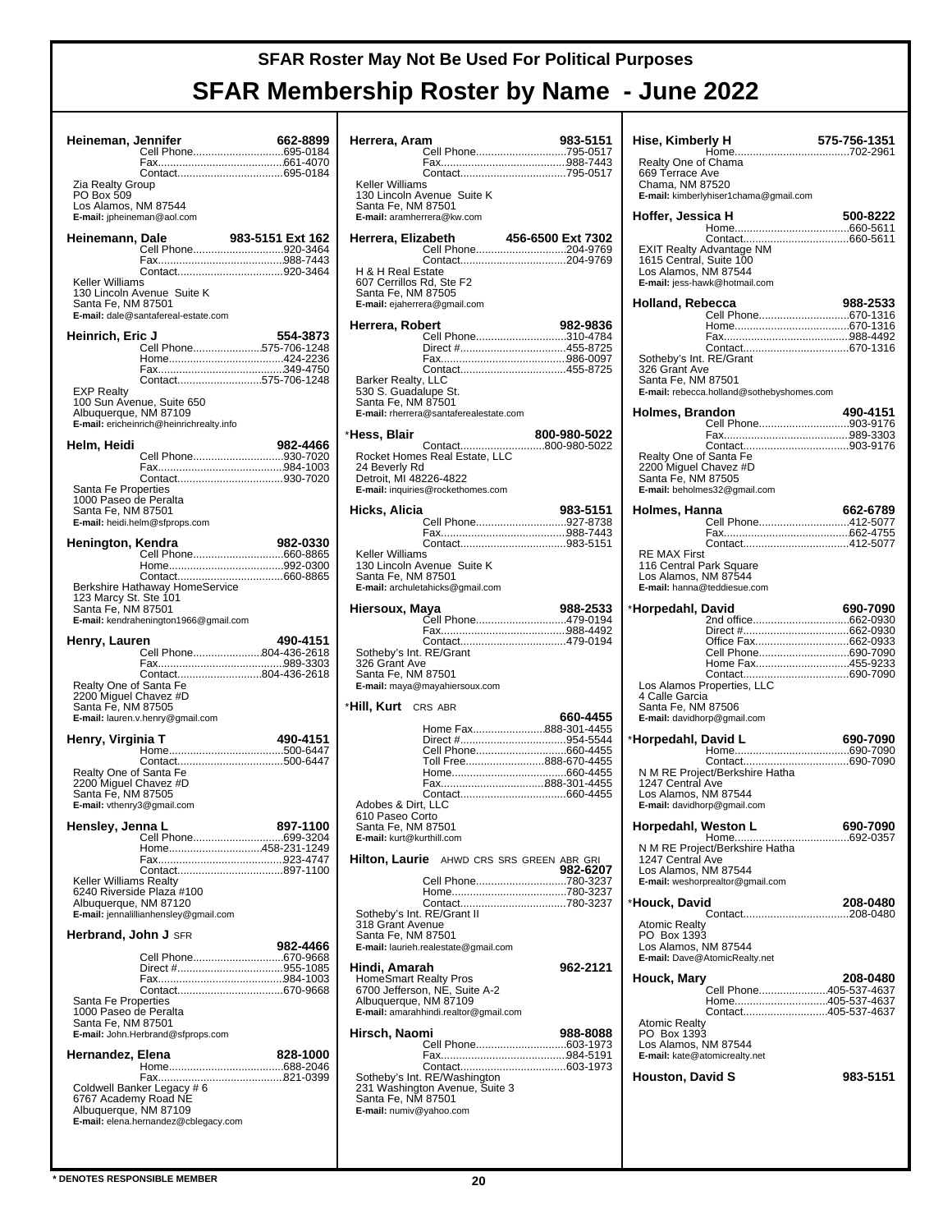| Heineman, Jennifer                                                    | Cell Phone695-0184                                                                             | 662-8899         |
|-----------------------------------------------------------------------|------------------------------------------------------------------------------------------------|------------------|
| Zia Realty Group<br>PO Box 509<br>Los Alamos, NM 87544                | E-mail: jpheineman@aol.com                                                                     |                  |
| Heinemann, Dale                                                       | Cell Phone920-3464                                                                             | 983-5151 Ext 162 |
| Keller Williams<br>Santa Fe, NM 87501                                 | 130 Lincoln Avenue Suite K<br>E-mail: dale@santafereal-estate.com                              |                  |
| <b>Heinrich, Eric J</b>                                               | Cell Phone575-706-1248<br>Contact575-706-1248                                                  | 554-3873         |
| <b>EXP Realty</b>                                                     | 100 Sun Avenue, Suite 650<br>Albuquerque, NM 87109<br>E-mail: ericheinrich@heinrichrealty.info |                  |
| Helm, Heidi                                                           | Cell Phone930-7020                                                                             | 982-4466         |
| Santa Fe Properties<br>1000 Paseo de Peralta<br>Santa Fe, NM 87501    | E-mail: heidi.helm@sfprops.com                                                                 |                  |
| Henington, Kendra                                                     |                                                                                                | 982-0330         |
| 123 Marcy St. Ste 101<br>Santa Fe, NM 87501                           | Berkshire Hathaway HomeService<br>E-mail: kendrahenington1966@gmail.com                        |                  |
| Henry, Lauren                                                         |                                                                                                | 490-4151         |
| Realty One of Santa Fe<br>2200 Miguel Chavez #D<br>Santa Fe, NM 87505 | Cell Phone804-436-2618<br>Contact804-436-2618<br>E-mail: lauren.v.henry@gmail.com              |                  |
| Henry, Virginia T                                                     |                                                                                                | 490-4151         |
| Realty One of Santa Fe<br>2200 Miguel Chavez #D<br>Santa Fe, NM 87505 | E-mail: vthenry3@gmail.com                                                                     |                  |
| Hensley, Jenna L                                                      | Cell Phone699-3204<br>Home458-231-1249                                                         | 897-1100         |
| Keller Williams Realty<br>Albuquerque, NM 87120                       | Contact897-1100<br>6240 Riverside Plaza #100<br>E-mail: jennalillianhensley@gmail.com          |                  |
| <b>Herbrand, John J SFR</b>                                           |                                                                                                | 982-4466         |
| Santa Fe Properties<br>1000 Paseo de Peralta<br>Santa Fe, NM 87501    | Cell Phone670-9668<br>E-mail: John.Herbrand@sfprops.com                                        |                  |
| Hernandez, Elena                                                      |                                                                                                | 828-1000         |
| Albuquerque, NM 87109                                                 | Coldwell Banker Legacy # 6<br>6767 Academy Road NE<br>E-mail: elena.hernandez@cblegacy.com     |                  |

| Herrera, Aram                                                                            |                                                                                                 | 983-5151     |
|------------------------------------------------------------------------------------------|-------------------------------------------------------------------------------------------------|--------------|
|                                                                                          | Cell Phone795-0517                                                                              |              |
| <b>Keller Williams</b><br>Santa Fe, NM 87501<br>E-mail: aramherrera@kw.com               | 130 Lincoln Avenue Suite K                                                                      |              |
| Herrera, Elizabeth                                                                       | abeth 456-6500 Ext 7302<br>Cell Phone204-9769                                                   |              |
| H & H Real Estate<br>607 Cerrillos Rd, Ste F2<br>Santa Fe, NM 87505                      | E-mail: ejaherrera@gmail.com                                                                    |              |
| Herrera, Robert                                                                          | Cell Phone310-4784                                                                              | 982-9836     |
| Barker Realty, LLC<br>530 S. Guadalupe St.<br>Santa Fe, NM 87501                         | Direct #455-8725                                                                                |              |
|                                                                                          | E-mail: rherrera@santaferealestate.com                                                          |              |
| *Hess, Blair<br>24 Beverly Rd<br>Detroit, MI 48226-4822                                  | Rocket Homes Real Estate, LLC<br>E-mail: inquiries@rockethomes.com                              | 800-980-5022 |
| Hicks, Alicia                                                                            | Cell Phone927-8738                                                                              | 983-5151     |
|                                                                                          |                                                                                                 |              |
| <b>Keller Williams</b><br>Santa Fe, NM 87501                                             | 130 Lincoln Avenue Suite K<br>E-mail: archuletahicks@gmail.com                                  |              |
| Hiersoux, Maya                                                                           | Cell Phone479-0194                                                                              | 988-2533     |
| Sotheby's Int. RE/Grant<br>326 Grant Ave<br>Santa Fe, NM 87501                           | E-mail: maya@mayahiersoux.com                                                                   |              |
| * <b>Hill, Kurt</b> CRS ABR                                                              |                                                                                                 | 660-4455     |
| Adobes & Dirt, LLC<br>610 Paseo Corto<br>Santa Fe, NM 87501<br>E-mail: kurt@kurthill.com | Home Fax888-301-4455<br>Toll Free888-670-4455<br>Fax888-301-4455                                |              |
|                                                                                          | <b>Hilton, Laurie</b> AHWD CRS SRS GREEN ABR GRI                                                | 982-6207     |
| Sotheby's Int. RE/Grant II<br>318 Grant Avenue<br>Santa Fe, NM 87501                     | Cell Phone780-3237<br>Contact780-3237<br>E-mail: laurieh.realestate@gmail.com                   |              |
| Hindi, Amarah<br>Albuquerque, NM 87109                                                   | HomeSmart Realty Pros<br>6700 Jefferson, NE, Suite A-2<br>E-mail: amarahhindi.realtor@gmail.com | 962-2121     |
| Hirsch, Naomi                                                                            | Cell Phone603-1973                                                                              | 988-8088     |
| Santa Fe, NM 87501<br>E-mail: numiv@yahoo.com                                            | Sotheby's Int. RE/Washington<br>231 Washington Avenue, Suite 3                                  |              |

| Hise, Kimberly H                                                                                                         | 575-756-1351 |
|--------------------------------------------------------------------------------------------------------------------------|--------------|
| Realty One of Chama<br>669 Terrace Ave<br>Chama, NM 87520<br>E-mail: kimberlyhiser1chama@gmail.com                       |              |
| Hoffer, Jessica H                                                                                                        | 500-8222     |
| <b>EXIT Realty Advantage NM</b><br>1615 Central, Suite 100<br>Los Alamos, NM 87544<br>E-mail: jess-hawk@hotmail.com      |              |
| Holland, Rebecca                                                                                                         | 988-2533     |
| Cell Phone670-1316                                                                                                       |              |
|                                                                                                                          |              |
| Sotheby's Int. RE/Grant<br>326 Grant Ave<br>Santa Fe, NM 87501<br>E-mail: rebecca.holland@sothebyshomes.com              |              |
| Holmes, Brandon                                                                                                          | 490-4151     |
| Cell Phone903-9176                                                                                                       |              |
| 2200 Miguel Chavez #D<br>Santa Fe, NM 87505<br>E-mail: beholmes32@gmail.com                                              |              |
| Holmes, Hanna                                                                                                            | 662-6789     |
| Cell Phone412-5077                                                                                                       |              |
| Contact412-5077<br><b>RE MAX First</b><br>116 Central Park Square<br>Los Alamos, NM 87544<br>E-mail: hanna@teddiesue.com |              |
| *Horpedahl, David                                                                                                        | 690-7090     |
|                                                                                                                          |              |
|                                                                                                                          |              |
| Home Fax455-9233                                                                                                         |              |
| 4 Calle Garcia<br>Santa Fe, NM 87506<br>E-mail: davidhorp@gmail.com                                                      |              |
| *Horpedahl, David L                                                                                                      | 690-7090     |
| N M RE Project/Berkshire Hatha<br>1247 Central Ave<br>Los Alamos, NM 87544<br>E-mail: davidhorp@gmail.com                |              |
| Horpedahl, Weston L                                                                                                      | 690-7090     |
| N M RE Project/Berkshire Hatha<br>1247 Central Ave<br>Los Alamos, NM 87544<br>E-mail: weshorprealtor@gmail.com           |              |
| *Houck, David                                                                                                            | 208-0480     |
| <b>Atomic Realty</b><br>PO Box 1393<br>Los Alamos, NM 87544<br>E-mail: Dave@AtomicRealty.net                             |              |
| Houck, Mary                                                                                                              | 208-0480     |
| Cell Phone405-537-4637<br>Home405-537-4637                                                                               |              |
| Contact405-537-4637<br><b>Atomic Realty</b><br>PO Box 1393<br>Los Alamos, NM 87544<br>E-mail: kate@atomicrealty.net      |              |
| <b>Houston, David S</b>                                                                                                  | 983-5151     |
|                                                                                                                          |              |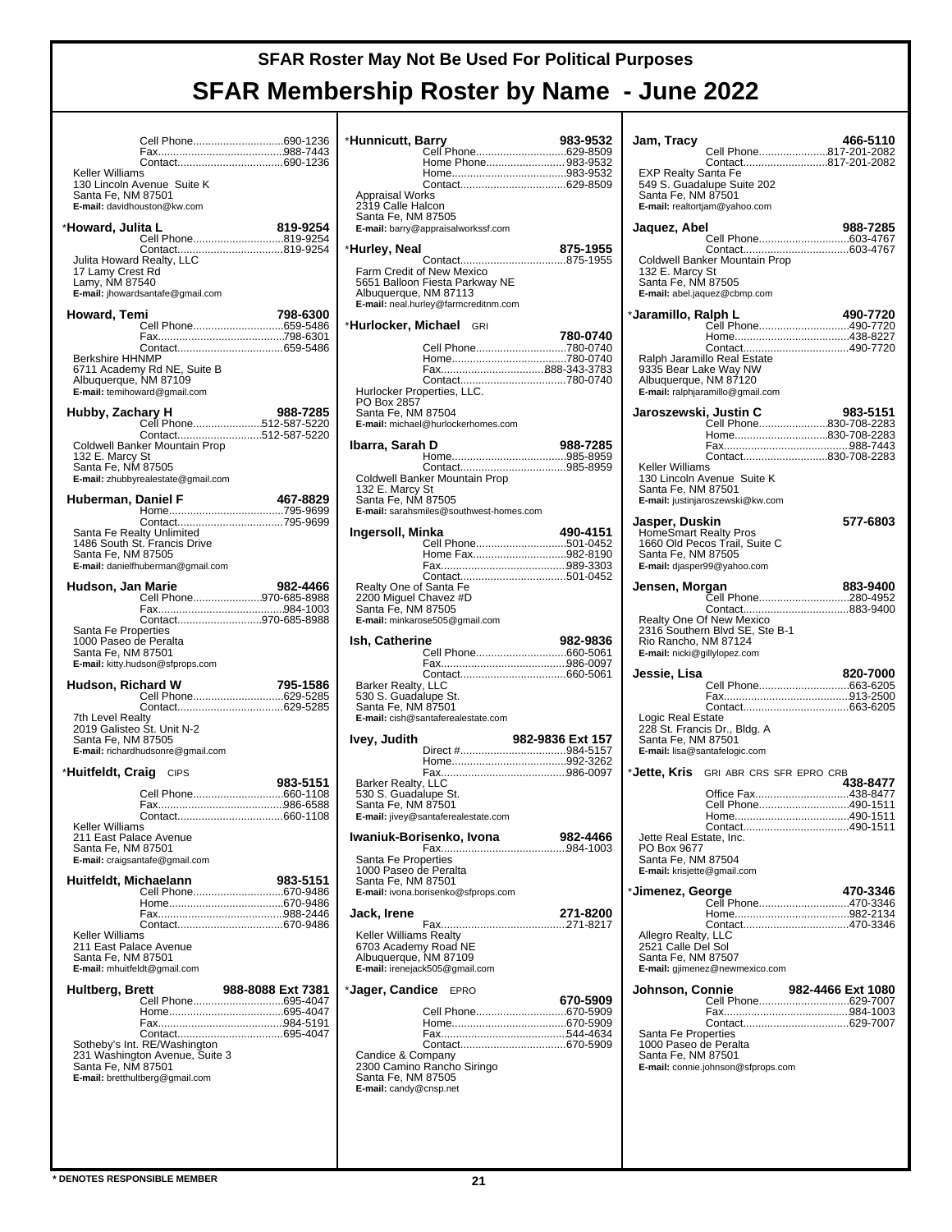|                                                                                                        | Cell Phone690-1236                                                                                |                   |
|--------------------------------------------------------------------------------------------------------|---------------------------------------------------------------------------------------------------|-------------------|
| Keller Williams<br>Santa Fe, NM 87501                                                                  | 130 Lincoln Avenue Suite K<br>E-mail: davidhouston@kw.com                                         |                   |
| *Howard, Julita L                                                                                      |                                                                                                   | 819-9254          |
| 17 Lamy Crest Rd<br>Lamy, NM 87540                                                                     | Cell Phone819-9254<br>Julita Howard Realty, LLC<br>E-mail: jhowardsantafe@gmail.com               |                   |
| Howard, Temi                                                                                           | <br>Cell Phone659-5486                                                                            | 798-6300          |
| <b>Berkshire HHNMP</b><br>Albuquerque, NM 87109                                                        | 6711 Academy Rd NE, Suite B<br>E-mail: temihoward@gmail.com                                       |                   |
| Hubby, Zachary H                                                                                       | Cell Phone512-587-5220<br>Contact512-587-5220                                                     | 988-7285          |
| 132 E. Marcy St<br>Santa Fe, NM 87505                                                                  | Coldwell Banker Mountain Prop<br>E-mail: zhubbyrealestate@gmail.com                               |                   |
| Huberman, Daniel F                                                                                     |                                                                                                   | 467-8829          |
| Santa Fe Realty Unlimited<br>Santa Fe, NM 87505                                                        | 1486 South St. Francis Drive<br>E-mail: danielfhuberman@gmail.com                                 |                   |
| Hudson, Jan Marie                                                                                      | Cell Phone970-685-8988                                                                            | 982-4466          |
|                                                                                                        | Contact970-685-8988                                                                               |                   |
| Santa Fe Properties<br>1000 Paseo de Peralta<br>Santa Fe, NM 87501                                     | E-mail: kitty.hudson@sfprops.com                                                                  |                   |
| Hudson, Richard W                                                                                      |                                                                                                   | 795-1586          |
| 7th Level Realty<br>2019 Galisteo Št. Unit N-2<br>Santa Fe, NM 87505                                   | E-mail: richardhudsonre@gmail.com                                                                 |                   |
| *Huitfeldt, Craig CIPS                                                                                 |                                                                                                   | 983-5151          |
|                                                                                                        | Cell Phone660-1108                                                                                |                   |
| Keller Williams<br>211 East Palace Avenue<br>Santa Fe, NM 87501                                        | Contact<br>E-mail: craigsantafe@gmail.com                                                         | 660-1108          |
| Huitfeldt, Michaelann                                                                                  |                                                                                                   | 983-5151          |
|                                                                                                        | Cell Phone670-9486                                                                                |                   |
| <b>Keller Williams</b><br>211 East Palace Avenue<br>Santa Fe, NM 87501<br>E-mail: mhuitfeldt@gmail.com |                                                                                                   |                   |
| Hultberg, Brett                                                                                        | Cell Phone695-4047                                                                                | 988-8088 Ext 7381 |
| Santa Fe, NM 87501                                                                                     | Sotheby's Int. RE/Washington<br>231 Washington Avenue, Suite 3<br>E-mail: bretthultberg@gmail.com |                   |

| *Hunnicutt, Barry                                                       | Cell Phone629-8509                                                                                  | 983-9532         |
|-------------------------------------------------------------------------|-----------------------------------------------------------------------------------------------------|------------------|
|                                                                         | Home Phone 983-9532                                                                                 |                  |
| <b>Appraisal Works</b>                                                  |                                                                                                     |                  |
| 2319 Calle Halcon<br>Santa Fe, NM 87505                                 | E-mail: barry@appraisalworkssf.com                                                                  |                  |
| *Hurley, Neal                                                           |                                                                                                     | 875-1955         |
| Albuquerque, NM 87113                                                   | Farm Credit of New Mexico<br>5651 Balloon Fiesta Parkway NE<br>E-mail: neal.hurley@farmcreditnm.com |                  |
| * <b>Hurlocker, Michael</b> GRI                                         |                                                                                                     | 780-0740         |
|                                                                         | Cell Phone780-0740<br>Hurlocker Properties, LLC.                                                    |                  |
| PO Box 2857<br>Santa Fe, NM 87504                                       | E-mail: michael@hurlockerhomes.com                                                                  |                  |
| Ibarra, Sarah D                                                         |                                                                                                     | 988-7285         |
| 132 E. Marcy St<br>Santa Fe, NM 87505                                   | Coldwell Banker Mountain Prop<br>E-mail: sarahsmiles@southwest-homes.com                            |                  |
| Ingersoll, Minka                                                        | Cell Phone501-0452                                                                                  | 490-4151         |
|                                                                         | Home Fax982-8190                                                                                    |                  |
| Realty One of Santa Fe<br>2200 Miguel Chavez #D<br>Santa Fe, NM 87505   | E-mail: minkarose505@gmail.com                                                                      |                  |
| lsh, Catherine                                                          |                                                                                                     |                  |
|                                                                         |                                                                                                     | 982-9836         |
|                                                                         |                                                                                                     |                  |
| Barker Realty, LLC<br>530 S. Guadalupe St.<br>Santa Fe, NM 87501        | E-mail: cish@santaferealestate.com                                                                  |                  |
| lvey, Judith                                                            |                                                                                                     | 982-9836 Ext 157 |
|                                                                         |                                                                                                     |                  |
| Barker Realty, LLC<br>530 S. Guadalupe St.<br>Santa Fe, NM 87501        | E-mail: jivey@santaferealestate.com                                                                 |                  |
|                                                                         | Iwaniuk-Borisenko, Ivona                                                                            | 982-4466         |
| Santa Fe Properties<br>1000 Paseo de Peralta<br>Santa Fe, NM 87501      | E-mail: ivona.borisenko@sfprops.com                                                                 |                  |
| Jack, Irene                                                             |                                                                                                     | 271-8200         |
| Keller Williams Realty<br>6703 Academy Road NE<br>Albuquerque, NM 87109 | E-mail: irenejack505@gmail.com                                                                      |                  |
| *Jager, Candice                                                         | <b>EPRO</b>                                                                                         | 670-5909         |
|                                                                         | Cell Phone670-5909                                                                                  |                  |
| Candice & Company<br>Santa Fe, NM 87505<br>E-mail: candy@cnsp.net       | 2300 Camino Rancho Siringo                                                                          |                  |

| Jam, Tracv                                                                                  | Cell Phone817-201-2082                                                                | 466-5110          |
|---------------------------------------------------------------------------------------------|---------------------------------------------------------------------------------------|-------------------|
| EXP Realty Santa Fe<br>Santa Fe, NM 87501                                                   | Contact817-201-2082<br>549 S. Guadalupe Suite 202<br>E-mail: realtortjam@yahoo.com    |                   |
| Jaquez, Abel                                                                                |                                                                                       | 988-7285          |
| 132 E. Marcy St<br>Santa Fe, NM 87505                                                       | Cell Phone603-4767<br>Coldwell Banker Mountain Prop<br>E-mail: abel.jaquez@cbmp.com   |                   |
| *Jaramillo, Ralph L                                                                         |                                                                                       | 490-7720          |
| 9335 Bear Lake Way NW<br>Albuquerque, NM 87120                                              | Cell Phone490-7720<br>Ralph Jaramillo Real Estate<br>E-mail: ralphjaramillo@gmail.com |                   |
|                                                                                             | Home830-708-2283                                                                      |                   |
|                                                                                             | Contact830-708-2283                                                                   |                   |
| Keller Williams<br>Santa Fe, NM 87501                                                       | 130 Lincoln Avenue Suite K<br>E-mail: justinjaroszewski@kw.com                        |                   |
| Jasper, Duskin<br><b>HomeSmart Realty Pros</b><br>Santa Fe, NM 87505                        | 1660 Old Pecos Trail, Suite C<br>E-mail: djasper99@yahoo.com                          | 577-6803          |
| Jensen, Morgan                                                                              | Cell Phone280-4952                                                                    | 883-9400          |
| Rio Rancho, NM 87124<br>E-mail: nicki@gillylopez.com                                        | Realty One Of New Mexico<br>2316 Southern Blvd SE, Ste B-1                            |                   |
| Jessie, Lisa                                                                                |                                                                                       | 820-7000          |
| Logic Real Estate<br>Santa Fe, NM 87501<br>E-mail: lisa@santafelogic.com                    | 228 St. Francis Dr., Bldg. A                                                          |                   |
| *Jette, Kris                                                                                | GRI ABR CRS SFR EPRO CRB                                                              | 438-8477          |
| Jette Real Estate, Inc.<br>PO Box 9677<br>Santa Fe, NM 87504<br>E-mail: krisjette@gmail.com | Office Fax438-8477<br>Cell Phone490-1511                                              |                   |
| *Jimenez, George                                                                            |                                                                                       | 470-3346          |
|                                                                                             | Сеll Phone470-3346                                                                    |                   |
| Allegro Realty, LLC<br>2521 Calle Del Sol<br>Santa Fe, NM 87507                             | E-mail: gjimenez@newmexico.com                                                        |                   |
| Johnson, Connie                                                                             | Cell Phone629-7007                                                                    | 982-4466 Ext 1080 |
| Santa Fe Properties<br>1000 Paseo de Peralta<br>Santa Fe, NM 87501                          | E-mail: connie.johnson@sfprops.com                                                    |                   |
|                                                                                             |                                                                                       |                   |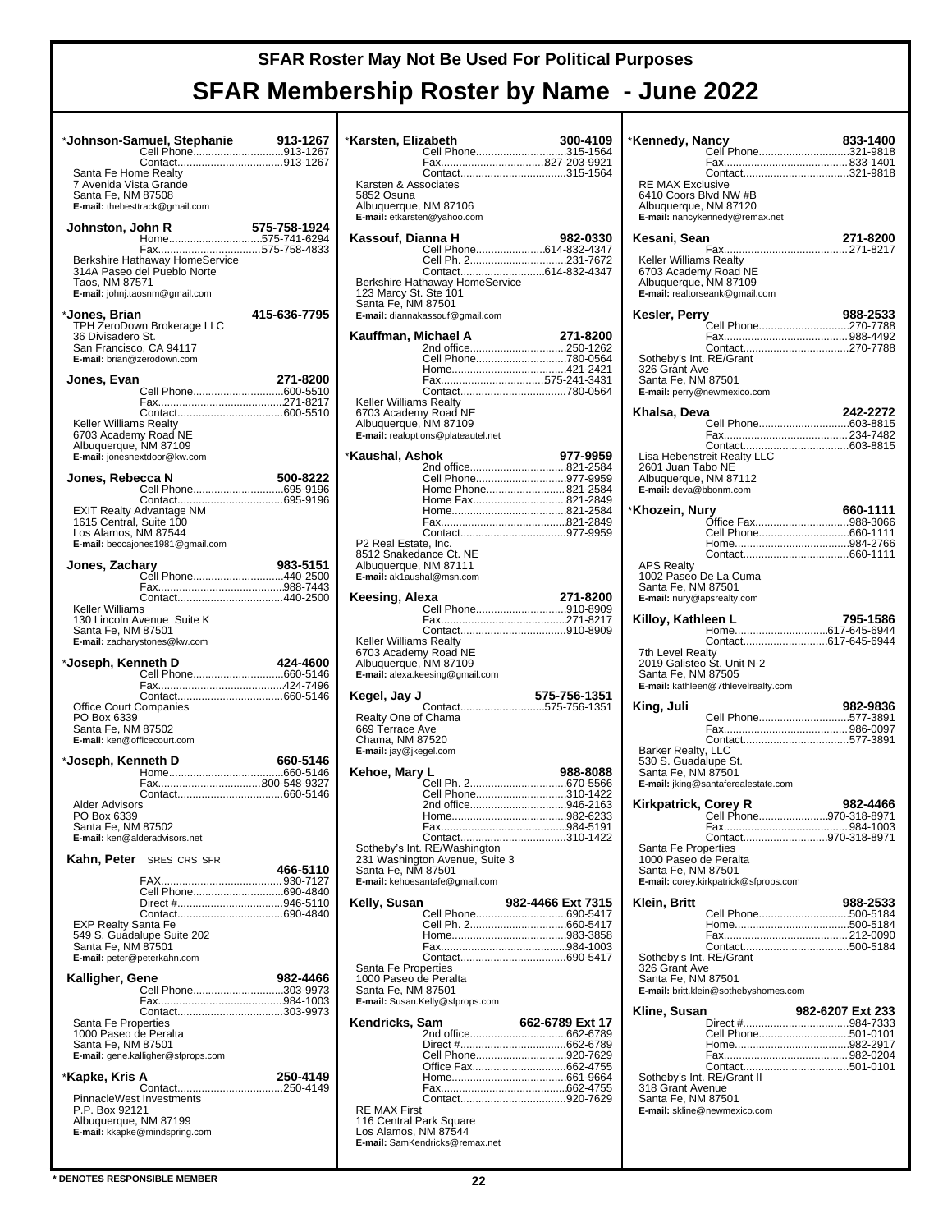|                                                                                                   | *Johnson-Samuel, Stephanie<br>Cell Phone913-1267                                        | 913-1267     |
|---------------------------------------------------------------------------------------------------|-----------------------------------------------------------------------------------------|--------------|
| Santa Fe Home Realty<br>7 Avenida Vista Grande<br>Santa Fe, NM 87508                              | E-mail: thebesttrack@gmail.com                                                          |              |
| Johnston, John R                                                                                  | Home575-741-6294                                                                        | 575-758-1924 |
| Taos, NM 87571                                                                                    | 314A Paseo del Pueblo Norte<br>E-mail: johnj.taosnm@gmail.com                           |              |
| *Jones, Brian<br>36 Divisadero St.<br>San Francisco, CA 94117<br>E-mail: brian@zerodown.com       | TPH ZeroDown Brokerage LLC                                                              | 415-636-7795 |
| Jones, Evan                                                                                       |                                                                                         | 271-8200     |
| Keller Williams Realty<br>6703 Academy Road NE<br>Albuquerque, NM 87109                           | E-mail: jonesnextdoor@kw.com                                                            |              |
| Jones, Rebecca N                                                                                  |                                                                                         | 500-8222     |
| Los Alamos, NM 87544                                                                              | EXIT Realty Advantage NM<br>1615 Central, Suite 100<br>E-mail: beccajones1981@gmail.com |              |
| Jones, Zachary                                                                                    | Cell Phone440-2500                                                                      | 983-5151     |
|                                                                                                   | Contact440-2500                                                                         |              |
| Keller Williams<br>Santa Fe, NM 87501                                                             | 130 Lincoln Avenue Suite K<br>E-mail: zacharystones@kw.com                              |              |
| *Joseph, Kenneth D                                                                                |                                                                                         | 424-4600     |
| <b>Office Court Companies</b><br>PO Box 6339<br>Santa Fe, NM 87502<br>E-mail: ken@officecourt.com |                                                                                         |              |
| *Joseph, Kenneth D                                                                                |                                                                                         | 660-5146     |
|                                                                                                   |                                                                                         |              |
| <b>Alder Advisors</b><br>PO Box 6339<br>Santa Fe, NM 87502<br>E-mail: ken@alderadvisors.net       |                                                                                         |              |
|                                                                                                   | Kahn, Peter SRES CRS SFR                                                                | 466-5110     |
|                                                                                                   | Cell Phone690-4840                                                                      |              |
| <b>EXP Realty Santa Fe</b><br>Santa Fe, NM 87501<br>E-mail: peter@peterkahn.com                   | 549 S. Guadalupe Suite 202                                                              |              |
| Kalligher, Gene                                                                                   | Cell Phone303-9973                                                                      | 982-4466     |
| Santa Fe Properties<br>1000 Paseo de Peralta<br>Santa Fe, NM 87501                                | E-mail: gene.kalligher@sfprops.com                                                      |              |
| *Kapke, Kris A                                                                                    |                                                                                         | 250-4149     |
| PinnacleWest Investments<br>P.P. Box 92121<br>Albuquerque, NM 87199                               | E-mail: kkapke@mindspring.com                                                           |              |

| *Karsten, Elizabeth                            | Cell Phone315-1564                                             | 300-4109          |
|------------------------------------------------|----------------------------------------------------------------|-------------------|
|                                                |                                                                |                   |
|                                                |                                                                |                   |
| Karsten & Associates<br>5852 Osuna             |                                                                |                   |
| Albuquerque, NM 87106                          |                                                                |                   |
|                                                | E-mail: etkarsten@yahoo.com                                    |                   |
| Kassouf, Dianna H                              | Cell Phone614-832-4347                                         | 982-0330          |
|                                                | Cell Ph. 2231-7672                                             |                   |
|                                                |                                                                |                   |
| 123 Marcy St. Ste 101                          | Berkshire Hathaway HomeService                                 |                   |
| Santa Fe, NM 87501                             |                                                                |                   |
|                                                | E-mail: diannakassouf@gmail.com                                |                   |
| Kauffman, Michael A                            |                                                                | 271-8200          |
|                                                | 2nd office250-1262<br>Cell Phone780-0564                       |                   |
|                                                |                                                                |                   |
|                                                |                                                                |                   |
| Keller Williams Realty                         |                                                                |                   |
| 6703 Academy Road NE<br>Albuquerque, NM 87109  |                                                                |                   |
|                                                | E-mail: realoptions@plateautel.net                             |                   |
| *Kaushal, Ashok                                |                                                                | 977-9959          |
|                                                | 2nd office821-2584                                             |                   |
|                                                | Cell Phone977-9959<br>Home Phone 821-2584                      |                   |
|                                                | Home Fax821-2849                                               |                   |
|                                                |                                                                |                   |
|                                                |                                                                |                   |
| P2 Real Estate, Inc.<br>8512 Snakedance Ct. NE |                                                                |                   |
| Albuquerque, NM 87111                          |                                                                |                   |
| E-mail: ak1aushal@msn.com                      |                                                                |                   |
| Keesing, Alexa                                 |                                                                | 271-8200          |
|                                                | Cell Phone910-8909                                             |                   |
|                                                |                                                                |                   |
| Keller Williams Realty                         |                                                                |                   |
|                                                |                                                                |                   |
| 6703 Academy Road NE                           |                                                                |                   |
| Albuquerque, NM 87109                          | E-mail: alexa.keesing@gmail.com                                |                   |
| Kegel, Jay J                                   |                                                                | 575-756-1351      |
|                                                | Contact575-756-1351                                            |                   |
| Realty One of Chama<br>669 Terrace Ave         |                                                                |                   |
| Chama, NM 87520                                |                                                                |                   |
| E-mail: jay@jkegel.com                         |                                                                |                   |
| Kehoe, Mary L                                  |                                                                | 988-8088          |
|                                                | Cell Phone310-1422                                             |                   |
|                                                | 2nd office946-2163                                             |                   |
|                                                |                                                                |                   |
|                                                | Contact310-1422                                                |                   |
|                                                | Sotheby's Int. RE/Washington<br>231 Washington Avenue, Suite 3 |                   |
| Santa Fe, NM 87501                             |                                                                |                   |
|                                                | E-mail: kehoesantafe@gmail.com                                 |                   |
| Kelly, Susan                                   |                                                                | 982-4466 Ext 7315 |
|                                                | Cell Phone690-5417                                             |                   |
|                                                |                                                                |                   |
|                                                |                                                                |                   |
| Santa Fe Properties                            |                                                                |                   |
| 1000 Paseo de Peralta<br>Santa Fe, NM 87501    |                                                                |                   |
|                                                | E-mail: Susan.Kelly@sfprops.com                                |                   |
| Kendricks, Sam                                 |                                                                | 662-6789 Ext 17   |
|                                                |                                                                |                   |
|                                                | Cell Phone920-7629                                             |                   |
|                                                |                                                                |                   |
|                                                |                                                                |                   |
|                                                |                                                                |                   |
| RE MAX First<br>116 Central Park Square        |                                                                |                   |
| Los Alamos, NM 87544                           | E-mail: SamKendricks@remax.net                                 |                   |

| *Kennedy, Nancy                                                           | Cell Phone321-9818                                | 833-1400         |
|---------------------------------------------------------------------------|---------------------------------------------------|------------------|
| <b>RE MAX Exclusive</b><br>6410 Coors Blvd NW #B<br>Albuquerque, NM 87120 | Contact321-9818<br>E-mail: nancykennedy@remax.net |                  |
| Kesani, Sean                                                              |                                                   | 271-8200         |
| Keller Williams Realty<br>6703 Academy Road NE<br>Albuquerque, NM 87109   | E-mail: realtorseank@gmail.com                    |                  |
| Kesler, Perry                                                             | Cell Phone270-7788                                | 988-2533         |
| Sotheby's Int. RE/Grant<br>326 Grant Ave<br>Santa Fe, NM 87501            | Contact270-7788<br>E-mail: perry@newmexico.com    |                  |
| Khalsa, Deva                                                              |                                                   | 242-2272         |
|                                                                           | Cell Phone603-8815                                |                  |
| 2601 Juan Tabo NE<br>Albuquerque, NM 87112<br>E-mail: deva@bbonm.com      | Lisa Hebenstreit Realty LLC                       |                  |
| *Khozein, Nurv                                                            |                                                   | 660-1111         |
|                                                                           | Office Fax988-3066                                |                  |
|                                                                           |                                                   |                  |
| <b>APS Realty</b>                                                         |                                                   |                  |
| 1002 Paseo De La Cuma<br>Santa Fe, NM 87501<br>E-mail: nury@apsrealty.com |                                                   |                  |
| Killoy, Kathleen L                                                        |                                                   | 795-1586         |
|                                                                           | Contact617-645-6944                               |                  |
| 7th Level Realty<br>2019 Galisteo Št. Unit N-2<br>Santa Fe, NM 87505      | E-mail: kathleen@7thlevelrealty.com               |                  |
| King, Juli                                                                |                                                   | 982-9836         |
|                                                                           | Cell Phone577-3891                                |                  |
|                                                                           |                                                   |                  |
| Barker Realty, LLC<br>530 S. Guadalupe St.<br>Santa Fe, NM 87501          | E-mail: jking@santaferealestate.com               |                  |
| Kirkpatrick, Corey R                                                      |                                                   | 982-4466         |
|                                                                           | Cell Phone970-318-8971                            |                  |
|                                                                           | Contact970-318-8971                               |                  |
| Santa Fe Properties<br>1000 Paseo de Peralta                              |                                                   |                  |
| Santa Fe, NM 87501                                                        | E-mail: corey.kirkpatrick@sfprops.com             |                  |
| Klein, Britt                                                              |                                                   | 988-2533         |
|                                                                           | Cell Phone500-5184                                |                  |
|                                                                           |                                                   |                  |
| Sotheby's Int. RE/Grant<br>326 Grant Ave<br>Santa Fe, NM 87501            | E-mail: britt.klein@sothebyshomes.com             |                  |
| Kline, Susan                                                              |                                                   | 982-6207 Ext 233 |
|                                                                           | Cell Phone501-0101                                |                  |
|                                                                           |                                                   |                  |
|                                                                           | Contact501-0101                                   |                  |
| Sotheby's Int. RE/Grant II<br>318 Grant Avenue<br>Santa Fe, NM 87501      | E-mail: skline@newmexico.com                      |                  |
|                                                                           |                                                   |                  |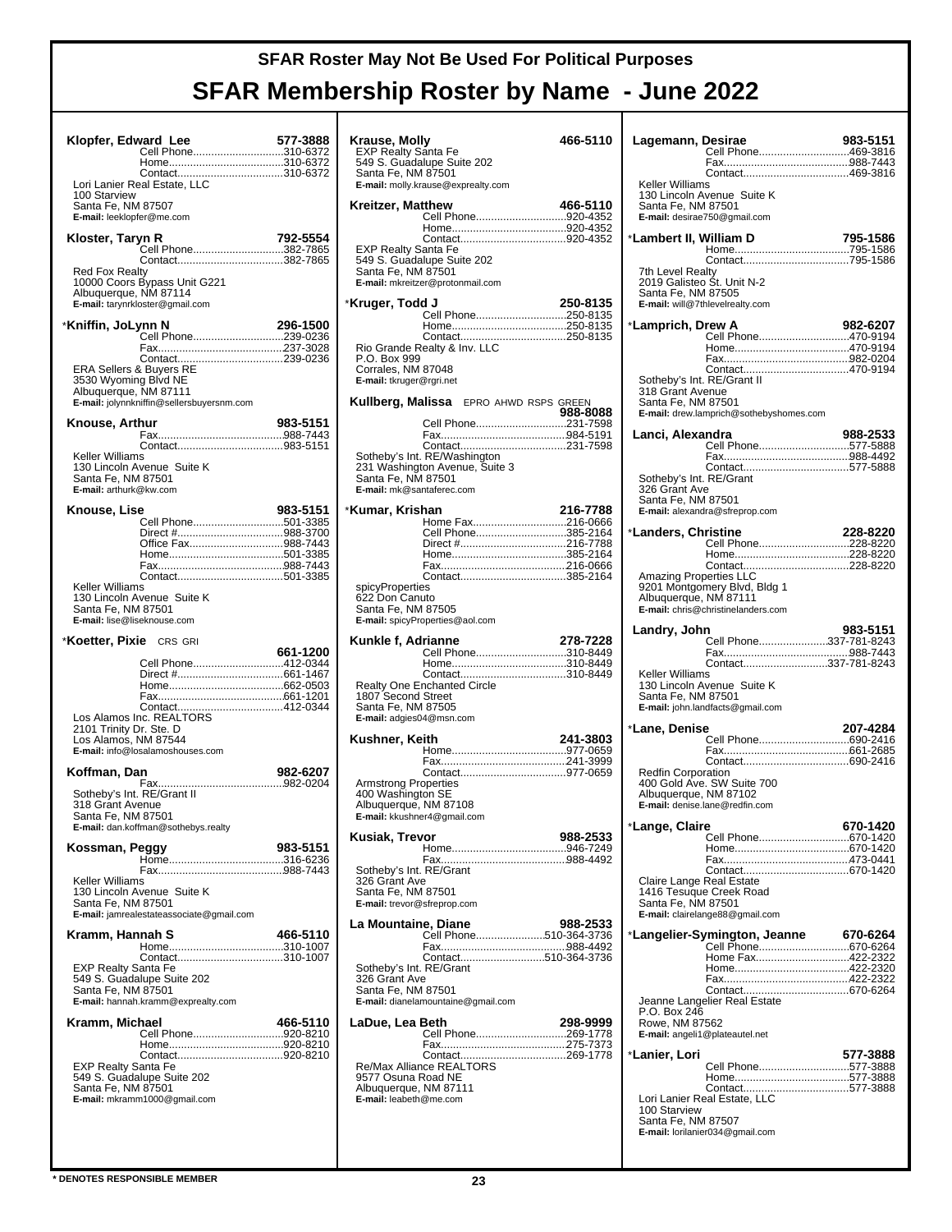|                                                                                  | Klopfer, Edward Lee<br>Cell Phone310-6372                                           | 577-3888 |
|----------------------------------------------------------------------------------|-------------------------------------------------------------------------------------|----------|
| 100 Starview<br>Santa Fe, NM 87507<br>E-mail: leeklopfer@me.com                  | Contact310-6372<br>Lori Lanier Real Estate, LLC                                     |          |
| Kloster, Taryn R                                                                 | Cell Phone382-7865<br>Contact382-7865                                               | 792-5554 |
| <b>Red Fox Realty</b><br>Albuquerque, NM 87114                                   | 10000 Coors Bypass Unit G221<br>E-mail: tarynrkloster@gmail.com                     |          |
| *Kniffin, JoLynn N                                                               | Cell Phone239-0236                                                                  | 296-1500 |
| ERA Sellers & Buyers RE<br>3530 Wyoming Blvd NE<br>Albuquerque, NM 87111         | Contact239-0236<br>E-mail: jolynnkniffin@sellersbuyersnm.com                        |          |
| Knouse, Arthur                                                                   |                                                                                     | 983-5151 |
| Keller Williams<br>Santa Fe, NM 87501<br>E-mail: arthurk@kw.com                  | 130 Lincoln Avenue Suite K                                                          |          |
| Knouse, Lise                                                                     |                                                                                     | 983-5151 |
| Keller Williams<br>Santa Fe, NM 87501                                            | Office Fax988-7443<br>130 Lincoln Avenue Suite K                                    |          |
| E-mail: lise@liseknouse.com                                                      |                                                                                     |          |
| <b>Koetter, Pixie</b> CRS GRI<br>2101 Trinity Dr. Ste. D<br>Los Alamos, NM 87544 | Cell Phone412-0344<br>E-mail: info@losalamoshouses.com                              | 661-1200 |
| Koffman, Dan                                                                     |                                                                                     | 982-6207 |
| Sotheby's Int. RE/Grant II                                                       |                                                                                     |          |
| 318 Grant Avenue<br>Santa Fe, NM 87501                                           | E-mail: dan.koffman@sothebys.realty                                                 |          |
| Kossman, Peggy                                                                   |                                                                                     | 983-5151 |
| Keller Williams<br>Santa Fe, NM 87501                                            | 130 Lincoln Avenue Suite K<br>E-mail: jamrealestateassociate@gmail.com              |          |
| Kramm, Hannah S                                                                  |                                                                                     | 466-5110 |
| <b>EXP Realty Santa Fe</b><br>Santa Fe, NM 87501                                 | Contact310-1007<br>549 S. Guadalupe Suite 202<br>E-mail: hannah.kramm@exprealty.com |          |
| Kramm, Michael                                                                   | Cell Phone920-8210                                                                  | 466-5110 |

| Krause, Molly                                     |                                                   | 466-5110 |
|---------------------------------------------------|---------------------------------------------------|----------|
| EXP Realty Santa Fe                               | 549 S. Guádalupe Suite 202                        |          |
| Santa Fe, NM 87501                                |                                                   |          |
|                                                   | E-mail: molly.krause@exprealty.com                |          |
| Kreitzer, Matthew                                 |                                                   | 466-5110 |
|                                                   | Cell Phone920-4352                                |          |
|                                                   |                                                   |          |
|                                                   | EXP Realty Santa Fe<br>549 S. Guadalupe Suite 202 |          |
| Santa Fe, NM 87501                                |                                                   |          |
|                                                   | E-mail: mkreitzer@protonmail.com                  |          |
| *Kruger, Todd J                                   |                                                   | 250-8135 |
|                                                   | Cell Phone250-8135                                |          |
|                                                   |                                                   |          |
|                                                   | Rio Grande Realty & Inv. LLC                      |          |
| P.O. Box 999                                      |                                                   |          |
| Corrales, NM 87048<br>E-mail: tkruger@rgri.net    |                                                   |          |
|                                                   |                                                   |          |
|                                                   | <b>Kullberg, Malissa</b> EPRO AHWD RSPS GREEN     | 988-8088 |
|                                                   | Cell Phone231-7598                                |          |
|                                                   |                                                   |          |
|                                                   | Sotheby's Int. RE/Washington                      |          |
|                                                   | 231 Washington Avenue, Suite 3                    |          |
| Santa Fe, NM 87501<br>E-mail: mk@santaferec.com   |                                                   |          |
|                                                   |                                                   |          |
| *Kumar, Krishan                                   | Home Fax216-0666                                  | 216-7788 |
|                                                   | Cell Phone385-2164                                |          |
|                                                   |                                                   |          |
|                                                   |                                                   |          |
|                                                   | Contact385-2164                                   |          |
| spicyProperties<br>622 Don Canuto                 |                                                   |          |
| Santa Fe, NM 87505                                |                                                   |          |
|                                                   | E-mail: spicyProperties@aol.com                   |          |
| Kunkle f, Adrianne                                |                                                   | 278-7228 |
|                                                   | Cell Phone310-8449                                |          |
|                                                   |                                                   |          |
| 1807 Second Street                                | Realty One Enchanted Circle                       |          |
| Santa Fe, NM 87505                                |                                                   |          |
| E-mail: adgies04@msn.com                          |                                                   |          |
| Kushner, Keith                                    |                                                   | 241-3803 |
|                                                   |                                                   |          |
|                                                   |                                                   |          |
| Armstrong Properties                              |                                                   |          |
| 400 Washington SE<br>Albuquerque, NM 87108        |                                                   |          |
|                                                   | E-mail: kkushner4@gmail.com                       |          |
| Kusiak, Trevor                                    |                                                   | 988-2533 |
|                                                   |                                                   |          |
| Sotheby's Int. RE/Grant                           |                                                   |          |
| 326 Grant Ave                                     |                                                   |          |
| Santa Fe, NM 87501<br>E-mail: trevor@sfreprop.com |                                                   |          |
|                                                   |                                                   |          |
| La Mountaine, Diane                               | Cell Phone510-364-3736                            | 988-2533 |
|                                                   |                                                   |          |
|                                                   | Contact510-364-3736                               |          |
| Sotheby's Int. RE/Grant<br>326 Grant Ave          |                                                   |          |
| Santa Fe, NM 87501                                |                                                   |          |
|                                                   | E-mail: dianelamountaine@gmail.com                |          |
| LaDue, Lea Beth                                   | Cell Phone269-1778                                | 298-9999 |
|                                                   |                                                   |          |
|                                                   |                                                   |          |
| 9577 Osuna Road NE                                | Re/Max Alliance REALTORS®                         |          |
| Albuquerque, NM 87111                             |                                                   |          |
| E-mail: leabeth@me.com                            |                                                   |          |
|                                                   |                                                   |          |
|                                                   |                                                   |          |

| Lagemann, Desirae                                                                                       | 983-5151 |
|---------------------------------------------------------------------------------------------------------|----------|
| Cell Phone469-3816                                                                                      |          |
| Keller Williams                                                                                         |          |
| 130 Lincoln Avenue Suite K<br>Santa Fe, NM 87501<br>E-mail: desirae750@gmail.com                        |          |
| *Lambert II, William D                                                                                  | 795-1586 |
| Contact795-1586<br>7th Level Realty                                                                     |          |
| 2019 Galisteo Śt. Unit N-2<br>Santa Fe, NM 87505<br>E-mail: will@7thlevelrealty.com                     |          |
| *Lamprich, Drew A<br>Cell Phone470-9194                                                                 | 982-6207 |
|                                                                                                         |          |
| Contact470-9194<br>Sotheby's Int. RE/Grant II                                                           |          |
| 318 Grant Avenue<br>Santa Fe, NM 87501<br>E-mail: drew.lamprich@sothebyshomes.com                       |          |
| Lanci, Alexandra<br>Cell Phone577-5888                                                                  | 988-2533 |
| Contact577-5888                                                                                         |          |
| Sotheby's Int. RE/Grant<br>326 Grant Ave                                                                |          |
| Santa Fe, NM 87501<br>E-mail: alexandra@sfreprop.com                                                    |          |
| *Landers, Christine                                                                                     | 228-8220 |
| Cell Phone228-8220                                                                                      |          |
| <b>Amazing Properties LLC</b><br>9201 Montgomery Blvd, Bldg 1                                           |          |
| Albuquerque, NM 87111<br>E-mail: chris@christinelanders.com                                             |          |
| Landry, John<br><br>Cell Phone337-781-8243                                                              | 983-5151 |
| Contact337-781-8243                                                                                     |          |
| Keller Williams<br>130 Lincoln Avenue Suite K<br>Santa Fe, NM 87501<br>E-mail: john.landfacts@gmail.com |          |
| *Lane, Denise                                                                                           | 207-4284 |
| Cell Phone690-2416                                                                                      |          |
| <b>Redfin Corporation</b><br>400 Gold Ave. SW Suite 700                                                 |          |
| Albuquerque, NM 87102<br>E-mail: denise.lane@redfin.com                                                 |          |
| *Lange, Claire<br>Cell Phone670-1420                                                                    | 670-1420 |
|                                                                                                         |          |
| Claire Lange Real Estate                                                                                |          |
| 1416 Tesuque Creek Road<br>Santa Fe, NM 87501<br>E-mail: clairelange88@gmail.com                        |          |
| *Langelier-Symington, Jeanne                                                                            | 670-6264 |
| Home Fax422-2322                                                                                        |          |
|                                                                                                         |          |
| Jeanne Langelier Real Estate<br>P.O. Box 246<br>Rowe, NM 87562<br>E-mail: angeli1@plateautel.net        |          |
| *Lanier, Lori                                                                                           | 577-3888 |
| Cell Phone577-3888                                                                                      |          |
| Lori Lanier Real Estate, LLC                                                                            |          |
| 100 Starview<br>Santa Fe, NM 87507                                                                      |          |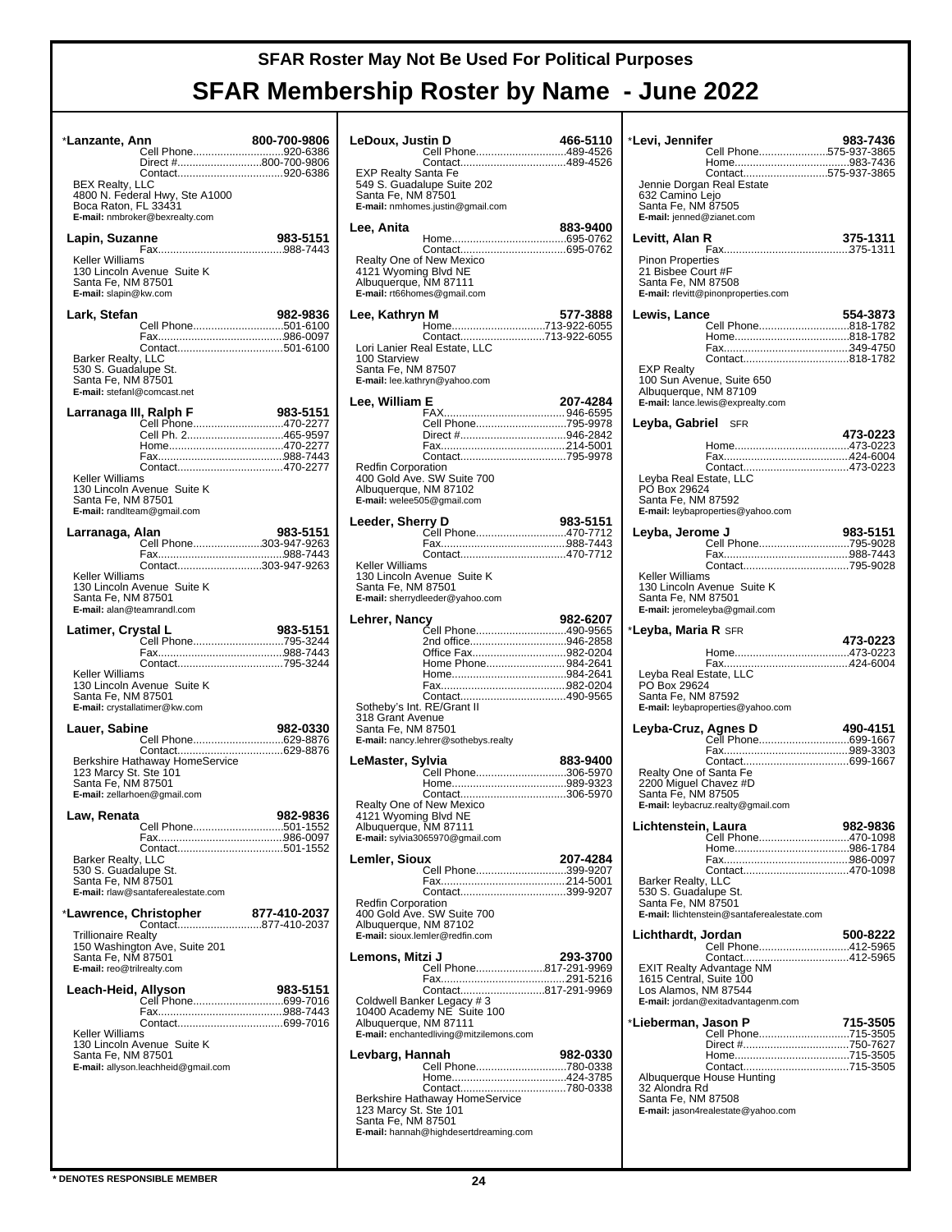| *Lanzante, Ann                                                                 |                                                                                                  | 800-700-9806 |
|--------------------------------------------------------------------------------|--------------------------------------------------------------------------------------------------|--------------|
|                                                                                | Cell Phone920-6386<br>Direct #800-700-9806                                                       |              |
|                                                                                |                                                                                                  |              |
| <b>BEX Realty, LLC</b><br>Boca Raton, FL 33431                                 | 4800 N. Federal Hwy, Ste A1000<br>E-mail: nmbroker@bexrealty.com                                 |              |
| Lapin, Suzanne                                                                 |                                                                                                  | 983-5151     |
| Keller Williams<br>Santa Fe, NM 87501<br>E-mail: slapin@kw.com                 | 130 Lincoln Avenue Suite K                                                                       |              |
| Lark, Stefan                                                                   |                                                                                                  | 982-9836     |
|                                                                                | Cell Phone501-6100                                                                               |              |
| Barker Realty, LLC<br>530 S. Guadalupe St.<br>Santa Fe, NM 87501               | E-mail: stefanl@comcast.net                                                                      |              |
| Larranaga III, Ralph F                                                         |                                                                                                  | 983-5151     |
|                                                                                | Cell Phone470-2277<br>Cell Ph. 2465-9597                                                         |              |
|                                                                                |                                                                                                  |              |
|                                                                                | Contact470-2277                                                                                  |              |
| Keller Williams<br>Santa Fe, NM 87501                                          | 130 Lincoln Avenue Suite K<br>E-mail: randIteam@gmail.com                                        |              |
| Larranaga, Alan                                                                |                                                                                                  | 983-5151     |
|                                                                                | Cell Phone303-947-9263                                                                           |              |
|                                                                                | Contact303-947-9263                                                                              |              |
| Keller Williams<br>Santa Fe, NM 87501                                          | 130 Lincoln Avenue Suite K<br>E-mail: alan@teamrandl.com                                         |              |
| Latimer, Crystal L                                                             |                                                                                                  | 983-5151     |
|                                                                                | Cell Phone795-3244                                                                               |              |
|                                                                                | Contact795-3244                                                                                  |              |
| Keller Williams<br>Santa Fe, NM 87501                                          | 130 Lincoln Avenue Suite K<br>E-mail: crystallatimer@kw.com                                      |              |
| Lauer, Sabine                                                                  |                                                                                                  | 982-0330     |
|                                                                                |                                                                                                  |              |
| 123 Marcy St. Ste 101<br>Santa Fe, NM 87501                                    | Berkshire Hathaway HomeService<br>E-mail: zellarhoen@gmail.com                                   |              |
| Law, Renata                                                                    |                                                                                                  | 982-9836     |
|                                                                                | Cell Phone501-1552                                                                               |              |
| Barker Realty, LLC<br>530 S. Guadalupe St.<br>Santa Fe, NM 87501               |                                                                                                  |              |
|                                                                                | E-mail: rlaw@santaferealestate.com                                                               |              |
|                                                                                | *Lawrence, Christopher<br><b>hristopher                  877-410-2037</b><br>Contact877-410-2037 | 877-410-2037 |
| <b>Trillionaire Realty</b><br>Santa Fe, NM 87501<br>E-mail: reo@trilrealty.com | 150 Washington Ave, Suite 201                                                                    |              |
| Leach-Heid, Allyson                                                            |                                                                                                  | 983-5151     |
|                                                                                | Cell Phone699-7016                                                                               |              |
|                                                                                |                                                                                                  |              |
| Keller Williams<br>Santa Fe, NM 87501                                          | 130 Lincoln Avenue Suite K<br>E-mail: allyson.leachheid@gmail.com                                |              |
|                                                                                |                                                                                                  |              |
|                                                                                |                                                                                                  |              |
|                                                                                |                                                                                                  |              |
|                                                                                |                                                                                                  |              |

| LeDoux, Justin D<br>Cell Phone489-4526<br>Contact489-4526<br><b>EXP Realty Santa Fe</b><br>549 S. Guadalupe Suite 202<br>Santa Fe, NM 87501<br>E-mail: nmhomes.justin@gmail.com                                        | 466-5110 |
|------------------------------------------------------------------------------------------------------------------------------------------------------------------------------------------------------------------------|----------|
| Lee, Anita<br>Realty One of New Mexico<br>4121 Wyoming Blvd NE<br>Albuquerque, NM 87111<br>E-mail: rt66homes@gmail.com                                                                                                 | 883-9400 |
| Lee, Kathryn M<br>Home713-922-6055<br>Contact713-922-6055<br>Lori Lanier Real Estate, LLC<br>100 Starview<br>Santa Fe, NM 87507<br>E-mail: lee.kathryn@yahoo.com                                                       | 577-3888 |
| Lee, William E<br>Cell Phone795-9978<br>Direct #946-2842<br><b>Redfin Corporation</b><br>400 Gold Ave. SW Suite 700<br>Albuquerque, NM 87102<br>E-mail: welee505@gmail.com                                             | 207-4284 |
| Leeder, Sherry D<br>Cell Phone470-7712<br>Contact470-7712<br>Keller Williams<br>130 Lincoln Avenue Suite K<br>Santa Fe, NM 87501<br>E-mail: sherrydleeder@yahoo.com                                                    | 983-5151 |
| Lehrer, Nancv<br>Cell Phone490-9565<br>2nd office946-2858<br>Office Fax982-0204<br>Home Phone 984-2641<br>Sotheby's Int. RE/Grant II<br>318 Grant Avenue<br>Santa Fe, NM 87501<br>E-mail: nancy.lehrer@sothebys.realty | 982-6207 |
| LeMaster, Sylvia<br>.<br>Cell Phone306-5970<br>Realty One of New Mexico<br>4121 Wyoming Blvd NE<br>Albuquerque, NM 87111<br>E-mail: sylvia3065970@gmail.com                                                            | 883-9400 |
| Lemler, Sioux<br>Cell Phone399-9207<br><b>Redfin Corporation</b><br>400 Gold Ave. SW Suite 700<br>Albuquerque, NM 87102<br>E-mail: sioux.lemler@redfin.com                                                             | 207-4284 |
| Lemons, Mitzi J<br>Cell Phone817-291-9969<br>Contact817-291-9969<br>Coldwell Banker Legacy #3<br>10400 Academy NE Suite 100<br>Albuquerque, NM 87111<br>E-mail: enchantedliving@mitzilemons.com                        | 293-3700 |
| Levbarg, Hannah<br>Cell Phone780-0338<br>Berkshire Hathaway HomeService<br>123 Marcy St. Ste 101<br>Santa Fe, NM 87501<br>E-mail: hannah@highdesertdreaming.com                                                        | 982-0330 |

| *Levi, Jennifer                                                       | Cell Phone575-937-3865                                                                      | 983-7436 |
|-----------------------------------------------------------------------|---------------------------------------------------------------------------------------------|----------|
| 632 Camino Lejo<br>Santa Fe, NM 87505<br>E-mail: jenned@zianet.com    | Contact575-937-3865<br>Jennie Dorgan Real Estate                                            |          |
| Levitt, Alan R                                                        |                                                                                             | 375-1311 |
| <b>Pinon Properties</b><br>21 Bisbee Court #F<br>Santa Fe, NM 87508   | E-mail: rlevitt@pinonproperties.com                                                         |          |
| Lewis, Lance                                                          | Cell Phone818-1782                                                                          | 554-3873 |
|                                                                       |                                                                                             |          |
| <b>EXP Realty</b><br>Albuquerque, NM 87109                            | 100 Sun Avenue, Suite 650<br>E-mail: lance.lewis@exprealty.com                              |          |
| Leyba, Gabriel SFR                                                    |                                                                                             | 473-0223 |
|                                                                       |                                                                                             |          |
| Levba Real Estate. LLC<br>PO Box 29624<br>Santa Fe, NM 87592          | E-mail: leybaproperties@yahoo.com                                                           |          |
| Leyba, Jerome J                                                       |                                                                                             | 983-5151 |
|                                                                       | Cell Phone795-9028                                                                          |          |
| Keller Williams<br>Santa Fe, NM 87501                                 | 130 Lincoln Avenue Suite K<br>E-mail: jeromeleyba@gmail.com                                 |          |
| * <b>Leyba, Maria R</b> SFR                                           |                                                                                             | 473-0223 |
|                                                                       |                                                                                             |          |
|                                                                       |                                                                                             |          |
| Leyba Real Estate, LLC<br>PO Box 29624<br>Santa Fe, NM 87592          | E-mail: leybaproperties@yahoo.com                                                           |          |
| Leyba-Cruz, Agnes D                                                   |                                                                                             | 490-4151 |
| Realty One of Santa Fe<br>2200 Miguel Chavez #D<br>Santa Fe, NM 87505 | Cell Phone699-1667<br>E-mail: leybacruz.realty@gmail.com                                    |          |
| Lichtenstein, Laura                                                   |                                                                                             | 982-9836 |
|                                                                       | Cell Phone470-1098                                                                          |          |
| Barker Realty, LLC<br>530 S. Guadalupe St.<br>Santa Fe, NM 87501      | E-mail: llichtenstein@santaferealestate.com                                                 |          |
| Lichthardt, Jordan                                                    |                                                                                             | 500-8222 |
| 1615 Central, Suite 100<br>Los Alamos, NM 87544                       | Cell Phone412-5965<br><b>EXIT Realty Advantage NM</b><br>E-mail: jordan@exitadvantagenm.com |          |
| *Lieberman, Jason P                                                   |                                                                                             | 715-3505 |
|                                                                       | Cell Phone715-3505                                                                          |          |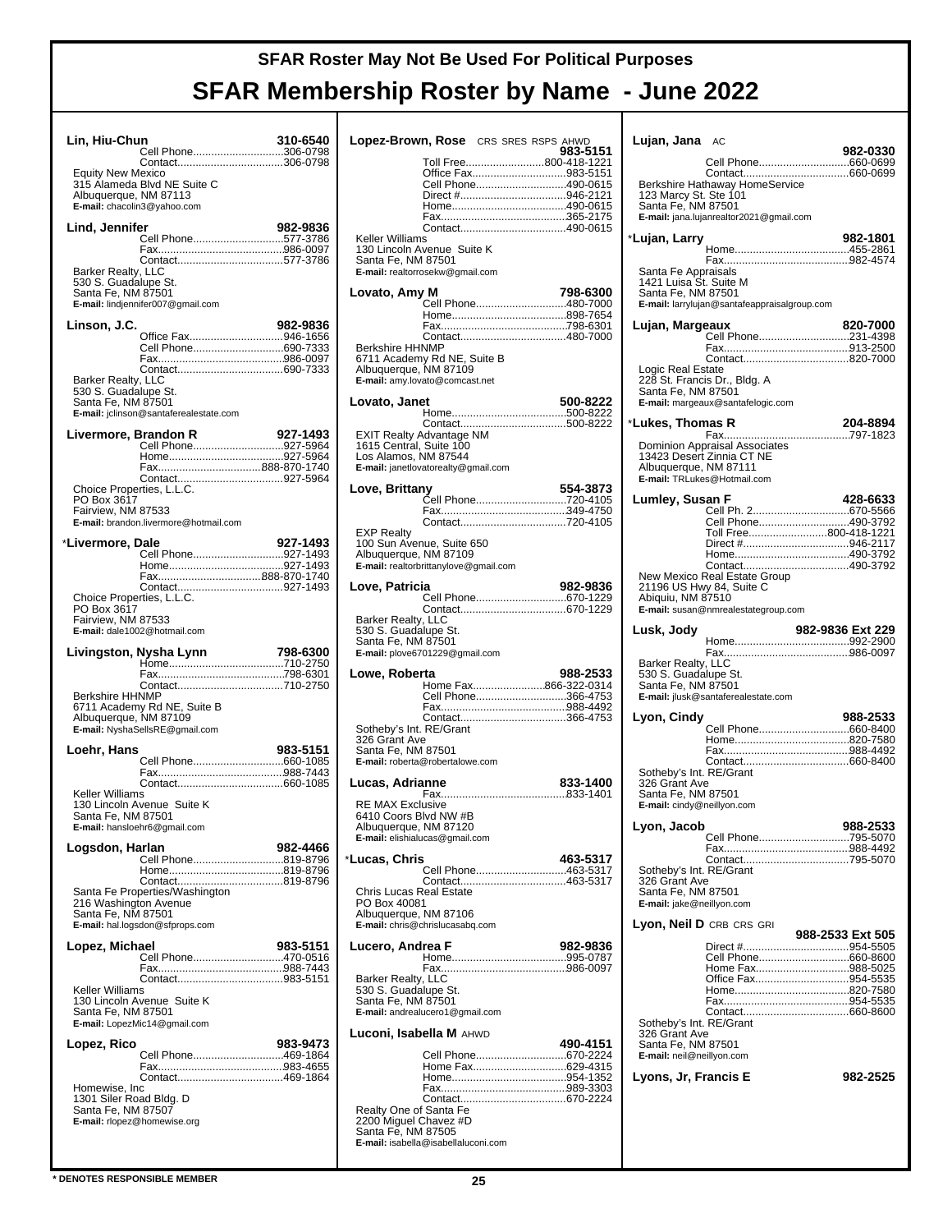| Lin, Hiu-Chun                                                                                  | Cell Phone306-0798                                                            | 310-6540 |
|------------------------------------------------------------------------------------------------|-------------------------------------------------------------------------------|----------|
| <b>Equity New Mexico</b><br>Albuquerque, NM 87113                                              | Contact306-0798<br>315 Alameda Blvd NE Suite C<br>E-mail: chacolin3@yahoo.com |          |
| Lind, Jennifer                                                                                 | Cell Phone577-3786                                                            | 982-9836 |
|                                                                                                | Contact577-3786                                                               |          |
| Barker Realty, LLC<br>530 S. Guadalupe St.<br>Santa Fe, NM 87501                               | E-mail: lindjennifer007@gmail.com                                             |          |
| Linson, J.C.                                                                                   |                                                                               | 982-9836 |
| Barker Realty, LLC                                                                             | Office Fax946-1656<br>Cell Phone690-7333                                      |          |
| 530 S. Guadalupe St.<br>Santa Fe, NM 87501                                                     | E-mail: jclinson@santaferealestate.com                                        |          |
| Livermore, Brandon R                                                                           | Cell Phone927-5964                                                            | 927-1493 |
|                                                                                                |                                                                               |          |
| Choice Properties, L.L.C.                                                                      |                                                                               |          |
| PO Box 3617<br>Fairview, NM 87533                                                              | E-mail: brandon.livermore@hotmail.com                                         |          |
| *Livermore. Dale                                                                               |                                                                               | 927-1493 |
|                                                                                                |                                                                               |          |
|                                                                                                |                                                                               |          |
| Choice Properties, L.L.C.<br>PO Box 3617<br>Fairview, NM 87533<br>E-mail: dale1002@hotmail.com |                                                                               |          |
|                                                                                                |                                                                               |          |
|                                                                                                | Livingston, Nysha Lynn                                                        | 798-6300 |
|                                                                                                | Contact710-2750                                                               |          |
| <b>Berkshire HHNMP</b><br>Albuquerque, NM 87109                                                | 6711 Academy Rd NE, Suite B<br>E-mail: NyshaSellsRE@gmail.com                 |          |
| Loehr, Hans                                                                                    |                                                                               | 983-5151 |
|                                                                                                |                                                                               |          |
| Keller Williams<br>Santa Fe, NM 87501                                                          | 130 Lincoln Avenue Suite K                                                    |          |
|                                                                                                | E-mail: hansloehr6@gmail.com                                                  |          |
| Logsdon, Harlan                                                                                | Cell Phone819-8796                                                            | 982-4466 |
| 216 Washington Avenue<br>Santa Fe, NM 87501                                                    | Santa Fe Properties/Washington                                                |          |
|                                                                                                | E-mail: hal.logsdon@sfprops.com                                               |          |
| Lopez, Michael                                                                                 | Cell Phone470-0516                                                            | 983-5151 |
| Keller Williams                                                                                | 130 Lincoln Avenue Suite K                                                    |          |
| Santa Fe, NM 87501                                                                             | E-mail: LopezMic14@gmail.com                                                  |          |
| Lopez, Rico                                                                                    |                                                                               | 983-9473 |
|                                                                                                | Cell Phone469-1864                                                            |          |
| Homewise, Inc<br>1301 Siler Road Bldg. D<br>Santa Fe, NM 87507                                 | Contact469-1864<br>E-mail: rlopez@homewise.org                                |          |

| Lopez-Brown, Rose CRS SRES RSPS AHWD                                                                                              |                                                                                                          |  | 983-5151 |
|-----------------------------------------------------------------------------------------------------------------------------------|----------------------------------------------------------------------------------------------------------|--|----------|
| <b>Keller Williams</b>                                                                                                            | Toll Free800-418-1221<br>Office Fax983-5151<br>Cell Phone490-0615<br>Direct #946-2121<br>Contact490-0615 |  |          |
| 130 Lincoln Avenue Suite K<br>Santa Fe, NM 87501<br>E-mail: realtorrosekw@gmail.com                                               |                                                                                                          |  |          |
| Lovato, Amy M<br><b>Berkshire HHNMP</b><br>6711 Academy Rd NE, Suite B<br>Albuquerque, NM 87109<br>E-mail: amy.lovato@comcast.net | Cell Phone480-7000                                                                                       |  | 798-6300 |
| Lovato, Janet                                                                                                                     |                                                                                                          |  | 500-8222 |
| EXIT Realty Advantage NM<br>1615 Central, Suite 100<br>Los Alamos, NM 87544<br>E-mail: janetlovatorealty@gmail.com                |                                                                                                          |  |          |
| Love, Brittany                                                                                                                    | Čell Phone720-4105<br>Contact720-4105                                                                    |  | 554-3873 |
| <b>EXP Realty</b><br>100 Sun Avenue, Suite 650<br>Albuquerque, NM 87109<br>E-mail: realtorbrittanylove@gmail.com                  |                                                                                                          |  |          |
| Love, Patricia                                                                                                                    | Cell Phone670-1229                                                                                       |  | 982-9836 |
| Barker Realty, LLC<br>530 S. Guadalupe St.<br>Santa Fe, NM 87501<br>E-mail: plove6701229@gmail.com                                |                                                                                                          |  |          |
| Lowe, Roberta                                                                                                                     | Home Fax866-322-0314                                                                                     |  | 988-2533 |
| Sotheby's Int. RE/Grant<br>326 Grant Ave<br>Santa Fe, NM 87501<br>E-mail: roberta@robertalowe.com                                 | Cell Phone366-4753                                                                                       |  |          |
| Lucas, Adrianne                                                                                                                   |                                                                                                          |  | 833-1400 |
| <b>RE MAX Exclusive</b><br>6410 Coors Blvd NW #B<br>Albuquerque, NM 87120<br>E-mail: elishialucas@gmail.com                       |                                                                                                          |  |          |
| *Lucas, Chris                                                                                                                     | Cell Phone463-5317                                                                                       |  | 463-5317 |
| Chris Lucas Real Estate<br>PO Box 40081<br>Albuquerque, NM 87106<br>E-mail: chris@chrislucasabq.com                               | Contact463-5317                                                                                          |  |          |
| Lucero, Andrea F                                                                                                                  |                                                                                                          |  | 982-9836 |
| Barker Realty, LLC<br>530 S. Guadalupe St.<br>Santa Fe, NM 87501<br>E-mail: andrealucero1@gmail.com                               |                                                                                                          |  |          |
| Luconi, Isabella M AHWD                                                                                                           |                                                                                                          |  | 490-4151 |
| Realty One of Santa Fe<br>2200 Miguel Chavez #D<br>Santa Fe, NM 87505                                                             | Cell Phone670-2224<br>Home Fax629-4315<br><b>E-mail:</b> isabella@isabellaluconi.com                     |  |          |

| Lujan, Jana AC                               |                                                            |                  |
|----------------------------------------------|------------------------------------------------------------|------------------|
|                                              | Cell Phone660-0699                                         | 982-0330         |
| 123 Marcy St. Ste 101                        | Berkshire Hathaway HomeService                             |                  |
| Santa Fe, NM 87501                           | E-mail: jana.lujanrealtor2021@gmail.com                    |                  |
|                                              |                                                            |                  |
| *Lujan, Larry                                |                                                            | 982-1801         |
| Santa Fe Appraisals                          |                                                            |                  |
| 1421 Luisa St. Suite M<br>Santa Fe, NM 87501 |                                                            |                  |
|                                              | E-mail: larrylujan@santafeappraisalgroup.com               |                  |
| Lujan, Margeaux                              |                                                            | 820-7000         |
|                                              |                                                            |                  |
| Logic Real Estate                            | Contact820-7000                                            |                  |
|                                              | 228 St. Francis Dr., Bldg. A                               |                  |
| Santa Fe, NM 87501                           | E-mail: margeaux@santafelogic.com                          |                  |
| *Lukes, Thomas R                             |                                                            | 204-8894         |
|                                              |                                                            |                  |
|                                              | Dominion Appraisal Associates<br>13423 Desert Zinnia CT NE |                  |
| Albuquerque, NM 87111                        | E-mail: TRLukes@Hotmail.com                                |                  |
| Lumley, Susan F                              |                                                            | 428-6633         |
|                                              | Cell Ph. 2670-5566                                         |                  |
|                                              | Cell Phone490-3792<br>Toll Free800-418-1221                |                  |
|                                              |                                                            |                  |
|                                              | Contact490-3792                                            |                  |
|                                              | New Mexico Real Estate Group<br>21196 US Hwy 84, Suite C   |                  |
| Abiquiu, NM 87510                            | E-mail: susan@nmrealestategroup.com                        |                  |
| Lusk, Jody                                   |                                                            | 982-9836 Ext 229 |
|                                              |                                                            |                  |
|                                              |                                                            |                  |
|                                              |                                                            |                  |
| Barker Realty, LLC<br>530 S. Guadalupe St.   |                                                            |                  |
| Santa Fe, NM 87501                           | E-mail: jlusk@santaferealestate.com                        |                  |
| Lyon, Cindy                                  |                                                            | 988-2533         |
|                                              |                                                            |                  |
|                                              |                                                            |                  |
| Sotheby's Int. RE/Grant                      |                                                            |                  |
| 326 Grant Ave<br>Santa Fe, NM 87501          |                                                            |                  |
| E-mail: cindy@neillyon.com                   |                                                            |                  |
| Lyon, Jacob                                  |                                                            | 988-2533         |
|                                              | Cell Phone795-5070                                         |                  |
| Sotheby's Int. RE/Grant                      | Contact795-5070                                            |                  |
| 326 Grant Ave<br>Santa Fe, NM 87501          |                                                            |                  |
| E-mail: jake@neillyon.com                    |                                                            |                  |
|                                              | Lyon, Neil D CRB CRS GRI                                   |                  |
|                                              |                                                            | 988-2533 Ext 505 |
|                                              | Cell Phone660-8600<br>Home Fax988-5025                     |                  |
|                                              | Office Fax954-5535                                         |                  |
|                                              |                                                            |                  |
| Sotheby's Int. RE/Grant                      |                                                            |                  |
| 326 Grant Ave<br>Santa Fe, NM 87501          |                                                            |                  |
| E-mail: neil@neillyon.com                    |                                                            |                  |
| Lyons, Jr, Francis E                         |                                                            | 982-2525         |
|                                              |                                                            |                  |
|                                              |                                                            |                  |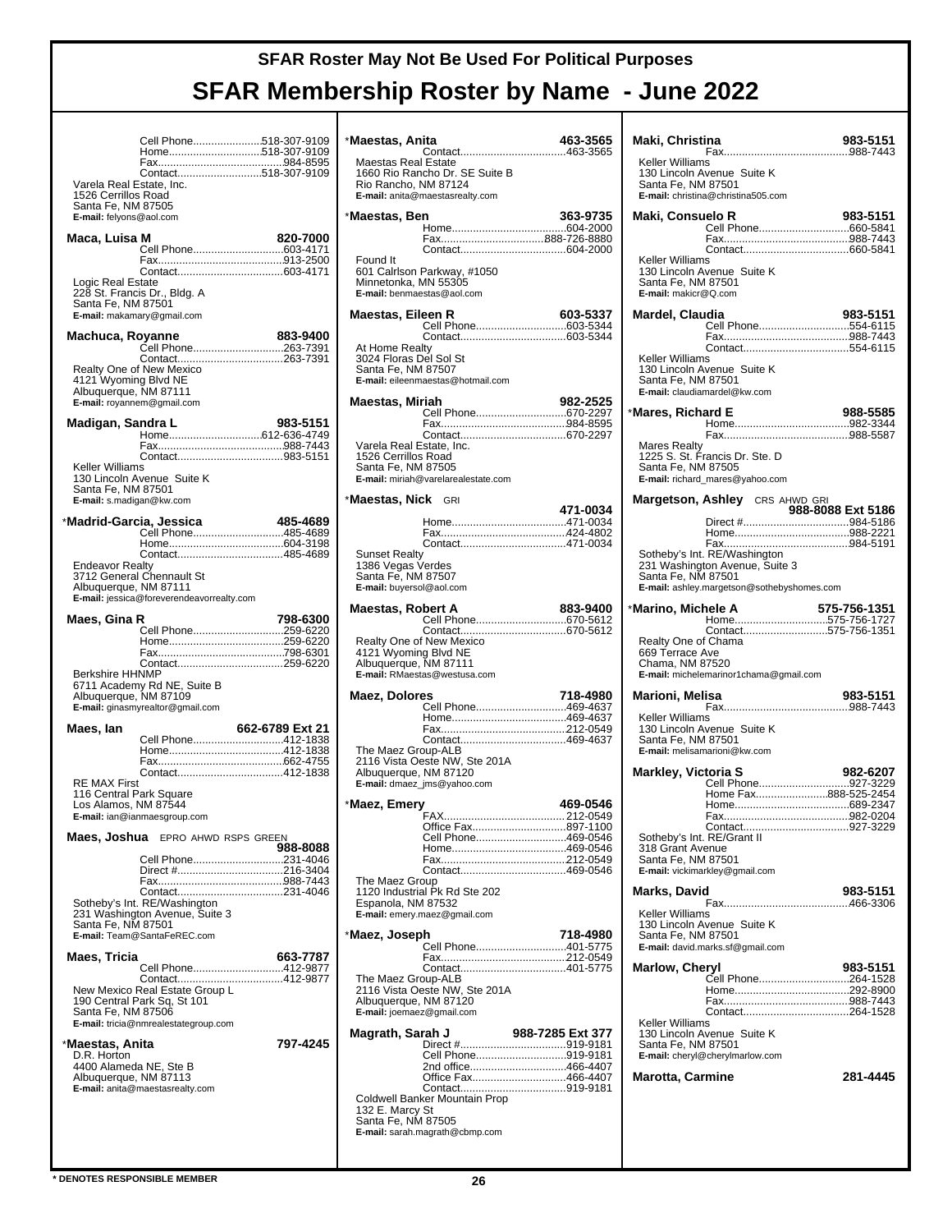|                                           | Cell Phone518-307-9109                                         |                 |
|-------------------------------------------|----------------------------------------------------------------|-----------------|
|                                           | Home518-307-9109                                               |                 |
|                                           | Contact518-307-9109                                            |                 |
| Varela Real Estate, Inc.                  |                                                                |                 |
| 1526 Cerrillos Road<br>Santa Fe, NM 87505 |                                                                |                 |
| E-mail: felyons@aol.com                   |                                                                |                 |
| Maca, Luisa M                             |                                                                | 820-7000        |
|                                           | Cell Phone603-4171                                             |                 |
|                                           |                                                                |                 |
| Logic Real Estate                         |                                                                |                 |
| Santa Fe, NM 87501                        | 228 St. Francis Dr., Bldg. A                                   |                 |
|                                           | E-mail: makamary@gmail.com                                     |                 |
| Machuca, Royanne                          |                                                                | 883-9400        |
|                                           | Cell Phone263-7391                                             |                 |
|                                           | Realty One of New Mexico                                       |                 |
| 4121 Wyoming Blvd NE                      |                                                                |                 |
| Albuquerque, NM 87111                     |                                                                |                 |
|                                           | E-mail: royannem@gmail.com                                     |                 |
| Madigan, Sandra L                         |                                                                | 983-5151        |
|                                           |                                                                |                 |
|                                           |                                                                |                 |
| Keller Williams                           | 130 Lincoln Avenue Suite K                                     |                 |
| Santa Fe, NM 87501                        |                                                                |                 |
|                                           | E-mail: s.madigan@kw.com                                       |                 |
|                                           | *Madrid-Garcia, Jessica                                        | 485-4689        |
|                                           | Cell Phone485-4689                                             |                 |
|                                           |                                                                |                 |
| <b>Endeavor Realty</b>                    | 3712 General Chennault St                                      |                 |
| Albuquerque, NM 87111                     |                                                                |                 |
|                                           | E-mail: jessica@foreverendeavorrealty.com                      |                 |
| Maes, Gina R                              |                                                                | 798-6300        |
|                                           |                                                                |                 |
|                                           | Cell Phone259-6220                                             |                 |
|                                           |                                                                |                 |
|                                           | Contact259-6220                                                |                 |
| <b>Berkshire HHNMP</b>                    | 6711 Academy Rd NE, Suite B                                    |                 |
|                                           | Albuquerque, NM 87109                                          |                 |
|                                           | E-mail: ginasmyrealtor@gmail.com                               |                 |
| Maes, Ian                                 |                                                                | 662-6789 Ext 21 |
|                                           | Cell Phone412-1838                                             |                 |
|                                           |                                                                |                 |
| RE MAX First                              |                                                                |                 |
|                                           | 116 Central Park Square                                        |                 |
| Los Alamos, NM 87544                      | E-mail: ian@ianmaesgroup.com                                   |                 |
|                                           |                                                                |                 |
|                                           | <b>Maes, Joshua</b> EPRO AHWD RSPS GREEN                       | 988-8088        |
|                                           | Cell Phone231-4046                                             |                 |
|                                           |                                                                |                 |
|                                           | Contact231-4046                                                |                 |
|                                           | Sotheby's Int. RE/Washington<br>231 Washington Avenue, Suite 3 |                 |
| Santa Fe, NM 87501                        |                                                                |                 |
|                                           | E-mail: Team@SantaFeREC.com                                    |                 |
| Maes, Tricia                              |                                                                | 663-7787        |
|                                           | Cell Phone412-9877<br>Contact412-9877                          |                 |
|                                           | New Mexico Real Estate Group L                                 |                 |
| Santa Fe, NM 87506                        | 190 Central Park Sq, St 101                                    |                 |
|                                           | E-mail: tricia@nmrealestategroup.com                           |                 |
| *Maestas, Anita                           |                                                                | 797-4245        |
| D.R. Horton                               |                                                                |                 |
|                                           | 4400 Alameda NE, Ste B<br>Albuquerque, NM 87113                |                 |
|                                           | E-mail: anita@maestasrealty.com                                |                 |
|                                           |                                                                |                 |
|                                           |                                                                |                 |

| *Maestas, Anita                                                                      |                                                                                    | 463-3565         |
|--------------------------------------------------------------------------------------|------------------------------------------------------------------------------------|------------------|
| <b>Maestas Real Estate</b><br>Rio Rancho, NM 87124                                   | 1660 Rio Rancho Dr. SE Suite B<br>E-mail: anita@maestasrealty.com                  |                  |
| *Maestas, Ben                                                                        |                                                                                    | 363-9735         |
| Found It<br>Minnetonka, MN 55305<br>E-mail: benmaestas@aol.com                       | 601 Calrison Parkway, #1050                                                        |                  |
| Maestas, Eileen R                                                                    |                                                                                    | 603-5337         |
| At Home Realty<br>3024 Floras Del Sol St<br>Santa Fe, NM 87507                       | E-mail: eileenmaestas@hotmail.com                                                  |                  |
| Maestas, Miriah                                                                      |                                                                                    | 982-2525         |
|                                                                                      | Cell Phone670-2297                                                                 |                  |
| Varela Real Estate, Inc.<br>1526 Cerrillos Road<br>Santa Fe, NM 87505                | E-mail: miriah@varelarealestate.com                                                |                  |
| * <b>Maestas, Nick</b> GRI                                                           |                                                                                    |                  |
|                                                                                      |                                                                                    | 471-0034         |
|                                                                                      |                                                                                    |                  |
| Sunset Realty<br>1386 Vegas Verdes<br>Santa Fe. NM 87507<br>E-mail: buyersol@aol.com |                                                                                    |                  |
| Maestas, Robert A                                                                    |                                                                                    | 883-9400         |
| 4121 Wyoming Blvd NE<br>Albuquerque, NM 87111                                        | Realty One of New Mexico<br>E-mail: RMaestas@westusa.com                           |                  |
| Maez, Dolores                                                                        |                                                                                    | 718-4980         |
| The Maez Group-ALB<br>Albuquerque, NM 87120                                          | Cell Phone469-4637<br>2116 Vista Oeste NW, Ste 201A<br>E-mail: dmaez_jms@yahoo.com |                  |
| *Maez, Emery                                                                         |                                                                                    | 469-0546         |
|                                                                                      | Office Fax897-1100                                                                 |                  |
|                                                                                      | Cell Phone469-0546                                                                 |                  |
|                                                                                      |                                                                                    |                  |
| The Maez Group<br>Espanola, NM 87532                                                 | 1120 Industrial Pk Rd Ste 202<br>E-mail: emery.maez@gmail.com                      |                  |
| *Maez, Joseph                                                                        |                                                                                    | 718-4980         |
|                                                                                      | Cell Phone401-5775                                                                 |                  |
| The Maez Group-ALB<br>Albuquerque, NM 87120<br>E-mail: joemaez@gmail.com             | 2116 Vista Oeste NW, Ste 201A                                                      |                  |
| Magrath, Sarah J                                                                     |                                                                                    | 988-7285 Ext 377 |
|                                                                                      | Cell Phone919-9181<br>2nd office466-4407<br>Office Fax466-4407                     |                  |
| 132 E. Marcy St<br>Santa Fe, NM 87505                                                | Coldwell Banker Mountain Prop<br>E-mail: sarah.magrath@cbmp.com                    |                  |

| Maki, Christina                                                                                                                    | 983-5151          |
|------------------------------------------------------------------------------------------------------------------------------------|-------------------|
| Keller Williams<br>130 Lincoln Avenue Suite K<br>Santa Fe, NM 87501<br>E-mail: christina@christina505.com                          |                   |
| Maki, Consuelo R                                                                                                                   | 983-5151          |
| Keller Williams<br>130 Lincoln Avenue Suite K<br>Santa Fe, NM 87501<br>E-mail: makicr@Q.com                                        |                   |
| Mardel, Claudia<br>Cell Phone554-6115                                                                                              | 983-5151          |
| Contact554-6115<br>Keller Williams<br>130 Lincoln Avenue Suite K<br>Santa Fe, NM 87501<br>E-mail: claudiamardel@kw.com             |                   |
| *Mares, Richard E                                                                                                                  | 988-5585          |
| <b>Mares Realty</b><br>1225 S. St. Francis Dr. Ste. D<br>Santa Fe. NM 87505<br>E-mail: richard mares@yahoo.com                     |                   |
| Margetson, Ashley CRS AHWD GRI                                                                                                     | 988-8088 Ext 5186 |
|                                                                                                                                    |                   |
|                                                                                                                                    |                   |
| Sotheby's Int. RE/Washington<br>231 Washington Avenue, Suite 3<br>Santa Fe, NM 87501<br>E-mail: ashley.margetson@sothebyshomes.com |                   |
| *Marino, Michele A<br>Contact575-756-1351                                                                                          | 575-756-1351      |
| Realty One of Chama<br>669 Terrace Ave<br>Chama, NM 87520<br>E-mail: michelemarinor1chama@gmail.com                                |                   |
| Marioni, Melisa                                                                                                                    | 983-5151          |
| Keller Williams<br>130 Lincoln Avenue Suite K<br>Santa Fe, NM 87501<br>E-mail: melisamarioni@kw.com                                |                   |
| <b>Markley, Victoria S</b>                                                                                                         | 982-6207          |
| Cell Phone927-3229<br>Home Fax888-525-2454                                                                                         |                   |
|                                                                                                                                    |                   |
|                                                                                                                                    |                   |
| Sotheby's Int. RE/Grant II<br>318 Grant Avenue<br>Santa Fe, NM 87501<br>E-mail: vickimarkley@gmail.com                             |                   |
| Marks, David                                                                                                                       | 983-5151          |
| Keller Williams<br>130 Lincoln Avenue Suite K<br>Santa Fe. NM 87501<br>E-mail: david.marks.sf@gmail.com                            |                   |
| <b>Marlow, Cheryl</b>                                                                                                              | 983-5151          |
| Cell Phone264-1528                                                                                                                 |                   |
|                                                                                                                                    |                   |
| <b>Keller Williams</b><br>130 Lincoln Avenue Suite K<br>Santa Fe, NM 87501<br>E-mail: cheryl@cherylmarlow.com                      |                   |
| <b>Marotta, Carmine</b>                                                                                                            | 281-4445          |
|                                                                                                                                    |                   |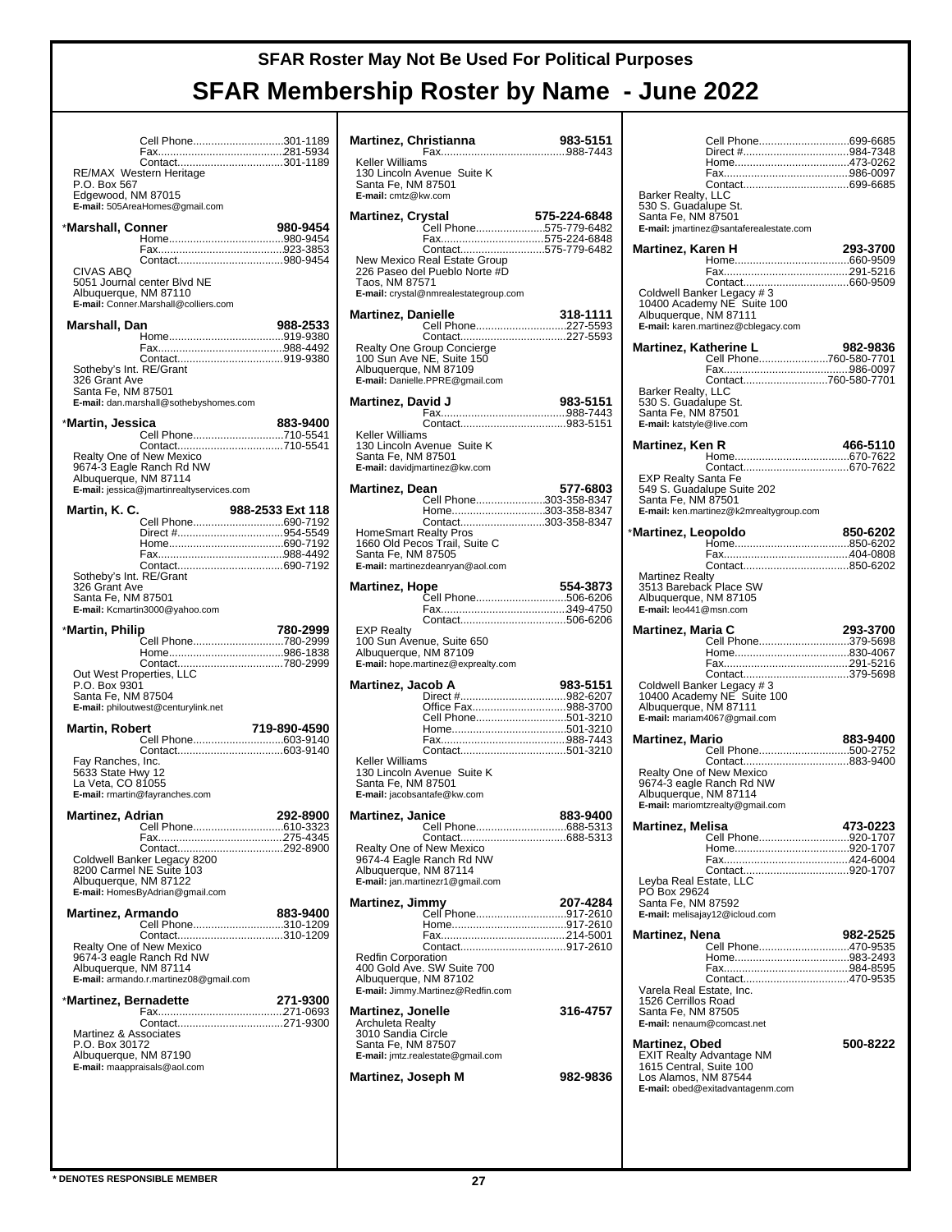|                                           | Cell Phone301-1189                                                  |                  |
|-------------------------------------------|---------------------------------------------------------------------|------------------|
| P.O. Box 567                              | Contact301-1189<br>RE/MAX Western Heritage                          |                  |
| Edgewood, NM 87015                        | E-mail: 505AreaHomes@gmail.com                                      |                  |
| *Marshall, Conner                         |                                                                     | 980-9454         |
|                                           |                                                                     |                  |
| CIVAS ABQ                                 |                                                                     |                  |
| Albuquerque, NM 87110                     | 5051 Journal center Blvd NE<br>E-mail: Conner.Marshall@colliers.com |                  |
|                                           |                                                                     |                  |
| Marshall, Dan                             |                                                                     | 988-2533         |
|                                           |                                                                     |                  |
|                                           |                                                                     |                  |
| Sotheby's Int. RE/Grant<br>326 Grant Ave  |                                                                     |                  |
| Santa Fe, NM 87501                        |                                                                     |                  |
|                                           | E-mail: dan.marshall@sothebyshomes.com                              |                  |
| *Martin, Jessica                          |                                                                     | 883-9400         |
|                                           | Cell Phone710-5541<br>Contact710-5541                               |                  |
|                                           | Realty One of New Mexico                                            |                  |
|                                           | 9674-3 Eagle Ranch Rd NW                                            |                  |
| Albuquerque, NM 87114                     | E-mail: jessica@jmartinrealtyservices.com                           |                  |
|                                           |                                                                     |                  |
| Martin, K. C.                             | Cell Phone690-7192                                                  | 988-2533 Ext 118 |
|                                           |                                                                     |                  |
|                                           |                                                                     |                  |
|                                           |                                                                     |                  |
| Sotheby's Int. RE/Grant                   |                                                                     |                  |
| 326 Grant Ave                             |                                                                     |                  |
| Santa Fe, NM 87501                        | E-mail: Kcmartin3000@yahoo.com                                      |                  |
|                                           |                                                                     |                  |
|                                           |                                                                     |                  |
| *Martin, Philip                           |                                                                     | 780-2999         |
|                                           | Cell Phone780-2999                                                  |                  |
|                                           | Contact780-2999                                                     |                  |
| Out West Properties, LLC<br>P.O. Box 9301 |                                                                     |                  |
| Santa Fe, NM 87504                        |                                                                     |                  |
|                                           | E-mail: philoutwest@centurylink.net                                 |                  |
| <b>Martin, Robert</b>                     |                                                                     | 719-890-4590     |
|                                           | Cell Phone603-9140                                                  |                  |
| Fay Ranches, Inc.                         |                                                                     |                  |
| 5633 State Hwy 12                         |                                                                     |                  |
| La Veta, CO 81055                         | E-mail: rmartin@fayranches.com                                      |                  |
|                                           |                                                                     |                  |
| Martinez, Adrian                          | Cell Phone610-3323                                                  | 292-8900         |
|                                           |                                                                     |                  |
|                                           |                                                                     |                  |
|                                           | Coldwell Banker Legacy 8200<br>8200 Carmel NE Suite 103             |                  |
| Albuquerque, NM 87122                     |                                                                     |                  |
|                                           | E-mail: HomesByAdrian@gmail.com                                     |                  |
| <b>Martinez, Armando</b>                  |                                                                     | 883-9400         |
|                                           | Cell Phone310-1209<br>Contact310-1209                               |                  |
|                                           | Realty One of New Mexico                                            |                  |
|                                           | 9674-3 eagle Ranch Rd NW                                            |                  |
| Albuquerque, NM 87114                     | E-mail: armando.r.martinez08@gmail.com                              |                  |
|                                           |                                                                     |                  |
| *Martinez, Bernadette                     |                                                                     | 271-9300         |
|                                           |                                                                     |                  |
| Martinez & Associates<br>P.O. Box 30172   |                                                                     |                  |
| Albuquerque, NM 87190                     |                                                                     |                  |
|                                           | E-mail: maappraisals@aol.com                                        |                  |
|                                           |                                                                     |                  |
|                                           |                                                                     |                  |
|                                           |                                                                     |                  |

| Martinez, Christianna                                                                                                                           | 983-5151     |
|-------------------------------------------------------------------------------------------------------------------------------------------------|--------------|
| Keller Williams<br>130 Lincoln Avenue Suite K<br>Santa Fe, NM 87501<br>E-mail: cmtz@kw.com                                                      |              |
| Martinez, Crystal                                                                                                                               | 575-224-6848 |
| Cell Phone575-779-6482<br>Fax575-224-6848                                                                                                       |              |
| Contact575-779-6482<br>New Mexico Real Estate Group<br>226 Paseo del Pueblo Norte #D<br>Taos, NM 87571<br>E-mail: crystal@nmrealestategroup.com |              |
| <b>Martinez, Danielle</b><br>Cell Phone227-5593                                                                                                 | 318-1111     |
| Realty One Group Concierge<br>100 Sun Ave NE, Suite 150<br>Albuquerque, NM 87109<br>E-mail: Danielle.PPRE@gmail.com                             |              |
| Martinez, David J                                                                                                                               | 983-5151     |
|                                                                                                                                                 |              |
| Keller Williams<br>130 Lincoln Avenue Suite K<br>Santa Fe, NM 87501<br>E-mail: davidjmartinez@kw.com                                            |              |
| Martinez, Dean                                                                                                                                  | 577-6803     |
| Cell Phone303-358-8347<br>Home303-358-8347                                                                                                      |              |
| Contact303-358-8347                                                                                                                             |              |
| <b>HomeSmart Realty Pros</b><br>1660 Old Pecos Trail, Suite C<br>Santa Fe, NM 87505<br>E-mail: martinezdeanryan@aol.com                         |              |
| <b>Martinez, Hope</b>                                                                                                                           | 554-3873     |
| Cell Phone506-6206                                                                                                                              |              |
|                                                                                                                                                 |              |
| <b>EXP Realty</b><br>100 Sun Avenue, Suite 650<br>Albuquerque, NM 87109<br>E-mail: hope.martinez@exprealty.com                                  |              |
| Martinez, Jacob A                                                                                                                               | 983-5151     |
| Office Fax988-3700                                                                                                                              |              |
| Cell Phone501-3210                                                                                                                              |              |
|                                                                                                                                                 |              |
|                                                                                                                                                 |              |
| Keller Williams<br>130 Lincoln Avenue Suite K<br>Santa Fe, NM 87501<br>E-mail: jacobsantafe@kw.com                                              |              |
| <b>Martinez, Janice</b>                                                                                                                         | 883-9400     |
| Cell Phone                                                                                                                                      | 688-5313     |
| Realty One of New Mexico                                                                                                                        |              |
| 9674-4 Eagle Ranch Rd NW<br>Albuquerque, NM 87114<br>E-mail: jan.martinezr1@gmail.com                                                           |              |
| Martinez, Jimmy                                                                                                                                 | 207-4284     |
| Cell Phone917-2610                                                                                                                              |              |
|                                                                                                                                                 |              |
| <b>Redfin Corporation</b>                                                                                                                       |              |
| 400 Gold Ave. SW Suite 700<br>Albuquerque, NM 87102<br>E-mail: Jimmy.Martinez@Redfin.com                                                        |              |
| <b>Martinez, Jonelle</b>                                                                                                                        | 316-4757     |
| <b>Archuleta Realty</b><br>3010 Sandia Circle<br>Santa Fe, NM 87507                                                                             |              |
| E-mail: jmtz.realestate@gmail.com                                                                                                               |              |
| Martinez, Joseph M                                                                                                                              | 982-9836     |
|                                                                                                                                                 |              |

|                                                 | Cell Phone699-6685                           |          |
|-------------------------------------------------|----------------------------------------------|----------|
|                                                 |                                              |          |
|                                                 |                                              |          |
|                                                 |                                              |          |
| Barker Realty, LLC<br>530 S. Guadalupe St.      |                                              |          |
| Santa Fe, NM 87501                              |                                              |          |
|                                                 | E-mail: imartinez@santaferealestate.com      |          |
| Martinez, Karen H                               |                                              | 293-3700 |
|                                                 |                                              |          |
|                                                 |                                              |          |
|                                                 | Coldwell Banker Legacy #3                    |          |
|                                                 | 10400 Academy NE Suite 100                   |          |
| Albuquerque, NM 87111                           |                                              |          |
|                                                 | E-mail: karen.martinez@cblegacy.com          |          |
| Martinez, Katherine L                           | 182-9836 (herine L<br>Cell Phone760-580-7701 | 982-9836 |
|                                                 |                                              |          |
|                                                 | Contact760-580-7701                          |          |
| Barker Realty, LLC                              |                                              |          |
| 530 S. Guadalupe St.<br>Santa Fe, NM 87501      |                                              |          |
| E-mail: katstyle@live.com                       |                                              |          |
|                                                 |                                              |          |
| Martinez, Ken R                                 |                                              | 466-5110 |
|                                                 |                                              |          |
| <b>EXP Realty Santa Fe</b>                      | 549 S. Guadalupe Suite 202                   |          |
| Santa Fe, NM 87501                              |                                              |          |
|                                                 | E-mail: ken.martinez@k2mrealtygroup.com      |          |
| *Martinez, Leopoldo                             |                                              | 850-6202 |
|                                                 |                                              |          |
|                                                 |                                              |          |
|                                                 |                                              |          |
|                                                 | Martinez Realty<br>3513 Bareback Place SW    |          |
| Albuquerque, NM 87105<br>E-mail: leo441@msn.com |                                              |          |
|                                                 |                                              |          |
| Martinez, Maria C                               |                                              | 293-3700 |
|                                                 |                                              |          |
|                                                 | Cell Phone379-5698                           |          |
|                                                 |                                              |          |
|                                                 |                                              |          |
|                                                 | Coldwell Banker Legacy #3                    |          |
| Albuquerque, NM 87111                           | 10400 Academy NE Suite 100                   |          |
|                                                 | E-mail: mariam4067@gmail.com                 |          |
| <b>Martinez, Mario</b>                          |                                              | 883-9400 |
|                                                 | Cell Phone500-2752                           |          |
|                                                 | Realty One of New Mexico                     |          |
|                                                 | 9674-3 eagle Ranch Rd NW                     |          |
| Albuquerque, NM 87114                           |                                              |          |
|                                                 | E-mail: mariomtzrealty@gmail.com             |          |
| <b>Martinez, Melisa</b>                         |                                              | 473-0223 |
|                                                 | Cell Phone920-1707                           |          |
|                                                 |                                              |          |
| Leyba Real Estate, LLC                          |                                              |          |
| PÓ Box 29624                                    |                                              |          |
| Santa Fe, NM 87592                              |                                              |          |
|                                                 | E-mail: melisajay12@icloud.com               |          |
| <b>Martinez, Nena</b>                           |                                              | 982-2525 |
|                                                 | Cell Phone470-9535                           |          |
|                                                 |                                              |          |
| Varela Real Estate, Inc.                        |                                              |          |
| 1526 Cerrillos Road                             |                                              |          |
| Santa Fe, NM 87505                              | E-mail: nenaum@comcast.net                   |          |
|                                                 |                                              |          |
| Martinez, Obed                                  |                                              | 500-8222 |
|                                                 | <b>EXIT Realty Advantage NM</b>              |          |
| 1615 Central, Suite 100<br>Los Alamos, NM 87544 |                                              |          |
|                                                 | E-mail: obed@exitadvantagenm.com             |          |
|                                                 |                                              |          |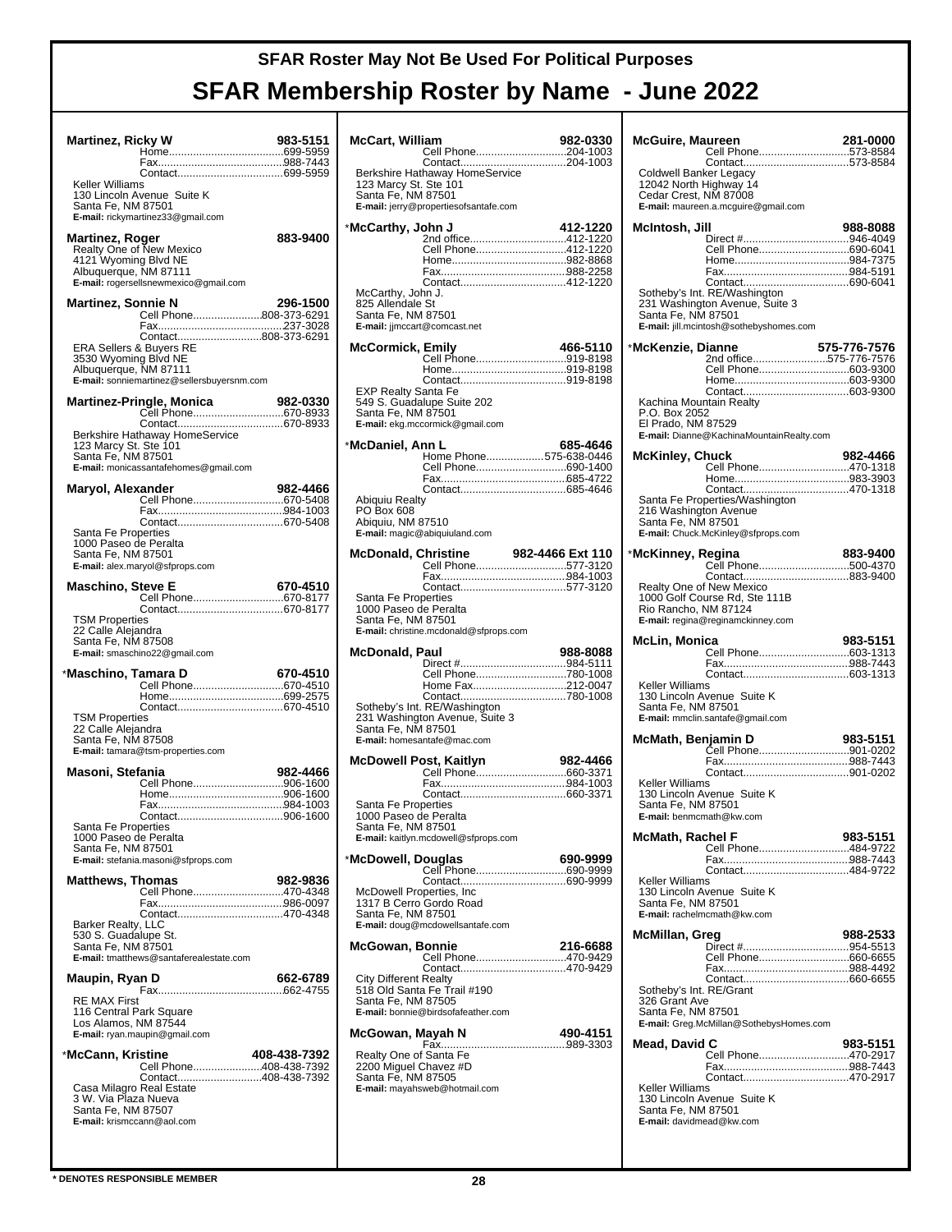| <b>Martinez, Ricky W</b>                                                 |                                                                                           | 983-5151     |
|--------------------------------------------------------------------------|-------------------------------------------------------------------------------------------|--------------|
|                                                                          |                                                                                           |              |
| Keller Williams                                                          |                                                                                           |              |
| Santa Fe, NM 87501                                                       | 130 Lincoln Avenue Suite K<br>E-mail: rickymartinez33@gmail.com                           |              |
| Martinez, Roger                                                          |                                                                                           | 883-9400     |
| Albuquerque, NM 87111                                                    | Realty One of New Mexico<br>4121 Wyoming Blvd NE<br>E-mail: rogersellsnewmexico@gmail.com |              |
| Martinez, Sonnie N                                                       |                                                                                           | 296-1500     |
|                                                                          | Cell Phone808-373-6291                                                                    |              |
| ERA Sellers & Buyers RE<br>3530 Wyoming Blvd NE<br>Albuquerque, NM 87111 | Contact808-373-6291<br>E-mail: sonniemartinez@sellersbuyersnm.com                         |              |
|                                                                          | Martinez-Pringle, Monica                                                                  | 982-0330     |
|                                                                          | Cell Phone670-8933                                                                        |              |
| 123 Marcy St. Ste 101<br>Santa Fe, NM 87501                              | Berkshire Hathaway HomeService<br>E-mail: monicassantafehomes@gmail.com                   |              |
| Maryol, Alexander                                                        |                                                                                           | 982-4466     |
|                                                                          | Cell Phone670-5408                                                                        |              |
|                                                                          |                                                                                           |              |
| Santa Fe Properties<br>1000 Paseo de Peralta<br>Santa Fe, NM 87501       | E-mail: alex.maryol@sfprops.com                                                           |              |
| Maschino, Steve E                                                        |                                                                                           | 670-4510     |
|                                                                          | Cell Phone670-8177                                                                        |              |
| <b>TSM Properties</b><br>22 Calle Alejandra<br>Santa Fe, NM 87508        | E-mail: smaschino22@gmail.com                                                             |              |
| *Maschino, Tamara D                                                      |                                                                                           | 670-4510     |
|                                                                          | Cell Phone670-4510                                                                        |              |
| <b>TSM Properties</b>                                                    |                                                                                           |              |
| 22 Calle Alejandra<br>Santa Fe, NM 87508                                 | E-mail: tamara@tsm-properties.com                                                         |              |
| Masoni, Stefania                                                         |                                                                                           | 982-4466     |
|                                                                          | Cell Phone906-1600                                                                        |              |
|                                                                          |                                                                                           |              |
| Santa Fe Properties                                                      |                                                                                           |              |
| 1000 Paseo de Peralta<br>Santa Fe, NM 87501                              | E-mail: stefania.masoni@sfprops.com                                                       |              |
| <b>Matthews, Thomas</b>                                                  | Cell Phone470-4348                                                                        | 982-9836     |
|                                                                          |                                                                                           |              |
| Barker Realty, LLC                                                       |                                                                                           |              |
| 530 S. Guadalupe St.<br>Santa Fe, NM 87501                               | E-mail: tmatthews@santaferealestate.com                                                   |              |
| Maupin, Ryan D                                                           |                                                                                           | 662-6789     |
| <b>RE MAX First</b><br>116 Central Park Square<br>Los Alamos, NM 87544   | E-mail: ryan.maupin@gmail.com                                                             |              |
| *McCann, Kristine                                                        |                                                                                           | 408-438-7392 |
|                                                                          | Cell Phone408-438-7392                                                                    |              |
| Casa Milagro Real Estate                                                 | Contact408-438-7392                                                                       |              |
| 3 W. Via Plaza Nueva<br>Santa Fe, NM 87507<br>E-mail: krismccann@aol.com |                                                                                           |              |

| <b>McCart, William</b>                                                |                                                                                               | 982-0330 |
|-----------------------------------------------------------------------|-----------------------------------------------------------------------------------------------|----------|
|                                                                       | Cell Phone204-1003<br>Contact204-1003<br>Berkshire Hathaway HomeService                       |          |
| 123 Marcy St. Ste 101<br>Santa Fe, NM 87501                           | E-mail: jerry@propertiesofsantafe.com                                                         |          |
| *McCarthy, John J                                                     |                                                                                               | 412-1220 |
| McCarthy, John J.<br>825 Allendale St                                 | 2nd office412-1220<br>Cell Phone412-1220                                                      |          |
| Santa Fe, NM 87501                                                    | E-mail: jjmccart@comcast.net                                                                  |          |
| <b>McCormick, Emily</b>                                               |                                                                                               | 466-5110 |
|                                                                       | Cell Phone919-8198                                                                            |          |
| EXP Realty Santa Fe<br>Santa Fe, NM 87501                             | 549 S. Guadalupe Suite 202<br>E-mail: ekg.mccormick@gmail.com                                 |          |
| *McDaniel, Ann L                                                      |                                                                                               | 685-4646 |
|                                                                       | Home Phone575-638-0446<br>Cell Phone690-1400                                                  |          |
|                                                                       |                                                                                               |          |
| <b>Abiquiu Realty</b>                                                 |                                                                                               |          |
| PO Box 608<br>Abiquiu, NM 87510                                       | E-mail: magic@abiquiuland.com                                                                 |          |
| <b>McDonald, Christine</b>                                            | <b>hristine 582-4466 Ext 110</b><br>Cell Phone577-3120                                        |          |
|                                                                       |                                                                                               |          |
|                                                                       |                                                                                               |          |
| Santa Fe Properties<br>1000 Paseo de Peralta<br>Santa Fe, NM 87501    | E-mail: christine.mcdonald@sfprops.com                                                        |          |
|                                                                       |                                                                                               |          |
| McDonald, Paul                                                        |                                                                                               | 988-8088 |
|                                                                       |                                                                                               |          |
|                                                                       | Cell Phone780-1008<br>Home Fax212-0047                                                        |          |
| Santa Fe, NM 87501                                                    | Sotheby's Int. RE/Washington<br>231 Washington Avenue, Suite 3<br>E-mail: homesantafe@mac.com |          |
|                                                                       |                                                                                               | 982-4466 |
|                                                                       |                                                                                               |          |
| Santa Fe Properties<br>1000 Paseo de Peralta<br>Santa Fe, NM 87501    |                                                                                               |          |
|                                                                       | E-mail: kaitlyn.mcdowell@sfprops.com                                                          |          |
| *McDowell, Douglas                                                    | Cell Phone690-9999                                                                            | 690-9999 |
| McDowell Properties, Inc<br>Santa Fe, NM 87501                        | 1317 B Cerro Gordo Road<br>E-mail: doug@mcdowellsantafe.com                                   |          |
|                                                                       |                                                                                               |          |
| McGowan, Bonnie                                                       | Cell Phone470-9429                                                                            | 216-6688 |
| <b>City Different Realty</b><br>Santa Fe, NM 87505                    | 518 Old Santa Fe Trail #190<br>E-mail: bonnie@birdsofafeather.com                             |          |
| McGowan, Mayah N                                                      |                                                                                               | 490-4151 |
| Realty One of Santa Fe<br>2200 Miguel Chavez #D<br>Santa Fe, NM 87505 | E-mail: mayahsweb@hotmail.com                                                                 |          |

| McGuire, Maureen                                                                                                                | 281-0000     |
|---------------------------------------------------------------------------------------------------------------------------------|--------------|
| Cell Phone573-8584<br>Contact573-8584                                                                                           |              |
| Coldwell Banker Legacy<br>12042 North Highway 14<br>Cedar Crest, NM 87008<br>E-mail: maureen.a.mcguire@gmail.com                |              |
| McIntosh, Jill                                                                                                                  | 988-8088     |
| Direct #946-4049                                                                                                                |              |
| Cell Phone690-6041                                                                                                              |              |
|                                                                                                                                 |              |
| Sotheby's Int. RE/Washington<br>231 Washington Avenue, Suite 3<br>Santa Fe, NM 87501<br>E-mail: jill.mcintosh@sothebyshomes.com |              |
| *McKenzie, Dianne                                                                                                               | 575-776-7576 |
| 2nd office575-776-7576                                                                                                          |              |
| Cell Phone603-9300                                                                                                              |              |
|                                                                                                                                 |              |
| Kachina Mountain Realty                                                                                                         |              |
| P.O. Box 2052<br>El Prado, NM 87529<br>E-mail: Dianne@KachinaMountainRealty.com                                                 |              |
|                                                                                                                                 |              |
| McKinley, Chuck<br>Cell Phone470-1318                                                                                           | 982-4466     |
|                                                                                                                                 |              |
|                                                                                                                                 |              |
| Santa Fe Properties/Washington                                                                                                  |              |
| 216 Washington Avenue<br>Santa Fe, NM 87501                                                                                     |              |
| E-mail: Chuck.McKinley@sfprops.com                                                                                              |              |
| *McKinney, Regina                                                                                                               | 883-9400     |
|                                                                                                                                 |              |
| Realty One of New Mexico                                                                                                        |              |
| 1000 Golf Course Rd, Ste 111B                                                                                                   |              |
| Rio Rancho, NM 87124<br>E-mail: regina@reginamckinney.com                                                                       |              |
|                                                                                                                                 |              |
| McLin, Monica<br>Cell Phone603-1313                                                                                             | 983-5151     |
|                                                                                                                                 |              |
|                                                                                                                                 |              |
|                                                                                                                                 |              |
| Keller Williams<br>130 Lincoln Avenue Suite K                                                                                   |              |
| Santa Fe, NM 87501<br>E-mail: mmclin.santafe@gmail.com                                                                          |              |
|                                                                                                                                 |              |
| McMath, Benjamin D<br>ו <b>פו פ-363 yamın D</b><br>2020-09901                                                                   | 983-5151     |
|                                                                                                                                 |              |
| Keller Williams                                                                                                                 |              |
| 130 Lincoln Avenue Suite K                                                                                                      |              |
| Santa Fe, NM 87501                                                                                                              |              |
| <b>E-mail:</b> benmcmath@kw.com                                                                                                 |              |
| McMath, Rachel F                                                                                                                | 983-5151     |
| Cell Phone484-9722                                                                                                              |              |
|                                                                                                                                 |              |
| Keller Williams                                                                                                                 |              |
| 130 Lincoln Avenue Suite K<br>Santa Fe, NM 87501                                                                                |              |
| E-mail: rachelmcmath@kw.com                                                                                                     |              |
| McMillan, Greg                                                                                                                  | 988-2533     |
| Direct #954-5513                                                                                                                |              |
| Cell Phone660-6655                                                                                                              |              |
|                                                                                                                                 |              |
| Sotheby's Int. RE/Grant                                                                                                         |              |
| 326 Grant Ave<br>Santa Fe, NM 87501                                                                                             |              |
| E-mail: Greg.McMillan@SothebysHomes.com                                                                                         |              |
|                                                                                                                                 |              |
| Mead, David C<br>Cell Phone470-2917                                                                                             | 983-5151     |
|                                                                                                                                 |              |
| Keller Williams                                                                                                                 |              |
| 130 Lincoln Avenue Suite K                                                                                                      |              |
| Santa Fe, NM 87501<br>E-mail: davidmead@kw.com                                                                                  |              |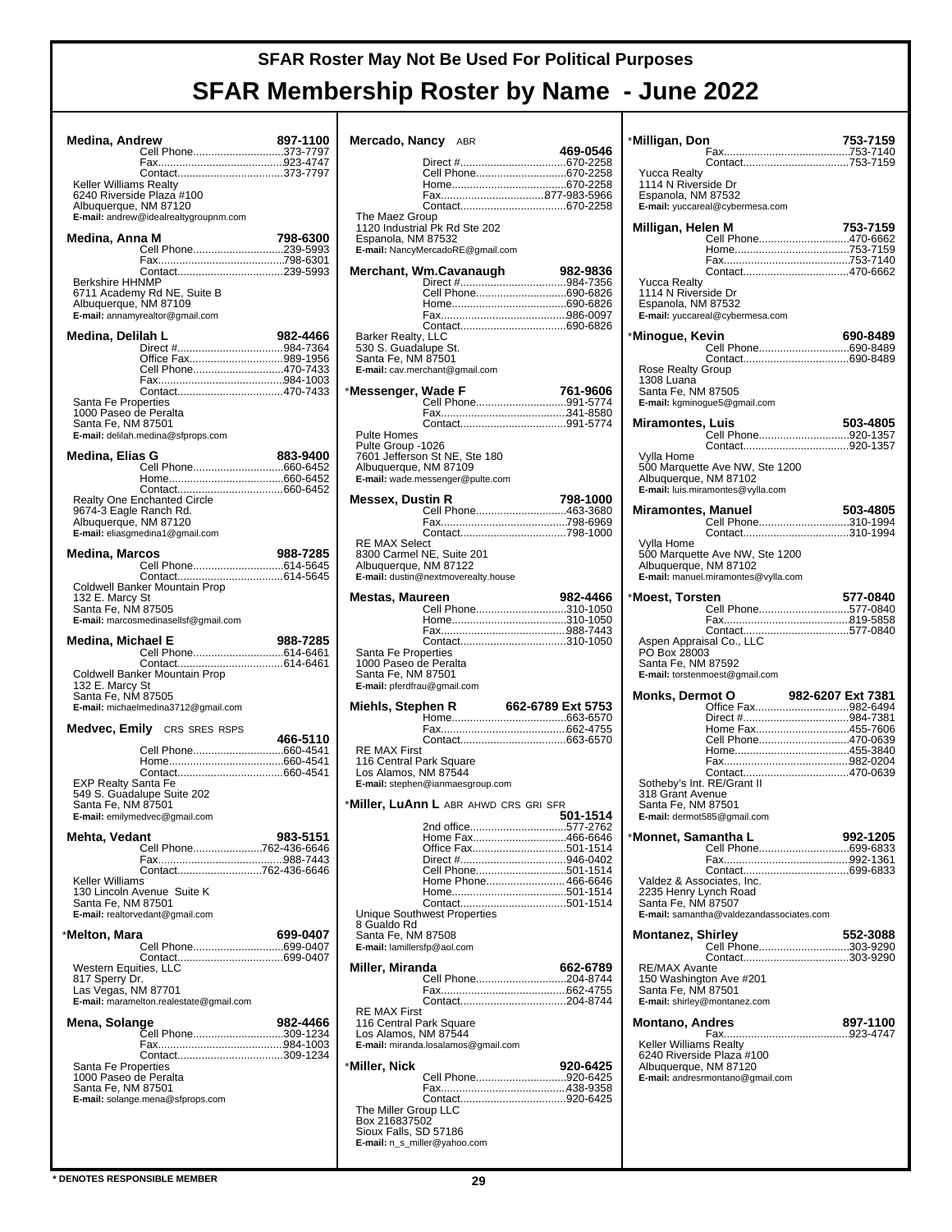| Medina, Andrew                              |                                         | 897-1100 |
|---------------------------------------------|-----------------------------------------|----------|
|                                             | Cell Phone373-7797                      |          |
|                                             |                                         |          |
|                                             | Contact373-7797                         |          |
| Keller Williams Realty                      | 6240 Riverside Plaza #100               |          |
| Albuquerque, NM 87120                       |                                         |          |
|                                             | E-mail: andrew@idealrealtygroupnm.com   |          |
|                                             |                                         |          |
| Medina, Anna M                              |                                         | 798-6300 |
|                                             | Cell Phone239-5993                      |          |
|                                             |                                         |          |
| <b>Berkshire HHNMP</b>                      |                                         |          |
|                                             | 6711 Academy Rd NE, Suite B             |          |
| Albuquerque, NM 87109                       |                                         |          |
|                                             | E-mail: annamyrealtor@gmail.com         |          |
|                                             |                                         |          |
| Medina, Delilah L                           |                                         | 982-4466 |
|                                             | Office Fax989-1956                      |          |
|                                             | Cell Phone470-7433                      |          |
|                                             |                                         |          |
|                                             |                                         |          |
| Santa Fe Properties                         |                                         |          |
| 1000 Paseo de Peralta<br>Santa Fe, NM 87501 |                                         |          |
|                                             | E-mail: delilah.medina@sfprops.com      |          |
|                                             |                                         |          |
| Medina, Elias G                             |                                         | 883-9400 |
|                                             | Cell Phone660-6452                      |          |
|                                             |                                         |          |
|                                             |                                         |          |
| 9674-3 Eagle Ranch Rd.                      |                                         |          |
| Albuquerque, NM 87120                       |                                         |          |
|                                             | E-mail: eliasgmedina1@gmail.com         |          |
|                                             |                                         |          |
| <b>Medina, Marcos</b>                       |                                         | 988-7285 |
|                                             |                                         |          |
|                                             | Coldwell Banker Mountain Prop           |          |
| 132 E. Marcy St                             |                                         |          |
| Santa Fe, NM 87505                          |                                         |          |
|                                             | E-mail: marcosmedinasellsf@gmail.com    |          |
|                                             |                                         |          |
|                                             |                                         |          |
| Medina, Michael E                           |                                         | 988-7285 |
|                                             |                                         |          |
|                                             | Coldwell Banker Mountain Prop           |          |
| 132 E. Marcy St                             |                                         |          |
| Santa Fe, NM 87505                          |                                         |          |
|                                             | E-mail: michaelmedina3712@gmail.com     |          |
|                                             |                                         |          |
|                                             | <b>Medvec, Emily</b> CRS SRES RSPS      | 466-5110 |
|                                             | Cell Phone660-4541                      |          |
|                                             |                                         |          |
|                                             |                                         |          |
| <b>EXP Realty Santa Fe</b>                  |                                         |          |
|                                             | 549 S. Guadalupe Suite 202              |          |
| Santa Fe, NM 87501                          | E-mail: emilymedvec@gmail.com           |          |
|                                             |                                         |          |
| Mehta, Vedant                               |                                         | 983-5151 |
|                                             | Cell Phone762-436-6646                  |          |
|                                             | Contact762-436-6646                     |          |
| Keller Williams                             |                                         |          |
|                                             | 130 Lincoln Avenue Suite K              |          |
| Santa Fe, NM 87501                          |                                         |          |
|                                             | E-mail: realtorvedant@gmail.com         |          |
|                                             |                                         |          |
| *Melton, Mara                               | Cell Phone699-0407                      | 699-0407 |
|                                             |                                         |          |
| Western Equities, LLC                       |                                         |          |
| 817 Sperry Dr.                              |                                         |          |
| Las Vegas, NM 87701                         |                                         |          |
|                                             | E-mail: maramelton.realestate@gmail.com |          |
| Mena, Solange                               |                                         | 982-4466 |
|                                             | .<br>Cell Phone309-1234                 |          |
|                                             |                                         |          |
|                                             |                                         |          |
| Santa Fe Properties                         |                                         |          |
| 1000 Paseo de Peralta<br>Santa Fe, NM 87501 |                                         |          |
|                                             | E-mail: solange.mena@sfprops.com        |          |
|                                             |                                         |          |
|                                             |                                         |          |

| <b>Mercado, Nancy</b> ABR                                                                                                      |            |                                                                                     | 469-0546 |
|--------------------------------------------------------------------------------------------------------------------------------|------------|-------------------------------------------------------------------------------------|----------|
| The Maez Group                                                                                                                 |            | Cell Phone670-2258                                                                  |          |
| 1120 Industrial Pk Rd Ste 202<br>Espanola, NM 87532<br>E-mail: NancyMercadoRE@gmail.com                                        |            |                                                                                     |          |
| Merchant, Wm.Cavanaugh                                                                                                         |            |                                                                                     | 982-9836 |
| <b>Barker Realty, LLC</b><br>530 S. Guadalupe St.<br>Santa Fe, NM 87501<br>E-mail: cav.merchant@gmail.com                      |            | Cell Phone690-6826                                                                  |          |
| *Messenger, Wade F                                                                                                             |            |                                                                                     | 761-9606 |
| Pulte Homes<br>Pulte Group -1026<br>7601 Jefferson St NE, Ste 180<br>Albuquerque, NM 87109<br>E-mail: wade.messenger@pulte.com |            | Cell Phone991-5774                                                                  |          |
| Messex, Dustin R                                                                                                               |            |                                                                                     | 798-1000 |
| <b>RE MAX Select</b><br>8300 Carmel NE, Suite 201<br>Albuquerque, NM 87122<br>E-mail: dustin@nextmoverealty.house              |            | Cell Phone463-3680                                                                  |          |
| Mestas, Maureen                                                                                                                |            |                                                                                     | 982-4466 |
| Santa Fe Properties<br>1000 Paseo de Peralta<br>Santa Fe, NM 87501<br>E-mail: pferdfrau@gmail.com                              |            | Cell Phone310-1050<br>Contact310-1050                                               |          |
| Miehls, Stephen R                                                                                                              |            |                                                                                     |          |
| <b>RE MAX First</b><br>116 Central Park Square<br>Los Alamos, NM 87544<br>E-mail: stephen@ianmaesgroup.com                     |            |                                                                                     |          |
| * <b>Miller, LuAnn L</b> abr ahwd crs gri sfr                                                                                  |            |                                                                                     | 501-1514 |
| Unique Southwest Properties<br>8 Gualdo Rd<br>Santa Fe, NM 87508<br>E-mail: lamillersfp@aol.com                                | 2nd office | Home Fax466-6646<br>Office Fax501-1514<br>Cell Phone501-1514<br>Home Phone 466-6646 | 577-2762 |
| Miller, Miranda                                                                                                                |            | Cell Phone204-8744                                                                  | 662-6789 |
| <b>RE MAX First</b><br>116 Central Park Square<br>Los Alamos, NM 87544<br>E-mail: miranda.losalamos@gmail.com                  |            |                                                                                     |          |
| *Miller, Nick                                                                                                                  |            |                                                                                     | 920-6425 |
| The Miller Group LLC<br>Box 216837502<br>Sioux Falls, SD 57186<br>E-mail: n_s_miller@yahoo.com                                 |            | Cell Phone920-6425                                                                  |          |

| *Milligan, Don                              |                                          | 753-7159          |
|---------------------------------------------|------------------------------------------|-------------------|
|                                             |                                          |                   |
| Yucca Realty                                |                                          |                   |
| 1114 N Riverside Dr                         |                                          |                   |
| Espanola, NM 87532                          |                                          |                   |
|                                             | E-mail: yuccareal@cybermesa.com          |                   |
| Milligan, Helen M                           |                                          | 753-7159          |
|                                             | Cell Phone470-6662                       |                   |
|                                             |                                          |                   |
|                                             | Contact470-6662                          |                   |
| <b>Yucca Realty</b>                         |                                          |                   |
| 1114 N Riverside Dr                         |                                          |                   |
| Espanola, NM 87532                          | E-mail: yuccareal@cybermesa.com          |                   |
|                                             |                                          |                   |
| *Minogue, Kevin                             |                                          | 690-8489          |
|                                             | Cell Phone690-8489                       |                   |
| <b>Rose Realty Group</b>                    |                                          |                   |
| 1308 Luana                                  |                                          |                   |
| Santa Fe, NM 87505                          |                                          |                   |
|                                             | E-mail: kgminogue5@gmail.com             |                   |
| <b>Miramontes, Luis</b>                     |                                          | 503-4805          |
|                                             | Cell Phone920-1357                       |                   |
| Vylla Home                                  |                                          |                   |
|                                             | 500 Marquette Ave NW, Ste 1200           |                   |
| Albuquerque, NM 87102                       |                                          |                   |
|                                             | E-mail: luis.miramontes@vylla.com        |                   |
| Miramontes, Manuel                          |                                          | 503-4805          |
|                                             | Cell Phone310-1994                       |                   |
|                                             |                                          |                   |
| Vylla Home                                  | 500 Marquette Ave NW, Ste 1200           |                   |
| Albuquerque, NM 87102                       |                                          |                   |
|                                             | E-mail: manuel.miramontes@vylla.com      |                   |
|                                             |                                          |                   |
| *Moest, Torsten                             | Cell Phone577-0840                       | 577-0840          |
|                                             |                                          |                   |
|                                             |                                          |                   |
|                                             |                                          |                   |
|                                             | Aspen Appraisal Co., LLC                 |                   |
| PO Box 28003                                |                                          |                   |
| Santa Fe, NM 87592                          | E-mail: torstenmoest@gmail.com           |                   |
|                                             |                                          |                   |
| <b>Monks, Dermot O</b>                      | Office Fax982-6494                       | 982-6207 Ext 7381 |
|                                             | Direct #984-7381                         |                   |
|                                             | Home Fax455-7606                         |                   |
|                                             | Cell Phone470-0639                       |                   |
|                                             |                                          |                   |
|                                             | Contact470-0639                          |                   |
|                                             | Sotheby's Int. RE/Grant II               |                   |
| 318 Grant Avenue<br>Santa Fe, NM 87501      |                                          |                   |
|                                             | E-mail: dermot585@gmail.com              |                   |
|                                             |                                          |                   |
| *Monnet, Samantha L                         |                                          | 992-1205          |
|                                             |                                          |                   |
|                                             |                                          |                   |
|                                             | Valdez & Associates, Inc.                |                   |
| 2235 Henry Lynch Road<br>Santa Fe, NM 87507 |                                          |                   |
|                                             | E-mail: samantha@valdezandassociates.com |                   |
| <b>Montanez, Shirley</b>                    |                                          | 552-3088          |
|                                             | Cell Phone303-9290                       |                   |
|                                             |                                          |                   |
| RE/MAX Avante                               |                                          |                   |
| Santa Fe, NM 87501                          | 150 Washington Ave #201                  |                   |
|                                             | E-mail: shirley@montanez.com             |                   |
|                                             |                                          | 897-1100          |
| <b>Montano, Andres</b>                      |                                          |                   |
| Keller Williams Realty                      |                                          |                   |
|                                             | 6240 Riverside Plaza #100                |                   |
| Albuquerque, NM 87120                       | E-mail: andresrmontano@gmail.com         |                   |
|                                             |                                          |                   |
|                                             |                                          |                   |
|                                             |                                          |                   |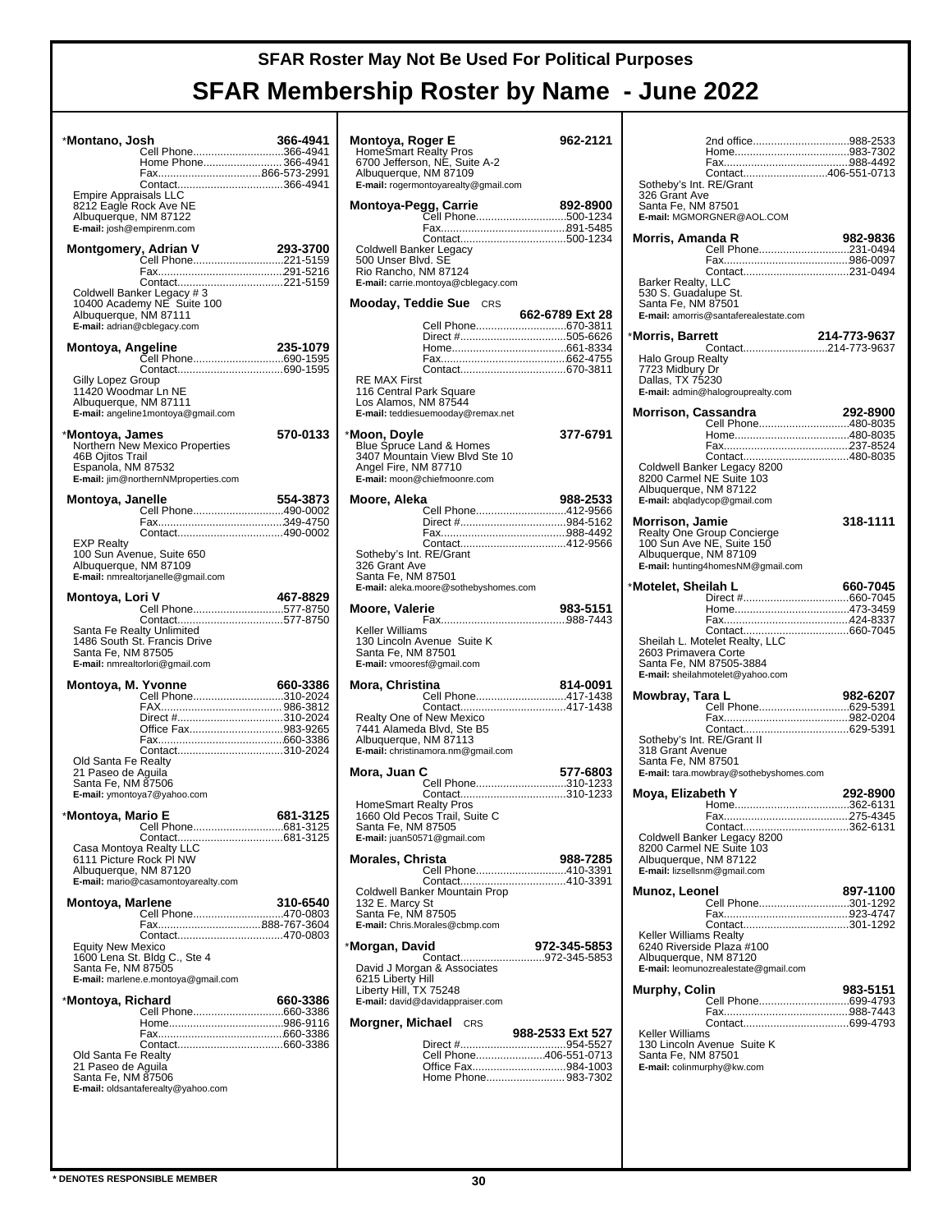| *Montano, Josh                                                                                        | ی<br>Cell Phone366-4941<br>Home Phone 366-4941                                                                         | 366-4941 |
|-------------------------------------------------------------------------------------------------------|------------------------------------------------------------------------------------------------------------------------|----------|
| Empire Appraisals LLC<br>8212 Eagle Rock Ave NE<br>Albuquerque, NM 87122<br>E-mail: josh@empirenm.com |                                                                                                                        |          |
|                                                                                                       | 10400 Academy NE Suite 100                                                                                             |          |
| Albuquerque, NM 87111<br>E-mail: adrian@cblegacy.com<br>Montoya, Angeline                             |                                                                                                                        | 235-1079 |
| Gilly Lopez Group<br>11420 Woodmar Ln NE<br>Albuquerque, NM 87111                                     |                                                                                                                        |          |
| *Montoya, James<br>46B Ojitos Trail<br>Espanola, NM 87532                                             | E-mail: angeline1montoya@gmail.com<br>Northern New Mexico Properties<br>E-mail: jim@northernNMproperties.com           | 570-0133 |
| Montoya, Janelle                                                                                      |                                                                                                                        | 554-3873 |
| <b>EXP Realty</b><br>Albuquerque, NM 87109                                                            | 100 Sun Avenue, Suite 650<br>E-mail: nmrealtorjanelle@gmail.com                                                        |          |
| Montoya, Lori V<br>Santa Fe, NM 87505                                                                 | <br>Cell Phone577-8750<br>Santa Fe Realty Unlimited<br>1486 South St. Francis Drive<br>E-mail: nmrealtorlori@gmail.com | 467-8829 |
| Montoya, M. Yvonne<br>Old Santa Fe Realty<br>21 Paseo de Aquila<br>Santa Fe, NM 87506                 | Cell Phone310-2024<br>Office Fax983-9265<br>E-mail: ymontoya7@yahoo.com                                                | 660-3386 |
| *Montoya, Mario E<br>6111 Picture Rock PI NW<br>Albuquerque, NM 87120                                 | Cell Phone681-3125<br>E-mail: mario@casamontoyarealty.com                                                              | 681-3125 |
| <b>Montoya, Marlene</b><br><b>Equity New Mexico</b><br>Santa Fe, NM 87505                             | <br>Cell Phone470-0803<br>Contact470-0803<br>1600 Lena St. Bldg C., Ste 4<br>E-mail: marlene.e.montoya@gmail.com       | 310-6540 |
| *Montoya, Richard<br>Old Santa Fe Realty<br>21 Paseo de Aguila<br>Santa Fe, NM 87506                  | E-mail: oldsantaferealty@yahoo.com                                                                                     | 660-3386 |

| Montoya, Roger E                                                                                                                         | 962-2121         |
|------------------------------------------------------------------------------------------------------------------------------------------|------------------|
| HomeSmart Realty Pros<br>6700 Jefferson, NE, Suite A-2<br>Albuquerque, NM 87109<br>E-mail: rogermontoyarealty@gmail.com                  |                  |
|                                                                                                                                          |                  |
| Montoya-Pegg, Carrie<br><b>Jy, Carrie 2021 2022</b><br>Cell Phone500-1234                                                                | 892-8900         |
|                                                                                                                                          |                  |
| Coldwell Banker Legacy                                                                                                                   |                  |
| 500 Unser Blvd. SE<br>Rio Rancho, NM 87124<br>E-mail: carrie.montoya@cblegacy.com                                                        |                  |
| <b>Mooday, Teddie Sue</b> CRS                                                                                                            | 662-6789 Ext 28  |
| Cell Phone670-3811                                                                                                                       |                  |
|                                                                                                                                          |                  |
|                                                                                                                                          |                  |
| RE MAX First                                                                                                                             |                  |
| 116 Central Park Square<br>Los Alamos, NM 87544<br>E-mail: teddiesuemooday@remax.net                                                     |                  |
|                                                                                                                                          | 377-6791         |
| <b>Moon, Doyle</b><br>Blue Spruce Land & Homes<br>3407 Mountain View Blvd Ste 10<br>Angel Fire, NM 87710<br>E-mail: moon@chiefmoonre.com |                  |
| Moore, Aleka                                                                                                                             | 988-2533         |
| Cell Phone412-9566                                                                                                                       |                  |
| Direct #984-5162                                                                                                                         |                  |
|                                                                                                                                          |                  |
| Sotheby's Int. RE/Grant<br>326 Grant Ave<br>Santa Fe, NM 87501                                                                           |                  |
| E-mail: aleka.moore@sothebyshomes.com                                                                                                    |                  |
| Moore, Valerie                                                                                                                           | 983-5151         |
| Keller Williams<br>130 Lincoln Avenue Suite K<br>Santa Fe, NM 87501<br>E-mail: vmooresf@gmail.com                                        |                  |
| Mora, Christina                                                                                                                          | 814-0091         |
| Cell Phone417-1438                                                                                                                       |                  |
| Realty One of New Mexico<br>7441 Alameda Blvd, Ste B5<br>Albuquerque, NM 87113<br>E-mail: christinamora.nm@gmail.com                     |                  |
| Mora. Juan C                                                                                                                             | 577-6803         |
| Contact310-1233                                                                                                                          |                  |
| <b>HomeSmart Realty Pros</b><br>1660 Old Pecos Trail, Suite C<br>Santa Fe, NM 87505<br>E-mail: juan50571@gmail.com                       |                  |
| <b>Morales, Christa</b>                                                                                                                  | 988-7285         |
| Cell Phone410-3391                                                                                                                       |                  |
|                                                                                                                                          |                  |
| Coldwell Banker Mountain Prop<br>132 E. Marcy St<br>Santa Fe, NM 87505<br>E-mail: Chris.Morales@cbmp.com                                 |                  |
| *Morgan, David                                                                                                                           | 972-345-5853     |
| David J Morgan & Associates<br>6215 Liberty Hill<br>Liberty Hill, TX 75248                                                               |                  |
| E-mail: david@davidappraiser.com                                                                                                         |                  |
| <b>Morgner, Michael</b> CRS                                                                                                              | 988-2533 Ext 527 |
| Cell Phone406-551-0713                                                                                                                   |                  |
| Office Fax984-1003<br>Home Phone 983-7302                                                                                                |                  |
|                                                                                                                                          |                  |

|                                                | 2nd office988-2533                                             |              |
|------------------------------------------------|----------------------------------------------------------------|--------------|
|                                                |                                                                |              |
|                                                | Contact406-551-0713                                            |              |
| Sotheby's Int. RE/Grant<br>326 Grant Ave       |                                                                |              |
| Santa Fe, NM 87501                             |                                                                |              |
|                                                | E-mail: MGMORGNER@AOL.COM                                      |              |
| Morris, Amanda R                               |                                                                | 982-9836     |
|                                                | Cell Phone231-0494                                             |              |
|                                                |                                                                |              |
| Barker Realty, LLC                             |                                                                |              |
| 530 S. Guadalupe St.<br>Santa Fe, NM 87501     |                                                                |              |
|                                                | E-mail: amorris@santaferealestate.com                          |              |
| *Morris, Barrett                               |                                                                | 214-773-9637 |
|                                                | Contact214-773-9637                                            |              |
| Halo Group Realty<br>7723 Midbury Dr           |                                                                |              |
| Dallas, TX 75230                               |                                                                |              |
|                                                | E-mail: admin@halogrouprealty.com                              |              |
| Morrison, Cassandra                            |                                                                | 292-8900     |
|                                                | Cell Phone480-8035                                             |              |
|                                                |                                                                |              |
|                                                | Coldwell Banker Legacy 8200                                    |              |
|                                                |                                                                |              |
|                                                | 8200 Carmel NE Suite 103<br>Albuquerque, NM 87122              |              |
|                                                | E-mail: abgladycop@gmail.com                                   |              |
| <b>Morrison, Jamie</b>                         |                                                                | 318-1111     |
|                                                | <b>Realty One Group Concierge</b><br>100 Sun Ave NE, Suite 150 |              |
| Albuquerque, NM 87109                          |                                                                |              |
|                                                | E-mail: hunting4homesNM@gmail.com                              |              |
| *Motelet, Sheilah L                            |                                                                | 660-7045     |
|                                                |                                                                |              |
|                                                |                                                                |              |
|                                                |                                                                |              |
|                                                |                                                                |              |
| 2603 Primavera Corte                           | Sheilah L. Motelet Realty, LLC                                 |              |
|                                                | Santa Fe, NM 87505-3884                                        |              |
|                                                | E-mail: sheilahmotelet@yahoo.com                               |              |
| Mowbray, Tara L                                |                                                                | 982-6207     |
|                                                | Cell Phone629-5391                                             |              |
|                                                |                                                                |              |
| Sotheby's Int. RE/Grant II<br>318 Grant Avenue |                                                                |              |
| Santa Fe, NM 87501                             |                                                                |              |
|                                                | E-mail: tara.mowbray@sothebyshomes.com                         |              |
| Moya, Elizabeth Y                              |                                                                | 292-8900     |
|                                                |                                                                | 275-4345     |
|                                                | Contact362-6131                                                |              |
|                                                | Coldwell Banker Legacy 8200<br>8200 Carmel NE Suite 103        |              |
| Albuquerque, NM 87122                          |                                                                |              |
|                                                | E-mail: lizsellsnm@gmail.com                                   |              |
| Munoz, Leonel                                  |                                                                | 897-1100     |
|                                                | Cell Phone301-1292                                             |              |
|                                                |                                                                |              |
| Keller Williams Realty                         | 6240 Riverside Plaza #100                                      |              |
| Albuquerque, NM 87120                          | E-mail: leomunozrealestate@gmail.com                           |              |
|                                                |                                                                |              |
| Murphy, Colin                                  | <br>Cell Phone699-4793                                         | 983-5151     |
|                                                |                                                                |              |
| Keller Williams                                |                                                                |              |
|                                                | 130 Lincoln Avenue Suite K                                     |              |
| Santa Fe, NM 87501                             | E-mail: colinmurphy@kw.com                                     |              |
|                                                |                                                                |              |
|                                                |                                                                |              |
|                                                |                                                                |              |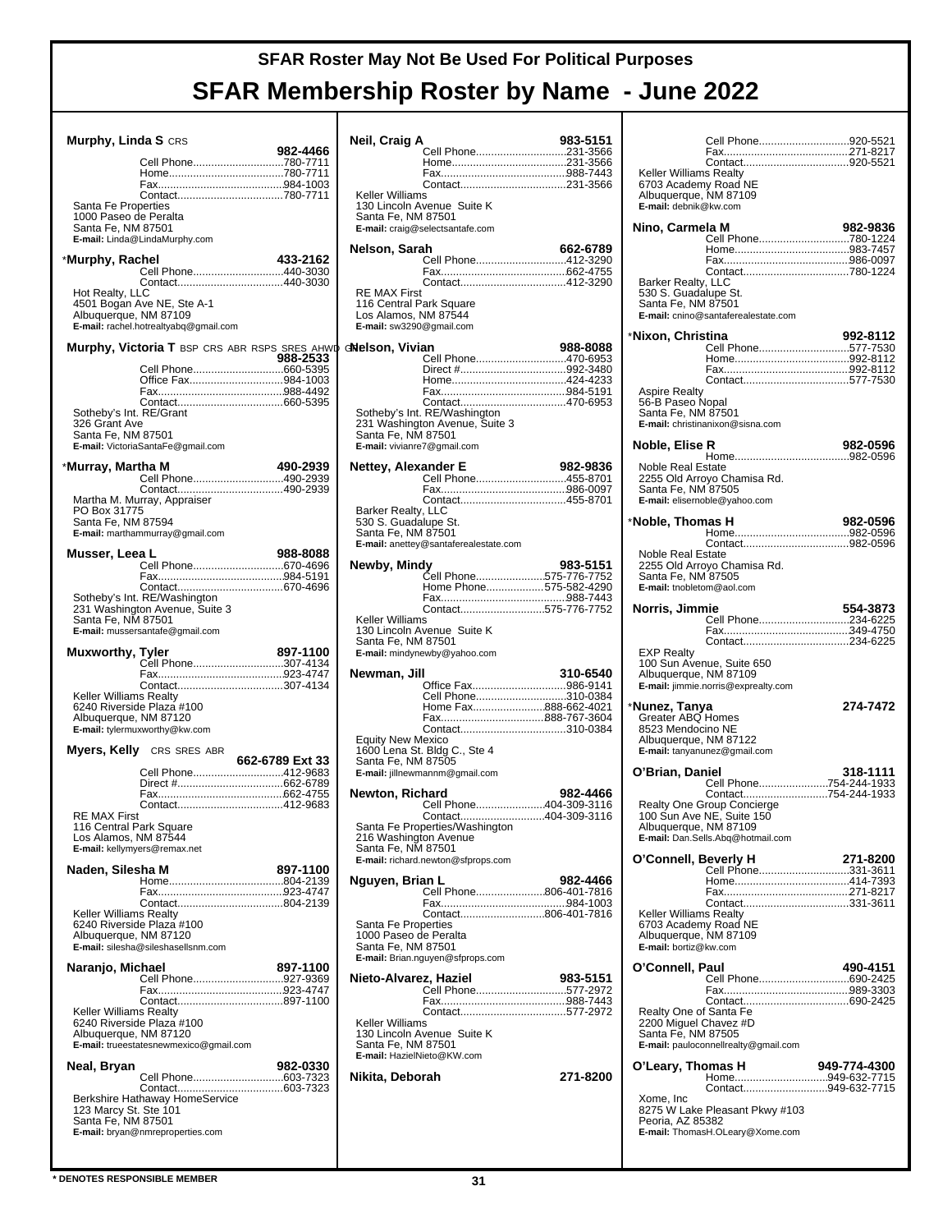| Murphy, Linda S CRS                            |                                               |                 | N٥                  |
|------------------------------------------------|-----------------------------------------------|-----------------|---------------------|
|                                                |                                               | 982-4466        |                     |
|                                                | Cell Phone780-7711                            |                 |                     |
|                                                |                                               |                 |                     |
|                                                |                                               |                 | κ                   |
| Santa Fe Properties                            |                                               |                 | 1                   |
| 1000 Paseo de Peralta<br>Santa Fe, NM 87501    |                                               |                 | S<br>Е              |
|                                                | E-mail: Linda@LindaMurphy.com                 |                 |                     |
|                                                |                                               |                 | N٥                  |
| *Murphy, Rachel                                | Cell Phone440-3030                            | 433-2162        |                     |
|                                                |                                               |                 |                     |
| Hot Realty, LLC                                |                                               |                 | F                   |
|                                                | 4501 Bogan Ave NE, Ste A-1                    |                 | 1                   |
| Albuquerque, NM 87109                          | E-mail: rachel.hotrealtyabq@gmail.com         |                 | L<br>Е              |
|                                                |                                               |                 |                     |
|                                                | Murphy, Victoria T BSP CRS ABR RSPS SRES AHWD |                 | dN                  |
|                                                |                                               | 988-2533        |                     |
|                                                | Office Fax984-1003                            |                 |                     |
|                                                |                                               |                 |                     |
|                                                |                                               |                 |                     |
| Sotheby's Int. RE/Grant<br>326 Grant Ave       |                                               |                 | S<br>$\overline{2}$ |
| Santa Fe, NM 87501                             |                                               |                 | S                   |
|                                                | E-mail: VictoriaSantaFe@gmail.com             |                 | Е                   |
| *Murray, Martha M                              |                                               | 490-2939        | N٥                  |
|                                                | Cell Phone490-2939                            |                 |                     |
|                                                |                                               |                 |                     |
|                                                | Martha M. Murray, Appraiser                   |                 |                     |
| PO Box 31775<br>Santa Fe, NM 87594             |                                               |                 | E<br>5              |
|                                                | E-mail: marthammurray@gmail.com               |                 | S                   |
|                                                |                                               |                 | Е                   |
| Musser, Leea L                                 |                                               | 988-8088        | N٥                  |
|                                                |                                               |                 |                     |
|                                                |                                               |                 |                     |
|                                                | Sotheby's Int. RE/Washington                  |                 |                     |
| Santa Fe, NM 87501                             | 231 Washington Avenue, Suite 3                |                 | Κ                   |
|                                                | E-mail: mussersantafe@gmail.com               |                 | 1                   |
|                                                |                                               |                 |                     |
|                                                |                                               |                 | S                   |
| <b>Muxworthy, Tyler</b>                        |                                               | 897-1100        | Е                   |
|                                                | Cell Phone307-4134                            |                 |                     |
|                                                | Contact307-4134                               |                 | N٥                  |
| Keller Williams Realty                         |                                               |                 |                     |
|                                                | 6240 Riverside Plaza #100                     |                 |                     |
| Albuquerque, NM 87120                          | E-mail: tylermuxworthy@kw.com                 |                 |                     |
|                                                |                                               |                 | E                   |
|                                                | <b>Myers, Kelly</b> CRS SRES ABR              |                 | 1                   |
|                                                | Cell Phone412-9683                            | 662-6789 Ext 33 | S<br>Е              |
|                                                |                                               |                 |                     |
|                                                |                                               |                 | N٥                  |
|                                                |                                               |                 |                     |
| <b>RE MAX First</b><br>116 Central Park Square |                                               |                 | S                   |
| Los Alamos, NM 87544                           |                                               |                 | $\overline{2}$      |
|                                                | E-mail: kellymyers@remax.net                  |                 | Ś<br>Е              |
| Naden, Silesha M                               |                                               | 897-1100        |                     |
|                                                |                                               |                 | N,                  |
|                                                |                                               |                 |                     |
| Keller Williams Realty                         |                                               |                 |                     |
|                                                | 6240 Riverside Plaza #100                     |                 | S                   |
| Albuquerque, NM 87120                          |                                               |                 | 1                   |
|                                                | E-mail: silesha@sileshasellsnm.com            |                 | S<br>Е              |
| Naranjo, Michael                               |                                               | 897-1100        |                     |
|                                                | Cell Phone927-9369                            |                 | Ni                  |
|                                                |                                               |                 |                     |
| Keller Williams Realty                         |                                               |                 |                     |
|                                                | 6240 Riverside Plaza #100                     |                 | κ                   |
| Albuquerque, NM 87120                          |                                               |                 | 1                   |
|                                                | E-mail: trueestatesnewmexico@gmail.com        |                 | S<br>Е              |
| Neal, Bryan                                    |                                               | 982-0330        |                     |
|                                                | Cell Phone603-7323                            |                 | Ni                  |
|                                                |                                               |                 |                     |
| 123 Marcy St. Ste 101                          | Berkshire Hathaway HomeService                |                 |                     |
| Santa Fe, NM 87501                             |                                               |                 |                     |
|                                                | E-mail: bryan@nmreproperties.com              |                 |                     |

| Neil, Craig A                                                                                      |                                                                | 983-5151 |
|----------------------------------------------------------------------------------------------------|----------------------------------------------------------------|----------|
|                                                                                                    | Cell Phone231-3566                                             |          |
|                                                                                                    |                                                                |          |
| Keller Williams                                                                                    |                                                                |          |
| Santa Fe, NM 87501                                                                                 | 130 Lincoln Avenue Suite K                                     |          |
|                                                                                                    | E-mail: craig@selectsantafe.com                                |          |
| Nelson, Sarah                                                                                      |                                                                | 662-6789 |
|                                                                                                    | Cell Phone412-3290                                             |          |
|                                                                                                    |                                                                |          |
| <b>RE MAX First</b><br>116 Central Park Square<br>Los Alamos, NM 87544<br>E-mail: sw3290@gmail.com |                                                                |          |
| Nelson, Vivian                                                                                     |                                                                | 988-8088 |
|                                                                                                    | Cell Phone470-6953                                             |          |
|                                                                                                    |                                                                |          |
|                                                                                                    |                                                                |          |
| Santa Fe, NM 87501<br>E-mail: vivianre7@gmail.com                                                  | Sotheby's Int. RE/Washington<br>231 Washington Avenue, Suite 3 |          |
| Nettey, Alexander E                                                                                |                                                                | 982-9836 |
|                                                                                                    | Cell Phone455-8701                                             |          |
|                                                                                                    |                                                                |          |
| Barker Realty, LLC<br>530 S. Guadalupe St.                                                         |                                                                |          |
| Santa Fe, NM 87501                                                                                 |                                                                |          |
|                                                                                                    | E-mail: anettey@santaferealestate.com                          |          |
| Newby, Mindy                                                                                       |                                                                | 983-5151 |
|                                                                                                    | Cell Phone575-776-7752<br>Home Phone575-582-4290               |          |
|                                                                                                    | Contact575-776-7752                                            |          |
| Keller Williams                                                                                    |                                                                |          |
| Santa Fe, NM 87501                                                                                 | 130 Lincoln Avenue Suite K                                     |          |
|                                                                                                    | E-mail: mindynewby@yahoo.com                                   |          |
| Newman, Jill                                                                                       |                                                                | 310-6540 |
|                                                                                                    | Office Fax986-9141<br>Cell Phone310-0384                       |          |
|                                                                                                    | Home Fax888-662-4021                                           |          |
|                                                                                                    | Fax888-767-3604                                                |          |
| <b>Equity New Mexico</b>                                                                           | 1600 Lena St. Bldg C., Ste 4                                   |          |
| Santa Fe, NM 87505                                                                                 |                                                                |          |
|                                                                                                    | E-mail: jillnewmannm@gmail.com                                 |          |
| Newton, Richard                                                                                    | Cell Phone404-309-3116                                         | 982-4466 |
|                                                                                                    | Contact404-309-3116                                            |          |
| 216 Washington Avenue                                                                              | Santa Fe Properties/Washington                                 |          |
| Santa Fe, NM 87501                                                                                 | E-mail: richard.newton@sfprops.com                             |          |
|                                                                                                    |                                                                |          |
| Nguyen, Brian L                                                                                    | Cell Phone806-401-7816                                         | 982-4466 |
|                                                                                                    | Contact806-401-7816                                            |          |
| Santa Fe Properties                                                                                |                                                                |          |
| 1000 Paseo de Peralta<br>Santa Fe, NM 87501                                                        |                                                                |          |
|                                                                                                    | E-mail: Brian.nguyen@sfprops.com                               |          |
| Nieto-Alvarez, Haziel                                                                              |                                                                | 983-5151 |
|                                                                                                    | Cell Phone577-2972                                             |          |
|                                                                                                    |                                                                |          |
| Keller Williams                                                                                    | 130 Lincoln Avenue Suite K                                     |          |
| Santa Fe, NM 87501                                                                                 |                                                                |          |
| E-mail: HazielNieto@KW.com                                                                         |                                                                |          |
| Nikita, Deborah                                                                                    |                                                                | 271-8200 |
|                                                                                                    |                                                                |          |
|                                                                                                    |                                                                |          |
|                                                                                                    |                                                                |          |
|                                                                                                    |                                                                |          |

|                                                 | Cell Phone920-5521                                      |              |
|-------------------------------------------------|---------------------------------------------------------|--------------|
|                                                 |                                                         |              |
| <b>Keller Williams Realty</b>                   |                                                         |              |
| 6703 Academy Road NE<br>Albuquerque, NM 87109   |                                                         |              |
| E-mail: debnik@kw.com                           |                                                         |              |
| Nino, Carmela M                                 |                                                         | 982-9836     |
|                                                 | Cell Phone780-1224                                      |              |
|                                                 |                                                         |              |
|                                                 |                                                         |              |
| Barker Realty, LLC<br>530 S. Guadalupe St.      |                                                         |              |
| Santa Fe, NM 87501                              |                                                         |              |
|                                                 | E-mail: cnino@santaferealestate.com                     |              |
| *Nixon, Christina                               |                                                         | 992-8112     |
|                                                 |                                                         |              |
|                                                 |                                                         |              |
| Aspire Realty                                   |                                                         |              |
| 56-B Paseo Nopal                                |                                                         |              |
| Santa Fe, NM 87501                              | E-mail: christinanixon@sisna.com                        |              |
|                                                 |                                                         |              |
| Noble, Elise R                                  |                                                         | 982-0596     |
| <b>Noble Real Estate</b>                        |                                                         |              |
| Santa Fe, NM 87505                              | 2255 Old Arroyo Chamisa Rd.                             |              |
|                                                 | E-mail: elisernoble@yahoo.com                           |              |
| *Noble, Thomas H                                |                                                         | 982-0596     |
|                                                 |                                                         |              |
| <b>Noble Real Estate</b>                        |                                                         |              |
|                                                 | 2255 Old Arroyo Chamisa Rd.                             |              |
| Santa Fe, NM 87505<br>E-mail: tnobletom@aol.com |                                                         |              |
|                                                 |                                                         |              |
| Norris, Jimmie                                  | Cell Phone234-6225                                      | 554-3873     |
|                                                 |                                                         |              |
| <b>EXP Realty</b>                               |                                                         |              |
|                                                 | 100 Sun Avenue, Suite 650                               |              |
| Albuquerque, NM 87109                           | E-mail: jimmie.norris@exprealty.com                     |              |
|                                                 |                                                         |              |
| <b>Nunez, Tanya</b><br>Greater ABQ Homes        |                                                         | 274-7472     |
| 8523 Mendocino NE                               |                                                         |              |
| Albuquerque, NM 87122                           | E-mail: tanyanunez@gmail.com                            |              |
|                                                 |                                                         |              |
| O'Brian, Daniel                                 | Cell Phone754-244-1933                                  | 318-1111     |
|                                                 | Contact754-244-1933                                     |              |
|                                                 | Realty One Group Concierge<br>100 Sun Ave NE, Suite 150 |              |
| Albuquerque, NM 87109                           |                                                         |              |
|                                                 | E-mail: Dan.Sells.Abq@hotmail.com                       |              |
| O'Connell, Beverly H                            |                                                         | 271-8200     |
|                                                 |                                                         |              |
|                                                 |                                                         |              |
| Keller Williams Realty                          |                                                         |              |
| 6703 Academy Road NE<br>Albuquerque, NM 87109   |                                                         |              |
| E-mail: bortiz@kw.com                           |                                                         |              |
| O'Connell, Paul                                 |                                                         | 490-4151     |
|                                                 |                                                         |              |
|                                                 |                                                         |              |
| Realty One of Santa Fe                          |                                                         |              |
| 2200 Miguel Chavez #D<br>Santa Fe, NM 87505     |                                                         |              |
|                                                 | E-mail: pauloconnellrealty@gmail.com                    |              |
| O'Leary, Thomas H                               |                                                         | 949-774-4300 |
|                                                 | Home949-632-7715                                        |              |
| Xome, Inc                                       | Contact949-632-7715                                     |              |
|                                                 | 8275 W Lake Pleasant Pkwy #103                          |              |
| Peoria, AZ 85382                                | E-mail: ThomasH.OLeary@Xome.com                         |              |
|                                                 |                                                         |              |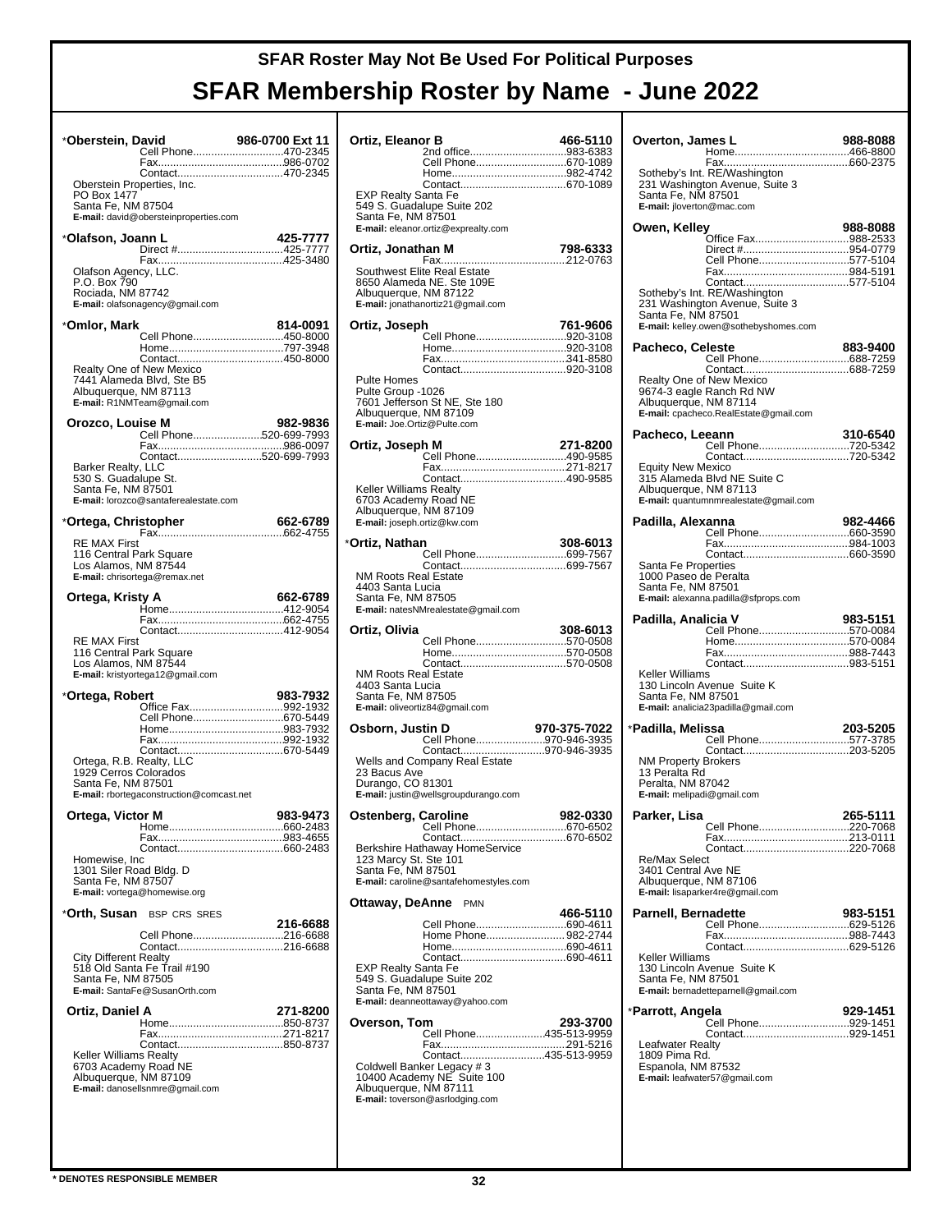| *Oberstein, David                                                |                                                                                                              | 986-0700 Ext 11<br><b>986-0700 Ext 11<br/>Cell Phone470-2345</b> |
|------------------------------------------------------------------|--------------------------------------------------------------------------------------------------------------|------------------------------------------------------------------|
| PO Box 1477<br>Santa Fe, NM 87504                                | Oberstein Properties, Inc.<br>E-mail: david@obersteinproperties.com                                          |                                                                  |
| *Olafson, Joann L                                                |                                                                                                              | 425-7777                                                         |
| Olafson Agency, LLC.<br>P.O. Box 790<br>Rociada, NM 87742        | E-mail: olafsonagency@gmail.com                                                                              |                                                                  |
| *Omlor, Mark                                                     |                                                                                                              | 814-0091                                                         |
|                                                                  | Realty One of New Mexico<br>7441 Alameda Blvd, Ste B5<br>Albuquerque, NM 87113<br>E-mail: R1NMTeam@gmail.com | Cell Phone450-8000                                               |
| Orozco, Louise M                                                 |                                                                                                              | 982-9836                                                         |
| Barker Realty, LLC<br>530 S. Guadalupe St.<br>Santa Fe, NM 87501 | E-mail: lorozco@santaferealestate.com                                                                        | Cell Phone520-699-7993<br>Contact520-699-7993                    |
| *Ortega, Christopher                                             |                                                                                                              | 662-6789                                                         |
| <b>RE MAX First</b><br>Los Alamos, NM 87544                      | 116 Central Park Square<br>E-mail: chrisortega@remax.net                                                     |                                                                  |
| Ortega, Kristy A                                                 |                                                                                                              | 662-6789                                                         |
|                                                                  |                                                                                                              | Contact412-9054                                                  |
| <b>RE MAX First</b><br>Los Alamos, NM 87544                      | 116 Central Park Square<br>E-mail: kristyortega12@gmail.com                                                  |                                                                  |
| *Ortega, Robert                                                  |                                                                                                              | 983-7932<br>Office Fax992-1932                                   |
|                                                                  |                                                                                                              | Cell Phone670-5449                                               |
|                                                                  |                                                                                                              |                                                                  |
| 1929 Cerros Colorados<br>Santa Fe, NM 87501                      | Ortega, R.B. Realty, LLC<br>E-mail: rbortegaconstruction@comcast.net                                         |                                                                  |
| Ortega, Victor M                                                 |                                                                                                              | 983-9473                                                         |
|                                                                  |                                                                                                              |                                                                  |
| Homewise, Inc<br>Santa Fe, NM 87507                              | 1301 Siler Road Bldg. D<br>E-mail: vortega@homewise.org                                                      |                                                                  |
|                                                                  | * <b>Orth, Susan</b> BSP CRS SRES                                                                            | 216-6688                                                         |
|                                                                  |                                                                                                              | Cell Phone216-6688                                               |
| <b>City Different Realty</b><br>Santa Fe, NM 87505               | 518 Old Santa Fe Trail #190<br>E-mail: SantaFe@SusanOrth.com                                                 |                                                                  |
| Ortiz, Daniel A                                                  |                                                                                                              | 271-8200                                                         |
| <b>Keller Williams Realty</b>                                    | 6703 Academy Road NE<br>Albuquerque, NM 87109<br>E-mail: danosellsnmre@gmail.com                             |                                                                  |
|                                                                  |                                                                                                              |                                                                  |

| Ortiz, Eleanor B                                                                                          | 2nd office983-6383<br>Cell Phone670-1089                                                                               | 466-5110     |
|-----------------------------------------------------------------------------------------------------------|------------------------------------------------------------------------------------------------------------------------|--------------|
| <b>EXP Realty Santa Fe</b><br>Santa Fe, NM 87501                                                          | 549 S. Guadalupe Suite 202<br>E-mail: eleanor.ortiz@exprealty.com                                                      |              |
| Ortiz, Jonathan M                                                                                         |                                                                                                                        | 798-6333     |
| Albuquerque, NM 87122                                                                                     | Southwest Elite Real Estate<br>8650 Alameda NE. Ste 109E<br>E-mail: jonathanortiz21@gmail.com                          |              |
| Ortiz, Joseph<br>Pulte Homes<br>Pulte Group -1026<br>Albuquerque, NM 87109<br>E-mail: Joe.Ortiz@Pulte.com | Cell Phone920-3108<br>7601 Jefferson St NE, Ste 180                                                                    | 761-9606     |
| Ortiz, Joseph M                                                                                           | Cell Phone490-9585                                                                                                     | 271-8200     |
| Keller Williams Realty<br>6703 Academy Road NE<br>Albuquerque, NM 87109<br>E-mail: joseph.ortiz@kw.com    |                                                                                                                        |              |
| *Ortiz, Nathan                                                                                            | Cell Phone699-7567                                                                                                     | 308-6013     |
| <b>NM Roots Real Estate</b><br>4403 Santa Lucia<br>Santa Fe, NM 87505                                     | E-mail: natesNMrealestate@gmail.com                                                                                    |              |
|                                                                                                           |                                                                                                                        |              |
| Ortiz, Olivia                                                                                             |                                                                                                                        | 308-6013     |
| <b>NM Roots Real Estate</b><br>4403 Santa Lucia<br>Santa Fe, NM 87505                                     | Cell Phone570-0508<br>E-mail: oliveortiz84@gmail.com                                                                   |              |
| Osborn, Justin D                                                                                          |                                                                                                                        | 970-375-7022 |
| 23 Bacus Ave<br>Durango, CO 81301                                                                         | Cell Phone970-946-3935<br>Contact970-946-3935<br>Wells and Company Real Estate<br>E-mail: justin@wellsgroupdurango.com |              |
| Ostenberg, Caroline                                                                                       |                                                                                                                        | 982-0330     |
| 123 Marcy St. Ste 101<br>Santa Fe, NM 87501                                                               | Cell Phone670-6502<br>E-mail: caroline@santafehomestyles.com                                                           |              |
| Ottaway, DeAnne                                                                                           | <b>PMN</b>                                                                                                             |              |
| EXP Realty Santa Fe<br>Santa Fe, NM 87501                                                                 | Cell Phone690-4611<br>Home Phone 982-2744<br>549 S. Guadalupe Suite 202<br>E-mail: deanneottaway@yahoo.com             | 466-5110     |
| Overson, Tom                                                                                              | Cell Phone435-513-9959                                                                                                 | 293-3700     |

| Overton, James L                             |                                                                | 988-8088 |
|----------------------------------------------|----------------------------------------------------------------|----------|
|                                              |                                                                |          |
|                                              | Sotheby's Int. RE/Washington<br>231 Washington Avenue, Suite 3 |          |
| Santa Fe, NM 87501                           |                                                                |          |
| E-mail: jloverton@mac.com                    |                                                                |          |
| Owen, Kelley                                 | Office Fax988-2533                                             | 988-8088 |
|                                              | Direct #954-0779<br>Cell Phone577-5104                         |          |
|                                              |                                                                |          |
|                                              | Sotheby's Int. RE/Washington                                   |          |
| Santa Fe, NM 87501                           | 231 Washington Avenue, Suite 3                                 |          |
|                                              | E-mail: kelley.owen@sothebyshomes.com                          |          |
| Pacheco, Celeste                             |                                                                | 883-9400 |
|                                              |                                                                |          |
|                                              | Realty One of New Mexico                                       |          |
| Albuquerque, NM 87114                        | 9674-3 eagle Ranch Rd NW                                       |          |
|                                              | E-mail: cpacheco.RealEstate@gmail.com                          |          |
| Pacheco, Leeann                              |                                                                | 310-6540 |
|                                              |                                                                |          |
| <b>Equity New Mexico</b>                     | 315 Alameda Blvd NE Suite C                                    |          |
| Albuquerque, NM 87113                        |                                                                |          |
|                                              | E-mail: quantumnmrealestate@gmail.com                          |          |
| Padilla, Alexanna                            |                                                                | 982-4466 |
|                                              |                                                                |          |
| Santa Fe Properties                          |                                                                |          |
| 1000 Paseo de Peralta                        |                                                                |          |
| Santa Fe, NM 87501                           | E-mail: alexanna.padilla@sfprops.com                           |          |
| Padilla, Analicia V                          |                                                                | 983-5151 |
|                                              | Cell Phone570-0084                                             |          |
|                                              |                                                                |          |
| Keller Williams                              |                                                                |          |
| Santa Fe, NM 87501                           | 130 Lincoln Avenue Suite K                                     |          |
|                                              | E-mail: analicia23padilla@gmail.com                            |          |
| *Padilla, Melissa                            |                                                                | 203-5205 |
|                                              | Cell Phone577-3785                                             |          |
| <b>NM Property Brokers</b>                   |                                                                |          |
| 13 Peralta Rd<br>Peralta, NM 87042           |                                                                |          |
| E-mail: melipadi@gmail.com                   |                                                                |          |
| Parker, Lisa                                 | Cell Phone220-7068                                             | 265-5111 |
|                                              |                                                                |          |
| <b>Re/Max Select</b>                         |                                                                |          |
| 3401 Central Ave NE<br>Albuquerque, NM 87106 |                                                                |          |
|                                              | E-mail: lisaparker4re@gmail.com                                |          |
| <b>Parnell, Bernadette</b>                   |                                                                | 983-5151 |
|                                              |                                                                |          |
|                                              |                                                                |          |
| Keller Williams                              | 130 Lincoln Avenue Suite K                                     |          |
| Santa Fe, NM 87501                           | E-mail: bernadetteparnell@gmail.com                            |          |
|                                              |                                                                |          |
| *Parrott, Angela                             | Cell Phone929-1451                                             | 929-1451 |
| <b>Leafwater Realty</b>                      |                                                                |          |
| 1809 Pima Rd.                                |                                                                |          |
| Espanola, NM 87532                           | E-mail: leafwater57@gmail.com                                  |          |
|                                              |                                                                |          |
|                                              |                                                                |          |
|                                              |                                                                |          |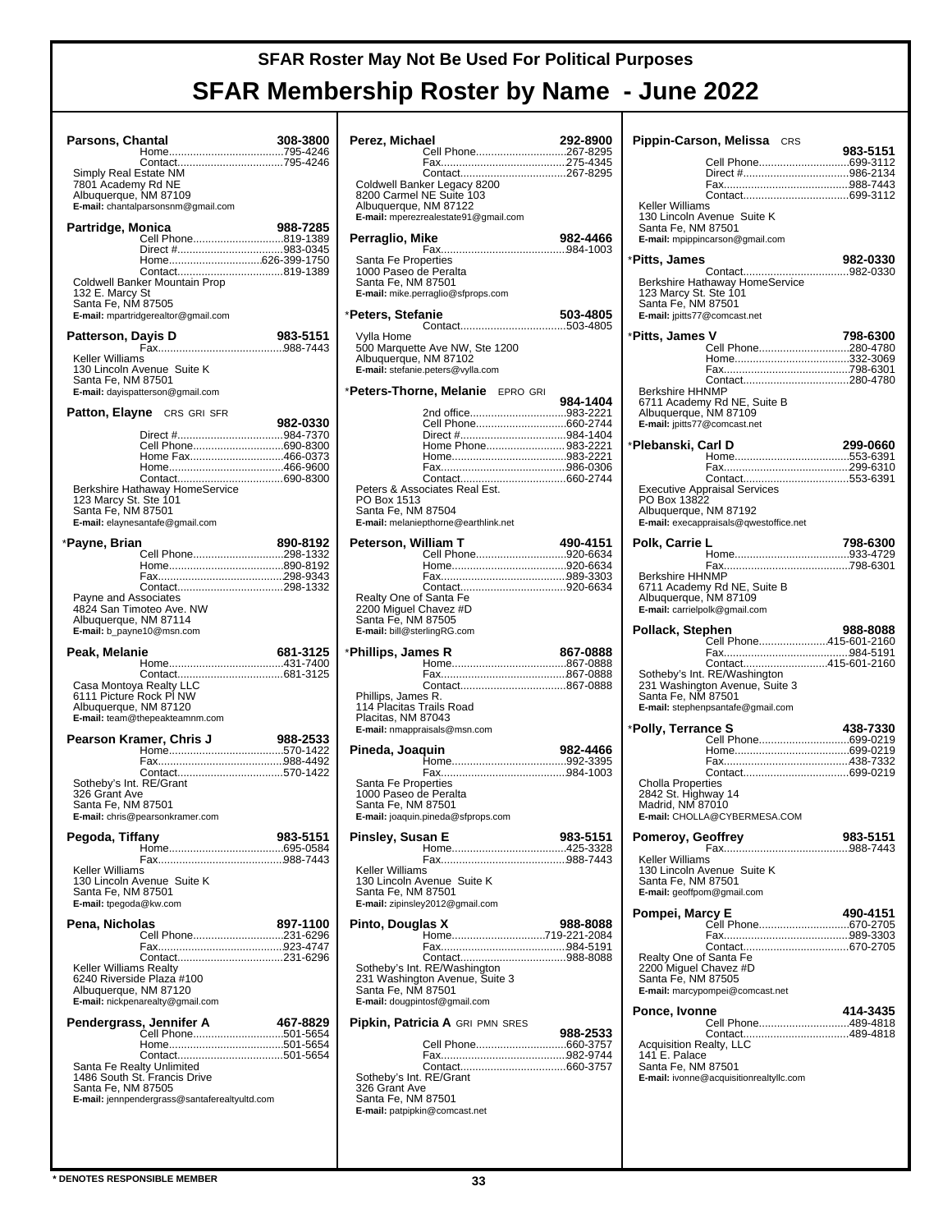| Parsons, Chantal                                                     |                                                                      | 308-3800 |
|----------------------------------------------------------------------|----------------------------------------------------------------------|----------|
| Simply Real Estate NM<br>7801 Ácademy Rd NE<br>Albuquerque, NM 87109 | Contact795-4246<br>E-mail: chantalparsonsnm@gmail.com                |          |
| Partridge, Monica                                                    |                                                                      | 988-7285 |
|                                                                      | Cell Phone819-1389                                                   |          |
|                                                                      | Direct #983-0345<br>Home626-399-1750                                 |          |
| 132 E. Marcy St<br>Santa Fe, NM 87505                                | Coldwell Banker Mountain Prop<br>E-mail: mpartridgerealtor@gmail.com |          |
| Patterson, Dayis D                                                   |                                                                      | 983-5151 |
| Keller Williams                                                      |                                                                      |          |
| Santa Fe, NM 87501                                                   | 130 Lincoln Avenue Suite K<br>E-mail: dayispatterson@gmail.com       |          |
|                                                                      | <b>Patton, Elayne</b> CRS GRI SFR                                    | 982-0330 |
|                                                                      |                                                                      |          |
|                                                                      | Cell Phone690-8300                                                   |          |
|                                                                      | Home Fax466-0373                                                     |          |
|                                                                      |                                                                      |          |
|                                                                      | Berkshire Hathaway HomeService                                       |          |
| 123 Marcy St. Ste 101<br>Santa Fe, NM 87501                          | E-mail: elaynesantafe@gmail.com                                      |          |
|                                                                      |                                                                      |          |
| *Payne, Brian                                                        |                                                                      | 890-8192 |
|                                                                      | Cell Phone298-1332                                                   |          |
|                                                                      |                                                                      |          |
|                                                                      |                                                                      |          |
| Payne and Associates                                                 |                                                                      |          |
| Albuquerque, NM 87114                                                | 4824 San Timoteo Ave. NW<br>E-mail: b_payne10@msn.com                |          |
|                                                                      |                                                                      |          |
| Peak, Melanie                                                        |                                                                      | 681-3125 |
|                                                                      |                                                                      |          |
| Casa Montoya Realty LLC                                              |                                                                      |          |
| 6111 Picture Rock PI NW<br>Albuquerque, NM 87120                     |                                                                      |          |
|                                                                      | E-mail: team@thepeakteamnm.com                                       |          |
|                                                                      | Pearson Kramer, Chris J                                              | 988-2533 |
|                                                                      |                                                                      |          |
|                                                                      | Contact570-1422                                                      |          |
| Sotheby's Int. RE/Grant                                              |                                                                      |          |
| 326 Grant Ave                                                        |                                                                      |          |
| Santa Fe, NM 87501                                                   | <b>E-mail:</b> chris@pearsonkramer.com                               |          |
|                                                                      |                                                                      |          |
| Pegoda, Tiffany                                                      |                                                                      | 983-5151 |
|                                                                      |                                                                      |          |
| Keller Williams                                                      |                                                                      |          |
|                                                                      | 130 Lincoln Avenue Suite K                                           |          |
| Santa Fe, NM 87501<br>E-mail: tpegoda@kw.com                         |                                                                      |          |
|                                                                      |                                                                      |          |
| Pena, Nicholas                                                       | Cell Phone231-6296                                                   | 897-1100 |
|                                                                      |                                                                      |          |
|                                                                      |                                                                      |          |
| Keller Williams Realty                                               | 6240 Riverside Plaza #100                                            |          |
| Albuquerque, NM 87120                                                |                                                                      |          |
|                                                                      | E-mail: nickpenarealty@gmail.com                                     |          |
|                                                                      |                                                                      | 467-8829 |
|                                                                      | Pendergrass, Jennifer A<br>Cell Phone501-5654                        |          |
|                                                                      |                                                                      |          |
|                                                                      |                                                                      |          |
| Santa Fe Realty Unlimited                                            | 1486 South St. Francis Drive                                         |          |
| Santa Fe, NM 87505                                                   |                                                                      |          |
|                                                                      | E-mail: jennpendergrass@santaferealtyultd.com                        |          |
|                                                                      |                                                                      |          |

| Perez, Michael                                                                                       |                                                                                                 | 292-8900 |
|------------------------------------------------------------------------------------------------------|-------------------------------------------------------------------------------------------------|----------|
|                                                                                                      | Cell Phone267-8295                                                                              |          |
|                                                                                                      |                                                                                                 |          |
| Albuquerque, NM 87122                                                                                | Coldwell Banker Legacy 8200<br>8200 Carmel NE Suite 103<br>E-mail: mperezrealestate91@gmail.com |          |
|                                                                                                      |                                                                                                 |          |
| Perraglio, Mike                                                                                      |                                                                                                 | 982-4466 |
| Santa Fe Properties<br>1000 Paseo de Peralta<br>Santa Fe, NM 87501                                   | E-mail: mike.perraglio@sfprops.com                                                              |          |
| *Peters, Stefanie                                                                                    |                                                                                                 | 503-4805 |
| Vylla Home<br>Albuquerque, NM 87102                                                                  | 500 Marquette Ave NW, Ste 1200<br>E-mail: stefanie.peters@vylla.com                             |          |
|                                                                                                      | *Peters-Thorne, Melanie EPRO GRI                                                                | 984-1404 |
|                                                                                                      | 2nd office983-2221                                                                              |          |
|                                                                                                      |                                                                                                 |          |
|                                                                                                      | Home Phone 983-2221                                                                             |          |
|                                                                                                      |                                                                                                 |          |
|                                                                                                      |                                                                                                 |          |
|                                                                                                      | Peters & Associates Real Est.                                                                   |          |
| PO Box 1513<br>Santa Fe, NM 87504                                                                    | E-mail: melaniepthorne@earthlink.net                                                            |          |
| Peterson, William T                                                                                  |                                                                                                 | 490-4151 |
|                                                                                                      | Cell Phone920-6634                                                                              |          |
|                                                                                                      |                                                                                                 |          |
|                                                                                                      |                                                                                                 |          |
| Realty One of Santa Fe<br>2200 Miguel Chavez #D<br>Santa Fe, NM 87505<br>E-mail: bill@sterlingRG.com |                                                                                                 |          |
| *Phillips, James R                                                                                   |                                                                                                 | 867-0888 |
|                                                                                                      |                                                                                                 |          |
|                                                                                                      |                                                                                                 |          |
| Phillips, James R.<br>114 Placitas Trails Road<br>Placitas, NM 87043                                 | E-mail: nmappraisals@msn.com                                                                    |          |
| Pineda, Joaquin                                                                                      |                                                                                                 |          |
|                                                                                                      |                                                                                                 |          |
|                                                                                                      |                                                                                                 | 982-4466 |
| Santa Fe Properties<br>1000 Paseo de Peralta<br>Santa Fe, NM 87501                                   | E-mail: joaquin.pineda@sfprops.com                                                              |          |
| Pinsley, Susan E                                                                                     |                                                                                                 | 983-5151 |
|                                                                                                      |                                                                                                 |          |
| Keller Williams<br>Santa Fe, NM 87501                                                                | 130 Lincoln Avenue Suite K<br>E-mail: zipinsley2012@gmail.com                                   |          |
| Pinto, Douglas X                                                                                     |                                                                                                 | 988-8088 |
|                                                                                                      | Home719-221-2084                                                                                |          |
| Santa Fe, NM 87501                                                                                   | Sotheby's Int. RE/Washington<br>231 Washington Avenue, Suite 3<br>E-mail: dougpintosf@gmail.com |          |
|                                                                                                      | Pipkin, Patricia A GRI PMN SRES                                                                 |          |
|                                                                                                      |                                                                                                 | 988-2533 |
|                                                                                                      |                                                                                                 |          |

|                                                                             | Pippin-Carson, Melissa CRS                                                            | 983-5151 |
|-----------------------------------------------------------------------------|---------------------------------------------------------------------------------------|----------|
|                                                                             | Cell Phone699-3112                                                                    |          |
|                                                                             |                                                                                       |          |
|                                                                             |                                                                                       |          |
| Keller Williams                                                             |                                                                                       |          |
| Santa Fe, NM 87501                                                          | 130 Lincoln Avenue Suite K<br>E-mail: mpippincarson@gmail.com                         |          |
| *Pitts, James                                                               |                                                                                       | 982-0330 |
|                                                                             |                                                                                       |          |
| 123 Marcy St. Ste 101<br>Santa Fe, NM 87501<br>E-mail: jpitts77@comcast.net | Berkshire Hathaway HomeService                                                        |          |
| *Pitts, James V                                                             |                                                                                       | 798-6300 |
|                                                                             | Cell Phone280-4780                                                                    |          |
|                                                                             |                                                                                       |          |
|                                                                             | Contact280-4780                                                                       |          |
| <b>Berkshire HHNMP</b>                                                      |                                                                                       |          |
| Albuquerque, NM 87109<br>E-mail: jpitts77@comcast.net                       | 6711 Academy Rd NE, Suite B                                                           |          |
| *Plebanski, Carl D                                                          |                                                                                       | 299-0660 |
|                                                                             |                                                                                       |          |
|                                                                             |                                                                                       |          |
|                                                                             | Contact553-6391<br>Executive Appraisal Services                                       |          |
| PO Box 13822                                                                |                                                                                       |          |
| Albuquerque, NM 87192                                                       |                                                                                       |          |
|                                                                             | E-mail: execappraisals@qwestoffice.net                                                |          |
| Polk, Carrie L                                                              |                                                                                       | 798-6300 |
|                                                                             |                                                                                       |          |
| <b>Berkshire HHNMP</b>                                                      |                                                                                       |          |
|                                                                             | 6711 Academy Rd NE, Suite B<br>Albuquerque, NM 87109<br>E-mail: carrielpolk@gmail.com |          |
| Pollack, Stephen                                                            |                                                                                       | 988-8088 |
|                                                                             |                                                                                       |          |
|                                                                             | Cell Phone415-601-2160                                                                |          |
|                                                                             |                                                                                       |          |
|                                                                             | Contact415-601-2160                                                                   |          |
|                                                                             | Sotheby's Int. RE/Washington<br>231 Washington Avenue, Suite 3                        |          |
| Santa Fe, NM 87501                                                          |                                                                                       |          |
|                                                                             | E-mail: stephenpsantafe@gmail.com                                                     |          |
| *Polly, Terrance S                                                          |                                                                                       | 438-7330 |
|                                                                             |                                                                                       |          |
|                                                                             |                                                                                       |          |
|                                                                             |                                                                                       |          |
| <b>Cholla Properties</b>                                                    |                                                                                       |          |
| 2842 St. Highway 14                                                         |                                                                                       |          |
| Madrid, NM 87010                                                            | E-mail: CHOLLA@CYBERMESA.COM                                                          |          |
|                                                                             |                                                                                       |          |
| Pomeroy, Geoffrey                                                           |                                                                                       | 983-5151 |
| Keller Williams                                                             |                                                                                       |          |
|                                                                             | 130 Lincoln Avenue Suite K                                                            |          |
| Santa Fe, NM 87501                                                          |                                                                                       |          |
| E-mail: geoffpom@gmail.com                                                  |                                                                                       |          |
| Pompei, Marcy E                                                             |                                                                                       | 490-4151 |
|                                                                             | Cell Phone670-2705                                                                    |          |
|                                                                             |                                                                                       |          |
| Realty One of Santa Fe                                                      |                                                                                       |          |
| 2200 Miguel Chavez #D                                                       |                                                                                       |          |
| Santa Fe, NM 87505                                                          | E-mail: marcypompei@comcast.net                                                       |          |
|                                                                             |                                                                                       |          |
| Ponce, Ivonne                                                               |                                                                                       | 414-3435 |
|                                                                             | Cell Phone489-4818                                                                    |          |
| <b>Acquisition Realty, LLC</b>                                              |                                                                                       |          |
| 141 E. Palace                                                               |                                                                                       |          |
| Santa Fe, NM 87501                                                          | E-mail: ivonne@acquisitionrealtyllc.com                                               |          |
|                                                                             |                                                                                       |          |
|                                                                             |                                                                                       |          |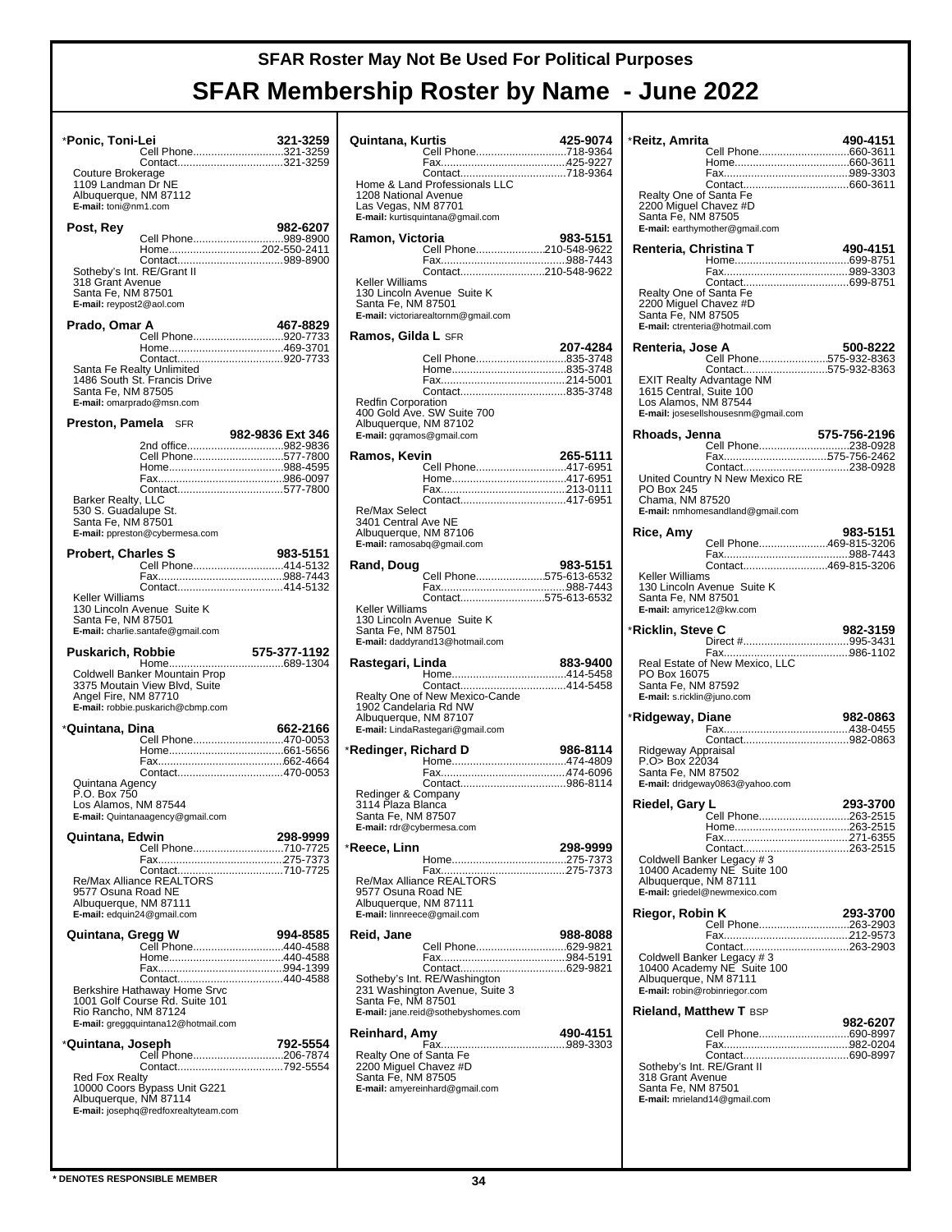|                                                                                                  | *Ponic, Toni-Lei<br>Cell Phone321-3259                                                                                   | 321-3259         |
|--------------------------------------------------------------------------------------------------|--------------------------------------------------------------------------------------------------------------------------|------------------|
| Couture Brokerage<br>1109 Landman Dr NE<br>Albuquerque, NM 87112<br>E-mail: toni@nm1.com         | Contact321-3259                                                                                                          |                  |
| Post, Rey                                                                                        |                                                                                                                          | 982-6207         |
| Sotheby's Int. RE/Grant II<br>318 Grant Avenue<br>Santa Fe, NM 87501<br>E-mail: reypost2@aol.com | Cell Phone989-8900<br>Home202-550-2411                                                                                   |                  |
| Prado, Omar A                                                                                    |                                                                                                                          | 467-8829         |
| Santa Fe Realty Unlimited<br>Santa Fe, NM 87505<br>E-mail: omarprado@msn.com                     | Cell Phone920-7733<br>1486 South St. Francis Drive                                                                       |                  |
| <b>Preston, Pamela</b> SFR                                                                       |                                                                                                                          |                  |
| Barker Realty, LLC<br>530 S. Guadalupe St.<br>Santa Fe, NM 87501                                 | Cell Phone577-7800<br>Contact577-7800<br>E-mail: ppreston@cybermesa.com                                                  | 982-9836 Ext 346 |
| <b>Probert, Charles S</b>                                                                        |                                                                                                                          | 983-5151         |
|                                                                                                  | Cell Phone414-5132                                                                                                       |                  |
|                                                                                                  |                                                                                                                          |                  |
| Keller Williams<br>Santa Fe, NM 87501                                                            | 130 Lincoln Avenue Suite K<br>E-mail: charlie.santafe@gmail.com                                                          |                  |
| Puskarich, Robbie                                                                                |                                                                                                                          | 575-377-1192     |
| Angel Fire, NM 87710                                                                             | Coldwell Banker Mountain Prop<br>3375 Moutain View Blvd, Suite<br>E-mail: robbie.puskarich@cbmp.com                      |                  |
| *Quintana, Dina                                                                                  |                                                                                                                          | 662-2166         |
| Quintana Agency<br>P.O. Box 750<br>Los Alamos, NM 87544                                          | Cell Phone470-0053<br>E-mail: Quintanaagency@gmail.com                                                                   |                  |
|                                                                                                  |                                                                                                                          |                  |
| Quintana, Edwin<br>9577 Osuna Road NE<br>Albuquerque, NM 87111<br>E-mail: edquin24@gmail.com     | Cell Phone710-7725                                                                                                       | 298-9999         |
|                                                                                                  |                                                                                                                          |                  |
| Rio Rancho, NM 87124                                                                             | Contact440-4588<br>Berkshire Hathaway Home Srvc<br>1001 Golf Course Rd. Suite 101<br>E-mail: greggquintana12@hotmail.com |                  |
| *Quintana, Joseph                                                                                | Cell Phone206-7874                                                                                                       | 792-5554         |

| Quintana, Kurtis                                   | Cell Phone718-9364                                                                       | 425-9074 |
|----------------------------------------------------|------------------------------------------------------------------------------------------|----------|
|                                                    |                                                                                          |          |
| 1208 National Avenue<br>Las Vegas, NM 87701        | E-mail: kurtisquintana@gmail.com                                                         |          |
| Ramon, Victoria                                    | Cell Phone210-548-9622                                                                   | 983-5151 |
|                                                    |                                                                                          |          |
| Keller Williams<br>Santa Fe, NM 87501              | Contact210-548-9622<br>130 Lincoln Avenue Suite K<br>E-mail: victoriarealtornm@gmail.com |          |
| Ramos, Gilda L SFR                                 |                                                                                          | 207-4284 |
|                                                    | Cell Phone835-3748                                                                       |          |
|                                                    |                                                                                          |          |
| <b>Redfin Corporation</b>                          |                                                                                          |          |
| Albuquerque, NM 87102<br>E-mail: gqramos@gmail.com | 400 Gold Ave. SW Suite 700                                                               |          |
| Ramos, Kevin                                       |                                                                                          | 265-5111 |
|                                                    | Cell Phone417-6951                                                                       |          |
|                                                    |                                                                                          |          |
| Re/Max Select<br>3401 Central Ave NE               |                                                                                          |          |
| Albuquerque, NM 87106                              | E-mail: ramosabq@gmail.com                                                               |          |
| Rand, Doug                                         | Cell Phone575-613-6532                                                                   | 983-5151 |
|                                                    |                                                                                          |          |
| Keller Williams                                    | Contact575-613-6532                                                                      |          |
| Santa Fe, NM 87501                                 | 130 Lincoln Avenue Suite K<br>E-mail: daddyrand13@hotmail.com                            |          |
| Rastegari, Linda                                   |                                                                                          | 883-9400 |
|                                                    |                                                                                          |          |
| 1902 Candelaria Rd NW                              | Realty One of New Mexico-Cande                                                           |          |
| Albuquerque, NM 87107                              |                                                                                          |          |
|                                                    | E-mail: LindaRastegari@gmail.com                                                         |          |
| *Redinger, Richard D                               |                                                                                          | 986-8114 |
|                                                    |                                                                                          |          |
| Redinger & Company                                 |                                                                                          |          |
| 3114 Plaza Blanca<br>Santa Fe, NM 87507            |                                                                                          |          |
| E-mail: rdr@cybermesa.com                          |                                                                                          |          |
| *Reece, Linn                                       |                                                                                          | 298-9999 |
|                                                    |                                                                                          |          |
| 9577 Osuna Road NE                                 | Re/Max Alliance REALTORS®                                                                |          |
| Albuquerque, NM 87111                              |                                                                                          |          |
| E-mail: linnreece@gmail.com                        |                                                                                          |          |
| Reid, Jane                                         | Cell Phone629-9821                                                                       | 988-8088 |
|                                                    |                                                                                          |          |
|                                                    | Sotheby's Int. RE/Washington                                                             |          |
| Santa Fe, NM 87501                                 | 231 Washington Avenue, Suite 3                                                           |          |
|                                                    | E-mail: jane.reid@sothebyshomes.com                                                      |          |
| Reinhard, Amy                                      |                                                                                          | 490-4151 |
| Realty One of Santa Fe                             |                                                                                          |          |
| 2200 Miguel Chavez #D<br>Santa Fe, NM 87505        |                                                                                          |          |
|                                                    | E-mail: amyereinhard@gmail.com                                                           |          |
|                                                    |                                                                                          |          |

| *Reitz, Amrita                                  |                                                          |                       |
|-------------------------------------------------|----------------------------------------------------------|-----------------------|
|                                                 |                                                          | 490-4151              |
|                                                 | Cell Phone660-3611                                       |                       |
|                                                 |                                                          |                       |
| Realty One of Santa Fe                          |                                                          |                       |
| 2200 Miguel Chavez #D                           |                                                          |                       |
| Santa Fe, NM 87505                              | E-mail: earthymother@gmail.com                           |                       |
|                                                 |                                                          |                       |
| Renteria, Christina T                           |                                                          | 490-4151              |
|                                                 |                                                          |                       |
|                                                 |                                                          |                       |
| Realty One of Santa Fe<br>2200 Miguel Chavez #D |                                                          |                       |
| Santa Fe, NM 87505                              |                                                          |                       |
|                                                 | E-mail: ctrenteria@hotmail.com                           |                       |
| Renteria, Jose A                                |                                                          | 500-8222              |
|                                                 | Cell Phone575-932-8363<br>Contact575-932-8363            |                       |
|                                                 | <b>EXIT Realty Advantage NM</b>                          |                       |
| 1615 Central, Suite 100<br>Los Alamos, NM 87544 |                                                          |                       |
|                                                 | E-mail: josesellshousesnm@gmail.com                      |                       |
| Rhoads, Jenna                                   |                                                          | 575-756-2196          |
|                                                 | Cell Phone238-0928                                       |                       |
|                                                 | Fax575-756-2462                                          |                       |
|                                                 | United Country N New Mexico RE                           |                       |
| PO Box 245<br>Chama, NM 87520                   |                                                          |                       |
|                                                 | E-mail: nmhomesandland@gmail.com                         |                       |
| Rice, Amy                                       |                                                          | 983-5151              |
|                                                 | Cell Phone469-815-3206                                   |                       |
|                                                 | Contact469-815-3206                                      |                       |
| Keller Williams                                 |                                                          |                       |
|                                                 | 130 Lincoln Avenue Suite K                               |                       |
| Santa Fe, NM 87501<br>E-mail: amyrice12@kw.com  |                                                          |                       |
|                                                 |                                                          | 982-3159              |
| *Ricklin, Steve C                               |                                                          |                       |
|                                                 |                                                          |                       |
| PO Box 16075                                    | Real Estate of New Mexico, LLC                           |                       |
| Santa Fe, NM 87592                              |                                                          |                       |
| E-mail: s.ricklin@juno.com                      |                                                          |                       |
| *Ridgeway, Diane                                |                                                          |                       |
|                                                 |                                                          | 982-0863              |
|                                                 |                                                          |                       |
| Ridgeway Appraisal                              |                                                          |                       |
| P.O. Box 22034                                  |                                                          |                       |
| Santa Fe, NM 87502                              | E-mail: dridgeway0863@yahoo.com                          |                       |
|                                                 |                                                          |                       |
| Riedel, Gary L                                  | Cell Phone                                               | 293-3700<br>.263-2515 |
|                                                 |                                                          |                       |
|                                                 |                                                          |                       |
|                                                 | Coldwell Banker Legacy #3                                |                       |
| Albuquerque, NM 87111                           | 10400 Academy NE Suite 100                               |                       |
|                                                 | E-mail: griedel@newmexico.com                            |                       |
| Riegor, Robin K                                 |                                                          | 293-3700              |
|                                                 | Cell Phone263-2903                                       |                       |
|                                                 |                                                          |                       |
|                                                 | Coldwell Banker Legacy # 3<br>10400 Academy NE Suite 100 |                       |
| Albuquerque, NM 87111                           |                                                          |                       |
|                                                 | E-mail: robin@robinriegor.com                            |                       |
| <b>Rieland, Matthew T BSP</b>                   |                                                          |                       |
|                                                 | Cell Phone690-8997                                       | 982-6207              |
|                                                 |                                                          |                       |
| Sotheby's Int. RE/Grant II                      |                                                          |                       |
| 318 Grant Avenue                                |                                                          |                       |
| Santa Fe, NM 87501                              | E-mail: mrieland14@gmail.com                             |                       |
|                                                 |                                                          |                       |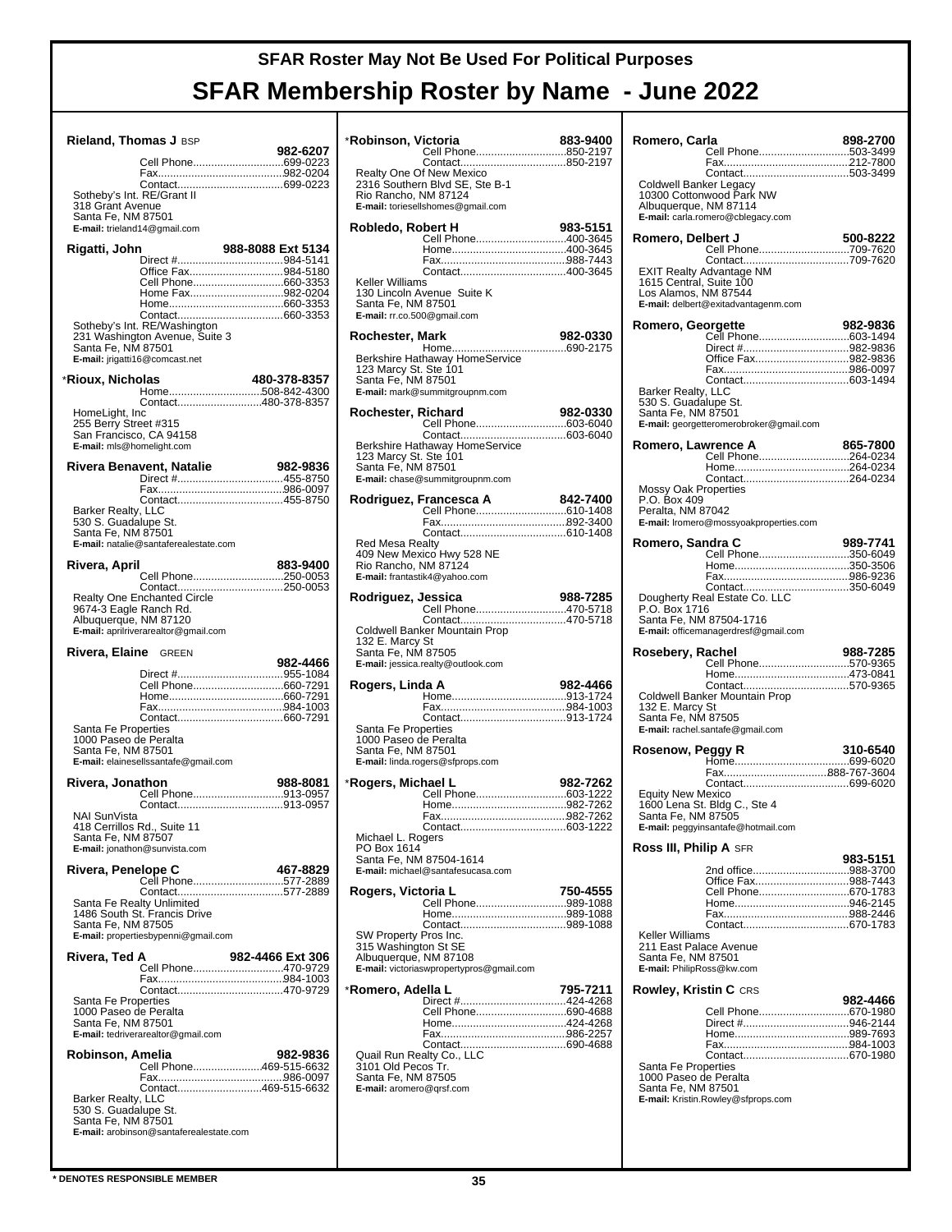| Rieland, Thomas J BSP                                |                                                                |                   |
|------------------------------------------------------|----------------------------------------------------------------|-------------------|
|                                                      | Cell Phone699-0223                                             | 982-6207          |
|                                                      |                                                                |                   |
| Sotheby's Int. RE/Grant II<br>318 Grant Avenue       |                                                                |                   |
| Santa Fe, NM 87501                                   |                                                                |                   |
| E-mail: trieland14@gmail.com                         |                                                                |                   |
| Rigatti, John                                        |                                                                | 988-8088 Ext 5134 |
|                                                      | Office Fax984-5180<br>Cell Phone660-3353                       |                   |
|                                                      | Home Fax982-0204                                               |                   |
|                                                      |                                                                |                   |
|                                                      | Sotheby's Int. RE/Washington<br>231 Washington Avenue, Suite 3 |                   |
| Santa Fe, NM 87501                                   |                                                                |                   |
|                                                      | E-mail: jrigatti16@comcast.net                                 |                   |
| *Rioux, Nicholas                                     | Home508-842-4300                                               | 480-378-8357      |
| HomeLight, Inc                                       | Contact480-378-8357                                            |                   |
| 255 Berry Street #315                                |                                                                |                   |
| San Francisco, CA 94158<br>E-mail: mls@homelight.com |                                                                |                   |
|                                                      | Rivera Benavent, Natalie                                       | 982-9836          |
|                                                      | Direct #455-8750                                               |                   |
|                                                      |                                                                |                   |
| Barker Realty, LLC<br>530 S. Guadalupe St.           |                                                                |                   |
| Santa Fe, NM 87501                                   |                                                                |                   |
|                                                      | E-mail: natalie@santaferealestate.com                          |                   |
| Rivera, April                                        | Cell Phone250-0053                                             | 883-9400          |
|                                                      |                                                                |                   |
| 9674-3 Eagle Ranch Rd.                               | Realty One Enchanted Circle                                    |                   |
| Albuquerque, NM 87120                                | E-mail: aprilriverarealtor@gmail.com                           |                   |
| Rivera, Elaine                                       | GREEN                                                          |                   |
|                                                      |                                                                | 982-4466          |
|                                                      | Cell Phone660-7291                                             |                   |
|                                                      |                                                                |                   |
| Santa Fe Properties                                  |                                                                |                   |
| 1000 Paseo de Peralta                                |                                                                |                   |
| Santa Fe, NM 87501                                   | E-mail: elainesellssantafe@gmail.com                           |                   |
| Rivera, Jonathon                                     |                                                                | 988-8081          |
|                                                      | Cell Phone913-0957                                             |                   |
| NAI SunVista                                         |                                                                |                   |
| 418 Cerrillos Rd., Suite 11<br>Santa Fe, NM 87507    |                                                                |                   |
|                                                      | E-mail: jonathon@sunvista.com                                  |                   |
| Rivera, Penelope C                                   | Cell Phone577-2889                                             | 467-8829          |
|                                                      | Contact577-2889                                                |                   |
| Santa Fe Realty Unlimited                            | 1486 South St. Francis Drive                                   |                   |
| Santa Fe, NM 87505                                   |                                                                |                   |
|                                                      | E-mail: propertiesbypenni@gmail.com                            |                   |
| Rivera, Ted A                                        | Cell Phone470-9729                                             | 982-4466 Ext 306  |
|                                                      |                                                                |                   |
| Santa Fe Properties<br>1000 Paseo de Peralta         |                                                                |                   |
| Santa Fe, NM 87501                                   |                                                                |                   |
|                                                      | E-mail: tedriverarealtor@gmail.com                             |                   |
| Robinson, Amelia                                     | Cell Phone469-515-6632                                         | 982-9836          |
|                                                      |                                                                |                   |
| Barker Realty, LLC                                   | Contact469-515-6632                                            |                   |
| 530 S. Guadalupe St.<br>Santa Fe, NM 87501           |                                                                |                   |
|                                                      | E-mail: arobinson@santaferealestate.com                        |                   |

|                                                | *Robinson, Victoria                             | 883-9400 |
|------------------------------------------------|-------------------------------------------------|----------|
|                                                | Cell Phone850-2197                              |          |
|                                                | Realty One Of New Mexico                        |          |
| Rio Rancho, NM 87124                           | 2316 Southern Blvd SE, Ste B-1                  |          |
|                                                | E-mail: toriesellshomes@gmail.com               |          |
| Robledo, Robert H                              |                                                 | 983-5151 |
|                                                |                                                 |          |
|                                                |                                                 |          |
| Keller Williams                                |                                                 |          |
| Santa Fe, NM 87501                             | 130 Lincoln Avenue Suite K                      |          |
| E-mail: rr.co.500@gmail.com                    |                                                 |          |
| Rochester, Mark                                |                                                 | 982-0330 |
|                                                | Berkshire Hathaway HomeService                  |          |
| 123 Marcy St. Ste 101<br>Santa Fe, NM 87501    |                                                 |          |
|                                                | E-mail: mark@summitgroupnm.com                  |          |
| Rochester, Richard                             |                                                 | 982-0330 |
|                                                |                                                 |          |
|                                                | Berkshire Hathaway HomeService                  |          |
| 123 Marcy St. Ste 101<br>Santa Fe, NM 87501    |                                                 |          |
|                                                | E-mail: chase@summitgroupnm.com                 |          |
|                                                | Rodriguez, Francesca A                          | 842-7400 |
|                                                |                                                 |          |
|                                                |                                                 |          |
| <b>Red Mesa Realty</b>                         | 409 New Mexico Hwy 528 NE                       |          |
| Rio Rancho, NM 87124                           | E-mail: frantastik4@yahoo.com                   |          |
| Rodriguez, Jessica                             |                                                 | 988-7285 |
|                                                | Cell Phone470-5718                              |          |
|                                                | Coldwell Banker Mountain Prop                   |          |
| 132 E. Marcy St<br>Santa Fe, NM 87505          |                                                 |          |
|                                                | E-mail: jessica.realty@outlook.com              |          |
| Rogers, Linda A                                |                                                 | 982-4466 |
|                                                |                                                 |          |
|                                                |                                                 |          |
|                                                |                                                 |          |
| Santa Fe Properties                            |                                                 |          |
| 1000 Paseo de Peralta<br>Santa Fe, NM 87501    |                                                 |          |
|                                                | E-mail: linda.rogers@sfprops.com                |          |
| *Rogers, Michael L                             | Cell Phone603-1222                              | 982-7262 |
|                                                |                                                 |          |
|                                                |                                                 |          |
| Michael L. Rogers<br>PO Box 1614               |                                                 |          |
|                                                | Santa Fe, NM 87504-1614                         |          |
|                                                | E-mail: michael@santafesucasa.com               |          |
| Rogers, Victoria L                             | Cell Phone989-1088                              | 750-4555 |
|                                                |                                                 |          |
| SW Property Pros Inc.                          |                                                 |          |
| 315 Washington St SE<br>Albuquerque, NM 87108  |                                                 |          |
|                                                | E-mail: victoriaswpropertypros@gmail.com        |          |
| *Romero, Adella L                              |                                                 | 795-7211 |
|                                                | Cell Phone690-4688                              |          |
|                                                |                                                 |          |
|                                                |                                                 |          |
|                                                | Quail Run Realty Co., LLC<br>3101 Old Pecos Tr. |          |
| Santa Fe, NM 87505<br>E-mail: aromero@qrsf.com |                                                 |          |
|                                                |                                                 |          |
|                                                |                                                 |          |

| Romero, Carla                                   |                                         | 898-2700 |
|-------------------------------------------------|-----------------------------------------|----------|
|                                                 | Cell Phone503-3499                      |          |
|                                                 |                                         |          |
| <b>Coldwell Banker Legacy</b>                   |                                         |          |
| Albuquerque, NM 87114                           | 10300 Cottonwood Park NW                |          |
|                                                 | E-mail: carla.romero@cblegacy.com       |          |
|                                                 |                                         |          |
| Romero, Delbert J                               | Cell Phone709-7620                      | 500-8222 |
|                                                 |                                         |          |
| 1615 Central, Suite 100                         | <b>EXIT Realty Advantage NM</b>         |          |
| Los Alamos, NM 87544                            |                                         |          |
|                                                 | E-mail: delbert@exitadvantagenm.com     |          |
| Romero, Georgette                               |                                         | 982-9836 |
|                                                 | Cell Phone603-1494                      |          |
|                                                 | Office Fax982-9836                      |          |
|                                                 |                                         |          |
| Barker Realty, LLC                              |                                         |          |
| 530 S. Guadalupe St.                            |                                         |          |
| Santa Fe, NM 87501                              |                                         |          |
|                                                 | E-mail: georgetteromerobroker@gmail.com |          |
| Romero, Lawrence A                              |                                         | 865-7800 |
|                                                 | Cell Phone264-0234                      |          |
|                                                 |                                         |          |
| Mossy Oak Properties                            |                                         |          |
| P.O. Box 409<br>Peralta, NM 87042               |                                         |          |
|                                                 | E-mail: Iromero@mossyoakproperties.com  |          |
| Romero, Sandra C                                |                                         | 989-7741 |
|                                                 | Cell Phone350-6049                      |          |
|                                                 |                                         |          |
|                                                 |                                         |          |
|                                                 | Dougherty Real Estate Co. LLC           |          |
| P.O. Box 1716                                   | Santa Fe, NM 87504-1716                 |          |
|                                                 | E-mail: officemanagerdresf@gmail.com    |          |
| Rosebery, Rachel                                |                                         |          |
|                                                 |                                         |          |
|                                                 |                                         | 988-7285 |
|                                                 | Cell Phone570-9365                      |          |
|                                                 |                                         |          |
| 132 E. Marcy St                                 | Coldwell Banker Mountain Prop           |          |
| Santa Fe, NM 87505                              |                                         |          |
|                                                 | E-mail: rachel.santafe@gmail.com        |          |
| Rosenow, Peggy R                                |                                         | 310-6540 |
|                                                 |                                         |          |
|                                                 | Fax888-767-3604                         |          |
| <b>Equity New Mexico</b>                        |                                         |          |
|                                                 | 1600 Lena St. Bldg C., Ste 4            |          |
| Santa Fe, NM 87505                              | E-mail: peggyinsantafe@hotmail.com      |          |
|                                                 |                                         |          |
| <b>Ross III, Philip A</b> SFR                   |                                         | 983-5151 |
|                                                 | 2nd office988-3700                      |          |
|                                                 | Office Fax988-7443                      |          |
|                                                 |                                         |          |
|                                                 |                                         |          |
| Keller Williams                                 |                                         |          |
| 211 East Palace Avenue                          |                                         |          |
| Santa Fe. NM 87501<br>E-mail: PhilipRoss@kw.com |                                         |          |
|                                                 |                                         |          |
| Rowley, Kristin C CRS                           |                                         | 982-4466 |
|                                                 | Cell Phone670-1980                      |          |
|                                                 |                                         |          |
|                                                 |                                         |          |
|                                                 |                                         |          |
| Santa Fe Properties<br>1000 Paseo de Peralta    |                                         |          |
| Santa Fe, NM 87501                              |                                         |          |
|                                                 | E-mail: Kristin.Rowley@sfprops.com      |          |
|                                                 |                                         |          |
|                                                 |                                         |          |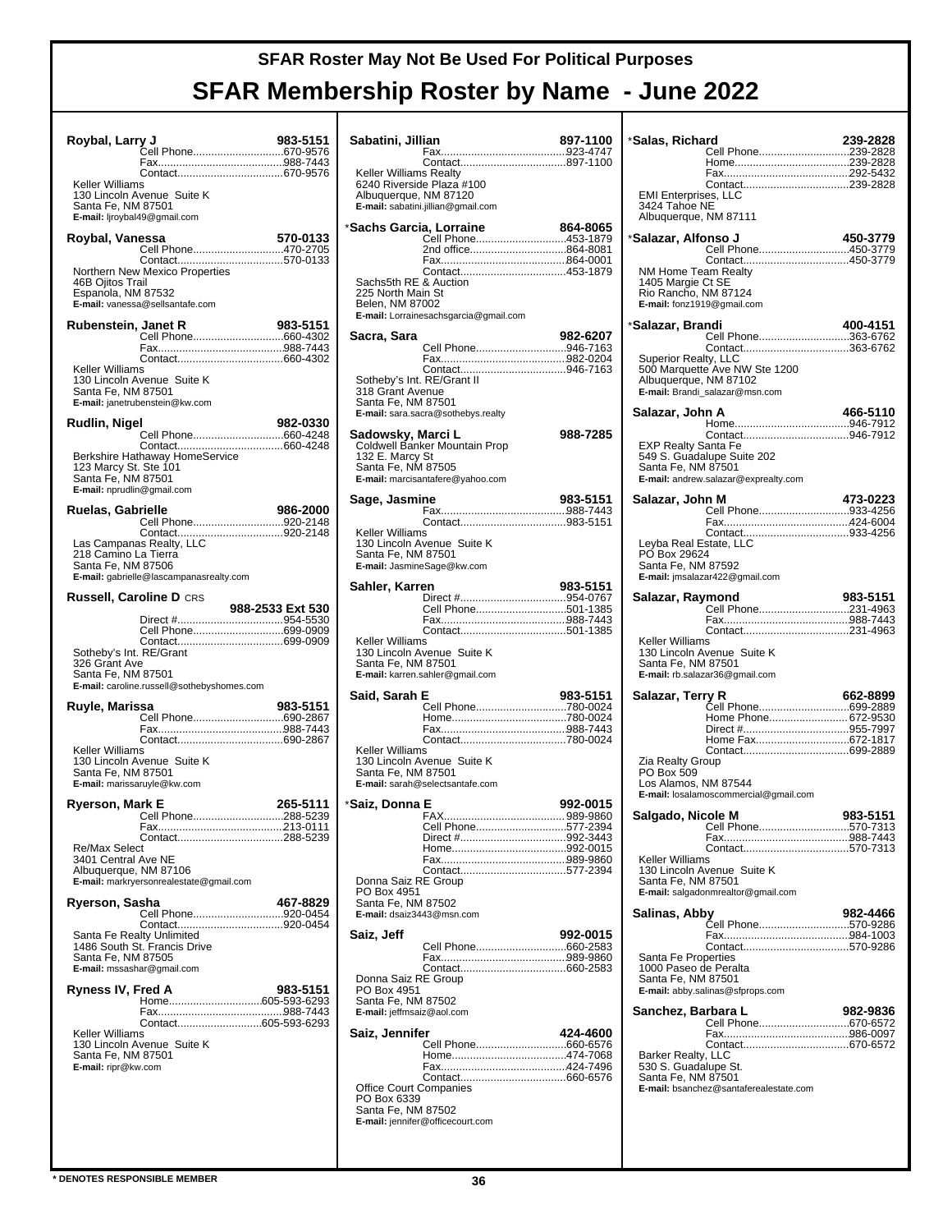| Roybal, Larry J                                                           |                                                                     | 983-5151             |
|---------------------------------------------------------------------------|---------------------------------------------------------------------|----------------------|
|                                                                           |                                                                     |                      |
| Keller Williams                                                           |                                                                     |                      |
| Santa Fe, NM 87501                                                        | 130 Lincoln Avenue Suite K                                          |                      |
|                                                                           | E-mail: ljroybal49@gmail.com                                        |                      |
| Roybal, Vanessa                                                           |                                                                     | 570-0133             |
|                                                                           | Cell Phone470-2705                                                  |                      |
|                                                                           | Northern New Mexico Properties                                      |                      |
| 46B Ojitos Trail<br>Espanola, NM 87532                                    | E-mail: vanessa@sellsantafe.com                                     |                      |
|                                                                           |                                                                     |                      |
| Rubenstein, Janet R                                                       |                                                                     | 983-5151             |
|                                                                           |                                                                     |                      |
|                                                                           |                                                                     |                      |
| Keller Williams<br>Santa Fe, NM 87501                                     | 130 Lincoln Avenue Suite K<br>E-mail: janetrubenstein@kw.com        |                      |
|                                                                           |                                                                     | 982-0330             |
| Rudlin, Nigel                                                             |                                                                     |                      |
|                                                                           |                                                                     |                      |
| 123 Marcy St. Ste 101<br>Santa Fe, NM 87501<br>E-mail: nprudlin@gmail.com | Berkshire Hathaway HomeService                                      |                      |
|                                                                           |                                                                     | 986-2000             |
| Ruelas, Gabrielle                                                         | Cell Phone920-2148                                                  |                      |
|                                                                           |                                                                     |                      |
| 218 Camino La Tierra<br>Santa Fe, NM 87506                                | Las Campanas Realty, LLC<br>E-mail: gabrielle@lascampanasrealty.com |                      |
|                                                                           | <b>Russell, Caroline D CRS</b>                                      |                      |
|                                                                           |                                                                     | 988-2533 Ext 530     |
|                                                                           |                                                                     |                      |
|                                                                           | Cell Phone699-0909                                                  |                      |
|                                                                           |                                                                     |                      |
| Sotheby's Int. RE/Grant                                                   |                                                                     |                      |
| 326 Grant Ave                                                             |                                                                     |                      |
| Santa Fe, NM 87501                                                        |                                                                     |                      |
|                                                                           | E-mail: caroline.russell@sothebyshomes.com                          |                      |
| Ruyle, Marissa                                                            |                                                                     | 983-5151             |
|                                                                           | Cell Phone690-2867                                                  |                      |
|                                                                           |                                                                     |                      |
| Keller Williams                                                           |                                                                     |                      |
|                                                                           | 130 Lincoln Avenue Suite K                                          |                      |
| Santa Fe, NM 87501                                                        | E-mail: marissaruyle@kw.com                                         |                      |
|                                                                           |                                                                     |                      |
| Ryerson, Mark E                                                           | Cell Phone                                                          | 265-5111<br>288-5239 |
|                                                                           |                                                                     |                      |
| Re/Max Select                                                             |                                                                     |                      |
| 3401 Central Ave NE                                                       |                                                                     |                      |
| Albuquerque, NM 87106                                                     |                                                                     |                      |
|                                                                           | E-mail: markryersonrealestate@gmail.com                             |                      |
| Ryerson, Sasha                                                            |                                                                     | 467-8829             |
|                                                                           | Cell Phone920-0454                                                  |                      |
|                                                                           | Santa Fe Realty Unlimited                                           |                      |
|                                                                           | 1486 South St. Francis Drive                                        |                      |
| Santa Fe, NM 87505                                                        | E-mail: mssashar@gmail.com                                          |                      |
|                                                                           |                                                                     |                      |
| Ryness IV, Fred A                                                         |                                                                     | 983-5151             |
|                                                                           |                                                                     |                      |
|                                                                           | Contact605-593-6293                                                 |                      |
| Keller Williams                                                           |                                                                     |                      |
| Santa Fe, NM 87501                                                        | 130 Lincoln Avenue Suite K                                          |                      |
| E-mail: ripr@kw.com                                                       |                                                                     |                      |
|                                                                           |                                                                     |                      |
|                                                                           |                                                                     |                      |
|                                                                           |                                                                     |                      |
|                                                                           |                                                                     |                      |

| Sabatini, Jillian                                                                        |                                                                                   | 897-1100 |
|------------------------------------------------------------------------------------------|-----------------------------------------------------------------------------------|----------|
| <b>Keller Williams Realty</b><br>Albuquerque, NM 87120                                   | 6240 Riverside Plaza #100<br>E-mail: sabatini.jillian@qmail.com                   |          |
| *Sachs Garcia, Lorraine<br>Sachs5th RE & Auction<br>225 North Main St<br>Belen, NM 87002 | Cell Phone453-1879<br>2nd office864-8081<br>E-mail: Lorrainesachsgarcia@gmail.com | 864-8065 |
| Sacra, Sara                                                                              |                                                                                   | 982-6207 |
| Sotheby's Int. RE/Grant II<br>318 Grant Avenue<br>Santa Fe, NM 87501                     | Cell Phone946-7163<br>E-mail: sara.sacra@sothebys.realty                          |          |
| Sadowsky, Marci L<br>132 E. Marcy St<br>Santa Fe, NM 87505                               | Coldwell Banker Mountain Prop<br>E-mail: marcisantafere@yahoo.com                 | 988-7285 |
| Sage, Jasmine                                                                            |                                                                                   | 983-5151 |
| Keller Williams<br>Santa Fe, NM 87501                                                    | 130 Lincoln Avenue Suite K<br>E-mail: JasmineSage@kw.com                          |          |
| Sahler, Karren                                                                           | ---<br>Direct #954-0767<br>Cell Phone501-1385                                     | 983-5151 |
| Keller Williams<br>Santa Fe, NM 87501                                                    | 130 Lincoln Avenue Suite K<br>E-mail: karren.sahler@gmail.com                     |          |
| Said, Sarah E                                                                            | Cell Phone780-0024                                                                | 983-5151 |
| Keller Williams<br>Santa Fe, NM 87501                                                    | 130 Lincoln Avenue Suite K<br>E-mail: sarah@selectsantafe.com                     |          |
| *Saiz, Donna E                                                                           | Cell Phone577-2394                                                                | 992-0015 |
| Donna Saiz RE Group<br>PO Box 4951<br>Santa Fe, NM 87502<br>E-mail: dsaiz3443@msn.com    |                                                                                   |          |
| Saiz, Jeff                                                                               | Cell Phone660-2583                                                                | 992-0015 |
| Donna Saiz RE Group<br>PO Box 4951<br>Santa Fe, NM 87502<br>E-mail: jeffmsaiz@aol.com    |                                                                                   |          |
| Saiz, Jennifer                                                                           |                                                                                   | 424-4600 |
| <b>Office Court Companies</b><br>PO Box 6339<br>Santa Fe, NM 87502                       | E-mail: jennifer@officecourt.com                                                  |          |

| *Salas, Richard                             | Cell Phone239-2828                      | 239-2828 |
|---------------------------------------------|-----------------------------------------|----------|
|                                             |                                         |          |
|                                             |                                         |          |
| <b>EMI Enterprises, LLC</b>                 |                                         |          |
| 3424 Tahoe NE                               |                                         |          |
| Albuquerque, NM 87111                       |                                         |          |
| *Salazar, Alfonso J                         |                                         | 450-3779 |
|                                             | Cell Phone450-3779                      |          |
| NM Home Team Realty                         |                                         |          |
| 1405 Margie Ct SE                           |                                         |          |
| Rio Rancho, NM 87124                        |                                         |          |
| E-mail: fonz1919@gmail.com                  |                                         |          |
| *Salazar, Brandi                            |                                         | 400-4151 |
|                                             | Cell Phone363-6762                      |          |
| Superior Realty, LLC                        | Contact363-6762                         |          |
|                                             | 500 Marquette Ave NW Ste 1200           |          |
| Albuquerque, NM 87102                       |                                         |          |
|                                             | E-mail: Brandi_salazar@msn.com          |          |
| Salazar, John A                             |                                         | 466-5110 |
|                                             |                                         |          |
| EXP Realty Santa Fe                         |                                         |          |
|                                             | 549 S. Guadalupe Suite 202              |          |
| Santa Fe, NM 87501                          |                                         |          |
|                                             | E-mail: andrew.salazar@exprealty.com    |          |
| Salazar, John M                             |                                         | 473-0223 |
|                                             |                                         |          |
|                                             |                                         |          |
| Leyba Real Estate, LLC                      |                                         |          |
| PÓ Box 29624                                |                                         |          |
| Santa Fe, NM 87592                          | E-mail: jmsalazar422@gmail.com          |          |
|                                             |                                         |          |
| Salazar, Raymond                            |                                         | 983-5151 |
|                                             |                                         |          |
|                                             |                                         |          |
| Keller Williams                             | 130 Lincoln Avenue Suite K              |          |
| Santa Fe, NM 87501                          |                                         |          |
|                                             | E-mail: rb.salazar36@gmail.com          |          |
| Salazar, Terry R                            |                                         | 662-8899 |
|                                             | Čell Phone699-2889                      |          |
|                                             | Home Phone 672-9530<br>Direct #955-7997 |          |
|                                             | Home Fax672-1817                        |          |
|                                             |                                         |          |
| Zia Realty Group<br>PO Box 509              |                                         |          |
| Los Alamos, NM 87544                        |                                         |          |
|                                             | E-mail: losalamoscommercial@gmail.com   |          |
| Salgado, Nicole M                           |                                         | 983-5151 |
|                                             | Cell Phone570-7313                      |          |
|                                             |                                         |          |
| Keller Williams                             |                                         |          |
|                                             | 130 Lincoln Avenue Suite K              |          |
| Santa Fe, NM 87501                          | E-mail: salgadonmrealtor@gmail.com      |          |
|                                             |                                         |          |
| Salinas, Abby                               |                                         | 982-4466 |
|                                             |                                         |          |
|                                             |                                         |          |
| Santa Fe Properties                         |                                         |          |
| 1000 Paseo de Peralta<br>Santa Fe, NM 87501 |                                         |          |
|                                             | E-mail: abby.salinas@sfprops.com        |          |
| Sanchez, Barbara L                          |                                         | 982-9836 |
|                                             |                                         |          |
|                                             |                                         |          |
|                                             |                                         |          |
| Barker Realty, LLC<br>530 S. Guadalupe St.  |                                         |          |
| Santa Fe, NM 87501                          |                                         |          |
|                                             | E-mail: bsanchez@santaferealestate.com  |          |
|                                             |                                         |          |
|                                             |                                         |          |
|                                             |                                         |          |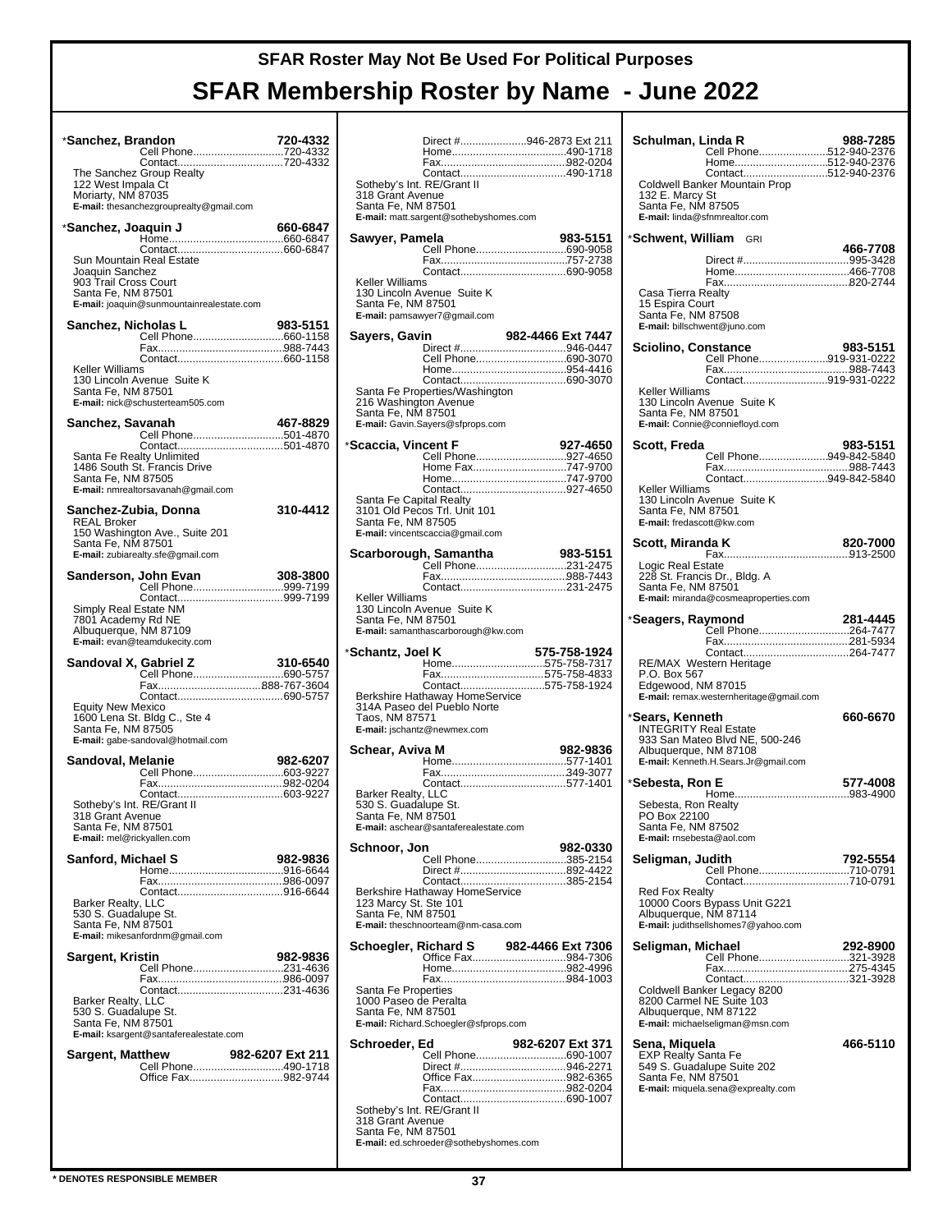| *Sanchez, Brandon                                                       | Cell Phone720-4332                                                                     | 720-4332         |
|-------------------------------------------------------------------------|----------------------------------------------------------------------------------------|------------------|
| 122 West Impala Ct<br>Moriarty, NM 87035                                | Contact720-4332<br>The Sanchez Group Realty<br>E-mail: thesanchezgrouprealty@gmail.com |                  |
| *Sanchez, Joaquin J                                                     |                                                                                        | 660-6847         |
| Joaquin Sanchez<br>903 Trail Cross Court<br>Santa Fe, NM 87501          | Sun Mountain Real Estate<br>E-mail: joaquin@sunmountainrealestate.com                  |                  |
| Sanchez, Nicholas L                                                     |                                                                                        | 983-5151         |
|                                                                         |                                                                                        |                  |
| Keller Williams<br>Santa Fe, NM 87501                                   | 130 Lincoln Avenue Suite K<br>E-mail: nick@schusterteam505.com                         |                  |
| Sanchez, Savanah                                                        |                                                                                        | 467-8829         |
|                                                                         | Contact501-4870<br>Santa Fe Realty Unlimited                                           |                  |
| Santa Fe, NM 87505                                                      | 1486 South St. Francis Drive<br>E-mail: nmrealtorsavanah@gmail.com                     |                  |
|                                                                         | Sanchez-Zubia, Donna                                                                   | 310-4412         |
| <b>REAL Broker</b><br>Santa Fe, NM 87501                                | 150 Washington Ave., Suite 201<br>E-mail: zubiarealty.sfe@gmail.com                    |                  |
|                                                                         | <b>John Evan 308-3800</b><br>Cell Phone999-7199<br>Sanderson, John Evan                |                  |
| 7801 Academy Rd NE                                                      | Simply Real Estate NM<br>Albuquerque, NM 87109<br>E-mail: evan@teamdukecity.com        |                  |
|                                                                         | Sandoval X, Gabriel Z                                                                  |                  |
|                                                                         |                                                                                        |                  |
| Equity New Mexico<br>Santa Fe, NM 87505                                 | 1600 Lena St. Bldg C., Ste 4<br>E-mail: gabe-sandoval@hotmail.com                      |                  |
| Sandoval, Melanie                                                       | Cell Phone603-9227                                                                     | 982-6207         |
|                                                                         |                                                                                        |                  |
| 318 Grant Avenue<br>Santa Fe, NM 87501                                  | Sotheby's Int. RE/Grant II<br>E-mail: mel@rickyallen.com                               |                  |
| Sanford, Michael S                                                      |                                                                                        | 982-9836         |
|                                                                         |                                                                                        |                  |
| <b>Barker Realty, LLC</b><br>530 S. Guadalupe St.<br>Santa Fe, NM 87501 | E-mail: mikesanfordnm@gmail.com                                                        |                  |
| Sargent, Kristin                                                        |                                                                                        | 982-9836         |
|                                                                         |                                                                                        |                  |
| Barker Realty, LLC<br>530 S. Guadalupe St.<br>Santa Fe, NM 87501        | E-mail: ksargent@santaferealestate.com                                                 |                  |
| Sargent, Matthew                                                        |                                                                                        | 982-6207 Ext 211 |
|                                                                         | Office Fax982-9744                                                                     |                  |
|                                                                         |                                                                                        |                  |
|                                                                         |                                                                                        |                  |

|                                                | Direct #946-2873 Ext 211                                      |                   |
|------------------------------------------------|---------------------------------------------------------------|-------------------|
|                                                |                                                               |                   |
| Sotheby's Int. RE/Grant II                     |                                                               |                   |
| 318 Grant Avenue<br>Santa Fe, NM 87501         | E-mail: matt.sargent@sothebyshomes.com                        |                   |
| Sawyer, Pamela                                 |                                                               | 983-5151          |
|                                                |                                                               |                   |
|                                                |                                                               |                   |
| Keller Williams                                |                                                               |                   |
| Santa Fe, NM 87501                             | 130 Lincoln Avenue Suite K<br>E-mail: pamsawyer7@gmail.com    |                   |
|                                                |                                                               |                   |
| Sayers, Gavin                                  |                                                               | 982-4466 Ext 7447 |
|                                                | Cell Phone690-3070                                            |                   |
|                                                |                                                               |                   |
|                                                | Santa Fe Properties/Washington                                |                   |
| 216 Washington Avenue<br>Santa Fe, NM 87501    | E-mail: Gavin.Sayers@sfprops.com                              |                   |
|                                                |                                                               |                   |
| *Scaccia, Vincent F                            | Cell Phone927-4650                                            | 927-4650          |
|                                                | Home Fax747-9700                                              |                   |
|                                                |                                                               |                   |
| Santa Fe Capital Realty                        |                                                               |                   |
| Santa Fe, NM 87505                             | 3101 Old Pecos Trl. Unit 101                                  |                   |
|                                                | E-mail: vincentscaccia@gmail.com                              |                   |
|                                                | Scarborough, Samantha                                         | 983-5151          |
|                                                | Cell Phone231-2475                                            |                   |
|                                                | Contact231-2475                                               |                   |
| Keller Williams                                |                                                               |                   |
| Santa Fe, NM 87501                             | 130 Lincoln Avenue Suite K                                    |                   |
|                                                | E-mail: samanthascarborough@kw.com                            |                   |
|                                                |                                                               |                   |
|                                                |                                                               | 575-758-1924      |
|                                                | Home575-758-7317                                              |                   |
|                                                | Fax575-758-4833<br>Contact575-758-1924                        |                   |
| *Schantz, Joel K                               |                                                               |                   |
| Taos, NM 87571                                 | Berkshire Hathaway HomeService<br>314A Paseo del Pueblo Norte |                   |
|                                                | E-mail: jschantz@newmex.com                                   |                   |
| Schear, Aviva M                                |                                                               | 982-9836          |
|                                                |                                                               |                   |
|                                                |                                                               |                   |
| Barker Realty, LLC                             |                                                               |                   |
| 530 S. Guadalupe St.<br>Santa Fe, NM 87501     |                                                               |                   |
|                                                | E-mail: aschear@santaferealestate.com                         |                   |
| Schnoor, Jon                                   |                                                               | 982-0330          |
|                                                | Cell Phone385-2154                                            |                   |
|                                                | Contact385-2154                                               |                   |
|                                                | Berkshire Hathaway HomeService                                |                   |
| 123 Marcy St. Ste 101<br>Santa Fe, NM 87501    |                                                               |                   |
|                                                | E-mail: theschnoorteam@nm-casa.com                            |                   |
|                                                | Schoegler, Richard S                                          | 982-4466 Ext 7306 |
|                                                |                                                               |                   |
|                                                |                                                               |                   |
| Santa Fe Properties<br>1000 Paseo de Peralta   |                                                               |                   |
| Santa Fe, NM 87501                             |                                                               |                   |
|                                                | E-mail: Richard.Schoegler@sfprops.com                         |                   |
| Schroeder, Ed                                  |                                                               | 982-6207 Ext 371  |
|                                                | Cell Phone690-1007                                            |                   |
|                                                | Office Fax982-6365                                            |                   |
|                                                |                                                               |                   |
| Sotheby's Int. RE/Grant II<br>318 Grant Avenue |                                                               |                   |
| Santa Fe, NM 87501                             | E-mail: ed.schroeder@sothebyshomes.com                        |                   |

| Schulman, Linda R<br>Cell Phone512-940-2376<br>Home512-940-2376                                                                                    | 988-7285 |
|----------------------------------------------------------------------------------------------------------------------------------------------------|----------|
| Contact512-940-2376<br>Coldwell Banker Mountain Prop<br>132 E. Marcy St<br>Santa Fe, NM 87505<br>E-mail: linda@sfnmrealtor.com                     |          |
| * <b>Schwent, William</b> GRI                                                                                                                      |          |
| Casa Tierra Realty<br>15 Espira Court                                                                                                              | 466-7708 |
| Santa Fe, NM 87508<br>E-mail: billschwent@juno.com                                                                                                 |          |
| <b>Sciolino, Constance</b><br>Cell Phone919-931-0222<br>Contact919-931-0222                                                                        | 983-5151 |
| Keller Williams<br>130 Lincoln Avenue Suite K<br>Santa Fe, NM 87501<br>E-mail: Connie@conniefloyd.com                                              |          |
| Scott, Freda<br>Cell Phone949-842-5840                                                                                                             | 983-5151 |
| Contact949-842-5840<br>Keller Williams<br>130 Lincoln Avenue Suite K<br>Santa Fe. NM 87501<br>E-mail: fredascott@kw.com                            |          |
| Scott, Miranda K                                                                                                                                   | 820-7000 |
| Logic Real Estate<br>228 St. Francis Dr., Bldg. A<br>Santa Fe, NM 87501<br>E-mail: miranda@cosmeaproperties.com                                    |          |
| *Seagers, Raymond<br>Cell Phone264-7477                                                                                                            | 281-4445 |
| RE/MAX Western Heritage<br>P.O. Box 567<br>Edgewood, NM 87015<br>E-mail: remax.westernheritage@gmail.com                                           |          |
| *Sears, Kenneth<br><b>INTEGRITY Real Estate</b><br>933 San Mateo Blvd NE, 500-246<br>Albuquerque, NM 87108<br>E-mail: Kenneth.H.Sears.Jr@gmail.com | 660-6670 |
| *Sebesta, Ron E                                                                                                                                    | 577-4008 |
| Sebesta, Ron Realty<br>PO Box 22100<br>Santa Fe, NM 87502<br>E-mail: rnsebesta@aol.com                                                             |          |
| Seligman, Judith                                                                                                                                   | 792-5554 |
| Contact710-0791<br><b>Red Fox Realty</b><br>10000 Coors Bypass Unit G221<br>Albuquerque, NM 87114<br>E-mail: judithsellshomes7@yahoo.com           |          |
| Seligman, Michael<br>Cell Phone321-3928                                                                                                            | 292-8900 |
| Coldwell Banker Legacy 8200<br>8200 Carmel NE Suite 103<br>Albuquerque, NM 87122<br>E-mail: michaelseligman@msn.com                                |          |
| <b>Sena, Miquela</b><br>EXP Realty Santa Fe<br>549 S. Guadalupe Suite 202<br>Santa Fe, NM 87501<br>E-mail: miquela.sena@exprealty.com              | 466-5110 |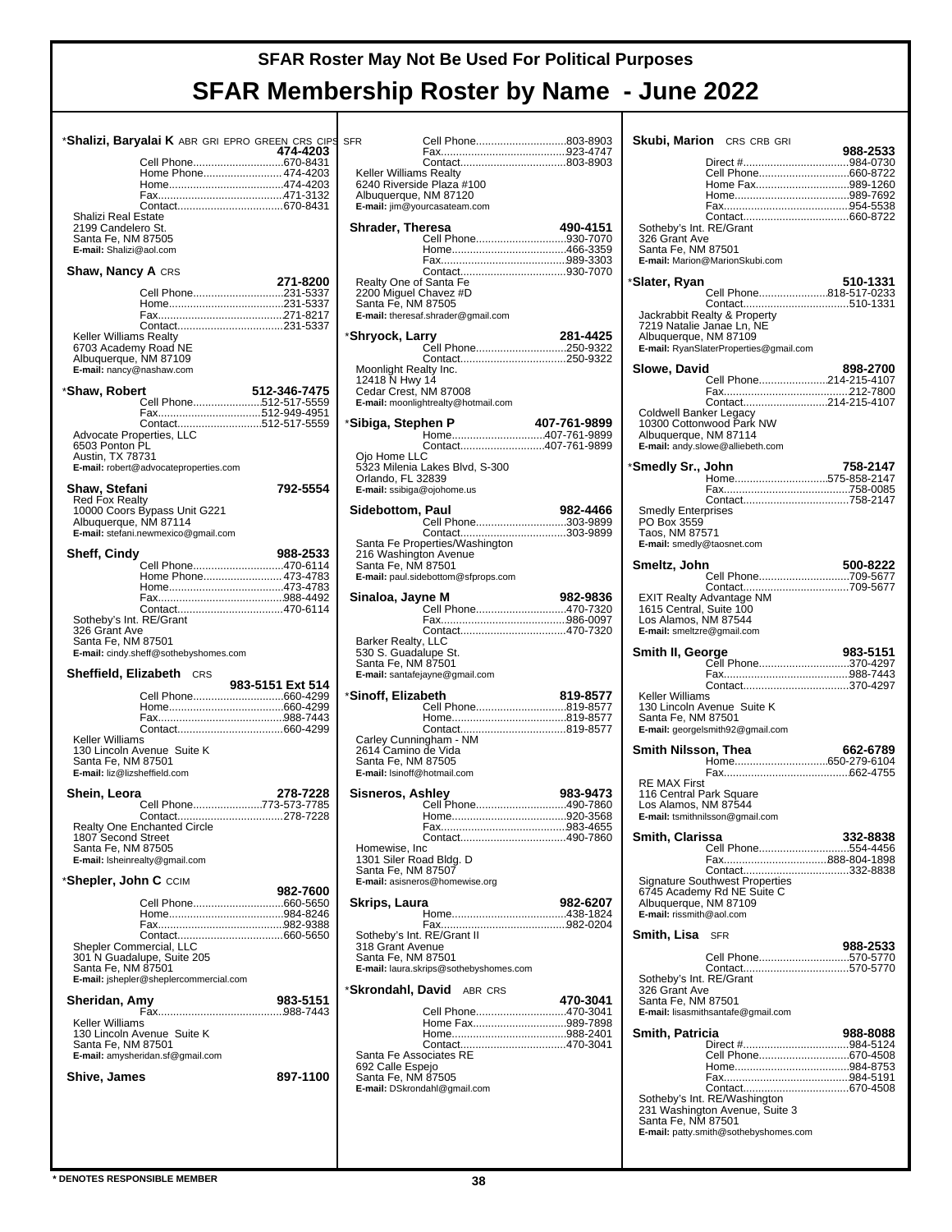|                                                    |                                        | * <b>Shalizi, Baryalai K</b> ABR GRI EPRO GREEN CRS CIPS | <b>SFR</b> |
|----------------------------------------------------|----------------------------------------|----------------------------------------------------------|------------|
|                                                    |                                        | 474-4203                                                 |            |
|                                                    |                                        | Cell Phone670-8431                                       |            |
|                                                    |                                        | Home Phone 474-4203                                      | Κ          |
|                                                    |                                        |                                                          | 6<br>А     |
|                                                    |                                        |                                                          | E          |
| Shalizi Real Estate                                |                                        |                                                          |            |
| 2199 Candelero St.                                 |                                        |                                                          | Sł         |
| Santa Fe, NM 87505                                 |                                        |                                                          |            |
| E-mail: Shalizi@aol.com                            |                                        |                                                          |            |
|                                                    |                                        |                                                          |            |
| <b>Shaw, Nancy A CRS</b>                           |                                        | 271-8200                                                 | R          |
|                                                    |                                        | Cell Phone231-5337                                       | 2          |
|                                                    |                                        |                                                          | S          |
|                                                    |                                        |                                                          | Е          |
|                                                    |                                        |                                                          |            |
| <b>Keller Williams Realty</b>                      |                                        |                                                          | ∗Sł        |
| 6703 Academy Road NE<br>Albuquerque, NM 87109      |                                        |                                                          |            |
| E-mail: nancy@nashaw.com                           |                                        |                                                          | Ν          |
|                                                    |                                        |                                                          | 1          |
| *Shaw, Robert                                      |                                        | 512-346-7475                                             | C          |
|                                                    |                                        | Cell Phone512-517-5559                                   | E          |
|                                                    |                                        |                                                          |            |
| Advocate Properties, LLC                           |                                        | Contact512-517-5559                                      | ∗Si        |
| 6503 Ponton PL                                     |                                        |                                                          |            |
| Austin, TX 78731                                   |                                        |                                                          | C          |
|                                                    | E-mail: robert@advocateproperties.com  |                                                          | 5          |
|                                                    |                                        |                                                          | C          |
| Shaw, Stefani                                      |                                        | 792-5554                                                 | Е          |
| <b>Red Fox Realty</b>                              |                                        |                                                          | Si         |
| Albuquerque, NM 87114                              | 10000 Coors Bypass Unit G221           |                                                          |            |
|                                                    | E-mail: stefani.newmexico@qmail.com    |                                                          |            |
|                                                    |                                        |                                                          | S          |
| <b>Sheff, Cindy</b>                                |                                        | 988-2533                                                 | 2          |
|                                                    |                                        | Cell Phone470-6114                                       | S          |
|                                                    |                                        | Home Phone 473-4783                                      | Е          |
|                                                    |                                        |                                                          | Si         |
|                                                    |                                        |                                                          |            |
| Sotheby's Int. RE/Grant                            |                                        |                                                          |            |
|                                                    |                                        |                                                          |            |
| 326 Grant Ave                                      |                                        |                                                          |            |
| Santa Fe, NM 87501                                 |                                        |                                                          | В          |
|                                                    | E-mail: cindy.sheff@sothebyshomes.com  |                                                          | 5          |
|                                                    |                                        |                                                          | S          |
| <b>Sheffield, Elizabeth</b> CRS                    |                                        |                                                          | Е          |
|                                                    |                                        | 983-5151 Ext 514<br>Cell Phone660-4299                   | ∗Si        |
|                                                    |                                        |                                                          |            |
|                                                    |                                        |                                                          |            |
|                                                    |                                        |                                                          |            |
| Keller Williams                                    |                                        |                                                          | C          |
|                                                    | 130 Lincoln Avenue Suite K             |                                                          | 2<br>S     |
| Santa Fe, NM 87501<br>E-mail: liz@lizsheffield.com |                                        |                                                          | E          |
|                                                    |                                        |                                                          |            |
| Shein, Leora                                       |                                        | 278-7228                                                 | Si         |
|                                                    |                                        | Cell Phone773-573-7785                                   |            |
|                                                    |                                        |                                                          |            |
| 1807 Second Street                                 | Realty One Enchanted Circle            |                                                          |            |
| Santa Fe, NM 87505                                 |                                        |                                                          | ۲          |
| E-mail: Isheinrealty@gmail.com                     |                                        |                                                          | 1          |
|                                                    |                                        |                                                          | S          |
| * <b>Shepler, John C</b> CCIM                      |                                        |                                                          | Е          |
|                                                    |                                        | 982-7600                                                 |            |
|                                                    |                                        | Cell Phone660-5650                                       | S۱         |
|                                                    |                                        |                                                          |            |
|                                                    |                                        |                                                          | S          |
| Shepler Commercial, LLC                            |                                        |                                                          | 3          |
|                                                    | 301 N Guadalupe, Suite 205             |                                                          | S          |
| Santa Fe, NM 87501                                 |                                        |                                                          | E          |
|                                                    | E-mail: jshepler@sheplercommercial.com |                                                          | ∗SI        |
| Sheridan, Amy                                      |                                        | 983-5151                                                 |            |
|                                                    |                                        |                                                          |            |
| Keller Williams                                    |                                        |                                                          |            |
|                                                    | 130 Lincoln Avenue Suite K             |                                                          |            |
| Santa Fe, NM 87501                                 | E-mail: amysheridan.sf@gmail.com       |                                                          | S          |
|                                                    |                                        |                                                          | 6          |
| Shive, James                                       |                                        | 897-1100                                                 | S          |
|                                                    |                                        |                                                          | E          |
|                                                    |                                        |                                                          |            |
|                                                    |                                        |                                                          |            |

| SFR                                             | Cell Phone803-8903                     |              |
|-------------------------------------------------|----------------------------------------|--------------|
|                                                 |                                        |              |
| <b>Keller Williams Realty</b>                   |                                        |              |
|                                                 | 6240 Riverside Plaza #100              |              |
| Albuquerque, NM 87120                           | E-mail: jim@yourcasateam.com           |              |
|                                                 |                                        |              |
| <b>Shrader, Theresa</b>                         | Cell Phone930-7070                     | 490-4151     |
|                                                 |                                        |              |
|                                                 |                                        |              |
| Realty One of Santa Fe                          |                                        |              |
| 2200 Miquel Chavez #D                           |                                        |              |
| Santa Fe, NM 87505                              | E-mail: theresaf.shrader@gmail.com     |              |
|                                                 |                                        |              |
| *Shryock, Larry                                 | Cell Phone250-9322                     | 281-4425     |
|                                                 |                                        |              |
| Moonlight Realty Inc.<br>12418 N Hwy 14         |                                        |              |
| Cedar Crest, NM 87008                           |                                        |              |
|                                                 | E-mail: moonlightrealty@hotmail.com    |              |
| *Sibiga, Stephen P                              |                                        | 407-761-9899 |
|                                                 | Home407-761-9899                       |              |
| Oio Home LLC                                    | Contact407-761-9899                    |              |
|                                                 | 5323 Milenia Lakes Blvd, S-300         |              |
| Orlando, FL 32839<br>E-mail: ssibiga@ojohome.us |                                        |              |
|                                                 |                                        |              |
| Sidebottom, Paul                                | Cell Phone303-9899                     | 982-4466     |
|                                                 |                                        |              |
|                                                 | Santa Fe Properties/Washington         |              |
| 216 Washington Avenue<br>Santa Fe, NM 87501     |                                        |              |
|                                                 | E-mail: paul.sidebottom@sfprops.com    |              |
|                                                 |                                        | 982-9836     |
| Sinaloa, Jayne M                                | Cell Phone470-7320                     |              |
|                                                 |                                        |              |
| Barker Realty, LLC                              | Contact470-7320                        |              |
| 530 S. Guadalupe St.                            |                                        |              |
| Santa Fe, NM 87501                              | E-mail: santafejayne@gmail.com         |              |
|                                                 |                                        |              |
| *Sinoff, Elizabeth                              | Cell Phone819-8577                     | 819-8577     |
|                                                 |                                        |              |
|                                                 |                                        |              |
| Carley Cunningham - NM<br>2614 Camino de Vida   |                                        |              |
| Santa Fe, NM 87505                              |                                        |              |
| E-mail: Isinoff@hotmail.com                     |                                        |              |
|                                                 |                                        |              |
|                                                 |                                        |              |
|                                                 |                                        |              |
|                                                 |                                        |              |
| Homewise, Inc<br>1301 Siler Road Bldg. D        |                                        |              |
| Santa Fe, NM 87507                              |                                        |              |
|                                                 | E-mail: asisneros@homewise.org         |              |
| Skrips, Laura                                   |                                        | 982-6207     |
|                                                 |                                        |              |
| Sotheby's Int. RE/Grant II                      |                                        |              |
| 318 Grant Avenue                                |                                        |              |
| Santa Fe, NM 87501                              | E-mail: laura.skrips@sothebyshomes.com |              |
|                                                 |                                        |              |
|                                                 | * <b>Skrondahl, David</b> ABR CRS      | 470-3041     |
|                                                 | Cell Phone470-3041                     |              |
|                                                 | Home Fax989-7898                       |              |
|                                                 | Contact470-3041                        |              |
| Santa Fe Associates RE                          |                                        |              |
| 692 Calle Espejo<br>Santa Fe, NM 87505          |                                        |              |
|                                                 |                                        |              |
|                                                 | E-mail: DSkrondahl@gmail.com           |              |
|                                                 |                                        |              |
|                                                 |                                        |              |
|                                                 |                                        |              |

|                                                 | <b>Skubi, Marion</b> CRS CRB GRI                             |          |
|-------------------------------------------------|--------------------------------------------------------------|----------|
|                                                 |                                                              | 988-2533 |
|                                                 | Direct #984-0730<br>Cell Phone660-8722                       |          |
|                                                 | Home Fax989-1260                                             |          |
|                                                 |                                                              |          |
|                                                 |                                                              |          |
| Sotheby's Int. RE/Grant                         |                                                              |          |
| 326 Grant Ave                                   |                                                              |          |
| Santa Fe, NM 87501                              |                                                              |          |
|                                                 | E-mail: Marion@MarionSkubi.com                               |          |
| *Slater, Ryan                                   |                                                              | 510-1331 |
|                                                 | Cell Phone818-517-0233                                       |          |
|                                                 | Jackrabbit Realty & Property                                 |          |
| 7219 Natalie Janae Ln, NE                       |                                                              |          |
| Albuquerque, NM 87109                           |                                                              |          |
|                                                 | E-mail: RyanSlaterProperties@gmail.com                       |          |
| Slowe, David                                    |                                                              | 898-2700 |
|                                                 | Cell Phone214-215-4107                                       |          |
|                                                 | Contact214-215-4107                                          |          |
| <b>Coldwell Banker Legacy</b>                   |                                                              |          |
| Albuquerque, NM 87114                           | 10300 Cottonwood Park NW                                     |          |
|                                                 | E-mail: andy.slowe@alliebeth.com                             |          |
|                                                 |                                                              | 758-2147 |
| *Smedly Sr., John                               | Home575-858-2147                                             |          |
|                                                 |                                                              |          |
|                                                 |                                                              |          |
| <b>Smedly Enterprises</b><br>PO Box 3559        |                                                              |          |
| Taos, NM 87571                                  |                                                              |          |
| E-mail: smedly@taosnet.com                      |                                                              |          |
| Smeltz, John                                    |                                                              | 500-8222 |
|                                                 | Cell Phone709-5677                                           |          |
|                                                 | <b>EXIT Realty Advantage NM</b>                              |          |
| 1615 Central, Suite 100                         |                                                              |          |
| Los Alamos, NM 87544                            |                                                              |          |
| E-mail: smeltzre@gmail.com                      |                                                              |          |
| Smith II, George                                |                                                              | 983-5151 |
|                                                 | Cell Phone370-4297                                           |          |
|                                                 | Contact370-4297                                              |          |
| Keller Williams                                 |                                                              |          |
| Santa Fe, NM 87501                              | 130 Lincoln Avenue Suite K                                   |          |
|                                                 | E-mail: georgelsmith92@gmail.com                             |          |
|                                                 |                                                              |          |
| Smith Nilsson, Thea                             |                                                              | 662-6789 |
|                                                 |                                                              |          |
| <b>RE MAX First</b>                             |                                                              |          |
| 116 Central Park Square<br>Los Alamos, NM 87544 |                                                              |          |
|                                                 | E-mail: tsmithnilsson@gmail.com                              |          |
| Smith, Clarissa                                 |                                                              | 332-8838 |
|                                                 | Cell Phone554-4456                                           |          |
|                                                 |                                                              |          |
|                                                 | Contact332-8838                                              |          |
|                                                 | Signature Southwest Properties<br>6745 Academy Rd NE Suite C |          |
| Albuquerque, NM 87109                           |                                                              |          |
|                                                 |                                                              |          |
| E-mail: rissmith@aol.com                        |                                                              |          |
| Smith, Lisa                                     | <b>SFR</b>                                                   |          |
|                                                 |                                                              | 988-2533 |
|                                                 | Cell Phone570-5770<br>Contact570-5770                        |          |
| Sotheby's Int. RE/Grant                         |                                                              |          |
| 326 Grant Ave                                   |                                                              |          |
| Santa Fe, NM 87501                              | E-mail: lisasmithsantafe@gmail.com                           |          |
|                                                 |                                                              |          |
| <b>Smith, Patricia</b>                          |                                                              | 988-8088 |
|                                                 | Cell Phone670-4508                                           |          |
|                                                 |                                                              |          |
|                                                 |                                                              |          |
|                                                 | Sotheby's Int. RE/Washington                                 |          |
| Santa Fe, NM 87501                              | 231 Washington Avenue, Suite 3                               |          |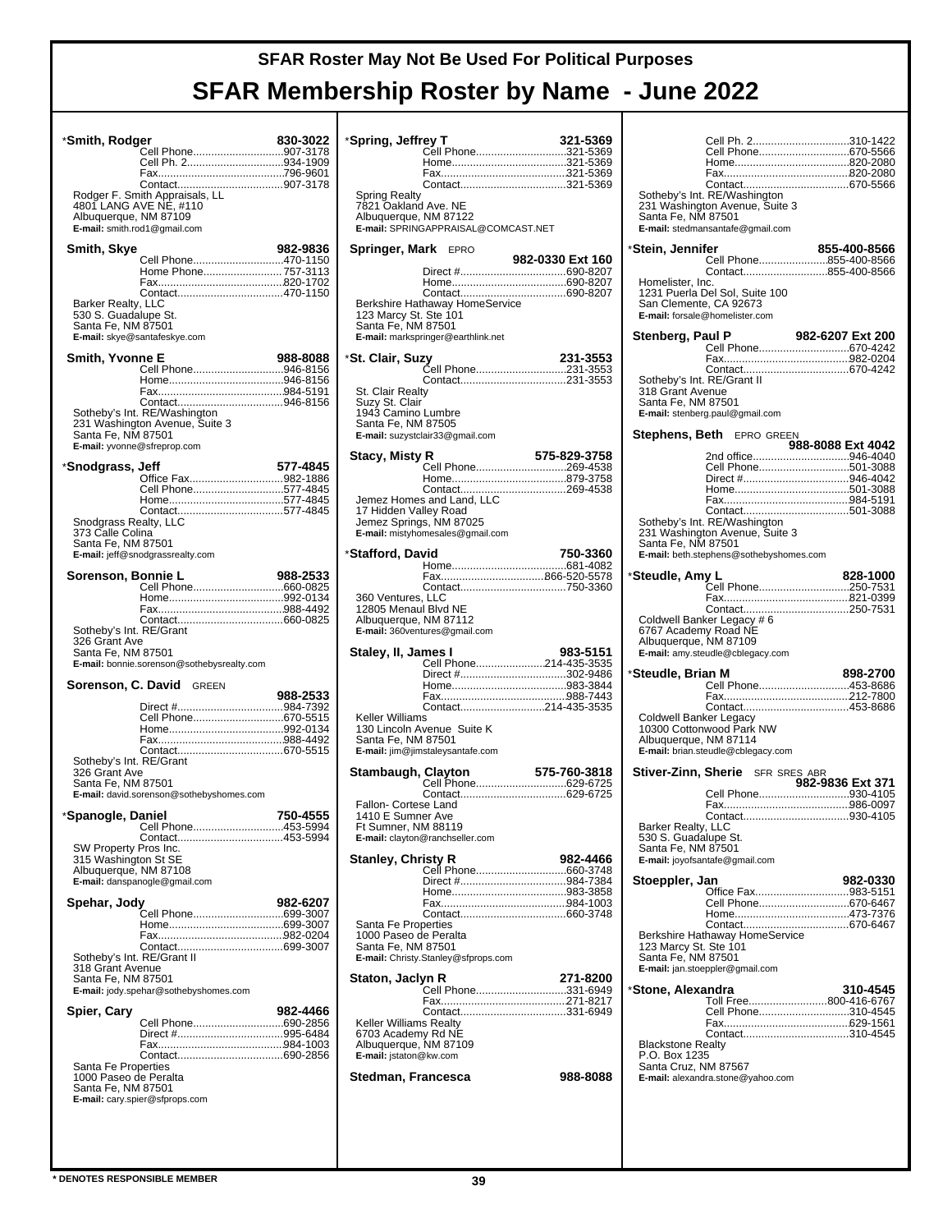| *Smith, Rodger                                    |                                                                | 830-3022 |
|---------------------------------------------------|----------------------------------------------------------------|----------|
|                                                   | Cell Phone907-3178<br>Cell Ph. 2934-1909                       |          |
|                                                   |                                                                |          |
|                                                   | Rodger F. Smith Appraisals, LL                                 |          |
| Albuquerque, NM 87109                             | 4801 LANG AVE NE, #110                                         |          |
|                                                   | E-mail: smith.rod1@gmail.com                                   |          |
| Smith, Skye                                       |                                                                | 982-9836 |
|                                                   | Cell Phone470-1150<br>Home Phone 757-3113                      |          |
|                                                   |                                                                |          |
| Barker Realty, LLC<br>530 S. Guadalupe St.        |                                                                |          |
| Santa Fe, NM 87501                                |                                                                |          |
|                                                   | E-mail: skye@santafeskye.com                                   |          |
| Smith, Yvonne E                                   | Cell Phone946-8156                                             | 988-8088 |
|                                                   |                                                                |          |
|                                                   |                                                                |          |
|                                                   | Sotheby's Int. RE/Washington<br>231 Washington Avenue, Suite 3 |          |
| Santa Fe, NM 87501<br>E-mail: yvonne@sfreprop.com |                                                                |          |
|                                                   |                                                                |          |
| *Snodgrass, Jeff                                  | Office Fax982-1886                                             | 577-4845 |
|                                                   | Cell Phone577-4845                                             |          |
|                                                   | Contact577-4845                                                |          |
| Snodgrass Realty, LLC<br>373 Calle Colina         |                                                                |          |
| Santa Fe, NM 87501                                | E-mail: jeff@snodgrassrealty.com                               |          |
| Sorenson, Bonnie L                                |                                                                | 988-2533 |
|                                                   |                                                                |          |
|                                                   |                                                                |          |
| Sotheby's Int. RE/Grant                           |                                                                |          |
| 326 Grant Ave<br>Santa Fe, NM 87501               |                                                                |          |
|                                                   | E-mail: bonnie.sorenson@sothebysrealty.com                     |          |
| Sorenson, C. David                                | <b>GREEN</b>                                                   |          |
|                                                   |                                                                | 988-2533 |
|                                                   | Cell Phone670-5515                                             |          |
|                                                   |                                                                |          |
| Sotheby's Int. RE/Grant                           |                                                                |          |
| 326 Grant Ave                                     |                                                                |          |
|                                                   |                                                                |          |
| Santa Fe, NM 87501                                | E-mail: david.sorenson@sothebyshomes.com                       |          |
| *Spanogle, Daniel                                 |                                                                | 750-4555 |
|                                                   | Cell Phone453-5994                                             |          |
| SW Property Pros Inc.                             |                                                                |          |
| 315 Washington St SE<br>Albuquerque, NM 87108     |                                                                |          |
|                                                   | E-mail: danspanogle@gmail.com                                  |          |
| Spehar, Jody                                      | .<br>Cell Phone699-3007                                        | 982-6207 |
|                                                   |                                                                |          |
|                                                   |                                                                |          |
| Sotheby's Int. RE/Grant II<br>318 Grant Avenue    |                                                                |          |
| Santa Fe, NM 87501                                |                                                                |          |
|                                                   | E-mail: jody.spehar@sothebyshomes.com                          |          |
| Spier, Cary                                       | Cell Phone690-2856                                             | 982-4466 |
|                                                   |                                                                |          |
|                                                   |                                                                |          |
| Santa Fe Properties<br>1000 Paseo de Peralta      |                                                                |          |
| Santa Fe, NM 87501                                | E-mail: cary.spier@sfprops.com                                 |          |
|                                                   |                                                                |          |

| *Spring, Jeffrey T                               |                                        | 321-5369         |
|--------------------------------------------------|----------------------------------------|------------------|
|                                                  | Cell Phone321-5369                     |                  |
|                                                  |                                        |                  |
| Spring Realty                                    |                                        |                  |
| 7821 Oakland Ave. NE<br>Albuquerque, NM 87122    |                                        |                  |
|                                                  | E-mail: SPRINGAPPRAISAL@COMCAST.NET    |                  |
| <b>Springer, Mark</b> EPRO                       |                                        |                  |
|                                                  |                                        | 982-0330 Ext 160 |
|                                                  |                                        |                  |
|                                                  | Berkshire Hathaway HomeService         |                  |
| 123 Marcy St. Ste 101<br>Santa Fe, NM 87501      |                                        |                  |
|                                                  | E-mail: markspringer@earthlink.net     |                  |
| *St. Clair, Suzy                                 |                                        | 231-3553         |
|                                                  | Čell Phone231-3553                     |                  |
| St. Clair Realty                                 |                                        |                  |
| Suzy St. Clair<br>1943 Camino Lumbre             |                                        |                  |
| Santa Fe, NM 87505                               |                                        |                  |
|                                                  | E-mail: suzystclair33@gmail.com        |                  |
| Stacy, Misty R                                   | Cell Phone269-4538                     | 575-829-3758     |
|                                                  |                                        |                  |
|                                                  | Jemez Homes and Land, LLC              |                  |
| 17 Hidden Valley Road<br>Jemez Springs, NM 87025 |                                        |                  |
|                                                  | E-mail: mistyhomesales@gmail.com       |                  |
| *Stafford, David                                 |                                        | 750-3360         |
|                                                  |                                        |                  |
|                                                  |                                        |                  |
| 360 Ventures, LLC<br>12805 Menaul Blvd NE        |                                        |                  |
| Albuquerque, NM 87112                            | E-mail: 360ventures@gmail.com          |                  |
|                                                  |                                        |                  |
|                                                  |                                        |                  |
| Staley, II, James I                              | Cell Phone214-435-3535                 | 983-5151         |
|                                                  | Direct #302-9486                       |                  |
|                                                  |                                        |                  |
| Keller Williams                                  | Contact214-435-3535                    |                  |
|                                                  | 130 Lincoln Avenue Suite K             |                  |
| Santa Fe, NM 87501                               | E-mail: jim@jimstaleysantafe.com       |                  |
|                                                  |                                        |                  |
|                                                  |                                        |                  |
| Fallon- Cortese Land                             |                                        |                  |
| 1410 E Sumner Ave<br>Ft Sumner, NM 88119         |                                        |                  |
|                                                  | <b>E-mail:</b> clayton@ranchseller.com |                  |
|                                                  |                                        |                  |
|                                                  |                                        |                  |
|                                                  |                                        |                  |
|                                                  |                                        |                  |
| Santa Fe Properties<br>1000 Paseo de Peralta     |                                        |                  |
| Santa Fe, NM 87501                               | E-mail: Christy.Stanley@sfprops.com    |                  |
|                                                  |                                        |                  |
| Staton, Jaclyn R                                 |                                        | 271-8200         |
|                                                  |                                        |                  |
| Keller Williams Realty                           |                                        |                  |
| 6703 Academy Rd NE<br>Albuquerque, NM 87109      |                                        |                  |
| E-mail: jstaton@kw.com                           |                                        |                  |
| Stedman, Francesca                               |                                        | 988-8088         |
|                                                  |                                        |                  |
|                                                  |                                        |                  |

| Santa Fe, NM 87501                                                   | Cell Ph. 2310-1422<br>Cell Phone670-5566<br>Sotheby's Int. RE/Washington<br>231 Washington Avenue, Suite 3<br>E-mail: stedmansantafe@gmail.com                            |                   |
|----------------------------------------------------------------------|---------------------------------------------------------------------------------------------------------------------------------------------------------------------------|-------------------|
| *Stein, Jennifer                                                     |                                                                                                                                                                           | 855-400-8566      |
|                                                                      | Cell Phone855-400-8566<br>Contact855-400-8566                                                                                                                             |                   |
| Homelister, Inc.<br>San Clemente, CA 92673                           | 1231 Puerla Del Sol, Suite 100<br>E-mail: forsale@homelister.com                                                                                                          |                   |
| Stenberg, Paul P                                                     |                                                                                                                                                                           | 982-6207 Ext 200  |
| Sotheby's Int. RE/Grant II<br>318 Grant Avenue<br>Santa Fe, NM 87501 | E-mail: stenberg.paul@gmail.com                                                                                                                                           |                   |
| Stephens, Beth                                                       | <b>EPRO GREEN</b>                                                                                                                                                         |                   |
|                                                                      |                                                                                                                                                                           | 988-8088 Ext 4042 |
| Santa Fe, NM 87501                                                   | 2nd office946-4040<br>Cell Phone501-3088<br>Direct #946-4042<br>Sotheby's Int. RE/Washington<br>231 Washington Avenue, Suite 3<br>E-mail: beth.stephens@sothebyshomes.com |                   |
|                                                                      |                                                                                                                                                                           | 828-1000          |
|                                                                      |                                                                                                                                                                           |                   |
|                                                                      |                                                                                                                                                                           |                   |
| 6767 Academy Road NE<br>Albuquerque, NM 87109                        | Coldwell Banker Legacy # 6<br>E-mail: amy.steudle@cblegacy.com                                                                                                            |                   |
| *Steudle, Brian M                                                    |                                                                                                                                                                           | 898-2700          |
|                                                                      | Cell Phone453-8686                                                                                                                                                        |                   |
|                                                                      |                                                                                                                                                                           |                   |
| Coldwell Banker Legacy<br>Albuquerque, NM 87114                      | 10300 Cottonwood Park NW<br>E-mail: brian.steudle@cblegacy.com                                                                                                            |                   |
|                                                                      | Stiver-Zinn, Sherie SFR SRES ABR                                                                                                                                          | 982-9836 Ext 371  |
| Barker Realty, LLC<br>530 S. Guadalupe St.<br>Santa Fe, NM 87501     | Cell Phone930-4105<br>Contact930-4105<br>E-mail: joyofsantafe@gmail.com                                                                                                   |                   |
| Stoeppler, Jan                                                       |                                                                                                                                                                           | 982-0330          |
|                                                                      | Office Fax983-5151                                                                                                                                                        |                   |
|                                                                      | Cell Phone670-6467                                                                                                                                                        |                   |
| 123 Marcy St. Ste 101<br>Santa Fe, NM 87501                          | Berkshire Hathaway HomeService<br>E-mail: jan.stoeppler@gmail.com                                                                                                         |                   |
| *Stone, Alexandra                                                    |                                                                                                                                                                           | 310-4545          |
|                                                                      | Toll Free800-416-6767<br>Cell Phone310-4545                                                                                                                               |                   |
|                                                                      |                                                                                                                                                                           |                   |
| <b>Blackstone Realty</b><br>P.O. Box 1235<br>Santa Cruz, NM 87567    | E-mail: alexandra.stone@yahoo.com                                                                                                                                         |                   |
|                                                                      |                                                                                                                                                                           |                   |
|                                                                      |                                                                                                                                                                           |                   |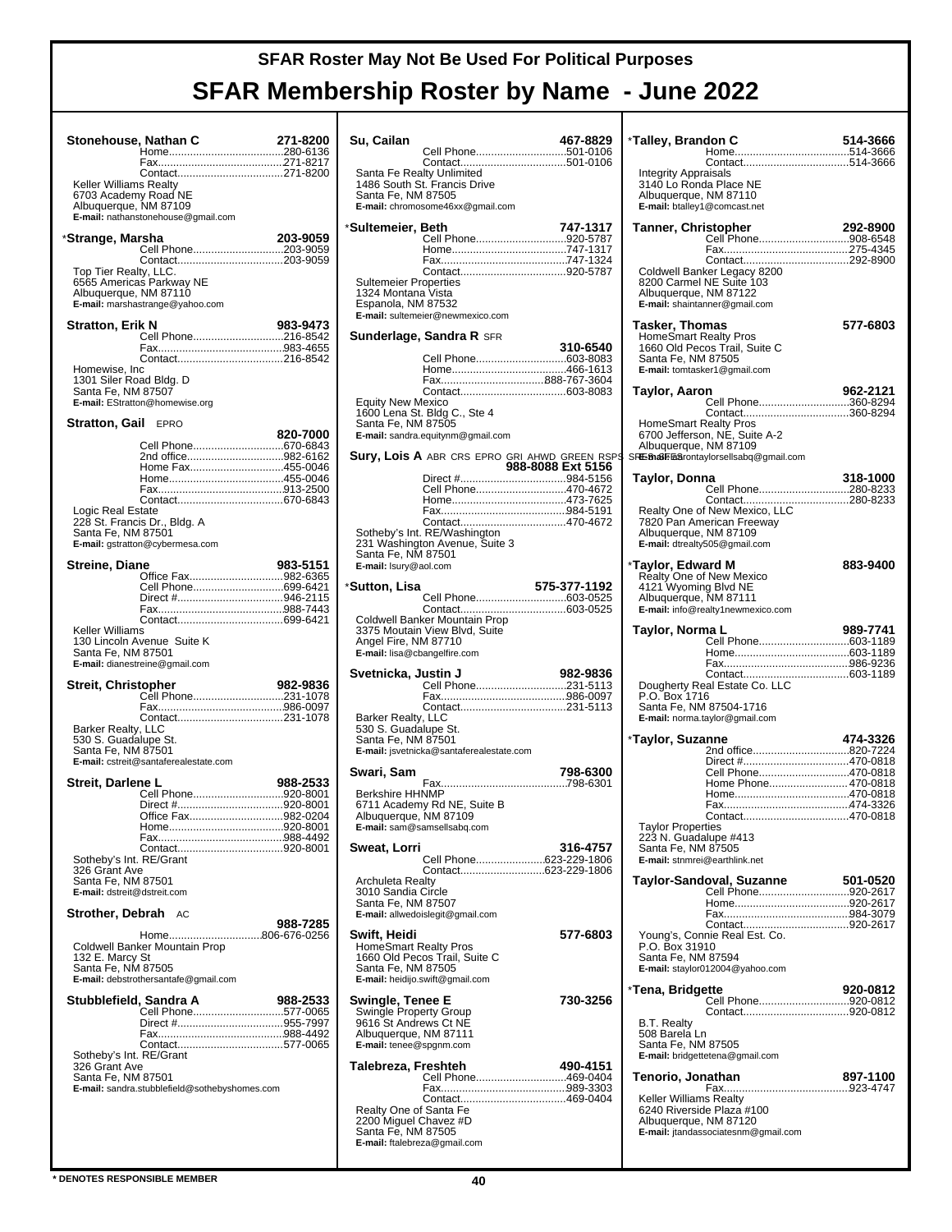| Stonehouse, Nathan C                              |                                                   | 271-8200 |
|---------------------------------------------------|---------------------------------------------------|----------|
|                                                   |                                                   |          |
|                                                   | Contact271-8200                                   |          |
| Keller Williams Realty                            |                                                   |          |
| 6703 Academy Road NE                              |                                                   |          |
| Albuquerque, NM 87109                             |                                                   |          |
|                                                   | E-mail: nathanstonehouse@gmail.com                |          |
| *Strange, Marsha                                  |                                                   | 203-9059 |
|                                                   |                                                   |          |
|                                                   |                                                   |          |
| Top Tier Realty, LLC.                             | 6565 Americas Parkway NE                          |          |
| Albuquerque, NM 87110                             |                                                   |          |
|                                                   | E-mail: marshastrange@yahoo.com                   |          |
| <b>Stratton, Erik N</b>                           |                                                   | 983-9473 |
|                                                   | Cell Phone216-8542                                |          |
|                                                   |                                                   |          |
|                                                   |                                                   |          |
| Homewise, Inc<br>1301 Siler Road Bldg. D          |                                                   |          |
| Santa Fe, NM 87507                                |                                                   |          |
|                                                   | E-mail: EStratton@homewise.org                    |          |
| <b>Stratton, Gail EPRO</b>                        |                                                   |          |
|                                                   |                                                   | 820-7000 |
|                                                   | Cell Phone670-6843                                |          |
|                                                   | 2nd office982-6162                                |          |
|                                                   | Home Fax455-0046                                  |          |
|                                                   |                                                   |          |
|                                                   |                                                   |          |
| Logic Real Estate                                 |                                                   |          |
| Santa Fe, NM 87501                                | 228 St. Francis Dr., Bldg. A                      |          |
|                                                   | E-mail: gstratton@cybermesa.com                   |          |
|                                                   |                                                   |          |
| <b>Streine, Diane</b>                             | Office Fax982-6365                                | 983-5151 |
|                                                   | Cell Phone699-6421                                |          |
|                                                   | Direct #946-2115                                  |          |
|                                                   |                                                   |          |
| Keller Williams                                   |                                                   |          |
|                                                   | 130 Lincoln Avenue Suite K                        |          |
|                                                   |                                                   |          |
| Santa Fe, NM 87501                                |                                                   |          |
|                                                   | E-mail: dianestreine@gmail.com                    |          |
|                                                   |                                                   |          |
| Streit, Christopher                               |                                                   | 982-9836 |
|                                                   |                                                   |          |
|                                                   | Contact231-1078                                   |          |
| Barker Realty, LLC<br>530 S. Guadalupe St.        |                                                   |          |
| Santa Fe, NM 87501                                |                                                   |          |
|                                                   | E-mail: cstreit@santaferealestate.com             |          |
|                                                   |                                                   |          |
| Streit, Darlene L                                 | Cell Phone920-8001                                | 988-2533 |
|                                                   |                                                   |          |
|                                                   | Office Fax982-0204                                |          |
|                                                   |                                                   |          |
|                                                   |                                                   |          |
| Sotheby's Int. RE/Grant                           |                                                   |          |
| 326 Grant Ave                                     |                                                   |          |
| Santa Fe, NM 87501<br>E-mail: dstreit@dstreit.com |                                                   |          |
|                                                   |                                                   |          |
| Strother, Debrah                                  | AC                                                |          |
|                                                   |                                                   | 988-7285 |
|                                                   | Home806-676-0256<br>Coldwell Banker Mountain Prop |          |
| 132 E. Marcy St                                   |                                                   |          |
| Santa Fe, NM 87505                                |                                                   |          |
|                                                   | E-mail: debstrothersantafe@gmail.com              |          |
| Stubblefield, Sandra A                            |                                                   | 988-2533 |
|                                                   | Cell Phone577-0065                                |          |
|                                                   |                                                   |          |
|                                                   | Contact577-0065                                   |          |
| Sotheby's Int. RE/Grant                           |                                                   |          |
| 326 Grant Ave                                     |                                                   |          |
| Santa Fe, NM 87501                                |                                                   |          |
|                                                   | E-mail: sandra.stubblefield@sothebyshomes.com     |          |
|                                                   |                                                   |          |
|                                                   |                                                   |          |

| Su, Cailan<br>Cell Phone501-0106                                                                                                       | 467-8829          | *Talley, B                                                     |
|----------------------------------------------------------------------------------------------------------------------------------------|-------------------|----------------------------------------------------------------|
| Santa Fe Realty Unlimited<br>1486 South St. Francis Drive<br>Santa Fe, NM 87505<br>E-mail: chromosome46xx@gmail.com                    |                   | Integrity /<br>3140 Lol<br>Albuquer<br>E-mail: bta             |
| *Sultemeier, Beth                                                                                                                      | 747-1317          | ا ,Tanner                                                      |
| Cell Phone920-5787<br><b>Sultemeier Properties</b><br>1324 Montana Vista<br>Espanola, NM 87532<br>E-mail: sultemeier@newmexico.com     |                   | Coldwell<br>8200 Car<br>Albuquer<br>E-mail: sh                 |
| Sunderlage, Sandra R SFR                                                                                                               |                   | Tasker, 1<br>HomeSm                                            |
| <b>Equity New Mexico</b><br>1600 Lena St. Bldg C., Ste 4<br>Santa Fe, NM 87505<br>E-mail: sandra.equitynm@gmail.com                    | 310-6540          | 1660 Old<br>Santa Fe<br>E-mail: tor<br>HomeSm<br>6700 Jeff     |
| Sury, Lois A ABR CRS EPRO GRI AHWD GREEN RSPS                                                                                          |                   | Albuquer<br>SRE-Bha8FFE8                                       |
| Cell Phone470-4672                                                                                                                     | 988-8088 Ext 5156 | Taylor, C                                                      |
| Sotheby's Int. RE/Washington<br>231 Washington Avenue, Suite 3<br>Santa Fe, NM 87501<br>E-mail: Isury@aol.com                          |                   | Realty Or<br>7820 Par<br>Albuquer<br>E-mail: dtr<br>*Taylor, E |
|                                                                                                                                        |                   | Realty Or                                                      |
| *Sutton, Lisa<br>Cell Phone603-0525                                                                                                    | 575-377-1192      | 4121 Wy<br>Albuquer                                            |
| Coldwell Banker Mountain Prop<br>3375 Moutain View Blvd, Suite<br>Angel Fire, NM 87710<br>E-mail: lisa@cbangelfire.com                 |                   | E-mail: inf<br>Taylor, N                                       |
| Svetnicka, Justin J                                                                                                                    | 982-9836          | Doughert                                                       |
| Barker Realty, LLC<br>530 S. Guadalupe St.<br>Santa Fe, NM 87501<br>E-mail: jsvetnicka@santaferealestate.com                           |                   | P.O. Box<br>Santa Fe<br>E-mail: no<br>*Taylor, S               |
| Swari, Sam                                                                                                                             | 798-6300          |                                                                |
| <b>Berkshire HHNMP</b><br>6711 Academy Rd NE, Suite B<br>Albuquerque, NM 87109<br>E-mail: sam@samsellsabq.com                          |                   | <b>Taylor Pr</b><br>223 N.G                                    |
| Sweat, Lorri<br>Cell Phone623-229-1806<br>Archuleta Realty<br>3010 Sandia Circle                                                       | 316-4757          | Santa Fe<br>E-mail: str<br>Taylor-S                            |
| Santa Fe, NM 87507<br>E-mail: allwedoislegit@gmail.com                                                                                 |                   |                                                                |
| Swift, Heidi<br><b>HomeSmart Realty Pros</b><br>1660 Old Pecos Trail, Suite C<br>Santa Fe, NM 87505<br>E-mail: heidijo.swift@gmail.com | 577-6803          | Young's,<br>P.O. Box<br>Santa Fe<br>E-mail: sta                |
|                                                                                                                                        | 730-3256          | *Tena, Br                                                      |
| Swingle, Tenee E<br>Swingle Property Group<br>9616 St Andrews Ct NE<br>Albuquerque, NM 87111<br><b>E-mail:</b> tenee@spgnm.com         |                   | B.T. Real<br>508 Bare<br>Santa Fe                              |
| Talebreza, Freshteh<br>Cell Phone469-0404                                                                                              | 490-4151          | E-mail: bri<br>Tenorio,                                        |
| Realty One of Santa Fe<br>2200 Miguel Chavez #D<br>Santa Fe, NM 87505<br>E-mail: ftalebreza@gmail.com                                  |                   | Keller Wi<br>6240 Riv<br>Albuquer<br>E-mail: jta               |

| *Talley, Brandon C                                                                                             |                                                                                             | 514-3666 |
|----------------------------------------------------------------------------------------------------------------|---------------------------------------------------------------------------------------------|----------|
|                                                                                                                |                                                                                             |          |
| <b>Integrity Appraisals</b><br>3140 Lo Ronda Place NE<br>Albuquerque, NM 87110<br>E-mail: btalley1@comcast.net |                                                                                             |          |
| Tanner, Christopher                                                                                            |                                                                                             | 292-8900 |
|                                                                                                                | Cell Phone908-6548                                                                          |          |
|                                                                                                                | Coldwell Banker Legacy 8200                                                                 |          |
| Albuquerque, NM 87122                                                                                          | 8200 Carmel NE Suite 103<br>E-mail: shaintanner@gmail.com                                   |          |
| <b>Tasker, Thomas</b>                                                                                          |                                                                                             | 577-6803 |
| HomeSmart Realty Pros<br>Santa Fe, NM 87505                                                                    | 1660 Old Pecos Trail, Suite C<br>E-mail: tomtasker1@gmail.com                               |          |
| Taylor, Aaron                                                                                                  |                                                                                             | 962-2121 |
|                                                                                                                | Cell Phone360-8294<br>Contact360-8294                                                       |          |
| Albuquerque, NM 87109                                                                                          | HomeSmart Realty Pros<br>6700 Jefferson, NE, Suite A-2                                      |          |
|                                                                                                                | SRE-81aSFEStrontaylorsellsabq@qmail.com                                                     |          |
| Taylor, Donna                                                                                                  | Cell Phone280-8233                                                                          | 318-1000 |
|                                                                                                                | Contact280-8233                                                                             |          |
| Albuquerque, NM 87109                                                                                          | Realty One of New Mexico, LLC<br>7820 Pan American Freeway<br>E-mail: dtrealty505@gmail.com |          |
| *Taylor, Edward M                                                                                              |                                                                                             | 883-9400 |
| 4121 Wyoming Blvd NE<br>Albuquerque, NM 87111                                                                  | Realty One of New Mexico<br>E-mail: info@realty1newmexico.com                               |          |
|                                                                                                                |                                                                                             |          |
| Taylor, Norma L                                                                                                |                                                                                             | 989-7741 |
|                                                                                                                |                                                                                             |          |
|                                                                                                                |                                                                                             |          |
|                                                                                                                | Santa Fe, NM 87504-1716<br>E-mail: norma.taylor@gmail.com                                   |          |
| *Taylor, Suzanne                                                                                               |                                                                                             | 474-3326 |
|                                                                                                                | 2nd office820-7224<br>Direct #470-0818                                                      |          |
|                                                                                                                | Cell Phone470-0818<br>Home Phone 470-0818                                                   |          |
|                                                                                                                |                                                                                             |          |
|                                                                                                                |                                                                                             |          |
| <b>Taylor Properties</b><br>223 N. Guadalupe #413<br>Santa Fe, NM 87505<br>E-mail: stnmrei@earthlink.net       |                                                                                             |          |
|                                                                                                                | Taylor-Sandoval, Suzanne                                                                    | 501-0520 |
|                                                                                                                | Cell Phone920-2617                                                                          |          |
|                                                                                                                |                                                                                             |          |
| Santa Fe, NM 87594                                                                                             | Young's, Connie Real Est. Co.<br>P.O. Box 31910                                             |          |
|                                                                                                                | E-mail: staylor012004@yahoo.com                                                             |          |
| *Tena, Bridgette                                                                                               |                                                                                             | 920-0812 |
| <b>B.T. Realty</b><br>508 Barela Ln<br>Santa Fe, NM 87505                                                      | E-mail: bridgettetena@gmail.com                                                             |          |
| Tenorio, Jonathan                                                                                              |                                                                                             | 897-1100 |
| Keller Williams Realty                                                                                         |                                                                                             |          |
| Albuquerque, NM 87120                                                                                          | 6240 Riverside Plaza #100                                                                   |          |
|                                                                                                                | E-mail: jtandassociatesnm@gmail.com                                                         |          |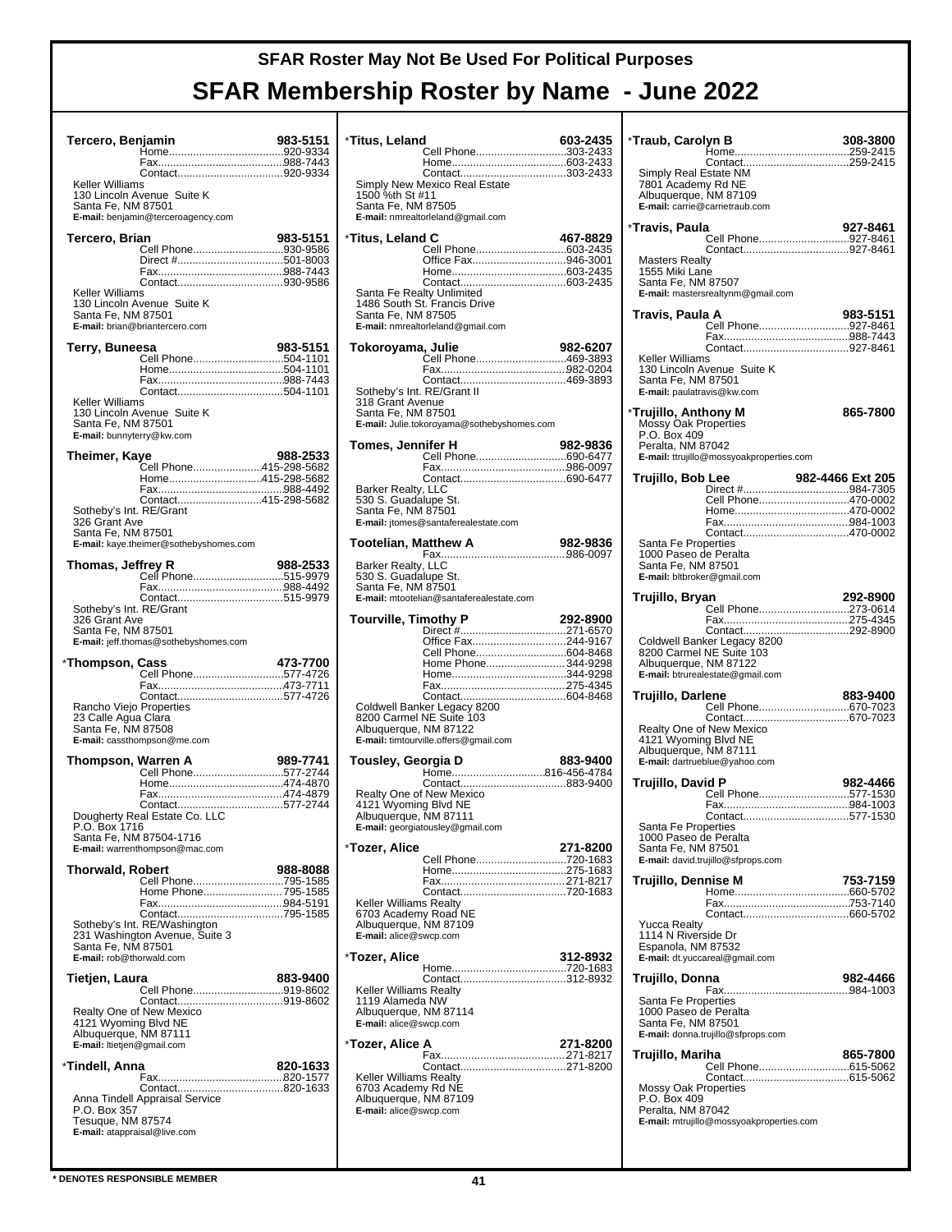| Tercero, Benjamin                                                           |                                                                        | 983-5151 |
|-----------------------------------------------------------------------------|------------------------------------------------------------------------|----------|
| Keller Williams<br>Santa Fe, NM 87501                                       | 130 Lincoln Avenue Suite K<br>E-mail: benjamin@terceroagency.com       |          |
| Tercero, Brian                                                              | Cell Phone930-9586<br>Direct #501-8003                                 | 983-5151 |
| Keller Williams<br>Santa Fe, NM 87501                                       | 130 Lincoln Avenue Suite K<br>E-mail: brian@briantercero.com           |          |
| Terry, Buneesa                                                              | Cell Phone504-1101                                                     | 983-5151 |
| Keller Williams<br>Santa Fe, NM 87501<br>E-mail: bunnyterry@kw.com          | 130 Lincoln Avenue Suite K                                             |          |
| Theimer, Kaye                                                               |                                                                        | 988-2533 |
|                                                                             | .<br>Cell Phone415-298-5682<br>Home415-298-5682<br>Contact415-298-5682 |          |
| Sotheby's Int. RE/Grant<br>326 Grant Ave<br>Santa Fe, NM 87501              | E-mail: kaye.theimer@sothebyshomes.com                                 |          |
| Thomas, Jeffrey R                                                           | Cell Phone515-9979                                                     | 988-2533 |
|                                                                             |                                                                        |          |
| Sotheby's Int. RE/Grant<br>326 Grant Ave<br>Santa Fe, NM 87501              | E-mail: jeff.thomas@sothebyshomes.com                                  |          |
| *Thompson, Cass                                                             | Cell Phone577-4726                                                     | 473-7700 |
| Rancho Viejo Properties<br>23 Calle Agua Clara<br>Santa Fe, NM 87508        | E-mail: cassthompson@me.com                                            |          |
| Thompson, Warren A                                                          |                                                                        | 989-7741 |
|                                                                             | Cell Phone577-2744                                                     |          |
| P.O. Box 1716                                                               | Dougherty Real Estate Co. LLC<br>Santa Fe, NM 87504-1716               |          |
| <b>Thorwald, Robert</b>                                                     | E-mail: warrenthompson@mac.com                                         | 988-8088 |
|                                                                             | Cell Phone795-1585<br>Home Phone 795-1585                              |          |
| Santa Fe, NM 87501<br>E-mail: rob@thorwald.com                              | Sotheby's Int. RE/Washington<br>231 Washington Avenue, Suite 3         |          |
| Tietjen, Laura                                                              |                                                                        | 883-9400 |
| 4121 Wyoming Blvd NE<br>Albuquerque, NM 87111<br>E-mail: Itietjen@gmail.com | Cell Phone919-8602<br>Realty One of New Mexico                         |          |
| *Tindell, Anna                                                              |                                                                        | 820-1633 |
| P.O. Box 357<br>Tesuque, NM 87574<br>E-mail: atappraisal@live.com           | Anna Tindell Appraisal Service                                         |          |

| *Titus, Leland<br>Cell Phone303-2433                                                                                 | 603-2435 |
|----------------------------------------------------------------------------------------------------------------------|----------|
|                                                                                                                      |          |
| Simply New Mexico Real Estate<br>1500 %th St #11<br>Santa Fe, NM 87505<br>E-mail: nmrealtorleland@gmail.com          |          |
| *Titus, Leland C                                                                                                     | 467-8829 |
| Cell Phone603-2435<br>Office Fax946-3001                                                                             |          |
|                                                                                                                      |          |
| Santa Fe Realty Unlimited<br>1486 South St. Francis Drive<br>Santa Fe, NM 87505<br>E-mail: nmrealtorleland@gmail.com |          |
| Tokoroyama, Julie                                                                                                    | 982-6207 |
| Cell Phone469-3893<br>Contact469-3893                                                                                |          |
| Sotheby's Int. RE/Grant II                                                                                           |          |
| 318 Grant Avenue<br>Santa Fe, NM 87501<br>E-mail: Julie.tokoroyama@sothebyshomes.com                                 |          |
| Tomes, Jennifer H<br>Cell Phone690-6477                                                                              | 982-9836 |
|                                                                                                                      |          |
| Barker Realty, LLC                                                                                                   |          |
| 530 S. Guadalupe St.<br>Santa Fe, NM 87501<br>E-mail: jtomes@santaferealestate.com                                   |          |
| <b>Tootelian, Matthew A</b>                                                                                          | 982-9836 |
| Barker Realty, LLC                                                                                                   |          |
| 530 S. Guadalupe St.<br>Santa Fe, NM 87501<br>E-mail: mtootelian@santaferealestate.com                               |          |
| <b>Tourville, Timothy P</b>                                                                                          | 292-8900 |
| Office Fax244-9167                                                                                                   |          |
| Cell Phone604-8468<br>Home Phone 344-9298                                                                            |          |
|                                                                                                                      |          |
| Coldwell Banker Legacy 8200                                                                                          |          |
| 8200 Carmel NE Suite 103<br>Albuquerque, NM 87122                                                                    |          |
| E-mail: timtourville.offers@gmail.com                                                                                |          |
| Tousley, Georgia D                                                                                                   | 883-9400 |
| Home816-456-4784<br>Contact883-9400                                                                                  |          |
| Realty One of New Mexico<br>4121 Wyoming Blvd NE                                                                     |          |
| Albuquerque, NM 87111<br>E-mail: georgiatousley@gmail.com                                                            |          |
| *Tozer, Alice                                                                                                        | 271-8200 |
| Cell Phone720-1683                                                                                                   |          |
|                                                                                                                      |          |
|                                                                                                                      |          |
| Contact720-1683<br><b>Keller Williams Realty</b>                                                                     |          |
| 6703 Academy Road NE<br>Albuquerque, NM 87109<br>E-mail: alice@swcp.com                                              |          |
| *Tozer, Alice                                                                                                        | 312-8932 |
|                                                                                                                      |          |
| Keller Williams Realty<br>1119 Alameda NW                                                                            |          |
| Albuquerque, NM 87114<br>E-mail: alice@swcp.com                                                                      |          |
| *Tozer, Alice A                                                                                                      | 271-8200 |
|                                                                                                                      |          |
| Keller Williams Realty                                                                                               |          |
| 6703 Academy Rd NE<br>Albuquerque, NM 87109<br>E-mail: alice@swcp.com                                                |          |

| *Traub, Carolyn B                                                    |                                                           | 308-3800         |
|----------------------------------------------------------------------|-----------------------------------------------------------|------------------|
| Simply Real Estate NM<br>7801 Academy Rd NE<br>Albuquerque, NM 87109 | Contact259-2415<br>E-mail: carrie@carrietraub.com         |                  |
| *Travis, Paula                                                       | Cell Phone927-8461                                        | 927-8461         |
| Masters Realty<br>1555 Miki Lane<br>Santa Fe, NM 87507               | Contact927-8461<br>E-mail: mastersrealtynm@gmail.com      |                  |
| Travis, Paula A                                                      | Cell Phone927-8461                                        | 983-5151         |
|                                                                      |                                                           |                  |
| Keller Williams<br>Santa Fe, NM 87501                                | 130 Lincoln Avenue Suite K<br>E-mail: paulatravis@kw.com  |                  |
| <b>Trujillo, Anthony M</b><br>Mossy Oak Properties<br>P.O. Box 409   |                                                           | 865-7800         |
| Peralta, NM 87042                                                    | E-mail: ttrujillo@mossyoakproperties.com                  |                  |
| Trujillo, Bob Lee                                                    |                                                           | 982-4466 Ext 205 |
|                                                                      | Cell Phone470-0002                                        |                  |
|                                                                      |                                                           |                  |
| Santa Fe Properties                                                  |                                                           |                  |
| 1000 Paseo de Peralta                                                |                                                           |                  |
| Santa Fe, NM 87501                                                   | E-mail: bltbroker@gmail.com                               |                  |
| Trujillo, Bryan                                                      |                                                           | 292-8900         |
|                                                                      | Cell Phone273-0614                                        |                  |
|                                                                      |                                                           |                  |
|                                                                      | Coldwell Banker Legacy 8200<br>8200 Carmel NE Suite 103   |                  |
| Albuquerque, NM 87122                                                | E-mail: btrurealestate@gmail.com                          |                  |
|                                                                      |                                                           |                  |
| Trujillo, Darlene                                                    | Cell Phone670-7023                                        | 883-9400         |
|                                                                      | Contact670-7023                                           |                  |
| 4121 Wyoming Blvd NE<br>Albuquerque, NM 87111                        | Realty One of New Mexico<br>E-mail: dartrueblue@yahoo.com |                  |
| Trujillo, David P                                                    |                                                           | 982-4466         |
|                                                                      | Cell Phone577-1530                                        |                  |
|                                                                      |                                                           |                  |
| Santa Fe Properties                                                  |                                                           |                  |
| 1000 Paseo de Peralta<br>Santa Fe, NM 87501                          |                                                           |                  |
|                                                                      | E-mail: david.trujillo@sfprops.com                        |                  |
| Trujillo, Dennise M                                                  |                                                           | 753-7159         |
|                                                                      |                                                           |                  |
|                                                                      |                                                           |                  |
| <b>Yucca Realty</b><br>1114 N Riverside Dr<br>Espanola, NM 87532     | E-mail: dt.yuccareal@gmail.com                            |                  |
| Trujillo, Donna                                                      |                                                           | 982-4466         |
| Santa Fe Properties<br>1000 Paseo de Peralta<br>Santa Fe, NM 87501   | E-mail: donna.trujillo@sfprops.com                        |                  |
| Trujillo, Mariha                                                     |                                                           | 865-7800         |
|                                                                      | Cell Phone615-5062                                        |                  |
| <b>Mossy Oak Properties</b><br>P.O. Box 409<br>Peralta, NM 87042     |                                                           |                  |
|                                                                      | E-mail: mtrujillo@mossyoakproperties.com                  |                  |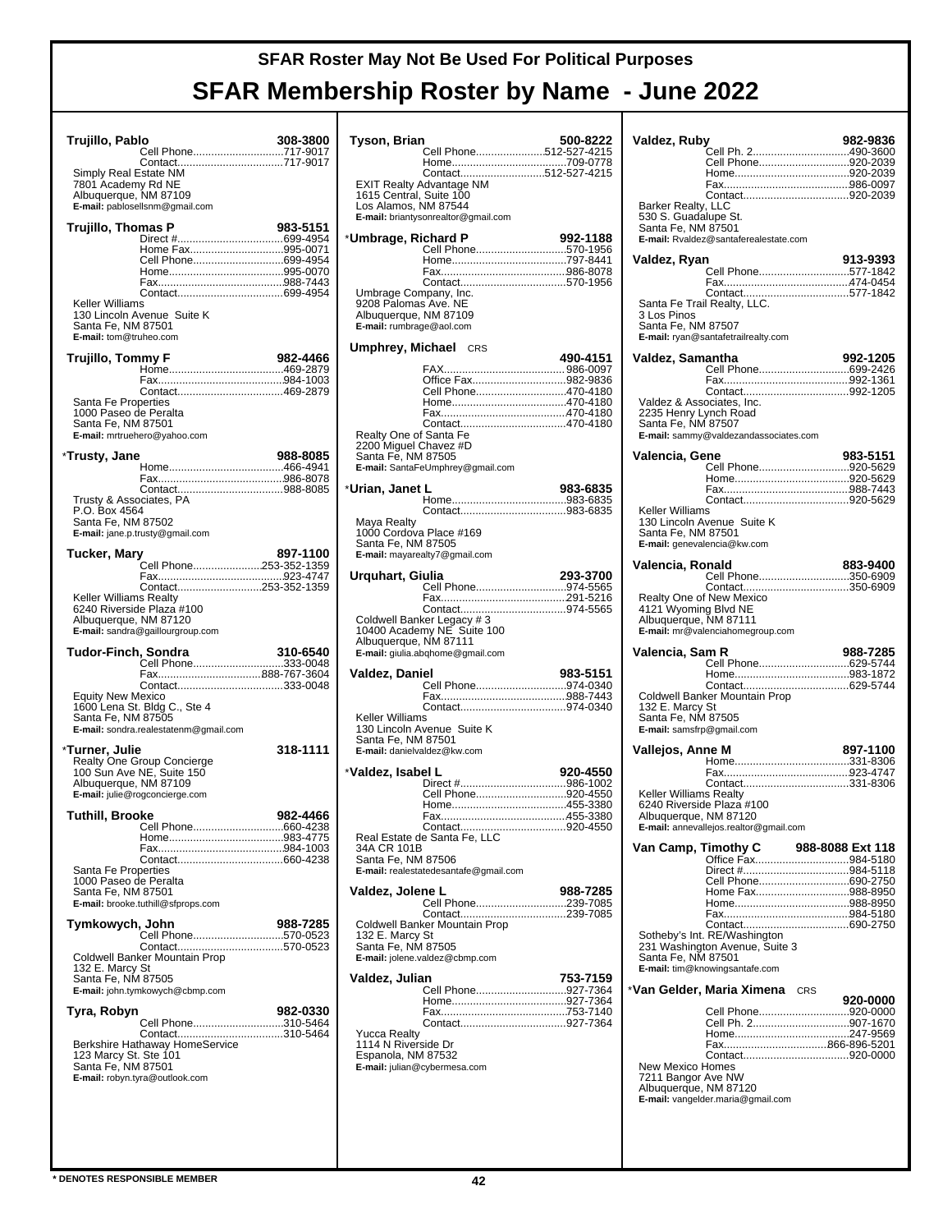| Trujillo, Pablo                              | Cell Phone717-9017                                | 308-3800 |
|----------------------------------------------|---------------------------------------------------|----------|
|                                              | Contact717-9017                                   |          |
| Simply Real Estate NM                        |                                                   |          |
| 7801 Academy Rd NE<br>Albuquerque, NM 87109  |                                                   |          |
|                                              | E-mail: pablosellsnm@gmail.com                    |          |
| Trujillo, Thomas P                           |                                                   | 983-5151 |
|                                              |                                                   |          |
|                                              | Home Fax995-0071<br>Cell Phone699-4954            |          |
|                                              |                                                   |          |
|                                              |                                                   |          |
| Keller Williams                              |                                                   |          |
| Santa Fe, NM 87501                           | 130 Lincoln Avenue Suite K                        |          |
| E-mail: tom@truheo.com                       |                                                   |          |
| Trujillo, Tommy F                            |                                                   | 982-4466 |
|                                              |                                                   |          |
|                                              | Contact469-2879                                   |          |
| Santa Fe Properties                          |                                                   |          |
| 1000 Paseo de Peralta                        |                                                   |          |
| Santa Fe, NM 87501                           | E-mail: mrtruehero@yahoo.com                      |          |
|                                              |                                                   |          |
| *Trusty, Jane                                |                                                   | 988-8085 |
|                                              |                                                   |          |
| Trusty & Associates, PA                      |                                                   |          |
| P.O. Box 4564                                |                                                   |          |
| Santa Fe, NM 87502                           | E-mail: jane.p.trusty@gmail.com                   |          |
|                                              |                                                   |          |
| Tucker, Mary                                 | Cell Phone253-352-1359                            | 897-1100 |
|                                              |                                                   |          |
| Keller Williams Realty                       | Contact253-352-1359                               |          |
|                                              | 6240 Riverside Plaza #100                         |          |
| Albuquerque, NM 87120                        |                                                   |          |
|                                              | E-mail: sandra@gaillourgroup.com                  |          |
|                                              |                                                   |          |
| Tudor-Finch, Sondra                          |                                                   | 310-6540 |
|                                              | Cell Phone333-0048                                |          |
|                                              | Contact333-0048                                   |          |
| Equity New Mexico                            |                                                   |          |
| Santa Fe, NM 87505                           | 1600 Lena St. Bldg C., Ste 4                      |          |
|                                              | E-mail: sondra.realestatenm@gmail.com             |          |
|                                              |                                                   | 318-1111 |
|                                              | Realty One Group Concierge                        |          |
| Albuquerque, NM 87109                        | 100 Sun Ave NE, Suite 150                         |          |
|                                              | E-mail: julie@rogconcierge.com                    |          |
| Tuthill, Brooke                              |                                                   | 982-4466 |
| *Turner, Julie                               |                                                   |          |
|                                              |                                                   |          |
|                                              |                                                   |          |
| Santa Fe Properties<br>1000 Paseo de Peralta |                                                   |          |
| Santa Fe, NM 87501                           |                                                   |          |
|                                              | E-mail: brooke.tuthill@sfprops.com                |          |
| Tymkowych, John                              |                                                   | 988-7285 |
|                                              | Cell Phone570-0523                                |          |
|                                              | Coldwell Banker Mountain Prop                     |          |
| 132 E. Marcy St<br>Santa Fe, NM 87505        |                                                   |          |
|                                              | E-mail: john.tymkowych@cbmp.com                   |          |
| Tyra, Robyn                                  |                                                   | 982-0330 |
|                                              | Cell Phone310-5464                                |          |
|                                              | Contact310-5464<br>Berkshire Hathaway HomeService |          |
|                                              |                                                   |          |
| 123 Marcy St. Ste 101<br>Santa Fe, NM 87501  | E-mail: robyn.tyra@outlook.com                    |          |
|                                              |                                                   |          |
|                                              |                                                   |          |
|                                              |                                                   |          |

| Tyson, Brian                                                                                       |                                                                                                                   | 500-8222   |
|----------------------------------------------------------------------------------------------------|-------------------------------------------------------------------------------------------------------------------|------------|
|                                                                                                    | Cell Phone512-527-4215                                                                                            |            |
| Los Alamos, NM 87544                                                                               | Contact512-527-4215<br>EXIT Realty Advantage NM<br>1615 Central, Suite 100<br>E-mail: briantysonrealtor@gmail.com |            |
| *Umbrage, Richard P                                                                                |                                                                                                                   | 992-1188   |
|                                                                                                    | Cell Phone570-1956                                                                                                |            |
|                                                                                                    |                                                                                                                   |            |
| Umbrage Company, Inc.<br>9208 Palomas Ave. NE<br>Albuquerque, NM 87109<br>E-mail: rumbrage@aol.com |                                                                                                                   |            |
| Umphrey, Michael                                                                                   | CRS                                                                                                               | 490-4151   |
|                                                                                                    |                                                                                                                   |            |
|                                                                                                    | Office Fax982-9836                                                                                                |            |
|                                                                                                    | Cell Phone470-4180                                                                                                |            |
|                                                                                                    |                                                                                                                   |            |
| Realty One of Santa Fe<br>2200 Miguel Chavez #D<br>Santa Fe, NM 87505                              | E-mail: SantaFeUmphrey@gmail.com                                                                                  |            |
| *Urian, Janet L                                                                                    |                                                                                                                   | 983-6835   |
|                                                                                                    |                                                                                                                   |            |
| Maya Realty<br>1000 Cordova Place #169<br>Santa Fe, NM 87505                                       | E-mail: mayarealty7@gmail.com                                                                                     |            |
| Urquhart, Giulia                                                                                   |                                                                                                                   | 293-3700   |
|                                                                                                    | Cell Phone974-5565                                                                                                |            |
|                                                                                                    |                                                                                                                   |            |
| Albuquerque, NM 87111                                                                              | 10400 Academy NE Suite 100<br>E-mail: giulia.abqhome@gmail.com                                                    |            |
| Valdez, Daniel                                                                                     |                                                                                                                   | 983-5151   |
|                                                                                                    | Cell Phone974-0340                                                                                                |            |
|                                                                                                    |                                                                                                                   |            |
| Keller Williams<br>Santa Fe, NM 87501<br>E-mail: danielvaldez@kw.com                               | 130 Lincoln Avenue Suite K                                                                                        |            |
| *Valdez. Isabel L                                                                                  |                                                                                                                   | 920-4550   |
|                                                                                                    | Cell Phone920-4550                                                                                                |            |
|                                                                                                    |                                                                                                                   |            |
|                                                                                                    |                                                                                                                   |            |
|                                                                                                    | Contact<br>Real Estate de Santa Fe, LLC                                                                           | . 920-4550 |
| 34A CR 101B<br>Santa Fe, NM 87506                                                                  | E-mail: realestatedesantafe@gmail.com                                                                             |            |
| Valdez, Jolene L                                                                                   | Cell Phone239-7085                                                                                                | 988-7285   |
|                                                                                                    |                                                                                                                   |            |
| 132 E. Marcy St<br>Santa Fe, NM 87505                                                              | Coldwell Banker Mountain Prop<br>E-mail: jolene.valdez@cbmp.com                                                   |            |
| Valdez, Julian                                                                                     |                                                                                                                   | 753-7159   |
|                                                                                                    | Cell Phone927-7364                                                                                                |            |
|                                                                                                    |                                                                                                                   |            |
| <b>Yucca Realty</b><br>1114 N Riverside Dr<br>Espanola, NM 87532                                   | E-mail: julian@cybermesa.com                                                                                      |            |
|                                                                                                    |                                                                                                                   |            |

| Valdez, Ruby              |                                                                | 982-9836         |
|---------------------------|----------------------------------------------------------------|------------------|
|                           | Cell Ph. 2490-3600                                             |                  |
|                           | Cell Phone920-2039                                             |                  |
|                           |                                                                |                  |
|                           |                                                                |                  |
| Barker Realty, LLC        |                                                                |                  |
| 530 S. Guadalupe St.      |                                                                |                  |
| Santa Fe, NM 87501        |                                                                |                  |
|                           | E-mail: Rvaldez@santaferealestate.com                          |                  |
|                           |                                                                |                  |
| Valdez, Ryan              |                                                                | 913-9393         |
|                           | Cell Phone577-1842                                             |                  |
|                           |                                                                |                  |
|                           | Santa Fe Trail Realty, LLC.                                    |                  |
| 3 Los Pinos               |                                                                |                  |
| Santa Fe, NM 87507        |                                                                |                  |
|                           | E-mail: ryan@santafetrailrealty.com                            |                  |
|                           |                                                                |                  |
| Valdez, Samantha          |                                                                | 992-1205         |
|                           | Cell Phone699-2426                                             |                  |
|                           |                                                                |                  |
| Valdez & Associates, Inc. |                                                                |                  |
| 2235 Henry Lynch Road     |                                                                |                  |
| Santa Fe, NM 87507        |                                                                |                  |
|                           | E-mail: sammy@valdezandassociates.com                          |                  |
|                           |                                                                |                  |
| Valencia, Gene            |                                                                | 983-5151         |
|                           | Cell Phone920-5629                                             |                  |
|                           |                                                                |                  |
|                           |                                                                |                  |
| Keller Williams           |                                                                |                  |
|                           | 130 Lincoln Avenue Suite K                                     |                  |
| Santa Fe, NM 87501        |                                                                |                  |
|                           | E-mail: genevalencia@kw.com                                    |                  |
|                           |                                                                |                  |
| Valencia, Ronald          |                                                                | 883-9400         |
|                           | Cell Phone350-6909                                             |                  |
|                           | Contact350-6909<br>Realty One of New Mexico                    |                  |
| 4121 Wyoming Blvd NE      |                                                                |                  |
| Albuquerque, NM 87111     |                                                                |                  |
|                           | E-mail: mr@valenciahomegroup.com                               |                  |
|                           |                                                                |                  |
| Valencia, Sam R           |                                                                | 988-7285         |
|                           | Cell Phone629-5744                                             |                  |
|                           |                                                                |                  |
|                           | Coldwell Banker Mountain Prop                                  |                  |
| 132 E. Marcy St           |                                                                |                  |
| Santa Fe, NM 87505        |                                                                |                  |
| E-mail: samsfrp@gmail.com |                                                                |                  |
|                           |                                                                |                  |
| Vallejos, Anne M          |                                                                | 897-1100         |
|                           |                                                                |                  |
|                           | Contact331-8306                                                |                  |
| Keller Williams Realty    |                                                                |                  |
|                           | 6240 Riverside Plaza #100                                      |                  |
| Albuquerque, NM 87120     |                                                                |                  |
|                           | E-mail: annevallejos.realtor@gmail.com                         |                  |
|                           |                                                                |                  |
| Van Camp, Timothy C       |                                                                | 988-8088 Ext 118 |
|                           |                                                                |                  |
|                           | Cell Phone690-2750                                             |                  |
|                           | Home Fax988-8950                                               |                  |
|                           |                                                                |                  |
|                           |                                                                |                  |
|                           |                                                                |                  |
|                           | Sotheby's Int. RE/Washington<br>231 Washington Avenue, Suite 3 |                  |
| Santa Fe, NM 87501        |                                                                |                  |
|                           | E-mail: tim@knowingsantafe.com                                 |                  |
|                           |                                                                |                  |
|                           | *Van Gelder, Maria Ximena<br>CRS                               |                  |
|                           |                                                                | 920-0000         |
|                           | Cell Phone920-0000                                             |                  |
|                           | Cell Ph. 2907-1670                                             |                  |
|                           |                                                                |                  |
|                           |                                                                |                  |
| <b>New Mexico Homes</b>   |                                                                |                  |
| 7211 Bangor Ave NW        |                                                                |                  |
| Albuquerque, NM 87120     |                                                                |                  |
|                           | E-mail: vangelder.maria@gmail.com                              |                  |
|                           |                                                                |                  |
|                           |                                                                |                  |
|                           |                                                                |                  |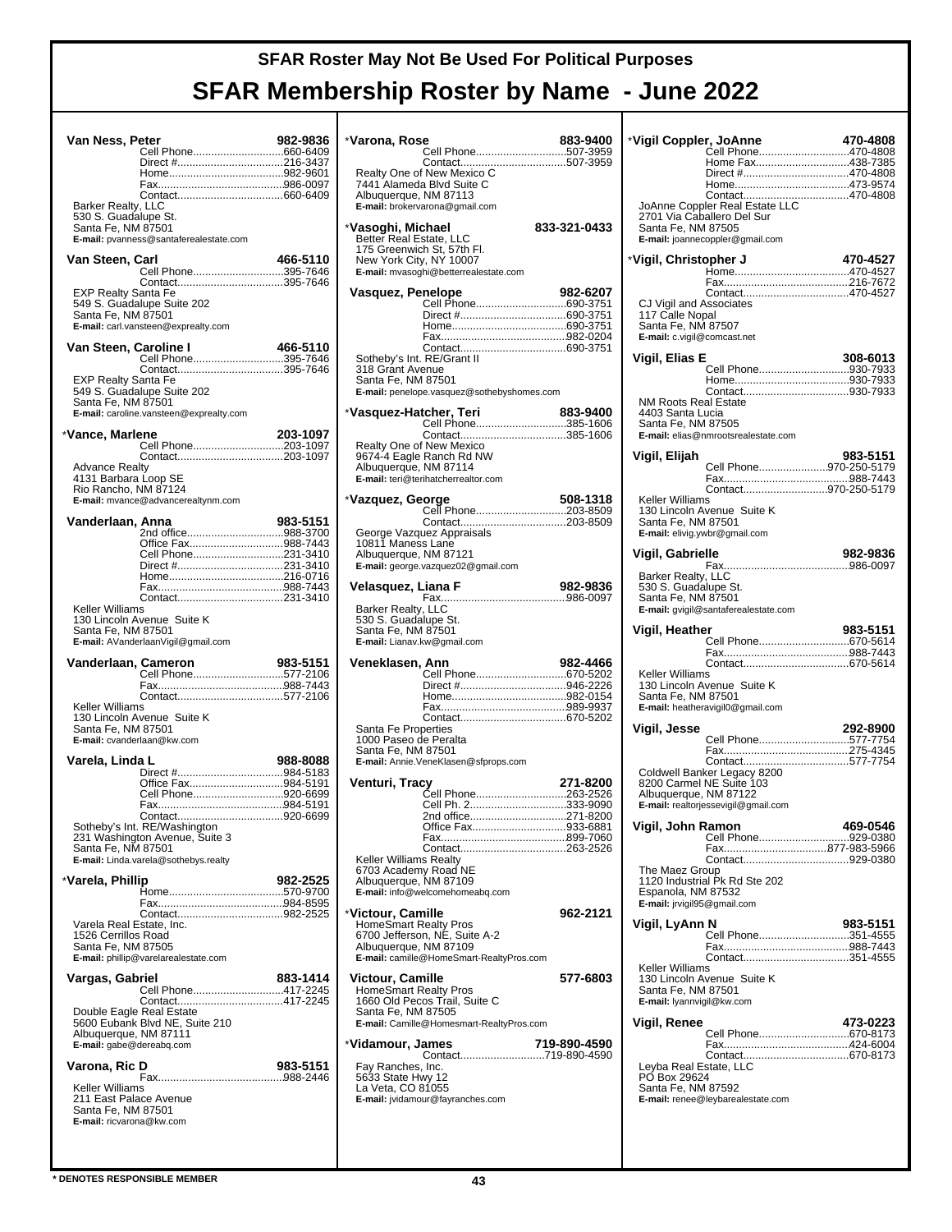|                                                                               | Van Ness, Peter<br>Cell Phone660-6409                                                                             | 982-9836 |
|-------------------------------------------------------------------------------|-------------------------------------------------------------------------------------------------------------------|----------|
|                                                                               |                                                                                                                   |          |
| Barker Realty, LLC<br>530 S. Guadalupe St.<br>Santa Fe, NM 87501              | E-mail: pvanness@santaferealestate.com                                                                            |          |
| Van Steen, Carl                                                               | Cell Phone395-7646                                                                                                | 466-5110 |
| <b>EXP Realty Santa Fe</b><br>Santa Fe, NM 87501                              | Contact395-7646<br>549 S. Guadalupe Suite 202<br>E-mail: carl.vansteen@exprealty.com                              |          |
| Van Steen, Caroline I                                                         | <b>aroline I                               466-5110</b><br>Cell Phone395-7646                                     | 466-5110 |
| EXP Realty Santa Fe<br>Santa Fe, NM 87501                                     | 549 S. Guadalupe Suite 202<br>E-mail: caroline.vansteen@exprealty.com                                             |          |
| *Vance, Marlene                                                               | Cell Phone203-1097                                                                                                | 203-1097 |
| <b>Advance Realty</b><br>4131 Barbara Loop SE<br>Rio Rancho, NM 87124         | Contact203-1097<br>E-mail: mvance@advancerealtynm.com                                                             |          |
| Vanderlaan, Anna                                                              | 2nd office988-3700                                                                                                | 983-5151 |
|                                                                               | Office Fax988-7443<br>Cell Phone231-3410                                                                          |          |
|                                                                               |                                                                                                                   |          |
|                                                                               |                                                                                                                   |          |
| Keller Williams<br>Santa Fe, NM 87501                                         | 130 Lincoln Avenue Suite K<br>E-mail: AVanderlaanVigil@gmail.com                                                  |          |
| Vanderlaan, Cameron                                                           | <b>Cameron</b> 983-5151<br>Cell Phone577-2106                                                                     | 983-5151 |
|                                                                               |                                                                                                                   |          |
|                                                                               |                                                                                                                   |          |
| Keller Williams<br>Santa Fe, NM 87501                                         | 130 Lincoln Avenue Suite K<br>E-mail: cvanderlaan@kw.com                                                          |          |
| Varela, Linda L                                                               |                                                                                                                   | 988-8088 |
|                                                                               | Office Fax984-5191                                                                                                |          |
|                                                                               | Cell Phone920-6699                                                                                                |          |
| Santa Fe, NM 87501                                                            | Contact<br>Sotheby's Int. RE/Washington<br>231 Washington Avenue, Suite 3<br>E-mail: Linda.varela@sothebys.realty | 920-6699 |
| *Varela, Phillip                                                              |                                                                                                                   | 982-2525 |
|                                                                               |                                                                                                                   |          |
| Varela Real Estate, Inc.<br>1526 Cerrillos Road<br>Santa Fe, NM 87505         | E-mail: phillip@varelarealestate.com                                                                              |          |
| Vargas, Gabriel                                                               |                                                                                                                   | 883-1414 |
| Double Eagle Real Estate<br>Albuquerque, NM 87111<br>E-mail: gabe@dereabq.com | Cell Phone417-2245<br>5600 Eubank Blvd NE, Suite 210                                                              |          |
| Varona, Ric D                                                                 |                                                                                                                   | 983-5151 |

| *Varona, Rose                                         |                                                      | 883-9400     |
|-------------------------------------------------------|------------------------------------------------------|--------------|
|                                                       | Cell Phone507-3959                                   |              |
|                                                       | Realty One of New Mexico C                           |              |
| Albuquerque, NM 87113                                 | 7441 Alameda Blvd Suite C                            |              |
|                                                       | E-mail: brokervarona@gmail.com                       |              |
| *Vasoghi, Michael                                     |                                                      | 833-321-0433 |
| Better Real Estate, LLC                               |                                                      |              |
| 175 Greenwich St, 57th Fl.<br>New York City, NY 10007 |                                                      |              |
|                                                       | E-mail: mvasoghi@betterrealestate.com                |              |
| Vasquez, Penelope                                     |                                                      | 982-6207     |
|                                                       | Cell Phone690-3751                                   |              |
|                                                       |                                                      |              |
|                                                       |                                                      |              |
| Sotheby's Int. RE/Grant II                            |                                                      |              |
| 318 Grant Avenue                                      |                                                      |              |
| Santa Fe, NM 87501                                    | E-mail: penelope.vasquez@sothebyshomes.com           |              |
|                                                       |                                                      |              |
| *Vasquez-Hatcher, Teri                                | Cell Phone385-1606                                   | 883-9400     |
|                                                       | Contact385-1606                                      |              |
|                                                       | Realty One of New Mexico<br>9674-4 Eagle Ranch Rd NW |              |
| Albuquerque, NM 87114                                 |                                                      |              |
|                                                       | E-mail: teri@terihatcherrealtor.com                  |              |
| *Vazquez, George                                      |                                                      | 508-1318     |
|                                                       | Cell Phone203-8509                                   |              |
|                                                       | George Vazquez Appraisals                            |              |
| 10811 Maness Lane<br>Albuquerque, NM 87121            |                                                      |              |
|                                                       | E-mail: george.vazquez02@gmail.com                   |              |
| Velasquez, Liana F                                    |                                                      | 982-9836     |
|                                                       |                                                      |              |
| Barker Realty, LLC<br>530 S. Guadalupe St.            |                                                      |              |
| Santa Fe, NM 87501                                    |                                                      |              |
| E-mail: Lianav.kw@gmail.com                           |                                                      |              |
| Veneklasen, Ann                                       |                                                      | 982-4466     |
|                                                       | Cell Phone670-5202                                   |              |
|                                                       |                                                      |              |
|                                                       |                                                      |              |
| Santa Fe Properties                                   |                                                      |              |
| 1000 Paseo de Peralta<br>Santa Fe, NM 87501           |                                                      |              |
|                                                       | E-mail: Annie.VeneKlasen@sfprops.com                 |              |
| Venturi, Tracy                                        |                                                      | 271-8200     |
|                                                       | Čell Phone263-2526                                   |              |
|                                                       | Cell Ph. 2333-9090<br>2nd office271-8200             |              |
|                                                       | Office Fax933-6881                                   |              |
|                                                       |                                                      |              |
| Keller Williams Realty                                |                                                      |              |
| 6703 Academy Road NE                                  |                                                      |              |
| Albuquerque, NM 87109                                 | E-mail: info@welcomehomeabq.com                      |              |
|                                                       |                                                      |              |
| *Victour, Camille<br>HomeSmart Realty Pros            |                                                      | 962-2121     |
|                                                       | 6700 Jefferson, NE, Suite A-2                        |              |
| Albuquerque, NM 87109                                 | E-mail: camille@HomeSmart-RealtyPros.com             |              |
| <b>Victour, Camille</b>                               |                                                      | 577-6803     |
| <b>HomeSmart Realty Pros</b>                          |                                                      |              |
|                                                       | 1660 Old Pecos Trail, Suite C                        |              |
| Santa Fe, NM 87505                                    | E-mail: Camille@Homesmart-RealtyPros.com             |              |
|                                                       |                                                      |              |
| *Vidamour, James                                      | Contact719-890-4590                                  | 719-890-4590 |
| Fay Ranches, Inc.                                     |                                                      |              |
| 5633 State Hwy 12<br>La Veta, CO 81055                |                                                      |              |
|                                                       | E-mail: jvidamour@fayranches.com                     |              |
|                                                       |                                                      |              |
|                                                       |                                                      |              |
|                                                       |                                                      |              |

| *Vigil Coppler, JoAnne                 |                                                         | 470-4808 |
|----------------------------------------|---------------------------------------------------------|----------|
|                                        | Ćell Phone470-4808<br>Home Fax438-7385                  |          |
|                                        | Direct #470-4808                                        |          |
|                                        |                                                         |          |
|                                        |                                                         |          |
|                                        |                                                         |          |
| Santa Fe, NM 87505                     | 2701 Via Caballero Del Sur                              |          |
|                                        | E-mail: joannecoppler@gmail.com                         |          |
|                                        |                                                         |          |
| *Vigil, Christopher J                  |                                                         | 470-4527 |
|                                        |                                                         |          |
|                                        | Contact470-4527                                         |          |
| CJ Vigil and Associates                |                                                         |          |
| 117 Calle Nopal                        |                                                         |          |
| Santa Fe, NM 87507                     |                                                         |          |
| E-mail: c.vigil@comcast.net            |                                                         |          |
| Vigil, Elias E                         |                                                         | 308-6013 |
|                                        | Cell Phone930-7933                                      |          |
|                                        |                                                         |          |
| <b>NM Roots Real Estate</b>            |                                                         |          |
| 4403 Santa Lucia                       |                                                         |          |
| Santa Fe, NM 87505                     |                                                         |          |
|                                        | E-mail: elias@nmrootsrealestate.com                     |          |
| Vigil, Elijah                          |                                                         | 983-5151 |
|                                        | Cell Phone970-250-5179                                  |          |
|                                        |                                                         |          |
|                                        | Contact970-250-5179                                     |          |
| Keller Williams                        | 130 Lincoln Avenue Suite K                              |          |
| Santa Fe, NM 87501                     |                                                         |          |
|                                        | E-mail: elivig.ywbr@gmail.com                           |          |
| Vigil, Gabrielle                       |                                                         | 982-9836 |
|                                        |                                                         |          |
| Barker Realty, LLC                     |                                                         |          |
| 530 S. Guadalupe St.                   |                                                         |          |
| Santa Fe, NM 87501                     |                                                         |          |
|                                        | E-mail: gvigil@santaferealestate.com                    |          |
| Vigil, Heather                         |                                                         |          |
|                                        |                                                         | 983-5151 |
|                                        | Cell Phone670-5614                                      |          |
|                                        |                                                         |          |
| Keller Williams                        |                                                         |          |
|                                        | 130 Lincoln Avenue Suite K                              |          |
| Santa Fe, NM 87501                     |                                                         |          |
|                                        | E-mail: heatheravigil0@gmail.com                        |          |
| Vigil, Jesse                           |                                                         | 292-8900 |
|                                        | Cell Phone577-7754                                      |          |
|                                        |                                                         |          |
|                                        | Contact577-7754                                         |          |
|                                        | Coldwell Banker Legacy 8200<br>8200 Carmel NE Suite 103 |          |
| Albuquerque, NM 87122                  |                                                         |          |
|                                        | E-mail: realtorjessevigil@gmail.com                     |          |
| Vigil, John Ramon                      |                                                         | 469-0546 |
|                                        | <br>Cell Phone929-0380                                  |          |
|                                        |                                                         |          |
|                                        |                                                         |          |
| The Maez Group                         | 1120 Industrial Pk Rd Ste 202                           |          |
| Espanola, NM 87532                     |                                                         |          |
| E-mail: jrvigil95@gmail.com            |                                                         |          |
| Vigil, LyAnn N                         |                                                         | 983-5151 |
|                                        | Cell Phone351-4555                                      |          |
|                                        |                                                         |          |
|                                        | Contact351-4555                                         |          |
| Keller Williams                        | 130 Lincoln Avenue Suite K                              |          |
| Santa Fe, NM 87501                     |                                                         |          |
| E-mail: lyannvigil@kw.com              |                                                         |          |
| Vigil, Renee                           |                                                         | 473-0223 |
|                                        | Cell Phone670-8173                                      |          |
|                                        |                                                         |          |
|                                        |                                                         |          |
| Leyba Real Estate, LLC<br>PÓ Box 29624 |                                                         |          |
| Santa Fe, NM 87592                     |                                                         |          |
|                                        | E-mail: renee@leybarealestate.com                       |          |
|                                        |                                                         |          |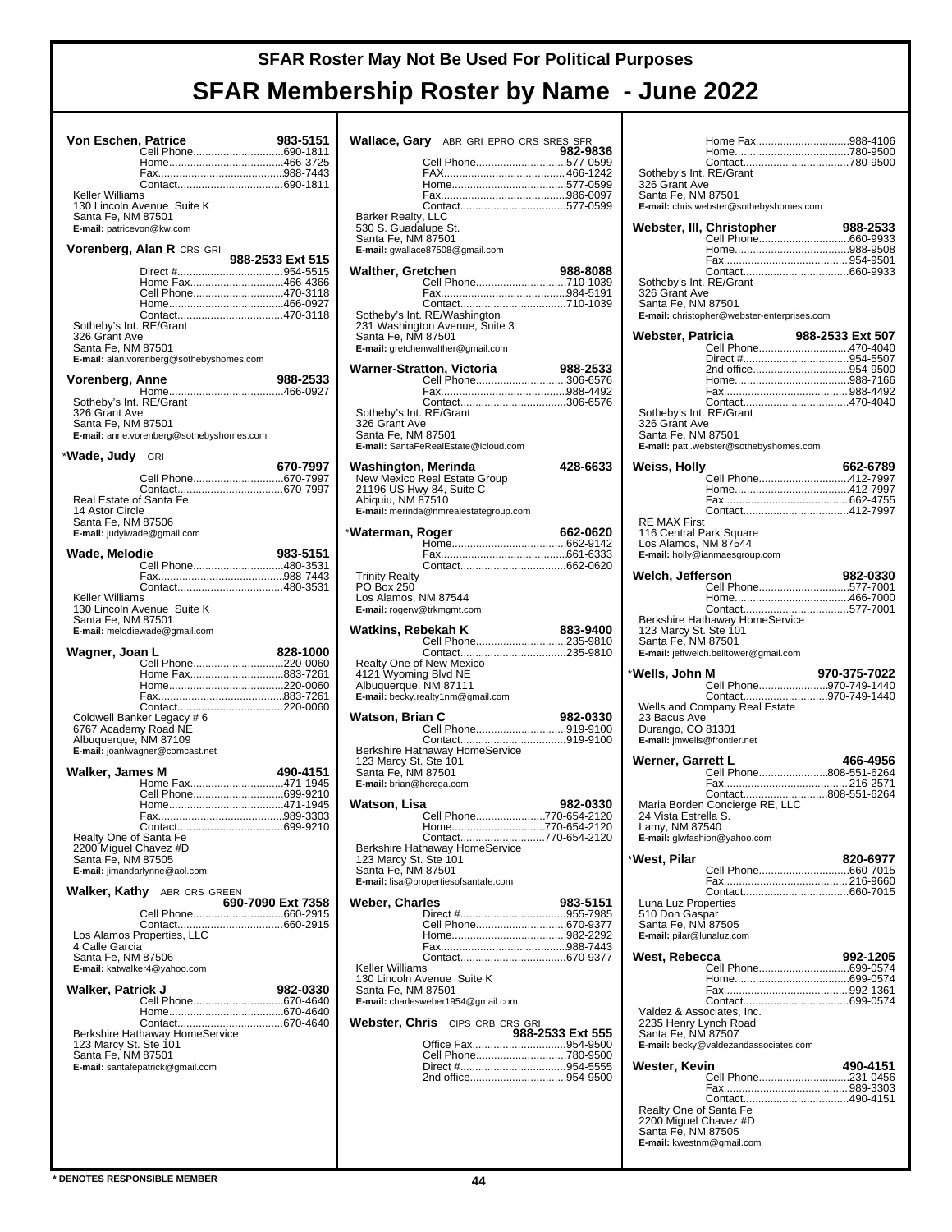| <b>Von Eschen, Patrice</b>                                                        | Cell Phone690-1811                                                                                                         | 983-5151          |
|-----------------------------------------------------------------------------------|----------------------------------------------------------------------------------------------------------------------------|-------------------|
| <b>Keller Williams</b><br>Santa Fe, NM 87501<br>E-mail: patricevon@kw.com         | 130 Lincoln Avenue Suite K                                                                                                 |                   |
|                                                                                   | <b>Vorenberg, Alan R</b> CRS GRI                                                                                           | 988-2533 Ext 515  |
| Sotheby's Int. RE/Grant<br>326 Grant Ave<br>Santa Fe, NM 87501                    | Home Fax466-4366<br>Cell Phone470-3118<br>Contact470-3118                                                                  |                   |
|                                                                                   | E-mail: alan.vorenberg@sothebyshomes.com                                                                                   | 988-2533          |
| Vorenberg, Anne<br>Sotheby's Int. RE/Grant<br>326 Grant Ave<br>Santa Fe, NM 87501 | E-mail: anne.vorenberg@sothebyshomes.com                                                                                   |                   |
| *Wade, Judy                                                                       | <b>GRI</b>                                                                                                                 | 670-7997          |
| Real Estate of Santa Fe<br>14 Astor Circle<br>Santa Fe, NM 87506                  | Cell Phone670-7997<br>E-mail: judyiwade@gmail.com                                                                          |                   |
| Wade, Melodie                                                                     | Cell Phone480-3531                                                                                                         | 983-5151          |
| Keller Williams<br>Santa Fe, NM 87501                                             | 130 Lincoln Avenue Suite K<br>E-mail: melodiewade@gmail.com                                                                |                   |
|                                                                                   |                                                                                                                            |                   |
| Wagner, Joan L                                                                    |                                                                                                                            | 828-1000          |
| 6767 Academy Road NE<br>Albuquerque, NM 87109                                     | Cell Phone220-0060<br>Home Fax883-7261<br>Contact220-0060<br>Coldwell Banker Legacy # 6<br>E-mail: joanlwagner@comcast.net |                   |
| Walker, James M                                                                   |                                                                                                                            | 490-4151          |
| Realty One of Santa Fe<br>2200 Miguel Chavez #D<br>Santa Fe, NM 87505             | Home Fax471-1945<br>Cell Phone699-9210                                                                                     |                   |
|                                                                                   | E-mail: jimandarlynne@aol.com                                                                                              |                   |
| 4 Calle Garcia<br>Santa Fe, NM 87506                                              | <b>Walker, Kathy</b> ABR CRS GREEN<br>Cell Phone660-2915<br>E-mail: katwalker4@yahoo.com                                   | 690-7090 Ext 7358 |
| Walker, Patrick J                                                                 |                                                                                                                            | 982-0330          |
| Santa Fe, NM 87501                                                                | Cell Phone670-4640<br>E-mail: santafepatrick@gmail.com                                                                     |                   |

|                                                                                           | <b>Wallace, Gary</b> ABR GRI EPRO CRS SRES SFR                                                      | 982-9836         |
|-------------------------------------------------------------------------------------------|-----------------------------------------------------------------------------------------------------|------------------|
|                                                                                           | Cell Phone577-0599                                                                                  |                  |
| Barker Realty, LLC<br>530 S. Guadalupe St.<br>Santa Fe, NM 87501                          | E-mail: gwallace87508@gmail.com                                                                     |                  |
| Walther, Gretchen                                                                         | Cell Phone710-1039                                                                                  | 988-8088         |
| Santa Fe, NM 87501                                                                        | Sotheby's Int. RE/Washington<br>231 Washington Avenue, Suite 3<br>E-mail: gretchenwalther@gmail.com |                  |
|                                                                                           | <b>Warner-Stratton, Victoria</b><br>Cell Phone306-6576                                              | 988-2533         |
| Sotheby's Int. RE/Grant<br>326 Grant Ave<br>Santa Fe, NM 87501                            | E-mail: SantaFeRealEstate@icloud.com                                                                |                  |
| Washington, Merinda<br>Abiquiu, NM 87510                                                  | New Mexico Real Estate Group<br>21196 US Hwy 84, Suite C<br>E-mail: merinda@nmrealestategroup.com   | 428-6633         |
| *Waterman, Roger                                                                          |                                                                                                     | 662-0620         |
|                                                                                           |                                                                                                     |                  |
| <b>Trinity Realty</b><br>PO Box 250<br>Los Alamos, NM 87544<br>E-mail: rogerw@trkmgmt.com |                                                                                                     |                  |
| Watkins, Rebekah K                                                                        | Cell Phone235-9810                                                                                  | 883-9400         |
| 4121 Wyoming Blvd NE<br>Albuquerque, NM 87111                                             | Realty One of New Mexico<br>E-mail: becky.realty1nm@gmail.com                                       |                  |
| Watson, Brian C                                                                           | Cell Phone919-9100                                                                                  | 982-0330         |
| 123 Marcy St. Ste 101<br>Santa Fe, NM 87501<br>E-mail: brian@hcrega.com                   | Berkshire Hathaway HomeService                                                                      |                  |
| Watson, Lisa                                                                              | Cell Phone770-654-2120                                                                              | 982-0330         |
| 123 Marcy St. Ste 101<br>Santa Fe, NM 87501                                               | Contact770-654-2120<br>Berkshire Hathaway HomeService<br>E-mail: lisa@propertiesofsantafe.com       |                  |
| Weber, Charles                                                                            |                                                                                                     | 983-5151         |
| Keller Williams<br>Santa Fe, NM 87501                                                     | Cell Phone670-9377<br>130 Lincoln Avenue Suite K                                                    |                  |
|                                                                                           | E-mail: charlesweber1954@gmail.com                                                                  |                  |
|                                                                                           | <b>Webster, Chris</b> CIPS CRB CRS GRI                                                              | 988-2533 Ext 555 |
|                                                                                           | Office Fax954-9500<br>Cell Phone780-9500<br>2nd office954-9500                                      |                  |
|                                                                                           |                                                                                                     |                  |

| Sotheby's Int. RE/Grant<br>326 Grant Ave<br>Santa Fe, NM 87501                            | Home Fax988-4106<br>Contact780-9500<br>E-mail: chris.webster@sothebyshomes.com        |                  |
|-------------------------------------------------------------------------------------------|---------------------------------------------------------------------------------------|------------------|
| Sotheby's Int. RE/Grant<br>326 Grant Ave<br>Santa Fe, NM 87501                            | Webster, III, Christopher<br>E-mail: christopher@webster-enterprises.com              | 988-2533         |
| Webster, Patricia<br>Sotheby's Int. RE/Grant<br>326 Grant Ave<br>Santa Fe. NM 87501       | Cell Phone470-4040<br>2nd office954-9500<br>E-mail: patti.webster@sothebyshomes.com   | 988-2533 Ext 507 |
| Weiss, Holly                                                                              |                                                                                       | 662-6789         |
| <b>RE MAX First</b><br>116 Central Park Square<br>Los Alamos, NM 87544                    | Contact412-7997<br>E-mail: holly@ianmaesgroup.com                                     |                  |
| Welch, Jefferson                                                                          |                                                                                       | 982-0330         |
|                                                                                           | Cell Phone577-7001                                                                    |                  |
| 123 Marcy St. Ste 101<br>Santa Fe, NM 87501                                               |                                                                                       |                  |
|                                                                                           | E-mail: jeffwelch.belltower@gmail.com                                                 |                  |
|                                                                                           |                                                                                       | 970-375-7022     |
| *Wells, John M<br>23 Bacus Ave<br>Durango, CO 81301<br>E-mail: jmwells@frontier.net       | Cell Phone970-749-1440<br>Contact970-749-1440<br>Wells and Company Real Estate        |                  |
| Werner, Garrett L                                                                         | Cell Phone808-551-6264                                                                | 466-4956         |
| 24 Vista Estrella S.<br>Lamy, NM 87540                                                    | Contact808-551-6264<br>Maria Borden Concierge RE, LLC<br>E-mail: glwfashion@yahoo.com |                  |
| *West, Pilar                                                                              |                                                                                       | 820-6977         |
|                                                                                           |                                                                                       |                  |
| Luna Luz Properties<br>510 Don Gaspar<br>Santa Fe, NM 87505<br>E-mail: pilar@lunaluz.com  |                                                                                       |                  |
|                                                                                           |                                                                                       | 992-1205         |
| West, Rebecca<br>Valdez & Associates, Inc.<br>2235 Henry Lynch Road<br>Santa Fe, NM 87507 | Cell Phone699-0574                                                                    |                  |
|                                                                                           | E-mail: becky@valdezandassociates.com                                                 |                  |
| Wester, Kevin<br>Realty One of Santa Fe<br>2200 Miguel Chavez #D<br>Santa Fe, NM 87505    | Contact490-4151                                                                       | 490-4151         |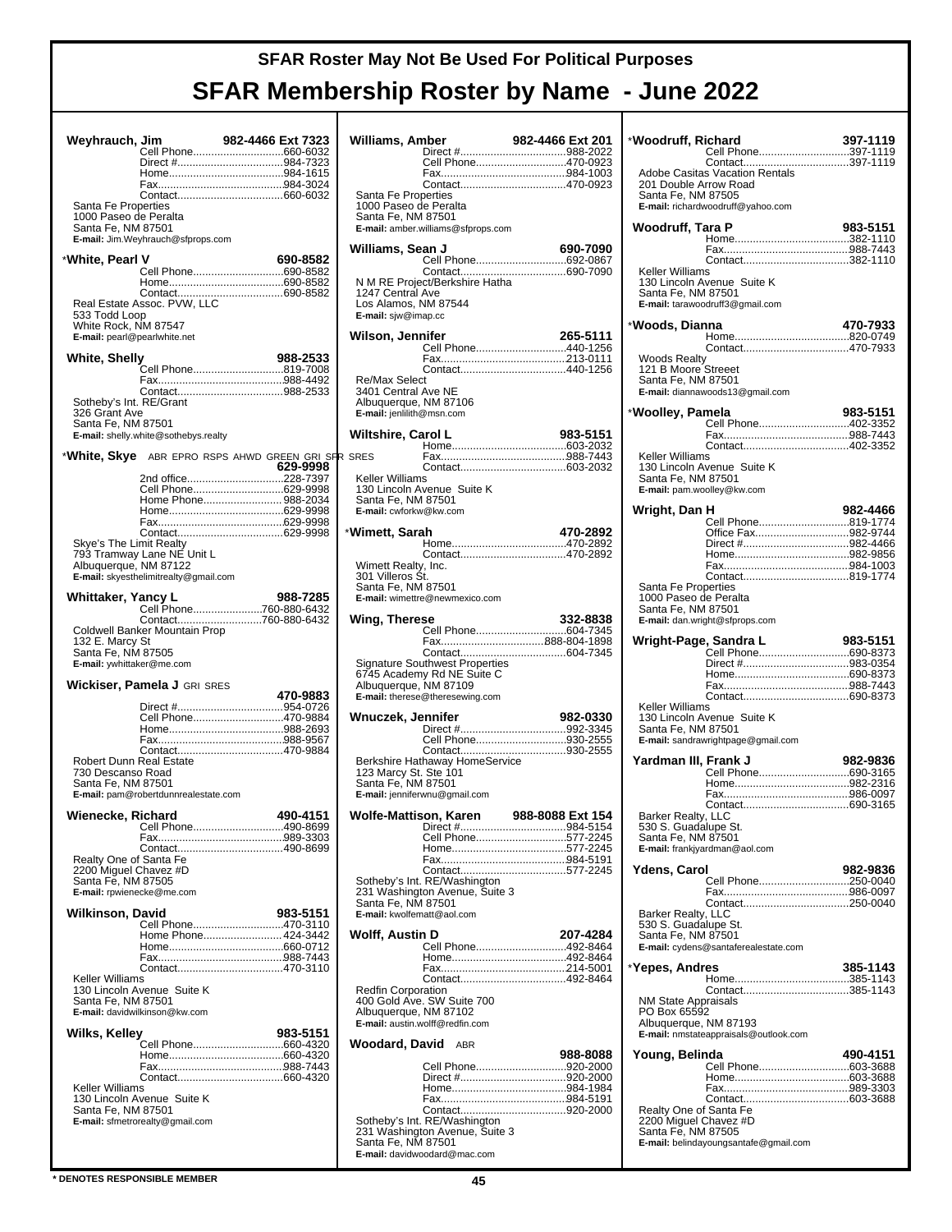|                              |                                       |                                                    | Willi       |
|------------------------------|---------------------------------------|----------------------------------------------------|-------------|
| Weyhrauch, Jim               |                                       | 982-4466 Ext 7323                                  |             |
|                              |                                       | Cell Phone660-6032                                 |             |
|                              |                                       |                                                    |             |
|                              |                                       |                                                    |             |
|                              |                                       |                                                    |             |
|                              |                                       |                                                    | Sar         |
| Santa Fe Properties          |                                       |                                                    | 100         |
| 1000 Paseo de Peralta        |                                       |                                                    | San         |
| Santa Fe, NM 87501           |                                       |                                                    | E-m         |
|                              | E-mail: Jim.Weyhrauch@sfprops.com     |                                                    |             |
|                              |                                       |                                                    | Willi       |
| *White, Pearl V              |                                       | 690-8582                                           |             |
|                              |                                       | Cell Phone690-8582                                 |             |
|                              |                                       |                                                    | N M         |
|                              |                                       |                                                    | 124         |
|                              | Real Estate Assoc. PVW, LLC           |                                                    | Los         |
| 533 Todd Loop                |                                       |                                                    | E-m         |
| White Rock, NM 87547         |                                       |                                                    |             |
| E-mail: pearl@pearlwhite.net |                                       |                                                    | Wils        |
|                              |                                       |                                                    |             |
| White, Shelly                |                                       | 988-2533                                           |             |
|                              |                                       | Cell Phone819-7008                                 |             |
|                              |                                       |                                                    | Re/         |
|                              |                                       |                                                    | 340         |
| Sotheby's Int. RE/Grant      |                                       |                                                    | Albı        |
| 326 Grant Ave                |                                       |                                                    | E-m         |
| Santa Fe, NM 87501           |                                       |                                                    |             |
|                              | E-mail: shelly.white@sothebys.realty  |                                                    | <b>Wilt</b> |
|                              |                                       |                                                    |             |
|                              |                                       | *White, Skye ABR EPRO RSPS AHWD GREEN GRI SFR SRES |             |
|                              |                                       | 629-9998                                           |             |
|                              |                                       | 2nd office228-7397                                 | Kell        |
|                              |                                       | Cell Phone629-9998                                 | 130         |
|                              |                                       | Home Phone 988-2034                                | San         |
|                              |                                       |                                                    | E-m         |
|                              |                                       |                                                    |             |
|                              |                                       |                                                    | *Wim        |
| Skye's The Limit Realty      |                                       |                                                    |             |
|                              | 793 Tramway Lane NE Unit L            |                                                    |             |
| Albuquerque, NM 87122        |                                       |                                                    | Win         |
|                              | E-mail: skyesthelimitrealty@gmail.com |                                                    | 301         |
|                              |                                       |                                                    | San         |
|                              |                                       |                                                    | E-m         |
|                              |                                       |                                                    |             |
|                              |                                       | Contact760-880-6432                                | Win         |
|                              | Coldwell Banker Mountain Prop         |                                                    |             |
|                              |                                       |                                                    |             |
| 132 E. Marcy St              |                                       |                                                    |             |
| Santa Fe, NM 87505           |                                       |                                                    |             |
| E-mail: ywhittaker@me.com    |                                       |                                                    | Sigr        |
|                              |                                       |                                                    | 674         |
|                              | Wickiser, Pamela J GRI SRES           |                                                    | Albı        |
|                              |                                       | 470-9883                                           | E-m         |
|                              |                                       |                                                    |             |
|                              |                                       | Cell Phone470-9884                                 | Wnι         |
|                              |                                       |                                                    |             |
|                              |                                       |                                                    |             |
|                              |                                       |                                                    |             |
| Robert Dunn Real Estate      |                                       |                                                    | Ber         |
| 730 Descanso Road            |                                       |                                                    | 123         |
| Santa Fe, NM 87501           |                                       |                                                    | San         |
|                              | E-mail: pam@robertdunnrealestate.com  |                                                    | $E-m$       |
|                              |                                       |                                                    |             |
| Wienecke. Richard            |                                       | 490-4151                                           | Wol         |
|                              |                                       | Cell Phone490-8699                                 |             |
|                              |                                       |                                                    |             |
|                              |                                       |                                                    |             |
| Realty One of Santa Fe       |                                       |                                                    |             |
| 2200 Miguel Chavez #D        |                                       |                                                    |             |
| Santa Fe, NM 87505           |                                       |                                                    | Sotl        |
| E-mail: rpwienecke@me.com    |                                       |                                                    | 231         |
|                              |                                       |                                                    | San         |
| <b>Wilkinson, David</b>      |                                       | 983-5151                                           | E-m         |
|                              |                                       | Cell Phone470-3110                                 |             |
|                              |                                       | Home Phone 424-3442                                | Wol         |
|                              |                                       |                                                    |             |
|                              |                                       |                                                    |             |
|                              |                                       | Contact470-3110                                    |             |
| Keller Williams              |                                       |                                                    |             |
|                              | 130 Lincoln Avenue Suite K            |                                                    | Rec         |
| Santa Fe, NM 87501           |                                       |                                                    | 400         |
|                              | E-mail: davidwilkinson@kw.com         |                                                    | Alb         |
|                              |                                       |                                                    | E-m         |
| Wilks, Kelley                |                                       | 983-5151                                           |             |
|                              |                                       | Cell Phone660-4320                                 | Woc         |
|                              |                                       |                                                    |             |
|                              |                                       |                                                    |             |
|                              |                                       |                                                    |             |
| Keller Williams              |                                       |                                                    |             |
|                              | 130 Lincoln Avenue Suite K            |                                                    |             |
| Santa Fe, NM 87501           |                                       |                                                    |             |
|                              | E-mail: sfmetrorealty@gmail.com       |                                                    | Sotl<br>231 |

| Williams, Amber                              |                                                                |                                       |  |  |  |  |
|----------------------------------------------|----------------------------------------------------------------|---------------------------------------|--|--|--|--|
|                                              |                                                                |                                       |  |  |  |  |
|                                              |                                                                | Cell Phone470-0923                    |  |  |  |  |
|                                              |                                                                |                                       |  |  |  |  |
| Santa Fe Properties<br>1000 Paseo de Peralta |                                                                |                                       |  |  |  |  |
| Santa Fe, NM 87501                           | E-mail: amber.williams@sfprops.com                             |                                       |  |  |  |  |
| Williams, Sean J                             |                                                                | 690-7090                              |  |  |  |  |
|                                              |                                                                |                                       |  |  |  |  |
|                                              | N M RE Project/Berkshire Hatha                                 |                                       |  |  |  |  |
| 1247 Central Ave<br>Los Alamos, NM 87544     |                                                                |                                       |  |  |  |  |
| E-mail: siw@imap.cc                          |                                                                |                                       |  |  |  |  |
| Wilson, Jennifer                             |                                                                | 265-5111                              |  |  |  |  |
|                                              |                                                                | Cell Phone440-1256                    |  |  |  |  |
|                                              |                                                                |                                       |  |  |  |  |
| <b>Re/Max Select</b><br>3401 Central Ave NE  |                                                                |                                       |  |  |  |  |
| Albuquerque, NM 87106                        |                                                                |                                       |  |  |  |  |
| E-mail: jenlilith@msn.com                    |                                                                |                                       |  |  |  |  |
| Wiltshire, Carol L                           |                                                                | 983-5151                              |  |  |  |  |
| <b>SRES</b>                                  |                                                                |                                       |  |  |  |  |
| Keller Williams                              |                                                                |                                       |  |  |  |  |
| Santa Fe, NM 87501                           | 130 Lincoln Avenue Suite K                                     |                                       |  |  |  |  |
| E-mail: cwforkw@kw.com                       |                                                                |                                       |  |  |  |  |
| *Wimett, Sarah                               |                                                                | 470-2892                              |  |  |  |  |
|                                              |                                                                |                                       |  |  |  |  |
| Wimett Realty, Inc.                          |                                                                |                                       |  |  |  |  |
| 301 Villeros St.<br>Santa Fe, NM 87501       |                                                                |                                       |  |  |  |  |
|                                              | E-mail: wimettre@newmexico.com                                 |                                       |  |  |  |  |
| Wing, Therese                                |                                                                | 332-8838                              |  |  |  |  |
|                                              |                                                                | Cell Phone604-7345<br>Fax888-804-1898 |  |  |  |  |
|                                              |                                                                |                                       |  |  |  |  |
|                                              | Signature Southwest Properties<br>6745 Academy Rd NE Suite C   |                                       |  |  |  |  |
| Albuquerque, NM 87109                        |                                                                |                                       |  |  |  |  |
|                                              | E-mail: therese@theresewing.com                                |                                       |  |  |  |  |
| Wnuczek, Jennifer                            |                                                                | 982-0330                              |  |  |  |  |
|                                              |                                                                | Cell Phone930-2555                    |  |  |  |  |
|                                              | Berkshire Hathaway HomeService                                 |                                       |  |  |  |  |
| 123 Marcy St. Ste 101<br>Santa Fe, NM 87501  |                                                                |                                       |  |  |  |  |
|                                              | E-mail: jenniferwnu@gmail.com                                  |                                       |  |  |  |  |
| Wolfe-Mattison, Karen                        |                                                                | 988-8088 Ext 154                      |  |  |  |  |
|                                              |                                                                | Cell Phone577-2245                    |  |  |  |  |
|                                              |                                                                |                                       |  |  |  |  |
|                                              |                                                                | Contact577-2245                       |  |  |  |  |
|                                              | Sotheby's Int. RE/Washington<br>231 Washington Avenue, Suite 3 |                                       |  |  |  |  |
| Santa Fe, NM 87501                           |                                                                |                                       |  |  |  |  |
| E-mail: kwolfematt@aol.com                   |                                                                |                                       |  |  |  |  |
| Wolff, Austin D                              |                                                                | 207-4284<br>Cell Phone492-8464        |  |  |  |  |
|                                              |                                                                |                                       |  |  |  |  |
|                                              |                                                                |                                       |  |  |  |  |
| <b>Redfin Corporation</b>                    |                                                                |                                       |  |  |  |  |
| Albuquerque, NM 87102                        | 400 Gold Ave. SW Suite 700                                     |                                       |  |  |  |  |
| E-mail: austin.wolff@redfin.com              |                                                                |                                       |  |  |  |  |
| Woodard, David                               | <b>ABR</b>                                                     | 988-8088                              |  |  |  |  |
|                                              |                                                                | Cell Phone920-2000                    |  |  |  |  |
|                                              |                                                                | Direct #920-2000                      |  |  |  |  |
|                                              |                                                                |                                       |  |  |  |  |
|                                              | Sotheby's Int. RE/Washington                                   |                                       |  |  |  |  |
|                                              | 231 Washington Avenue, Suite 3                                 |                                       |  |  |  |  |
| Santa Fe, NM 87501                           | E-mail: davidwoodard@mac.com                                   |                                       |  |  |  |  |

| *Woodruff, Richard                                                    |                                                                            | 397-1119 |
|-----------------------------------------------------------------------|----------------------------------------------------------------------------|----------|
|                                                                       | Cell Phone397-1119                                                         |          |
| 201 Double Arrow Road<br>Santa Fe, NM 87505                           | <b>Adobe Casitas Vacation Rentals</b><br>E-mail: richardwoodruff@yahoo.com |          |
| Woodruff, Tara P                                                      |                                                                            | 983-5151 |
|                                                                       |                                                                            |          |
|                                                                       |                                                                            |          |
| Keller Williams<br>Santa Fe, NM 87501                                 | 130 Lincoln Avenue Suite K<br>E-mail: tarawoodruff3@gmail.com              |          |
| *Woods, Dianna                                                        |                                                                            | 470-7933 |
|                                                                       |                                                                            |          |
| <b>Woods Realty</b><br>121 B Moore Streeet<br>Santa Fe, NM 87501      | E-mail: diannawoods13@gmail.com                                            |          |
| *Woolley, Pamela                                                      |                                                                            | 983-5151 |
|                                                                       |                                                                            |          |
|                                                                       |                                                                            |          |
| Keller Williams                                                       | 130 Lincoln Avenue Suite K                                                 |          |
| Santa Fe, NM 87501                                                    | E-mail: pam.woolley@kw.com                                                 |          |
| Wright, Dan H                                                         |                                                                            | 982-4466 |
|                                                                       | Cell Phone819-1774<br>Office Fax982-9744                                   |          |
|                                                                       |                                                                            |          |
|                                                                       |                                                                            |          |
|                                                                       |                                                                            |          |
| Santa Fe Properties<br>1000 Paseo de Peralta<br>Santa Fe, NM 87501    | E-mail: dan.wright@sfprops.com                                             |          |
|                                                                       |                                                                            |          |
|                                                                       |                                                                            |          |
|                                                                       |                                                                            |          |
|                                                                       | Direct #983-0354                                                           |          |
|                                                                       |                                                                            |          |
| Keller Williams                                                       |                                                                            |          |
| Santa Fe, NM 87501                                                    | 130 Lincoln Avenue Suite K                                                 |          |
|                                                                       | E-mail: sandrawrightpage@gmail.com                                         |          |
| Yardman III, Frank J                                                  |                                                                            | 982-9836 |
|                                                                       |                                                                            |          |
|                                                                       |                                                                            |          |
| Barker Realty, LLC                                                    |                                                                            |          |
| 530 S. Guadalupe St.<br>Santa Fe, NM 87501                            |                                                                            |          |
|                                                                       | E-mail: frankjyardman@aol.com                                              |          |
| Ydens, Carol                                                          |                                                                            | 982-9836 |
|                                                                       | Cell Phone250-0040                                                         |          |
|                                                                       |                                                                            |          |
| Barker Realty, LLC<br>530 S. Guadalupe St.                            |                                                                            |          |
| Santa Fe, NM 87501                                                    | E-mail: cydens@santaferealestate.com                                       |          |
|                                                                       |                                                                            |          |
| *Yepes, Andres                                                        |                                                                            | 385-1143 |
| <b>NM State Appraisals</b>                                            |                                                                            |          |
| PO Box 65592                                                          |                                                                            |          |
| Albuquerque, NM 87193                                                 | E-mail: nmstateappraisals@outlook.com                                      |          |
| Young, Belinda                                                        |                                                                            | 490-4151 |
|                                                                       |                                                                            |          |
|                                                                       |                                                                            |          |
|                                                                       |                                                                            |          |
| Realty One of Santa Fe<br>2200 Miguel Chavez #D<br>Santa Fe, NM 87505 |                                                                            |          |